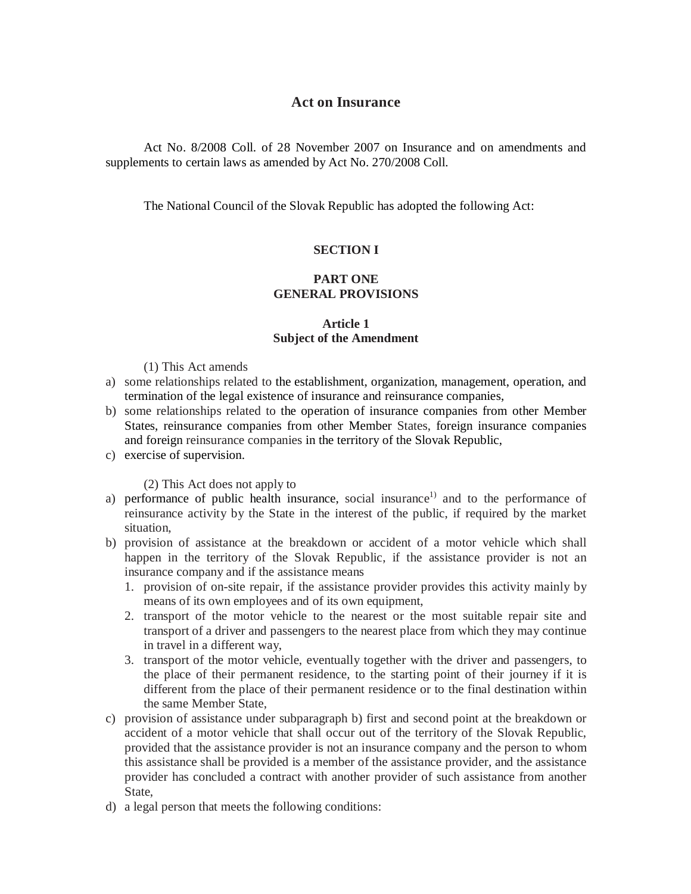# **Act on Insurance**

Act No. 8/2008 Coll. of 28 November 2007 on Insurance and on amendments and supplements to certain laws as amended by Act No. 270/2008 Coll.

The National Council of the Slovak Republic has adopted the following Act:

# **SECTION I**

# **PART ONE GENERAL PROVISIONS**

# **Article 1 Subject of the Amendment**

### (1) This Act amends

- a) some relationships related to the establishment, organization, management, operation, and termination of the legal existence of insurance and reinsurance companies,
- b) some relationships related to the operation of insurance companies from other Member States, reinsurance companies from other Member States, foreign insurance companies and foreign reinsurance companies in the territory of the Slovak Republic,
- c) exercise of supervision.

### (2) This Act does not apply to

- a) performance of public health insurance, social insurance<sup>1)</sup> and to the performance of reinsurance activity by the State in the interest of the public, if required by the market situation,
- b) provision of assistance at the breakdown or accident of a motor vehicle which shall happen in the territory of the Slovak Republic, if the assistance provider is not an insurance company and if the assistance means
	- 1. provision of on-site repair, if the assistance provider provides this activity mainly by means of its own employees and of its own equipment,
	- 2. transport of the motor vehicle to the nearest or the most suitable repair site and transport of a driver and passengers to the nearest place from which they may continue in travel in a different way,
	- 3. transport of the motor vehicle, eventually together with the driver and passengers, to the place of their permanent residence, to the starting point of their journey if it is different from the place of their permanent residence or to the final destination within the same Member State,
- c) provision of assistance under subparagraph b) first and second point at the breakdown or accident of a motor vehicle that shall occur out of the territory of the Slovak Republic, provided that the assistance provider is not an insurance company and the person to whom this assistance shall be provided is a member of the assistance provider, and the assistance provider has concluded a contract with another provider of such assistance from another State,
- d) a legal person that meets the following conditions: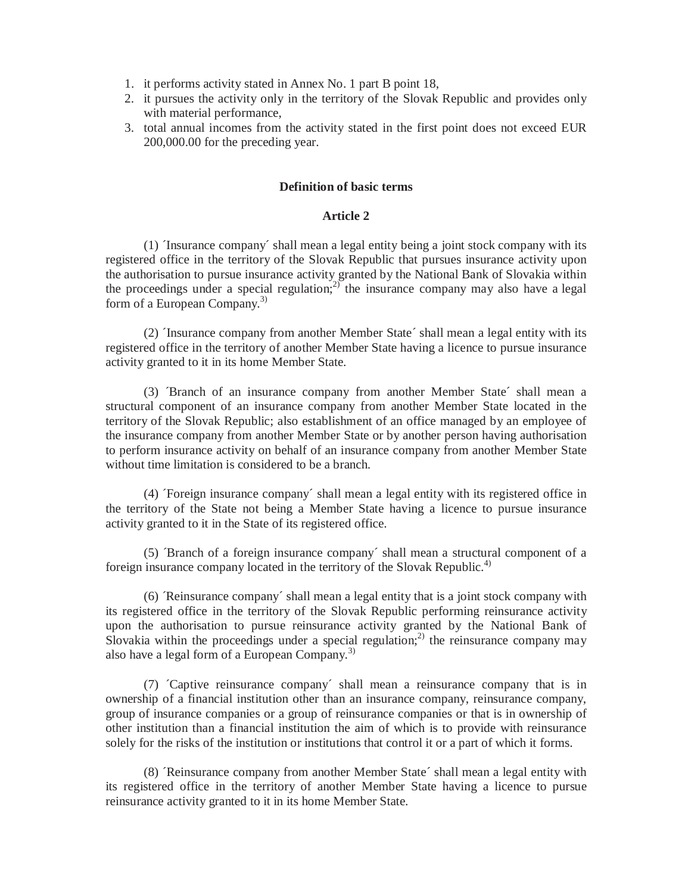- 1. it performs activity stated in Annex No. 1 part B point 18,
- 2. it pursues the activity only in the territory of the Slovak Republic and provides only with material performance,
- 3. total annual incomes from the activity stated in the first point does not exceed EUR 200,000.00 for the preceding year.

### **Definition of basic terms**

## **Article 2**

(1) ´Insurance company´ shall mean a legal entity being a joint stock company with its registered office in the territory of the Slovak Republic that pursues insurance activity upon the authorisation to pursue insurance activity granted by the National Bank of Slovakia within the proceedings under a special regulation; $2^{2}$  the insurance company may also have a legal form of a European Company.<sup>3)</sup>

(2) ´Insurance company from another Member State´ shall mean a legal entity with its registered office in the territory of another Member State having a licence to pursue insurance activity granted to it in its home Member State.

(3) ´Branch of an insurance company from another Member State´ shall mean a structural component of an insurance company from another Member State located in the territory of the Slovak Republic; also establishment of an office managed by an employee of the insurance company from another Member State or by another person having authorisation to perform insurance activity on behalf of an insurance company from another Member State without time limitation is considered to be a branch.

(4) ´Foreign insurance company´ shall mean a legal entity with its registered office in the territory of the State not being a Member State having a licence to pursue insurance activity granted to it in the State of its registered office.

(5) ´Branch of a foreign insurance company´ shall mean a structural component of a foreign insurance company located in the territory of the Slovak Republic.<sup>4)</sup>

 $(6)$   $\alpha$  Reinsurance company' shall mean a legal entity that is a joint stock company with its registered office in the territory of the Slovak Republic performing reinsurance activity upon the authorisation to pursue reinsurance activity granted by the National Bank of Slovakia within the proceedings under a special regulation;<sup>2)</sup> the reinsurance company may also have a legal form of a European Company.<sup>3)</sup>

(7) ´Captive reinsurance company´ shall mean a reinsurance company that is in ownership of a financial institution other than an insurance company, reinsurance company, group of insurance companies or a group of reinsurance companies or that is in ownership of other institution than a financial institution the aim of which is to provide with reinsurance solely for the risks of the institution or institutions that control it or a part of which it forms.

(8) ´Reinsurance company from another Member State´ shall mean a legal entity with its registered office in the territory of another Member State having a licence to pursue reinsurance activity granted to it in its home Member State.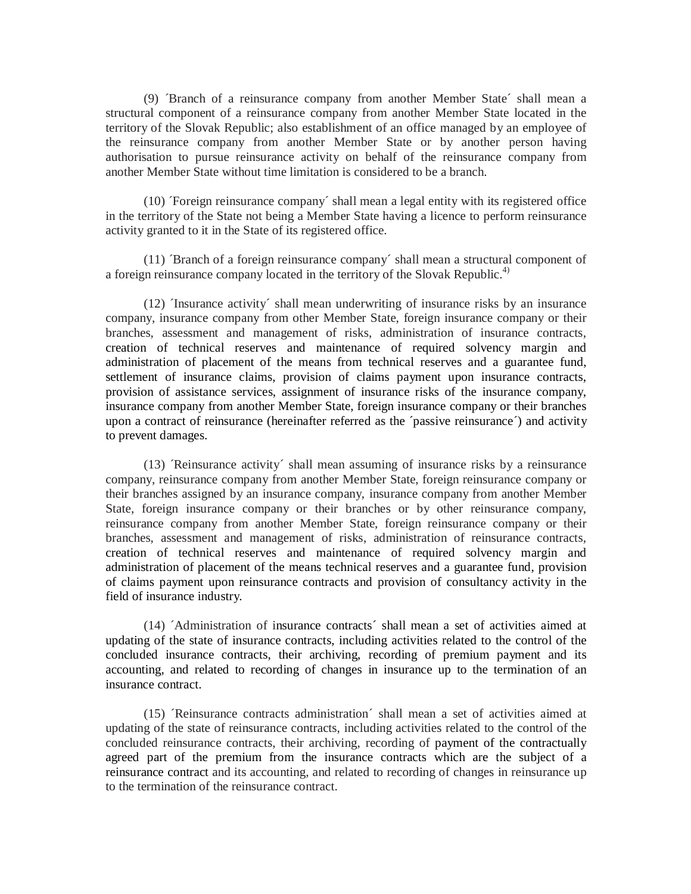(9) ´Branch of a reinsurance company from another Member State´ shall mean a structural component of a reinsurance company from another Member State located in the territory of the Slovak Republic; also establishment of an office managed by an employee of the reinsurance company from another Member State or by another person having authorisation to pursue reinsurance activity on behalf of the reinsurance company from another Member State without time limitation is considered to be a branch.

(10) Toreign reinsurance company' shall mean a legal entity with its registered office in the territory of the State not being a Member State having a licence to perform reinsurance activity granted to it in the State of its registered office.

(11) ´Branch of a foreign reinsurance company´ shall mean a structural component of a foreign reinsurance company located in the territory of the Slovak Republic.<sup>4)</sup>

(12) ´Insurance activity´ shall mean underwriting of insurance risks by an insurance company, insurance company from other Member State, foreign insurance company or their branches, assessment and management of risks, administration of insurance contracts, creation of technical reserves and maintenance of required solvency margin and administration of placement of the means from technical reserves and a guarantee fund, settlement of insurance claims, provision of claims payment upon insurance contracts, provision of assistance services, assignment of insurance risks of the insurance company, insurance company from another Member State, foreign insurance company or their branches upon a contract of reinsurance (hereinafter referred as the ´passive reinsurance´) and activity to prevent damages.

(13) ´Reinsurance activity´ shall mean assuming of insurance risks by a reinsurance company, reinsurance company from another Member State, foreign reinsurance company or their branches assigned by an insurance company, insurance company from another Member State, foreign insurance company or their branches or by other reinsurance company, reinsurance company from another Member State, foreign reinsurance company or their branches, assessment and management of risks, administration of reinsurance contracts, creation of technical reserves and maintenance of required solvency margin and administration of placement of the means technical reserves and a guarantee fund, provision of claims payment upon reinsurance contracts and provision of consultancy activity in the field of insurance industry.

(14) ´Administration of insurance contracts´ shall mean a set of activities aimed at updating of the state of insurance contracts, including activities related to the control of the concluded insurance contracts, their archiving, recording of premium payment and its accounting, and related to recording of changes in insurance up to the termination of an insurance contract.

(15) ´Reinsurance contracts administration´ shall mean a set of activities aimed at updating of the state of reinsurance contracts, including activities related to the control of the concluded reinsurance contracts, their archiving, recording of payment of the contractually agreed part of the premium from the insurance contracts which are the subject of a reinsurance contract and its accounting, and related to recording of changes in reinsurance up to the termination of the reinsurance contract.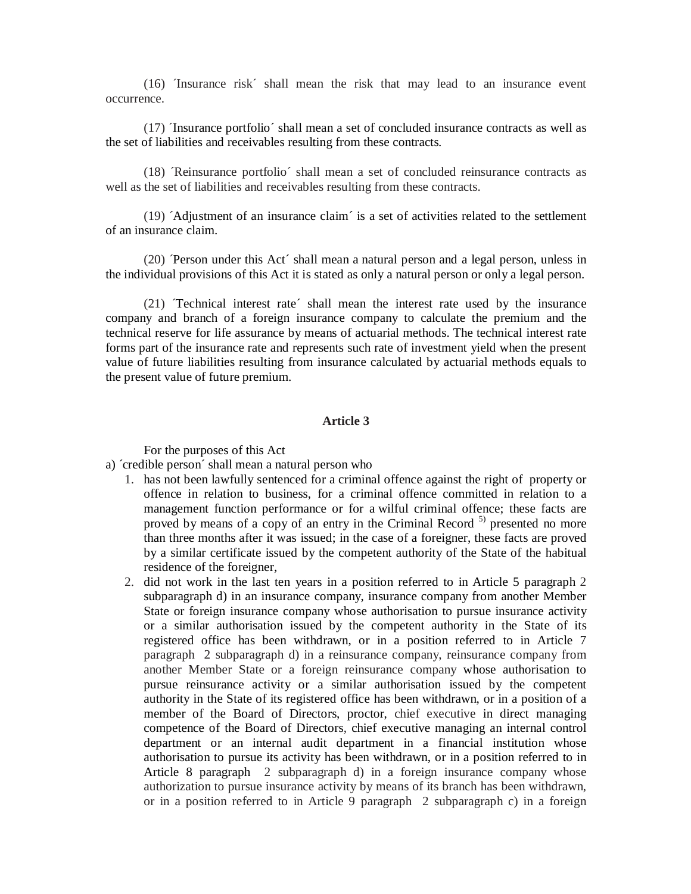$(16)$  The Insurance risk<sup> $\epsilon$ </sup> shall mean the risk that may lead to an insurance event occurrence.

(17) ´Insurance portfolio´ shall mean a set of concluded insurance contracts as well as the set of liabilities and receivables resulting from these contracts.

(18) ´Reinsurance portfolio´ shall mean a set of concluded reinsurance contracts as well as the set of liabilities and receivables resulting from these contracts.

(19) ´Adjustment of an insurance claim´ is a set of activities related to the settlement of an insurance claim.

(20) 'Person under this Act' shall mean a natural person and a legal person, unless in the individual provisions of this Act it is stated as only a natural person or only a legal person.

(21) ´Technical interest rate´ shall mean the interest rate used by the insurance company and branch of a foreign insurance company to calculate the premium and the technical reserve for life assurance by means of actuarial methods. The technical interest rate forms part of the insurance rate and represents such rate of investment yield when the present value of future liabilities resulting from insurance calculated by actuarial methods equals to the present value of future premium.

#### **Article 3**

For the purposes of this Act

- a) ´credible person´ shall mean a natural person who
	- 1. has not been lawfully sentenced for a criminal offence against the right of property or offence in relation to business, for a criminal offence committed in relation to a management function performance or for a wilful criminal offence; these facts are proved by means of a copy of an entry in the Criminal Record  $5$  presented no more than three months after it was issued; in the case of a foreigner, these facts are proved by a similar certificate issued by the competent authority of the State of the habitual residence of the foreigner,
	- 2. did not work in the last ten years in a position referred to in Article 5 paragraph 2 subparagraph d) in an insurance company, insurance company from another Member State or foreign insurance company whose authorisation to pursue insurance activity or a similar authorisation issued by the competent authority in the State of its registered office has been withdrawn, or in a position referred to in Article 7 paragraph 2 subparagraph d) in a reinsurance company, reinsurance company from another Member State or a foreign reinsurance company whose authorisation to pursue reinsurance activity or a similar authorisation issued by the competent authority in the State of its registered office has been withdrawn, or in a position of a member of the Board of Directors, proctor, chief executive in direct managing competence of the Board of Directors, chief executive managing an internal control department or an internal audit department in a financial institution whose authorisation to pursue its activity has been withdrawn, or in a position referred to in Article 8 paragraph 2 subparagraph d) in a foreign insurance company whose authorization to pursue insurance activity by means of its branch has been withdrawn, or in a position referred to in Article 9 paragraph 2 subparagraph c) in a foreign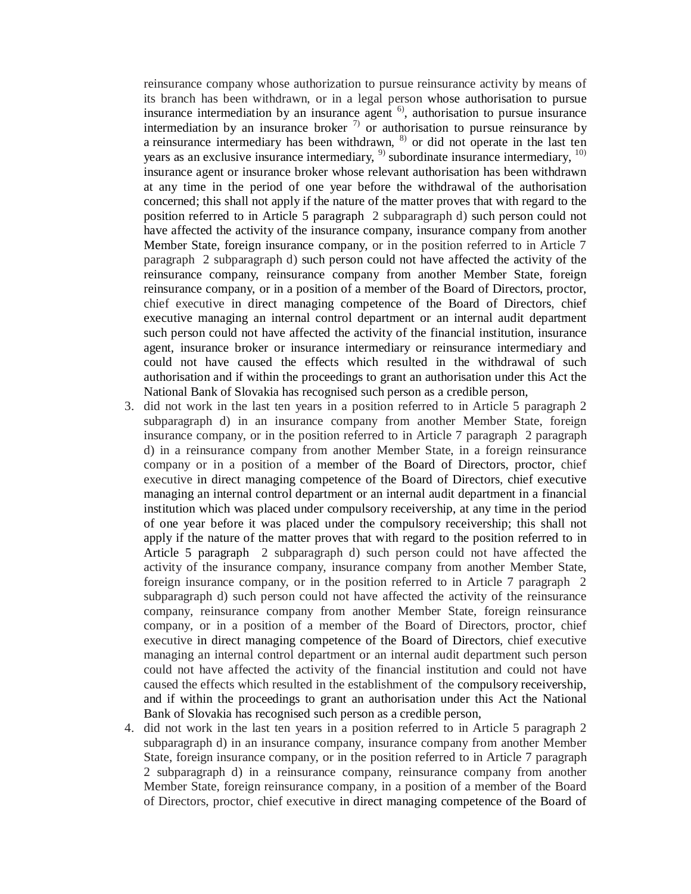reinsurance company whose authorization to pursue reinsurance activity by means of its branch has been withdrawn, or in a legal person whose authorisation to pursue insurance intermediation by an insurance agent  $\binom{6}{1}$ , authorisation to pursue insurance intermediation by an insurance broker  $\frac{1}{2}$  or authorisation to pursue reinsurance by a reinsurance intermediary has been withdrawn, 8) or did not operate in the last ten years as an exclusive insurance intermediary,  $9$  subordinate insurance intermediary,  $10$ insurance agent or insurance broker whose relevant authorisation has been withdrawn at any time in the period of one year before the withdrawal of the authorisation concerned; this shall not apply if the nature of the matter proves that with regard to the position referred to in Article 5 paragraph 2 subparagraph d) such person could not have affected the activity of the insurance company, insurance company from another Member State, foreign insurance company, or in the position referred to in Article 7 paragraph 2 subparagraph d) such person could not have affected the activity of the reinsurance company, reinsurance company from another Member State, foreign reinsurance company, or in a position of a member of the Board of Directors, proctor, chief executive in direct managing competence of the Board of Directors, chief executive managing an internal control department or an internal audit department such person could not have affected the activity of the financial institution, insurance agent, insurance broker or insurance intermediary or reinsurance intermediary and could not have caused the effects which resulted in the withdrawal of such authorisation and if within the proceedings to grant an authorisation under this Act the National Bank of Slovakia has recognised such person as a credible person,

- 3. did not work in the last ten years in a position referred to in Article 5 paragraph 2 subparagraph d) in an insurance company from another Member State, foreign insurance company, or in the position referred to in Article 7 paragraph 2 paragraph d) in a reinsurance company from another Member State, in a foreign reinsurance company or in a position of a member of the Board of Directors, proctor, chief executive in direct managing competence of the Board of Directors, chief executive managing an internal control department or an internal audit department in a financial institution which was placed under compulsory receivership, at any time in the period of one year before it was placed under the compulsory receivership; this shall not apply if the nature of the matter proves that with regard to the position referred to in Article 5 paragraph 2 subparagraph d) such person could not have affected the activity of the insurance company, insurance company from another Member State, foreign insurance company, or in the position referred to in Article 7 paragraph 2 subparagraph d) such person could not have affected the activity of the reinsurance company, reinsurance company from another Member State, foreign reinsurance company, or in a position of a member of the Board of Directors, proctor, chief executive in direct managing competence of the Board of Directors, chief executive managing an internal control department or an internal audit department such person could not have affected the activity of the financial institution and could not have caused the effects which resulted in the establishment of the compulsory receivership, and if within the proceedings to grant an authorisation under this Act the National Bank of Slovakia has recognised such person as a credible person,
- 4. did not work in the last ten years in a position referred to in Article 5 paragraph 2 subparagraph d) in an insurance company, insurance company from another Member State, foreign insurance company, or in the position referred to in Article 7 paragraph 2 subparagraph d) in a reinsurance company, reinsurance company from another Member State, foreign reinsurance company, in a position of a member of the Board of Directors, proctor, chief executive in direct managing competence of the Board of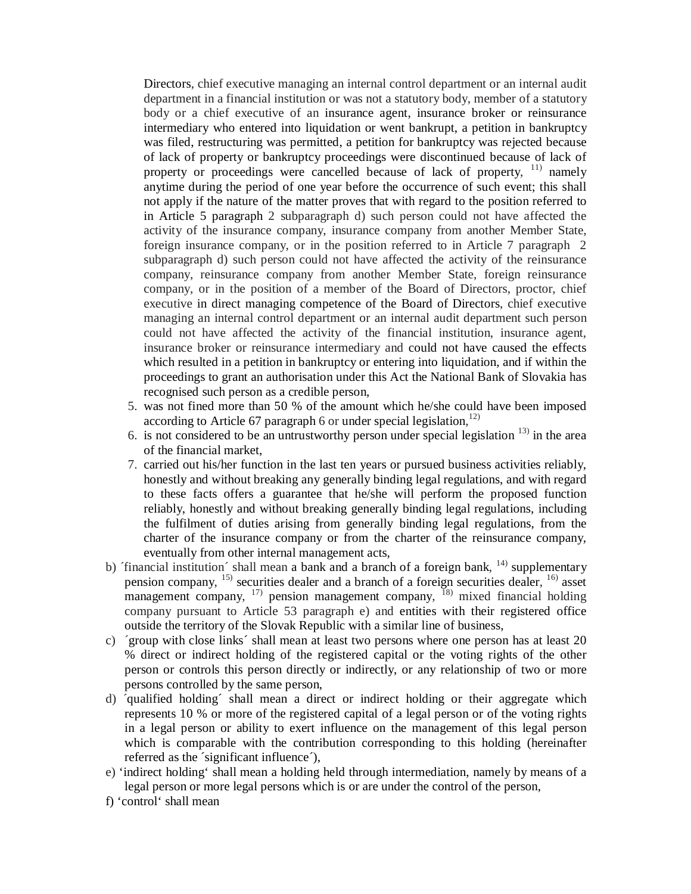Directors, chief executive managing an internal control department or an internal audit department in a financial institution or was not a statutory body, member of a statutory body or a chief executive of an insurance agent, insurance broker or reinsurance intermediary who entered into liquidation or went bankrupt, a petition in bankruptcy was filed, restructuring was permitted, a petition for bankruptcy was rejected because of lack of property or bankruptcy proceedings were discontinued because of lack of property or proceedings were cancelled because of lack of property, <sup>11)</sup> namely anytime during the period of one year before the occurrence of such event; this shall not apply if the nature of the matter proves that with regard to the position referred to in Article 5 paragraph 2 subparagraph d) such person could not have affected the activity of the insurance company, insurance company from another Member State, foreign insurance company, or in the position referred to in Article 7 paragraph 2 subparagraph d) such person could not have affected the activity of the reinsurance company, reinsurance company from another Member State, foreign reinsurance company, or in the position of a member of the Board of Directors, proctor, chief executive in direct managing competence of the Board of Directors, chief executive managing an internal control department or an internal audit department such person could not have affected the activity of the financial institution, insurance agent, insurance broker or reinsurance intermediary and could not have caused the effects which resulted in a petition in bankruptcy or entering into liquidation, and if within the proceedings to grant an authorisation under this Act the National Bank of Slovakia has recognised such person as a credible person,

- 5. was not fined more than 50 % of the amount which he/she could have been imposed according to Article 67 paragraph 6 or under special legislation, $12$ )
- 6. is not considered to be an untrustworthy person under special legislation  $^{13)}$  in the area of the financial market,
- 7. carried out his/her function in the last ten years or pursued business activities reliably, honestly and without breaking any generally binding legal regulations, and with regard to these facts offers a guarantee that he/she will perform the proposed function reliably, honestly and without breaking generally binding legal regulations, including the fulfilment of duties arising from generally binding legal regulations, from the charter of the insurance company or from the charter of the reinsurance company, eventually from other internal management acts,
- b) 'financial institution' shall mean a bank and a branch of a foreign bank,  $^{14}$ ) supplementary pension company, <sup>15)</sup> securities dealer and a branch of a foreign securities dealer, <sup>16)</sup> asset management company,  $17$  pension management company,  $18$  mixed financial holding company pursuant to Article 53 paragraph e) and entities with their registered office outside the territory of the Slovak Republic with a similar line of business,
- c) ´group with close links´ shall mean at least two persons where one person has at least 20 % direct or indirect holding of the registered capital or the voting rights of the other person or controls this person directly or indirectly, or any relationship of two or more persons controlled by the same person,
- d) ´qualified holding´ shall mean a direct or indirect holding or their aggregate which represents 10 % or more of the registered capital of a legal person or of the voting rights in a legal person or ability to exert influence on the management of this legal person which is comparable with the contribution corresponding to this holding (hereinafter referred as the ´significant influence´),
- e) 'indirect holding' shall mean a holding held through intermediation, namely by means of a legal person or more legal persons which is or are under the control of the person,
- f) 'control' shall mean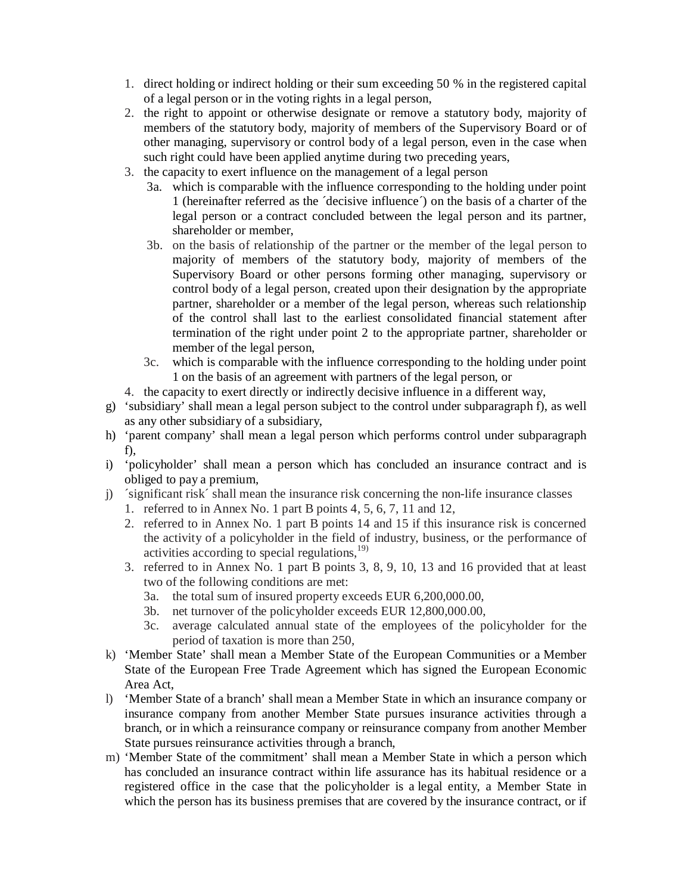- 1. direct holding or indirect holding or their sum exceeding 50 % in the registered capital of a legal person or in the voting rights in a legal person,
- 2. the right to appoint or otherwise designate or remove a statutory body, majority of members of the statutory body, majority of members of the Supervisory Board or of other managing, supervisory or control body of a legal person, even in the case when such right could have been applied anytime during two preceding years,
- 3. the capacity to exert influence on the management of a legal person
	- 3a. which is comparable with the influence corresponding to the holding under point 1 (hereinafter referred as the ´decisive influence´) on the basis of a charter of the legal person or a contract concluded between the legal person and its partner, shareholder or member,
	- 3b. on the basis of relationship of the partner or the member of the legal person to majority of members of the statutory body, majority of members of the Supervisory Board or other persons forming other managing, supervisory or control body of a legal person, created upon their designation by the appropriate partner, shareholder or a member of the legal person, whereas such relationship of the control shall last to the earliest consolidated financial statement after termination of the right under point 2 to the appropriate partner, shareholder or member of the legal person,
	- 3c. which is comparable with the influence corresponding to the holding under point 1 on the basis of an agreement with partners of the legal person, or
- 4. the capacity to exert directly or indirectly decisive influence in a different way,
- g) 'subsidiary' shall mean a legal person subject to the control under subparagraph f), as well as any other subsidiary of a subsidiary,
- h) 'parent company' shall mean a legal person which performs control under subparagraph f),
- i) 'policyholder' shall mean a person which has concluded an insurance contract and is obliged to pay a premium,
- j) ´significant risk´ shall mean the insurance risk concerning the non-life insurance classes
	- 1. referred to in Annex No. 1 part B points 4, 5, 6, 7, 11 and 12,
	- 2. referred to in Annex No. 1 part B points 14 and 15 if this insurance risk is concerned the activity of a policyholder in the field of industry, business, or the performance of activities according to special regulations, 19)
	- 3. referred to in Annex No. 1 part B points 3, 8, 9, 10, 13 and 16 provided that at least two of the following conditions are met:
		- 3a. the total sum of insured property exceeds EUR 6,200,000.00,
		- 3b. net turnover of the policyholder exceeds EUR 12,800,000.00,
		- 3c. average calculated annual state of the employees of the policyholder for the period of taxation is more than 250,
- k) 'Member State' shall mean a Member State of the European Communities or a Member State of the European Free Trade Agreement which has signed the European Economic Area Act,
- l) 'Member State of a branch' shall mean a Member State in which an insurance company or insurance company from another Member State pursues insurance activities through a branch, or in which a reinsurance company or reinsurance company from another Member State pursues reinsurance activities through a branch,
- m) 'Member State of the commitment' shall mean a Member State in which a person which has concluded an insurance contract within life assurance has its habitual residence or a registered office in the case that the policyholder is a legal entity, a Member State in which the person has its business premises that are covered by the insurance contract, or if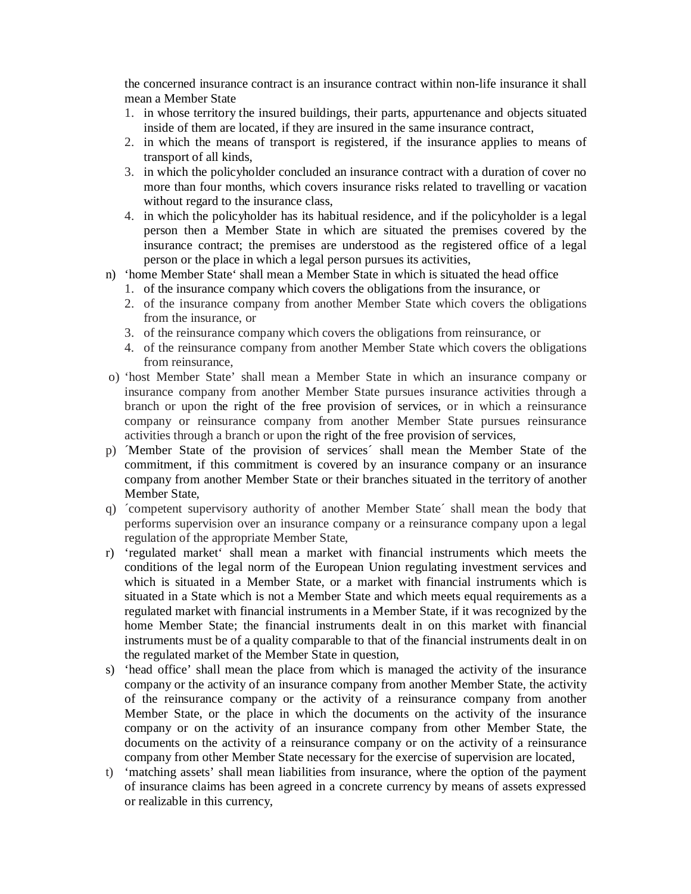the concerned insurance contract is an insurance contract within non-life insurance it shall mean a Member State

- 1. in whose territory the insured buildings, their parts, appurtenance and objects situated inside of them are located, if they are insured in the same insurance contract,
- 2. in which the means of transport is registered, if the insurance applies to means of transport of all kinds,
- 3. in which the policyholder concluded an insurance contract with a duration of cover no more than four months, which covers insurance risks related to travelling or vacation without regard to the insurance class.
- 4. in which the policyholder has its habitual residence, and if the policyholder is a legal person then a Member State in which are situated the premises covered by the insurance contract; the premises are understood as the registered office of a legal person or the place in which a legal person pursues its activities,
- n) 'home Member State' shall mean a Member State in which is situated the head office
	- 1. of the insurance company which covers the obligations from the insurance, or
	- 2. of the insurance company from another Member State which covers the obligations from the insurance, or
	- 3. of the reinsurance company which covers the obligations from reinsurance, or
	- 4. of the reinsurance company from another Member State which covers the obligations from reinsurance,
- o) 'host Member State' shall mean a Member State in which an insurance company or insurance company from another Member State pursues insurance activities through a branch or upon the right of the free provision of services, or in which a reinsurance company or reinsurance company from another Member State pursues reinsurance activities through a branch or upon the right of the free provision of services,
- p) ´Member State of the provision of services´ shall mean the Member State of the commitment, if this commitment is covered by an insurance company or an insurance company from another Member State or their branches situated in the territory of another Member State,
- q) ´competent supervisory authority of another Member State´ shall mean the body that performs supervision over an insurance company or a reinsurance company upon a legal regulation of the appropriate Member State,
- r) 'regulated market' shall mean a market with financial instruments which meets the conditions of the legal norm of the European Union regulating investment services and which is situated in a Member State, or a market with financial instruments which is situated in a State which is not a Member State and which meets equal requirements as a regulated market with financial instruments in a Member State, if it was recognized by the home Member State; the financial instruments dealt in on this market with financial instruments must be of a quality comparable to that of the financial instruments dealt in on the regulated market of the Member State in question,
- s) 'head office' shall mean the place from which is managed the activity of the insurance company or the activity of an insurance company from another Member State, the activity of the reinsurance company or the activity of a reinsurance company from another Member State, or the place in which the documents on the activity of the insurance company or on the activity of an insurance company from other Member State, the documents on the activity of a reinsurance company or on the activity of a reinsurance company from other Member State necessary for the exercise of supervision are located,
- t) 'matching assets' shall mean liabilities from insurance, where the option of the payment of insurance claims has been agreed in a concrete currency by means of assets expressed or realizable in this currency,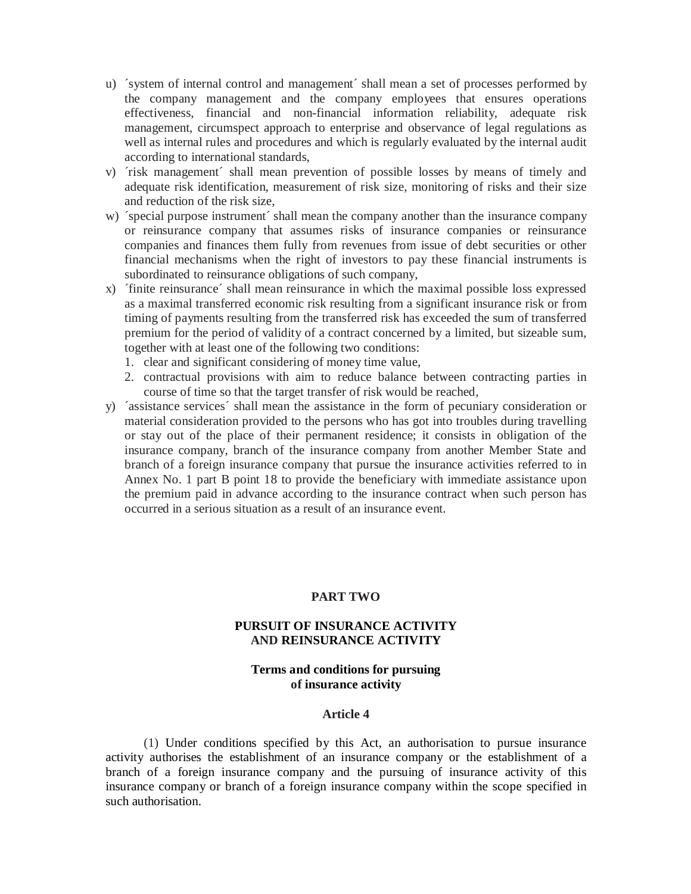- u) ´system of internal control and management´ shall mean a set of processes performed by the company management and the company employees that ensures operations effectiveness, financial and non-financial information reliability, adequate risk management, circumspect approach to enterprise and observance of legal regulations as well as internal rules and procedures and which is regularly evaluated by the internal audit according to international standards,
- v) ´risk management´ shall mean prevention of possible losses by means of timely and adequate risk identification, measurement of risk size, monitoring of risks and their size and reduction of the risk size,
- w) 'special purpose instrument' shall mean the company another than the insurance company or reinsurance company that assumes risks of insurance companies or reinsurance companies and finances them fully from revenues from issue of debt securities or other financial mechanisms when the right of investors to pay these financial instruments is subordinated to reinsurance obligations of such company,
- x) ´finite reinsurance´ shall mean reinsurance in which the maximal possible loss expressed as a maximal transferred economic risk resulting from a significant insurance risk or from timing of payments resulting from the transferred risk has exceeded the sum of transferred premium for the period of validity of a contract concerned by a limited, but sizeable sum, together with at least one of the following two conditions:
	- 1. clear and significant considering of money time value,
	- 2. contractual provisions with aim to reduce balance between contracting parties in course of time so that the target transfer of risk would be reached,
- y) ´assistance services´ shall mean the assistance in the form of pecuniary consideration or material consideration provided to the persons who has got into troubles during travelling or stay out of the place of their permanent residence; it consists in obligation of the insurance company, branch of the insurance company from another Member State and branch of a foreign insurance company that pursue the insurance activities referred to in Annex No. 1 part B point 18 to provide the beneficiary with immediate assistance upon the premium paid in advance according to the insurance contract when such person has occurred in a serious situation as a result of an insurance event.

### **PART TWO**

# **PURSUIT OF INSURANCE ACTIVITY AND REINSURANCE ACTIVITY**

# **Terms and conditions for pursuing of insurance activity**

#### **Article 4**

(1) Under conditions specified by this Act, an authorisation to pursue insurance activity authorises the establishment of an insurance company or the establishment of a branch of a foreign insurance company and the pursuing of insurance activity of this insurance company or branch of a foreign insurance company within the scope specified in such authorisation.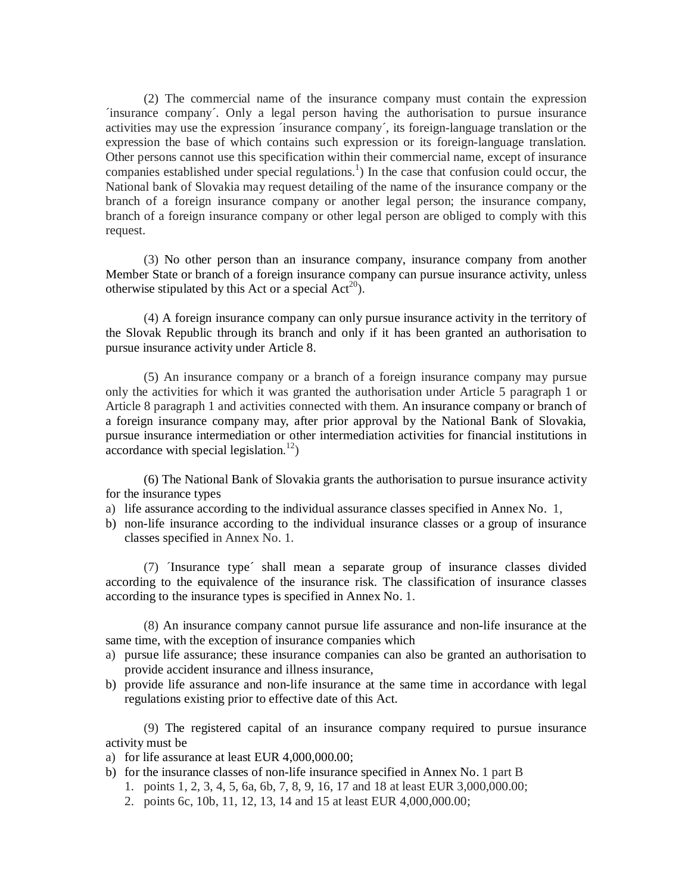(2) The commercial name of the insurance company must contain the expression ´insurance company´. Only a legal person having the authorisation to pursue insurance activities may use the expression ´insurance company´, its foreign-language translation or the expression the base of which contains such expression or its foreign-language translation. Other persons cannot use this specification within their commercial name, except of insurance companies established under special regulations.<sup>1</sup>) In the case that confusion could occur, the National bank of Slovakia may request detailing of the name of the insurance company or the branch of a foreign insurance company or another legal person; the insurance company, branch of a foreign insurance company or other legal person are obliged to comply with this request.

(3) No other person than an insurance company, insurance company from another Member State or branch of a foreign insurance company can pursue insurance activity, unless otherwise stipulated by this Act or a special  $Act^{20}$ ).

(4) A foreign insurance company can only pursue insurance activity in the territory of the Slovak Republic through its branch and only if it has been granted an authorisation to pursue insurance activity under Article 8.

(5) An insurance company or a branch of a foreign insurance company may pursue only the activities for which it was granted the authorisation under Article 5 paragraph 1 or Article 8 paragraph 1 and activities connected with them. An insurance company or branch of a foreign insurance company may, after prior approval by the National Bank of Slovakia, pursue insurance intermediation or other intermediation activities for financial institutions in  $\alpha$  accordance with special legislation.<sup>12</sup>)

(6) The National Bank of Slovakia grants the authorisation to pursue insurance activity for the insurance types

- a) life assurance according to the individual assurance classes specified in Annex No. 1,
- b) non-life insurance according to the individual insurance classes or a group of insurance classes specified in Annex No. 1.

(7) ´Insurance type´ shall mean a separate group of insurance classes divided according to the equivalence of the insurance risk. The classification of insurance classes according to the insurance types is specified in Annex No. 1.

(8) An insurance company cannot pursue life assurance and non-life insurance at the same time, with the exception of insurance companies which

- a) pursue life assurance; these insurance companies can also be granted an authorisation to provide accident insurance and illness insurance,
- b) provide life assurance and non-life insurance at the same time in accordance with legal regulations existing prior to effective date of this Act.

(9) The registered capital of an insurance company required to pursue insurance activity must be

- a) for life assurance at least EUR 4,000,000.00;
- b) for the insurance classes of non-life insurance specified in Annex No. 1 part B
	- 1. points 1, 2, 3, 4, 5, 6a, 6b, 7, 8, 9, 16, 17 and 18 at least EUR 3,000,000.00;
	- 2. points 6c, 10b, 11, 12, 13, 14 and 15 at least EUR 4,000,000.00;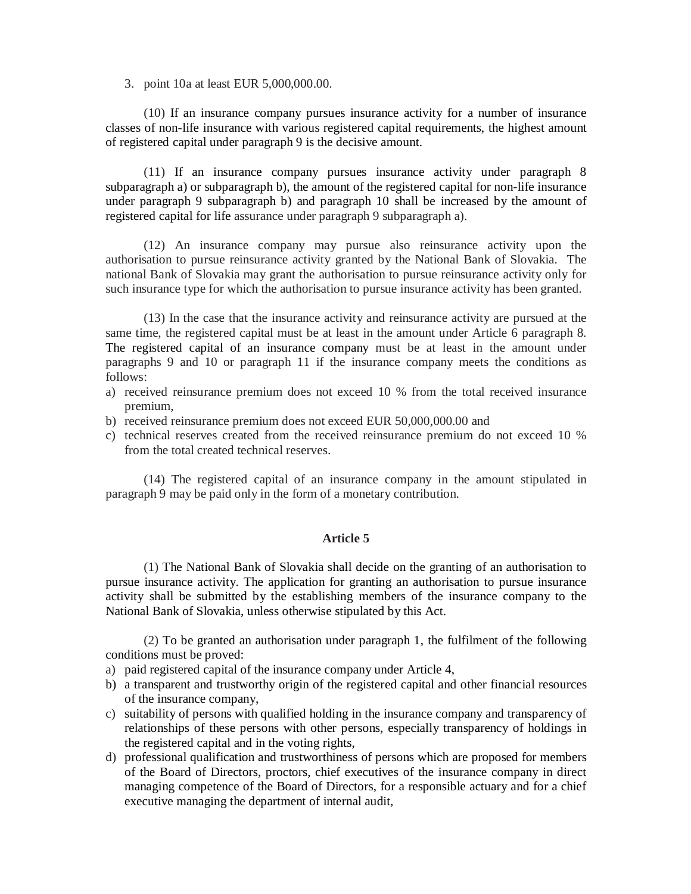3. point 10a at least EUR 5,000,000.00.

(10) If an insurance company pursues insurance activity for a number of insurance classes of non-life insurance with various registered capital requirements, the highest amount of registered capital under paragraph 9 is the decisive amount.

(11) If an insurance company pursues insurance activity under paragraph 8 subparagraph a) or subparagraph b), the amount of the registered capital for non-life insurance under paragraph 9 subparagraph b) and paragraph 10 shall be increased by the amount of registered capital for life assurance under paragraph 9 subparagraph a).

(12) An insurance company may pursue also reinsurance activity upon the authorisation to pursue reinsurance activity granted by the National Bank of Slovakia. The national Bank of Slovakia may grant the authorisation to pursue reinsurance activity only for such insurance type for which the authorisation to pursue insurance activity has been granted.

(13) In the case that the insurance activity and reinsurance activity are pursued at the same time, the registered capital must be at least in the amount under Article 6 paragraph 8. The registered capital of an insurance company must be at least in the amount under paragraphs 9 and 10 or paragraph 11 if the insurance company meets the conditions as follows:

- a) received reinsurance premium does not exceed 10 % from the total received insurance premium,
- b) received reinsurance premium does not exceed EUR 50,000,000.00 and
- c) technical reserves created from the received reinsurance premium do not exceed 10 % from the total created technical reserves.

(14) The registered capital of an insurance company in the amount stipulated in paragraph 9 may be paid only in the form of a monetary contribution.

# **Article 5**

(1) The National Bank of Slovakia shall decide on the granting of an authorisation to pursue insurance activity. The application for granting an authorisation to pursue insurance activity shall be submitted by the establishing members of the insurance company to the National Bank of Slovakia, unless otherwise stipulated by this Act.

(2) To be granted an authorisation under paragraph 1, the fulfilment of the following conditions must be proved:

- a) paid registered capital of the insurance company under Article 4,
- b) a transparent and trustworthy origin of the registered capital and other financial resources of the insurance company,
- c) suitability of persons with qualified holding in the insurance company and transparency of relationships of these persons with other persons, especially transparency of holdings in the registered capital and in the voting rights,
- d) professional qualification and trustworthiness of persons which are proposed for members of the Board of Directors, proctors, chief executives of the insurance company in direct managing competence of the Board of Directors, for a responsible actuary and for a chief executive managing the department of internal audit,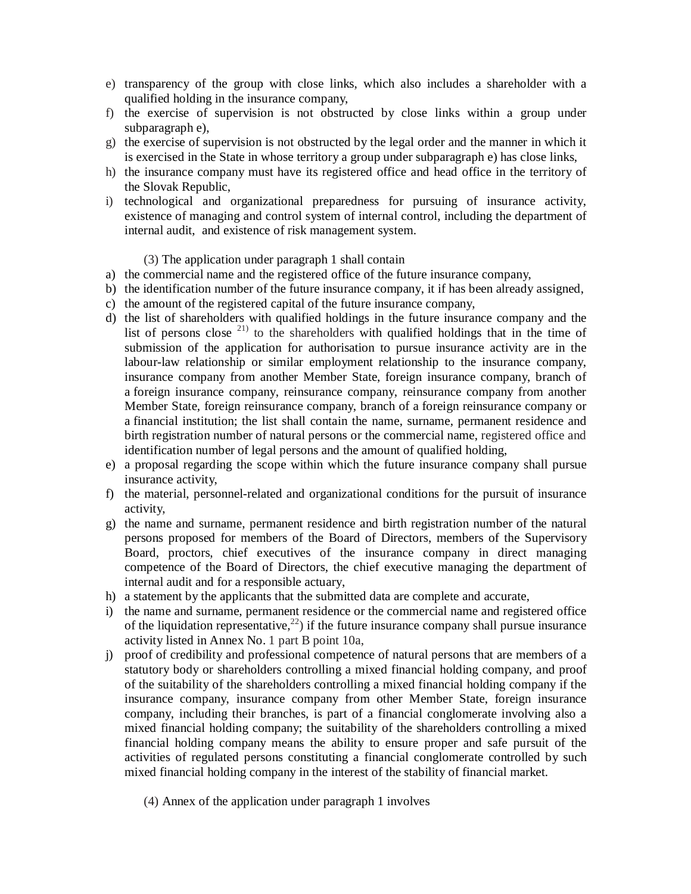- e) transparency of the group with close links, which also includes a shareholder with a qualified holding in the insurance company,
- f) the exercise of supervision is not obstructed by close links within a group under subparagraph e),
- g) the exercise of supervision is not obstructed by the legal order and the manner in which it is exercised in the State in whose territory a group under subparagraph e) has close links,
- h) the insurance company must have its registered office and head office in the territory of the Slovak Republic,
- i) technological and organizational preparedness for pursuing of insurance activity, existence of managing and control system of internal control, including the department of internal audit, and existence of risk management system.

## (3) The application under paragraph 1 shall contain

- a) the commercial name and the registered office of the future insurance company,
- b) the identification number of the future insurance company, it if has been already assigned,
- c) the amount of the registered capital of the future insurance company,
- d) the list of shareholders with qualified holdings in the future insurance company and the list of persons close  $^{21}$  to the shareholders with qualified holdings that in the time of submission of the application for authorisation to pursue insurance activity are in the labour-law relationship or similar employment relationship to the insurance company, insurance company from another Member State, foreign insurance company, branch of a foreign insurance company, reinsurance company, reinsurance company from another Member State, foreign reinsurance company, branch of a foreign reinsurance company or a financial institution; the list shall contain the name, surname, permanent residence and birth registration number of natural persons or the commercial name, registered office and identification number of legal persons and the amount of qualified holding,
- e) a proposal regarding the scope within which the future insurance company shall pursue insurance activity,
- f) the material, personnel-related and organizational conditions for the pursuit of insurance activity,
- g) the name and surname, permanent residence and birth registration number of the natural persons proposed for members of the Board of Directors, members of the Supervisory Board, proctors, chief executives of the insurance company in direct managing competence of the Board of Directors, the chief executive managing the department of internal audit and for a responsible actuary,
- h) a statement by the applicants that the submitted data are complete and accurate,
- i) the name and surname, permanent residence or the commercial name and registered office of the liquidation representative,<sup>22</sup>) if the future insurance company shall pursue insurance activity listed in Annex No. 1 part B point 10a,
- j) proof of credibility and professional competence of natural persons that are members of a statutory body or shareholders controlling a mixed financial holding company, and proof of the suitability of the shareholders controlling a mixed financial holding company if the insurance company, insurance company from other Member State, foreign insurance company, including their branches, is part of a financial conglomerate involving also a mixed financial holding company; the suitability of the shareholders controlling a mixed financial holding company means the ability to ensure proper and safe pursuit of the activities of regulated persons constituting a financial conglomerate controlled by such mixed financial holding company in the interest of the stability of financial market.
	- (4) Annex of the application under paragraph 1 involves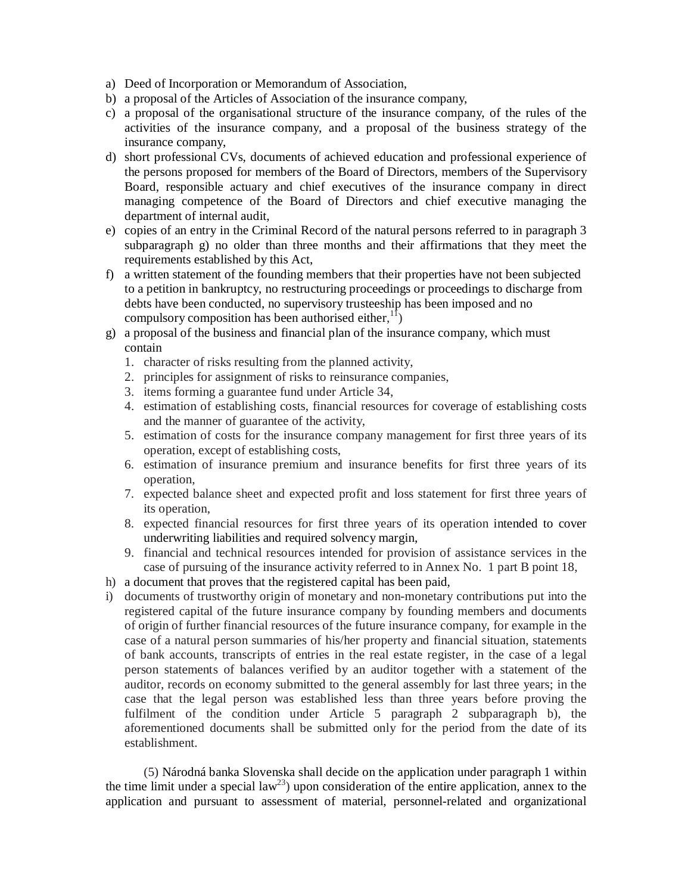- a) Deed of Incorporation or Memorandum of Association,
- b) a proposal of the Articles of Association of the insurance company,
- c) a proposal of the organisational structure of the insurance company, of the rules of the activities of the insurance company, and a proposal of the business strategy of the insurance company,
- d) short professional CVs, documents of achieved education and professional experience of the persons proposed for members of the Board of Directors, members of the Supervisory Board, responsible actuary and chief executives of the insurance company in direct managing competence of the Board of Directors and chief executive managing the department of internal audit,
- e) copies of an entry in the Criminal Record of the natural persons referred to in paragraph 3 subparagraph g) no older than three months and their affirmations that they meet the requirements established by this Act,
- f) a written statement of the founding members that their properties have not been subjected to a petition in bankruptcy, no restructuring proceedings or proceedings to discharge from debts have been conducted, no supervisory trusteeship has been imposed and no compulsory composition has been authorised either,  $\binom{11}{2}$
- g) a proposal of the business and financial plan of the insurance company, which must contain
	- 1. character of risks resulting from the planned activity,
	- 2. principles for assignment of risks to reinsurance companies,
	- 3. items forming a guarantee fund under Article 34,
	- 4. estimation of establishing costs, financial resources for coverage of establishing costs and the manner of guarantee of the activity,
	- 5. estimation of costs for the insurance company management for first three years of its operation, except of establishing costs,
	- 6. estimation of insurance premium and insurance benefits for first three years of its operation,
	- 7. expected balance sheet and expected profit and loss statement for first three years of its operation,
	- 8. expected financial resources for first three years of its operation intended to cover underwriting liabilities and required solvency margin,
	- 9. financial and technical resources intended for provision of assistance services in the case of pursuing of the insurance activity referred to in Annex No. 1 part B point 18,
- h) a document that proves that the registered capital has been paid,
- i) documents of trustworthy origin of monetary and non-monetary contributions put into the registered capital of the future insurance company by founding members and documents of origin of further financial resources of the future insurance company, for example in the case of a natural person summaries of his/her property and financial situation, statements of bank accounts, transcripts of entries in the real estate register, in the case of a legal person statements of balances verified by an auditor together with a statement of the auditor, records on economy submitted to the general assembly for last three years; in the case that the legal person was established less than three years before proving the fulfilment of the condition under Article 5 paragraph 2 subparagraph b), the aforementioned documents shall be submitted only for the period from the date of its establishment.

(5) Národná banka Slovenska shall decide on the application under paragraph 1 within the time limit under a special law<sup>23</sup>) upon consideration of the entire application, annex to the application and pursuant to assessment of material, personnel-related and organizational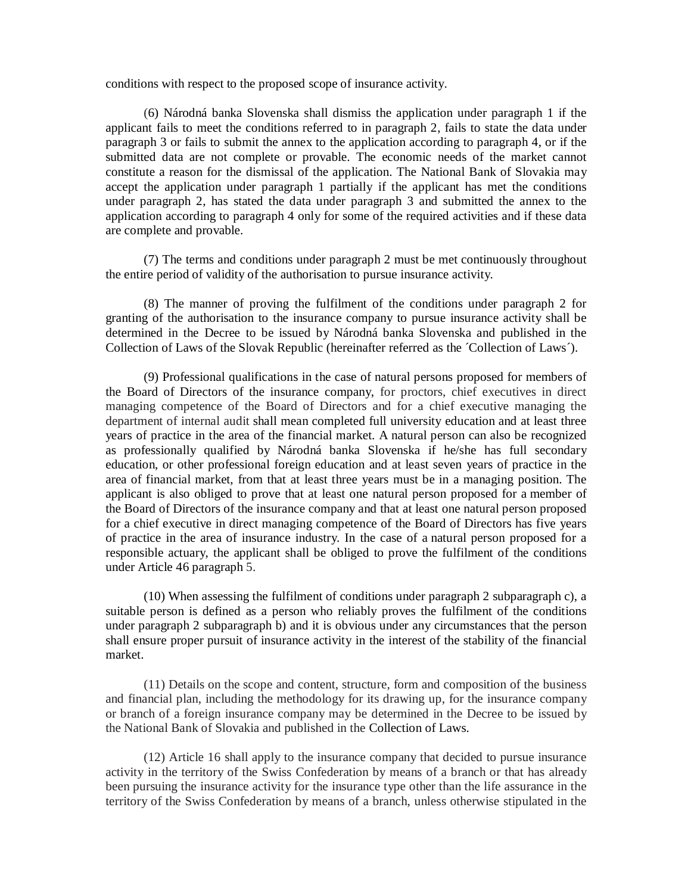conditions with respect to the proposed scope of insurance activity.

(6) Národná banka Slovenska shall dismiss the application under paragraph 1 if the applicant fails to meet the conditions referred to in paragraph 2, fails to state the data under paragraph 3 or fails to submit the annex to the application according to paragraph 4, or if the submitted data are not complete or provable. The economic needs of the market cannot constitute a reason for the dismissal of the application. The National Bank of Slovakia may accept the application under paragraph 1 partially if the applicant has met the conditions under paragraph 2, has stated the data under paragraph 3 and submitted the annex to the application according to paragraph 4 only for some of the required activities and if these data are complete and provable.

(7) The terms and conditions under paragraph 2 must be met continuously throughout the entire period of validity of the authorisation to pursue insurance activity.

(8) The manner of proving the fulfilment of the conditions under paragraph 2 for granting of the authorisation to the insurance company to pursue insurance activity shall be determined in the Decree to be issued by Národná banka Slovenska and published in the Collection of Laws of the Slovak Republic (hereinafter referred as the ´Collection of Laws´).

(9) Professional qualifications in the case of natural persons proposed for members of the Board of Directors of the insurance company, for proctors, chief executives in direct managing competence of the Board of Directors and for a chief executive managing the department of internal audit shall mean completed full university education and at least three years of practice in the area of the financial market. A natural person can also be recognized as professionally qualified by Národná banka Slovenska if he/she has full secondary education, or other professional foreign education and at least seven years of practice in the area of financial market, from that at least three years must be in a managing position. The applicant is also obliged to prove that at least one natural person proposed for a member of the Board of Directors of the insurance company and that at least one natural person proposed for a chief executive in direct managing competence of the Board of Directors has five years of practice in the area of insurance industry. In the case of a natural person proposed for a responsible actuary, the applicant shall be obliged to prove the fulfilment of the conditions under Article 46 paragraph 5.

(10) When assessing the fulfilment of conditions under paragraph 2 subparagraph c), a suitable person is defined as a person who reliably proves the fulfilment of the conditions under paragraph 2 subparagraph b) and it is obvious under any circumstances that the person shall ensure proper pursuit of insurance activity in the interest of the stability of the financial market.

(11) Details on the scope and content, structure, form and composition of the business and financial plan, including the methodology for its drawing up, for the insurance company or branch of a foreign insurance company may be determined in the Decree to be issued by the National Bank of Slovakia and published in the Collection of Laws.

(12) Article 16 shall apply to the insurance company that decided to pursue insurance activity in the territory of the Swiss Confederation by means of a branch or that has already been pursuing the insurance activity for the insurance type other than the life assurance in the territory of the Swiss Confederation by means of a branch, unless otherwise stipulated in the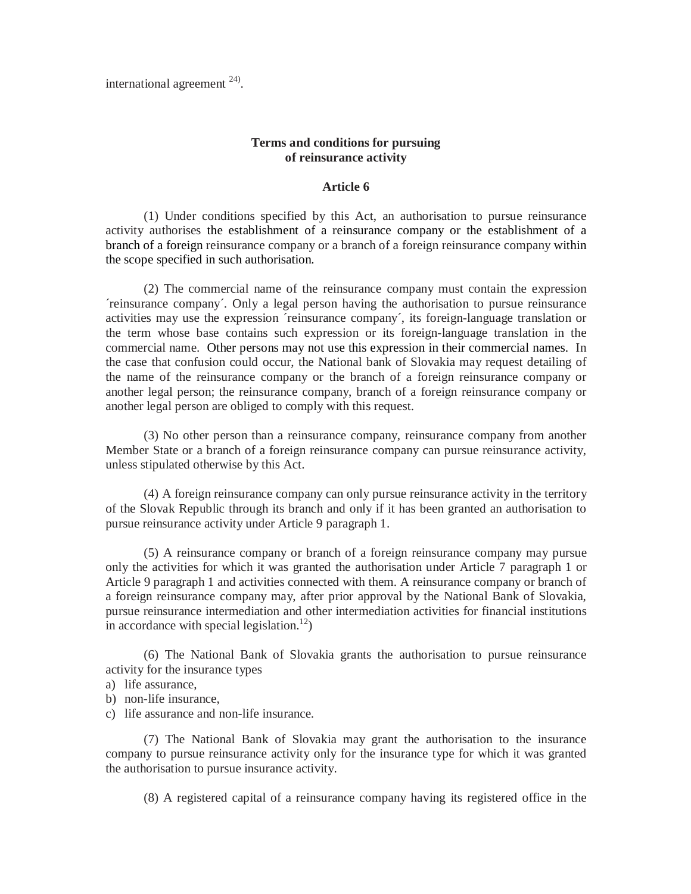international agreement  $24$ ).

# **Terms and conditions for pursuing of reinsurance activity**

## **Article 6**

(1) Under conditions specified by this Act, an authorisation to pursue reinsurance activity authorises the establishment of a reinsurance company or the establishment of a branch of a foreign reinsurance company or a branch of a foreign reinsurance company within the scope specified in such authorisation.

(2) The commercial name of the reinsurance company must contain the expression ´reinsurance company´. Only a legal person having the authorisation to pursue reinsurance activities may use the expression ´reinsurance company´, its foreign-language translation or the term whose base contains such expression or its foreign-language translation in the commercial name. Other persons may not use this expression in their commercial names. In the case that confusion could occur, the National bank of Slovakia may request detailing of the name of the reinsurance company or the branch of a foreign reinsurance company or another legal person; the reinsurance company, branch of a foreign reinsurance company or another legal person are obliged to comply with this request.

(3) No other person than a reinsurance company, reinsurance company from another Member State or a branch of a foreign reinsurance company can pursue reinsurance activity, unless stipulated otherwise by this Act.

(4) A foreign reinsurance company can only pursue reinsurance activity in the territory of the Slovak Republic through its branch and only if it has been granted an authorisation to pursue reinsurance activity under Article 9 paragraph 1.

(5) A reinsurance company or branch of a foreign reinsurance company may pursue only the activities for which it was granted the authorisation under Article 7 paragraph 1 or Article 9 paragraph 1 and activities connected with them. A reinsurance company or branch of a foreign reinsurance company may, after prior approval by the National Bank of Slovakia, pursue reinsurance intermediation and other intermediation activities for financial institutions in accordance with special legislation.<sup>12</sup>)

(6) The National Bank of Slovakia grants the authorisation to pursue reinsurance activity for the insurance types

a) life assurance,

b) non-life insurance,

c) life assurance and non-life insurance.

(7) The National Bank of Slovakia may grant the authorisation to the insurance company to pursue reinsurance activity only for the insurance type for which it was granted the authorisation to pursue insurance activity.

(8) A registered capital of a reinsurance company having its registered office in the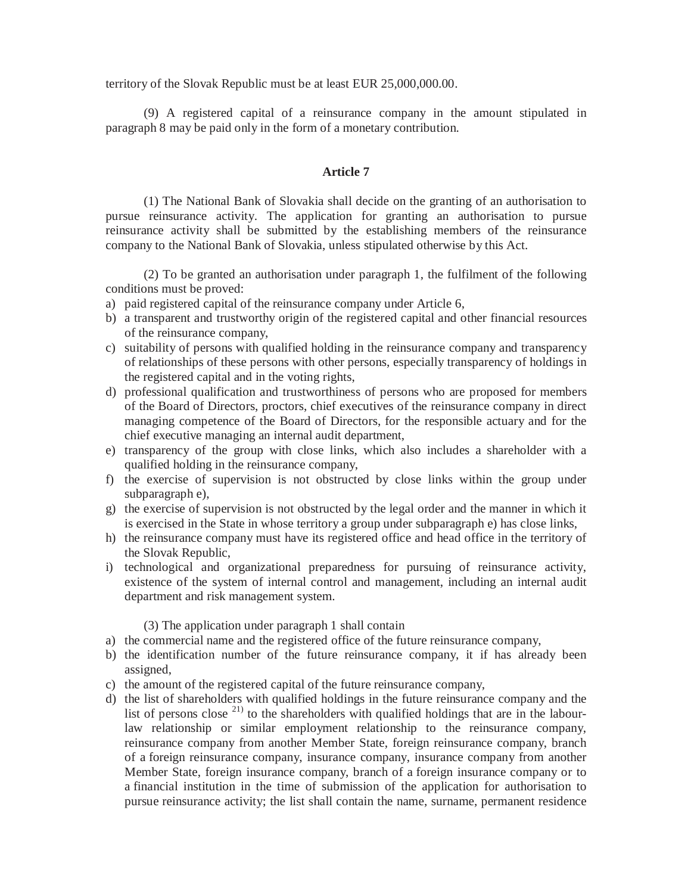territory of the Slovak Republic must be at least EUR 25,000,000.00.

(9) A registered capital of a reinsurance company in the amount stipulated in paragraph 8 may be paid only in the form of a monetary contribution.

### **Article 7**

(1) The National Bank of Slovakia shall decide on the granting of an authorisation to pursue reinsurance activity. The application for granting an authorisation to pursue reinsurance activity shall be submitted by the establishing members of the reinsurance company to the National Bank of Slovakia, unless stipulated otherwise by this Act.

(2) To be granted an authorisation under paragraph 1, the fulfilment of the following conditions must be proved:

- a) paid registered capital of the reinsurance company under Article 6,
- b) a transparent and trustworthy origin of the registered capital and other financial resources of the reinsurance company,
- c) suitability of persons with qualified holding in the reinsurance company and transparency of relationships of these persons with other persons, especially transparency of holdings in the registered capital and in the voting rights,
- d) professional qualification and trustworthiness of persons who are proposed for members of the Board of Directors, proctors, chief executives of the reinsurance company in direct managing competence of the Board of Directors, for the responsible actuary and for the chief executive managing an internal audit department,
- e) transparency of the group with close links, which also includes a shareholder with a qualified holding in the reinsurance company,
- f) the exercise of supervision is not obstructed by close links within the group under subparagraph e),
- g) the exercise of supervision is not obstructed by the legal order and the manner in which it is exercised in the State in whose territory a group under subparagraph e) has close links,
- h) the reinsurance company must have its registered office and head office in the territory of the Slovak Republic,
- i) technological and organizational preparedness for pursuing of reinsurance activity, existence of the system of internal control and management, including an internal audit department and risk management system.

(3) The application under paragraph 1 shall contain

- a) the commercial name and the registered office of the future reinsurance company,
- b) the identification number of the future reinsurance company, it if has already been assigned,
- c) the amount of the registered capital of the future reinsurance company,
- d) the list of shareholders with qualified holdings in the future reinsurance company and the list of persons close  $^{21}$  to the shareholders with qualified holdings that are in the labourlaw relationship or similar employment relationship to the reinsurance company, reinsurance company from another Member State, foreign reinsurance company, branch of a foreign reinsurance company, insurance company, insurance company from another Member State, foreign insurance company, branch of a foreign insurance company or to a financial institution in the time of submission of the application for authorisation to pursue reinsurance activity; the list shall contain the name, surname, permanent residence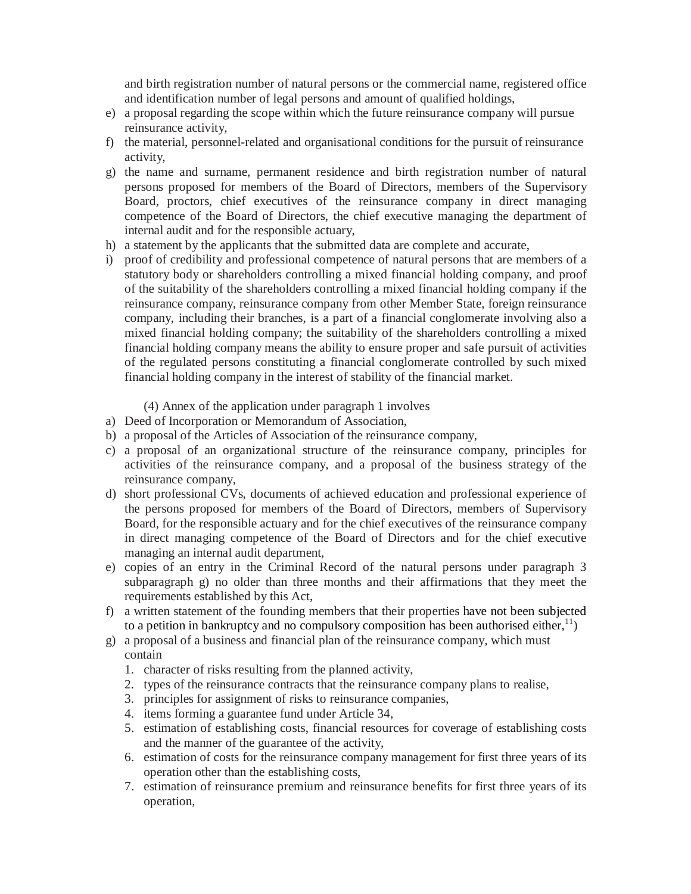and birth registration number of natural persons or the commercial name, registered office and identification number of legal persons and amount of qualified holdings,

- e) a proposal regarding the scope within which the future reinsurance company will pursue reinsurance activity,
- f) the material, personnel-related and organisational conditions for the pursuit of reinsurance activity,
- g) the name and surname, permanent residence and birth registration number of natural persons proposed for members of the Board of Directors, members of the Supervisory Board, proctors, chief executives of the reinsurance company in direct managing competence of the Board of Directors, the chief executive managing the department of internal audit and for the responsible actuary,
- h) a statement by the applicants that the submitted data are complete and accurate,
- i) proof of credibility and professional competence of natural persons that are members of a statutory body or shareholders controlling a mixed financial holding company, and proof of the suitability of the shareholders controlling a mixed financial holding company if the reinsurance company, reinsurance company from other Member State, foreign reinsurance company, including their branches, is a part of a financial conglomerate involving also a mixed financial holding company; the suitability of the shareholders controlling a mixed financial holding company means the ability to ensure proper and safe pursuit of activities of the regulated persons constituting a financial conglomerate controlled by such mixed financial holding company in the interest of stability of the financial market.
	- (4) Annex of the application under paragraph 1 involves
- a) Deed of Incorporation or Memorandum of Association,
- b) a proposal of the Articles of Association of the reinsurance company,
- c) a proposal of an organizational structure of the reinsurance company, principles for activities of the reinsurance company, and a proposal of the business strategy of the reinsurance company,
- d) short professional CVs, documents of achieved education and professional experience of the persons proposed for members of the Board of Directors, members of Supervisory Board, for the responsible actuary and for the chief executives of the reinsurance company in direct managing competence of the Board of Directors and for the chief executive managing an internal audit department,
- e) copies of an entry in the Criminal Record of the natural persons under paragraph 3 subparagraph g) no older than three months and their affirmations that they meet the requirements established by this Act,
- f) a written statement of the founding members that their properties have not been subjected to a petition in bankruptcy and no compulsory composition has been authorised either,  $^{11}$ )
- g) a proposal of a business and financial plan of the reinsurance company, which must contain
	- 1. character of risks resulting from the planned activity,
	- 2. types of the reinsurance contracts that the reinsurance company plans to realise,
	- 3. principles for assignment of risks to reinsurance companies,
	- 4. items forming a guarantee fund under Article 34,
	- 5. estimation of establishing costs, financial resources for coverage of establishing costs and the manner of the guarantee of the activity,
	- 6. estimation of costs for the reinsurance company management for first three years of its operation other than the establishing costs,
	- 7. estimation of reinsurance premium and reinsurance benefits for first three years of its operation,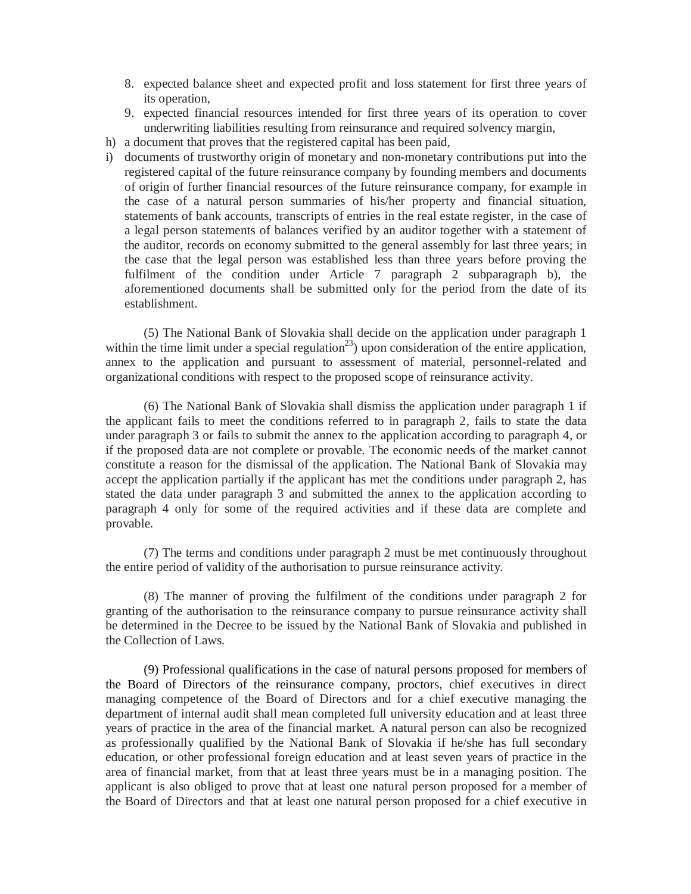- 8. expected balance sheet and expected profit and loss statement for first three years of its operation,
- 9. expected financial resources intended for first three years of its operation to cover underwriting liabilities resulting from reinsurance and required solvency margin,
- h) a document that proves that the registered capital has been paid,
- i) documents of trustworthy origin of monetary and non-monetary contributions put into the registered capital of the future reinsurance company by founding members and documents of origin of further financial resources of the future reinsurance company, for example in the case of a natural person summaries of his/her property and financial situation, statements of bank accounts, transcripts of entries in the real estate register, in the case of a legal person statements of balances verified by an auditor together with a statement of the auditor, records on economy submitted to the general assembly for last three years; in the case that the legal person was established less than three years before proving the fulfilment of the condition under Article 7 paragraph 2 subparagraph b), the aforementioned documents shall be submitted only for the period from the date of its establishment.

(5) The National Bank of Slovakia shall decide on the application under paragraph 1 within the time limit under a special regulation<sup>23</sup>) upon consideration of the entire application, annex to the application and pursuant to assessment of material, personnel-related and organizational conditions with respect to the proposed scope of reinsurance activity.

(6) The National Bank of Slovakia shall dismiss the application under paragraph 1 if the applicant fails to meet the conditions referred to in paragraph 2, fails to state the data under paragraph 3 or fails to submit the annex to the application according to paragraph 4, or if the proposed data are not complete or provable. The economic needs of the market cannot constitute a reason for the dismissal of the application. The National Bank of Slovakia may accept the application partially if the applicant has met the conditions under paragraph 2, has stated the data under paragraph 3 and submitted the annex to the application according to paragraph 4 only for some of the required activities and if these data are complete and provable.

(7) The terms and conditions under paragraph 2 must be met continuously throughout the entire period of validity of the authorisation to pursue reinsurance activity.

(8) The manner of proving the fulfilment of the conditions under paragraph 2 for granting of the authorisation to the reinsurance company to pursue reinsurance activity shall be determined in the Decree to be issued by the National Bank of Slovakia and published in the Collection of Laws.

(9) Professional qualifications in the case of natural persons proposed for members of the Board of Directors of the reinsurance company, proctors, chief executives in direct managing competence of the Board of Directors and for a chief executive managing the department of internal audit shall mean completed full university education and at least three years of practice in the area of the financial market. A natural person can also be recognized as professionally qualified by the National Bank of Slovakia if he/she has full secondary education, or other professional foreign education and at least seven years of practice in the area of financial market, from that at least three years must be in a managing position. The applicant is also obliged to prove that at least one natural person proposed for a member of the Board of Directors and that at least one natural person proposed for a chief executive in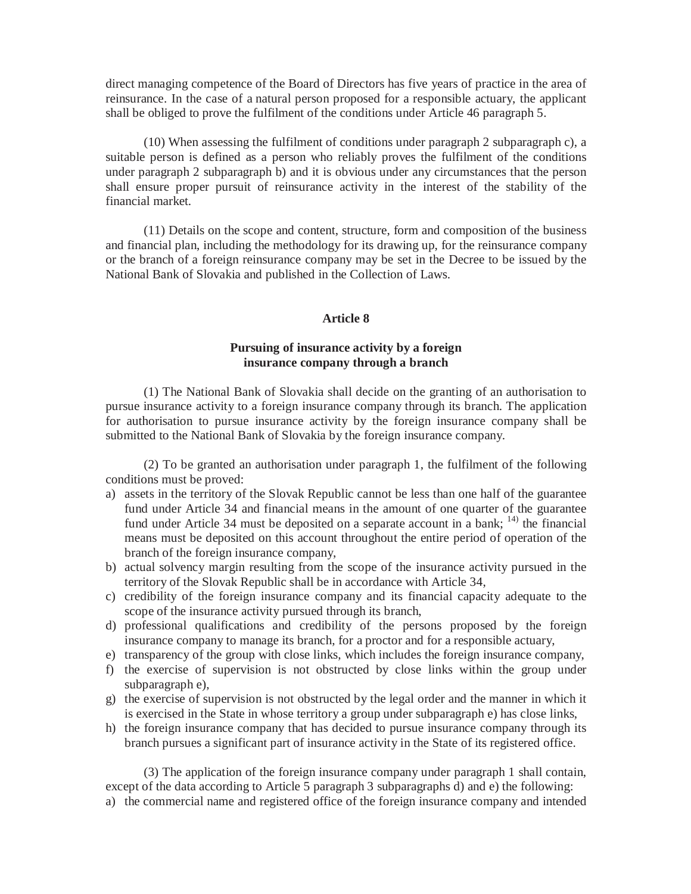direct managing competence of the Board of Directors has five years of practice in the area of reinsurance. In the case of a natural person proposed for a responsible actuary, the applicant shall be obliged to prove the fulfilment of the conditions under Article 46 paragraph 5.

(10) When assessing the fulfilment of conditions under paragraph 2 subparagraph c), a suitable person is defined as a person who reliably proves the fulfilment of the conditions under paragraph 2 subparagraph b) and it is obvious under any circumstances that the person shall ensure proper pursuit of reinsurance activity in the interest of the stability of the financial market.

(11) Details on the scope and content, structure, form and composition of the business and financial plan, including the methodology for its drawing up, for the reinsurance company or the branch of a foreign reinsurance company may be set in the Decree to be issued by the National Bank of Slovakia and published in the Collection of Laws.

### **Article 8**

## **Pursuing of insurance activity by a foreign insurance company through a branch**

(1) The National Bank of Slovakia shall decide on the granting of an authorisation to pursue insurance activity to a foreign insurance company through its branch. The application for authorisation to pursue insurance activity by the foreign insurance company shall be submitted to the National Bank of Slovakia by the foreign insurance company.

(2) To be granted an authorisation under paragraph 1, the fulfilment of the following conditions must be proved:

- a) assets in the territory of the Slovak Republic cannot be less than one half of the guarantee fund under Article 34 and financial means in the amount of one quarter of the guarantee fund under Article 34 must be deposited on a separate account in a bank;  $^{14}$  the financial means must be deposited on this account throughout the entire period of operation of the branch of the foreign insurance company,
- b) actual solvency margin resulting from the scope of the insurance activity pursued in the territory of the Slovak Republic shall be in accordance with Article 34,
- c) credibility of the foreign insurance company and its financial capacity adequate to the scope of the insurance activity pursued through its branch,
- d) professional qualifications and credibility of the persons proposed by the foreign insurance company to manage its branch, for a proctor and for a responsible actuary,
- e) transparency of the group with close links, which includes the foreign insurance company,
- f) the exercise of supervision is not obstructed by close links within the group under subparagraph e),
- g) the exercise of supervision is not obstructed by the legal order and the manner in which it is exercised in the State in whose territory a group under subparagraph e) has close links,
- h) the foreign insurance company that has decided to pursue insurance company through its branch pursues a significant part of insurance activity in the State of its registered office.

(3) The application of the foreign insurance company under paragraph 1 shall contain, except of the data according to Article 5 paragraph 3 subparagraphs d) and e) the following: a) the commercial name and registered office of the foreign insurance company and intended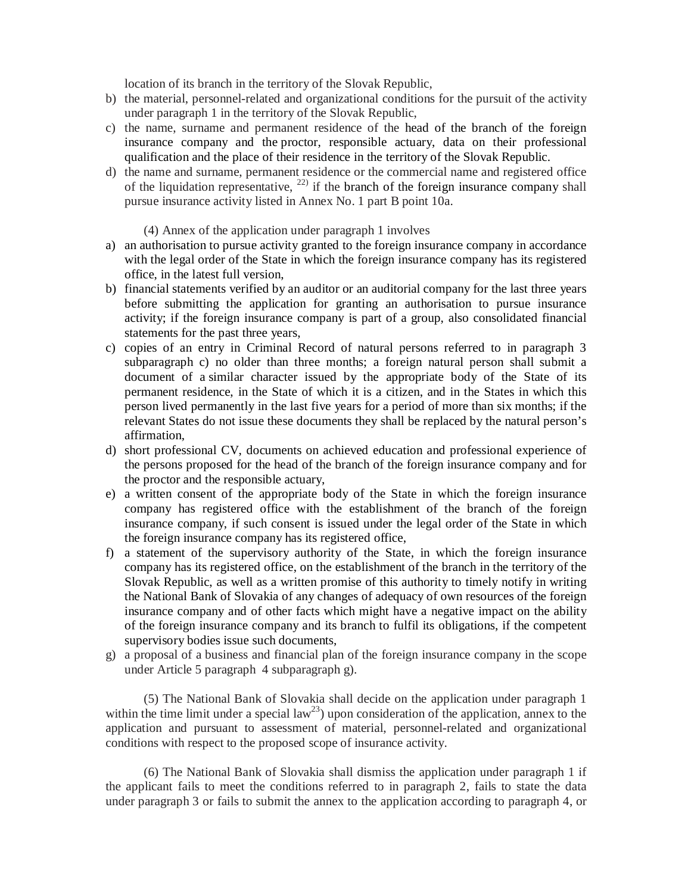location of its branch in the territory of the Slovak Republic,

- b) the material, personnel-related and organizational conditions for the pursuit of the activity under paragraph 1 in the territory of the Slovak Republic,
- c) the name, surname and permanent residence of the head of the branch of the foreign insurance company and the proctor, responsible actuary, data on their professional qualification and the place of their residence in the territory of the Slovak Republic.
- d) the name and surname, permanent residence or the commercial name and registered office of the liquidation representative,  $^{22)}$  if the branch of the foreign insurance company shall pursue insurance activity listed in Annex No. 1 part B point 10a.
	- (4) Annex of the application under paragraph 1 involves
- a) an authorisation to pursue activity granted to the foreign insurance company in accordance with the legal order of the State in which the foreign insurance company has its registered office, in the latest full version,
- b) financial statements verified by an auditor or an auditorial company for the last three years before submitting the application for granting an authorisation to pursue insurance activity; if the foreign insurance company is part of a group, also consolidated financial statements for the past three years,
- c) copies of an entry in Criminal Record of natural persons referred to in paragraph 3 subparagraph c) no older than three months; a foreign natural person shall submit a document of a similar character issued by the appropriate body of the State of its permanent residence, in the State of which it is a citizen, and in the States in which this person lived permanently in the last five years for a period of more than six months; if the relevant States do not issue these documents they shall be replaced by the natural person's affirmation,
- d) short professional CV, documents on achieved education and professional experience of the persons proposed for the head of the branch of the foreign insurance company and for the proctor and the responsible actuary,
- e) a written consent of the appropriate body of the State in which the foreign insurance company has registered office with the establishment of the branch of the foreign insurance company, if such consent is issued under the legal order of the State in which the foreign insurance company has its registered office,
- f) a statement of the supervisory authority of the State, in which the foreign insurance company has its registered office, on the establishment of the branch in the territory of the Slovak Republic, as well as a written promise of this authority to timely notify in writing the National Bank of Slovakia of any changes of adequacy of own resources of the foreign insurance company and of other facts which might have a negative impact on the ability of the foreign insurance company and its branch to fulfil its obligations, if the competent supervisory bodies issue such documents,
- g) a proposal of a business and financial plan of the foreign insurance company in the scope under Article 5 paragraph 4 subparagraph g).

(5) The National Bank of Slovakia shall decide on the application under paragraph 1 within the time limit under a special  $law^{23}$ ) upon consideration of the application, annex to the application and pursuant to assessment of material, personnel-related and organizational conditions with respect to the proposed scope of insurance activity.

(6) The National Bank of Slovakia shall dismiss the application under paragraph 1 if the applicant fails to meet the conditions referred to in paragraph 2, fails to state the data under paragraph 3 or fails to submit the annex to the application according to paragraph 4, or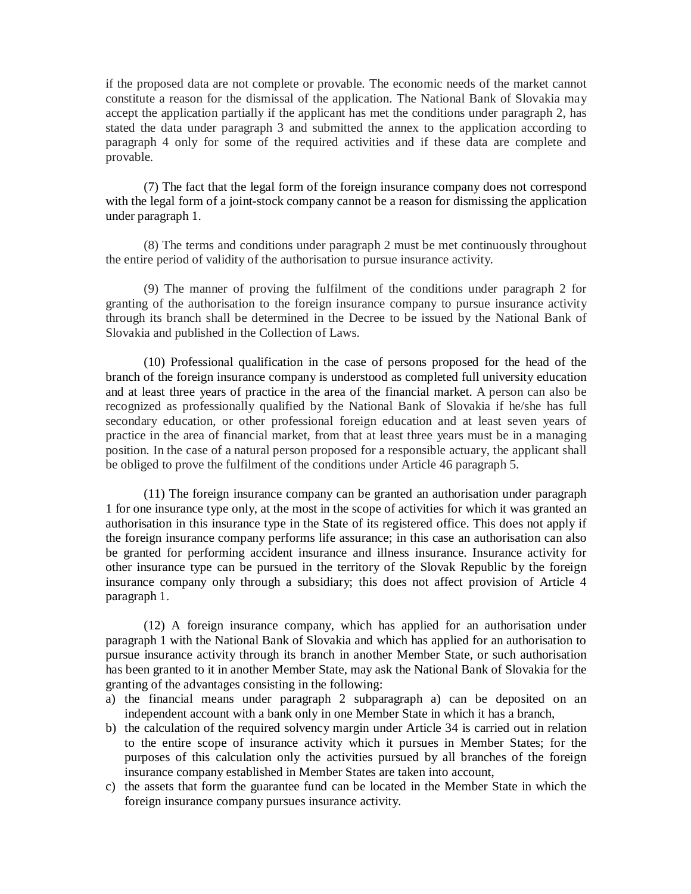if the proposed data are not complete or provable. The economic needs of the market cannot constitute a reason for the dismissal of the application. The National Bank of Slovakia may accept the application partially if the applicant has met the conditions under paragraph 2, has stated the data under paragraph 3 and submitted the annex to the application according to paragraph 4 only for some of the required activities and if these data are complete and provable.

(7) The fact that the legal form of the foreign insurance company does not correspond with the legal form of a joint-stock company cannot be a reason for dismissing the application under paragraph 1.

(8) The terms and conditions under paragraph 2 must be met continuously throughout the entire period of validity of the authorisation to pursue insurance activity.

(9) The manner of proving the fulfilment of the conditions under paragraph 2 for granting of the authorisation to the foreign insurance company to pursue insurance activity through its branch shall be determined in the Decree to be issued by the National Bank of Slovakia and published in the Collection of Laws.

(10) Professional qualification in the case of persons proposed for the head of the branch of the foreign insurance company is understood as completed full university education and at least three years of practice in the area of the financial market. A person can also be recognized as professionally qualified by the National Bank of Slovakia if he/she has full secondary education, or other professional foreign education and at least seven years of practice in the area of financial market, from that at least three years must be in a managing position. In the case of a natural person proposed for a responsible actuary, the applicant shall be obliged to prove the fulfilment of the conditions under Article 46 paragraph 5.

(11) The foreign insurance company can be granted an authorisation under paragraph 1 for one insurance type only, at the most in the scope of activities for which it was granted an authorisation in this insurance type in the State of its registered office. This does not apply if the foreign insurance company performs life assurance; in this case an authorisation can also be granted for performing accident insurance and illness insurance. Insurance activity for other insurance type can be pursued in the territory of the Slovak Republic by the foreign insurance company only through a subsidiary; this does not affect provision of Article 4 paragraph 1.

(12) A foreign insurance company, which has applied for an authorisation under paragraph 1 with the National Bank of Slovakia and which has applied for an authorisation to pursue insurance activity through its branch in another Member State, or such authorisation has been granted to it in another Member State, may ask the National Bank of Slovakia for the granting of the advantages consisting in the following:

- a) the financial means under paragraph 2 subparagraph a) can be deposited on an independent account with a bank only in one Member State in which it has a branch,
- b) the calculation of the required solvency margin under Article 34 is carried out in relation to the entire scope of insurance activity which it pursues in Member States; for the purposes of this calculation only the activities pursued by all branches of the foreign insurance company established in Member States are taken into account,
- c) the assets that form the guarantee fund can be located in the Member State in which the foreign insurance company pursues insurance activity.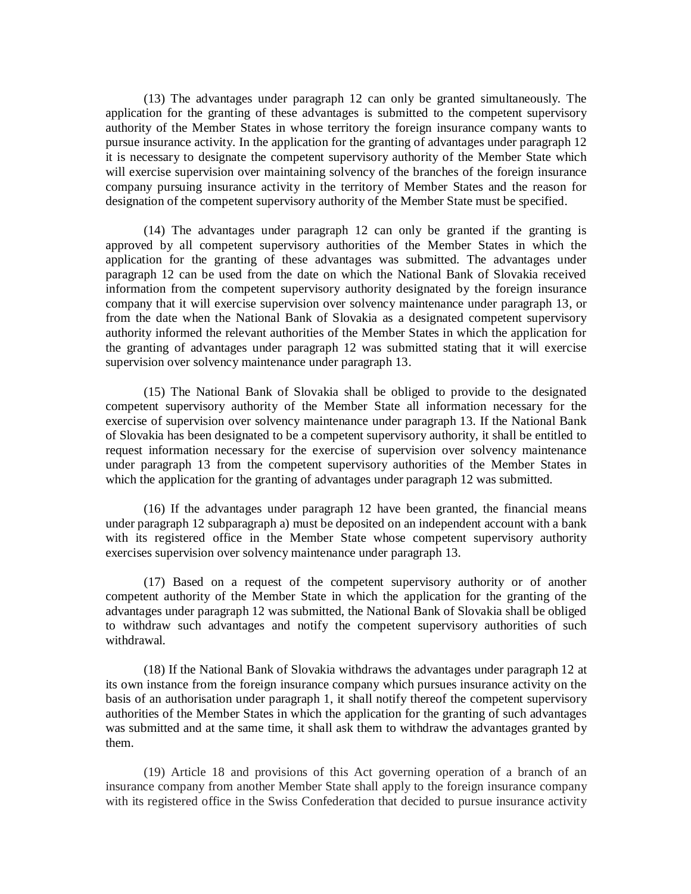(13) The advantages under paragraph 12 can only be granted simultaneously. The application for the granting of these advantages is submitted to the competent supervisory authority of the Member States in whose territory the foreign insurance company wants to pursue insurance activity. In the application for the granting of advantages under paragraph 12 it is necessary to designate the competent supervisory authority of the Member State which will exercise supervision over maintaining solvency of the branches of the foreign insurance company pursuing insurance activity in the territory of Member States and the reason for designation of the competent supervisory authority of the Member State must be specified.

(14) The advantages under paragraph 12 can only be granted if the granting is approved by all competent supervisory authorities of the Member States in which the application for the granting of these advantages was submitted. The advantages under paragraph 12 can be used from the date on which the National Bank of Slovakia received information from the competent supervisory authority designated by the foreign insurance company that it will exercise supervision over solvency maintenance under paragraph 13, or from the date when the National Bank of Slovakia as a designated competent supervisory authority informed the relevant authorities of the Member States in which the application for the granting of advantages under paragraph 12 was submitted stating that it will exercise supervision over solvency maintenance under paragraph 13.

(15) The National Bank of Slovakia shall be obliged to provide to the designated competent supervisory authority of the Member State all information necessary for the exercise of supervision over solvency maintenance under paragraph 13. If the National Bank of Slovakia has been designated to be a competent supervisory authority, it shall be entitled to request information necessary for the exercise of supervision over solvency maintenance under paragraph 13 from the competent supervisory authorities of the Member States in which the application for the granting of advantages under paragraph 12 was submitted.

(16) If the advantages under paragraph 12 have been granted, the financial means under paragraph 12 subparagraph a) must be deposited on an independent account with a bank with its registered office in the Member State whose competent supervisory authority exercises supervision over solvency maintenance under paragraph 13.

(17) Based on a request of the competent supervisory authority or of another competent authority of the Member State in which the application for the granting of the advantages under paragraph 12 was submitted, the National Bank of Slovakia shall be obliged to withdraw such advantages and notify the competent supervisory authorities of such withdrawal.

(18) If the National Bank of Slovakia withdraws the advantages under paragraph 12 at its own instance from the foreign insurance company which pursues insurance activity on the basis of an authorisation under paragraph 1, it shall notify thereof the competent supervisory authorities of the Member States in which the application for the granting of such advantages was submitted and at the same time, it shall ask them to withdraw the advantages granted by them.

(19) Article 18 and provisions of this Act governing operation of a branch of an insurance company from another Member State shall apply to the foreign insurance company with its registered office in the Swiss Confederation that decided to pursue insurance activity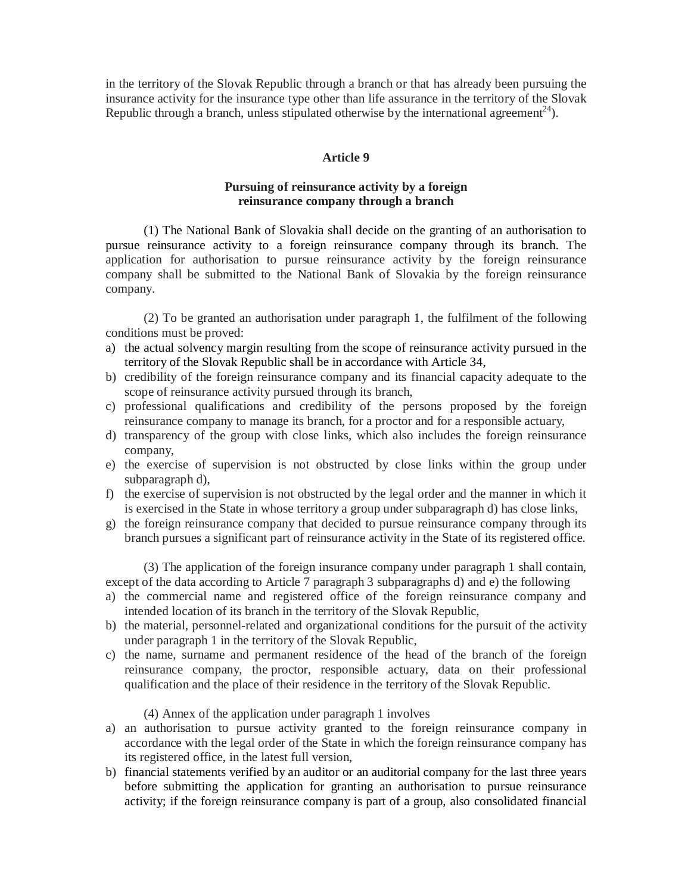in the territory of the Slovak Republic through a branch or that has already been pursuing the insurance activity for the insurance type other than life assurance in the territory of the Slovak Republic through a branch, unless stipulated otherwise by the international agreement<sup>24</sup>).

## **Article 9**

# **Pursuing of reinsurance activity by a foreign reinsurance company through a branch**

(1) The National Bank of Slovakia shall decide on the granting of an authorisation to pursue reinsurance activity to a foreign reinsurance company through its branch. The application for authorisation to pursue reinsurance activity by the foreign reinsurance company shall be submitted to the National Bank of Slovakia by the foreign reinsurance company.

(2) To be granted an authorisation under paragraph 1, the fulfilment of the following conditions must be proved:

- a) the actual solvency margin resulting from the scope of reinsurance activity pursued in the territory of the Slovak Republic shall be in accordance with Article 34,
- b) credibility of the foreign reinsurance company and its financial capacity adequate to the scope of reinsurance activity pursued through its branch,
- c) professional qualifications and credibility of the persons proposed by the foreign reinsurance company to manage its branch, for a proctor and for a responsible actuary,
- d) transparency of the group with close links, which also includes the foreign reinsurance company,
- e) the exercise of supervision is not obstructed by close links within the group under subparagraph d),
- f) the exercise of supervision is not obstructed by the legal order and the manner in which it is exercised in the State in whose territory a group under subparagraph d) has close links,
- g) the foreign reinsurance company that decided to pursue reinsurance company through its branch pursues a significant part of reinsurance activity in the State of its registered office.

(3) The application of the foreign insurance company under paragraph 1 shall contain, except of the data according to Article 7 paragraph 3 subparagraphs d) and e) the following

- a) the commercial name and registered office of the foreign reinsurance company and intended location of its branch in the territory of the Slovak Republic,
- b) the material, personnel-related and organizational conditions for the pursuit of the activity under paragraph 1 in the territory of the Slovak Republic,
- c) the name, surname and permanent residence of the head of the branch of the foreign reinsurance company, the proctor, responsible actuary, data on their professional qualification and the place of their residence in the territory of the Slovak Republic.

# (4) Annex of the application under paragraph 1 involves

- a) an authorisation to pursue activity granted to the foreign reinsurance company in accordance with the legal order of the State in which the foreign reinsurance company has its registered office, in the latest full version,
- b) financial statements verified by an auditor or an auditorial company for the last three years before submitting the application for granting an authorisation to pursue reinsurance activity; if the foreign reinsurance company is part of a group, also consolidated financial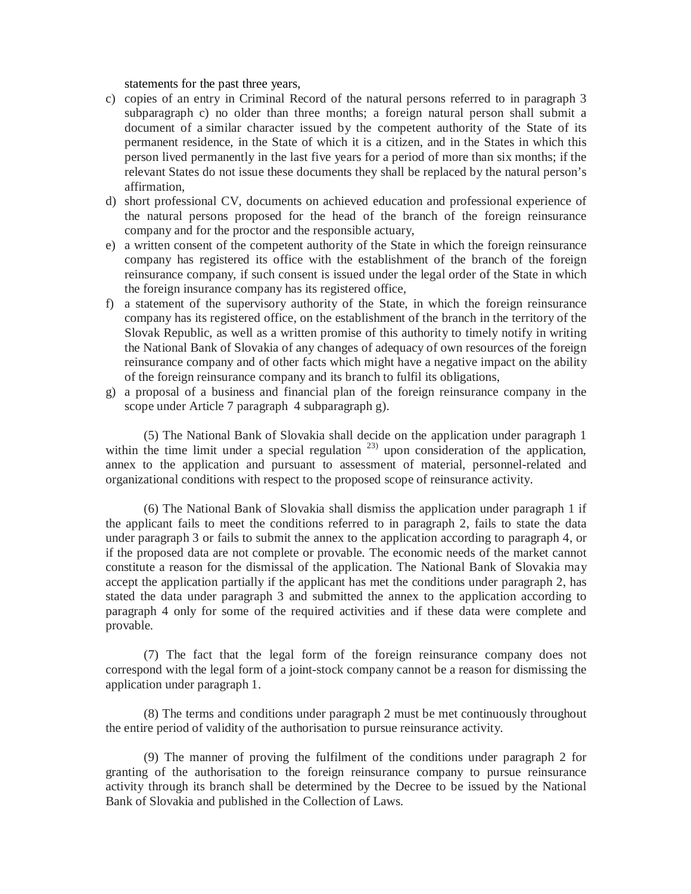statements for the past three years,

- c) copies of an entry in Criminal Record of the natural persons referred to in paragraph 3 subparagraph c) no older than three months; a foreign natural person shall submit a document of a similar character issued by the competent authority of the State of its permanent residence, in the State of which it is a citizen, and in the States in which this person lived permanently in the last five years for a period of more than six months; if the relevant States do not issue these documents they shall be replaced by the natural person's affirmation,
- d) short professional CV, documents on achieved education and professional experience of the natural persons proposed for the head of the branch of the foreign reinsurance company and for the proctor and the responsible actuary,
- e) a written consent of the competent authority of the State in which the foreign reinsurance company has registered its office with the establishment of the branch of the foreign reinsurance company, if such consent is issued under the legal order of the State in which the foreign insurance company has its registered office,
- f) a statement of the supervisory authority of the State, in which the foreign reinsurance company has its registered office, on the establishment of the branch in the territory of the Slovak Republic, as well as a written promise of this authority to timely notify in writing the National Bank of Slovakia of any changes of adequacy of own resources of the foreign reinsurance company and of other facts which might have a negative impact on the ability of the foreign reinsurance company and its branch to fulfil its obligations,
- g) a proposal of a business and financial plan of the foreign reinsurance company in the scope under Article 7 paragraph 4 subparagraph g).

(5) The National Bank of Slovakia shall decide on the application under paragraph 1 within the time limit under a special regulation  $23$  upon consideration of the application, annex to the application and pursuant to assessment of material, personnel-related and organizational conditions with respect to the proposed scope of reinsurance activity.

(6) The National Bank of Slovakia shall dismiss the application under paragraph 1 if the applicant fails to meet the conditions referred to in paragraph 2, fails to state the data under paragraph 3 or fails to submit the annex to the application according to paragraph 4, or if the proposed data are not complete or provable. The economic needs of the market cannot constitute a reason for the dismissal of the application. The National Bank of Slovakia may accept the application partially if the applicant has met the conditions under paragraph 2, has stated the data under paragraph 3 and submitted the annex to the application according to paragraph 4 only for some of the required activities and if these data were complete and provable.

(7) The fact that the legal form of the foreign reinsurance company does not correspond with the legal form of a joint-stock company cannot be a reason for dismissing the application under paragraph 1.

(8) The terms and conditions under paragraph 2 must be met continuously throughout the entire period of validity of the authorisation to pursue reinsurance activity.

(9) The manner of proving the fulfilment of the conditions under paragraph 2 for granting of the authorisation to the foreign reinsurance company to pursue reinsurance activity through its branch shall be determined by the Decree to be issued by the National Bank of Slovakia and published in the Collection of Laws.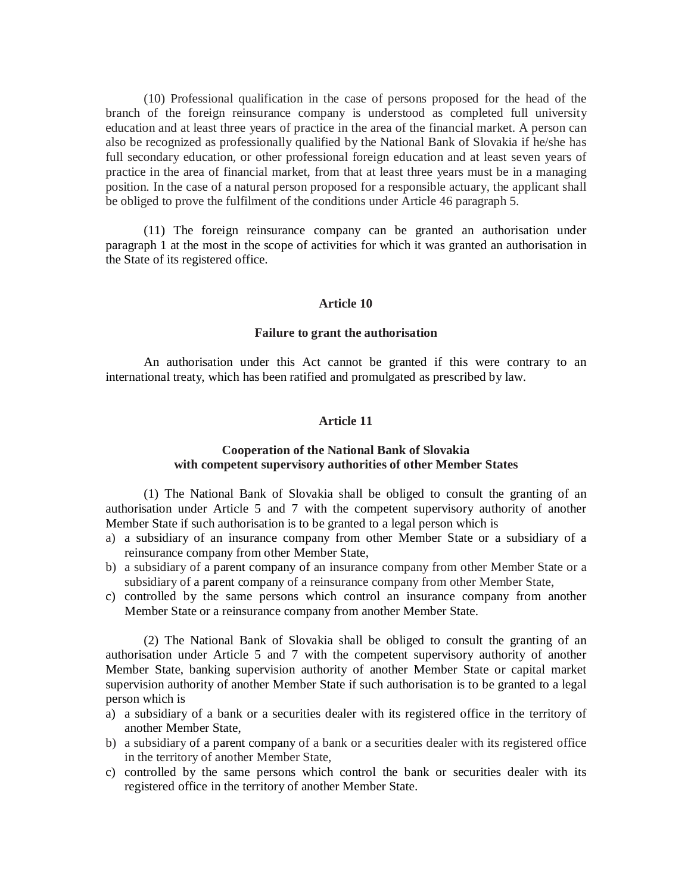(10) Professional qualification in the case of persons proposed for the head of the branch of the foreign reinsurance company is understood as completed full university education and at least three years of practice in the area of the financial market. A person can also be recognized as professionally qualified by the National Bank of Slovakia if he/she has full secondary education, or other professional foreign education and at least seven years of practice in the area of financial market, from that at least three years must be in a managing position. In the case of a natural person proposed for a responsible actuary, the applicant shall be obliged to prove the fulfilment of the conditions under Article 46 paragraph 5.

(11) The foreign reinsurance company can be granted an authorisation under paragraph 1 at the most in the scope of activities for which it was granted an authorisation in the State of its registered office.

### **Article 10**

#### **Failure to grant the authorisation**

An authorisation under this Act cannot be granted if this were contrary to an international treaty, which has been ratified and promulgated as prescribed by law.

#### **Article 11**

### **Cooperation of the National Bank of Slovakia with competent supervisory authorities of other Member States**

(1) The National Bank of Slovakia shall be obliged to consult the granting of an authorisation under Article 5 and 7 with the competent supervisory authority of another Member State if such authorisation is to be granted to a legal person which is

- a) a subsidiary of an insurance company from other Member State or a subsidiary of a reinsurance company from other Member State,
- b) a subsidiary of a parent company of an insurance company from other Member State or a subsidiary of a parent company of a reinsurance company from other Member State,
- c) controlled by the same persons which control an insurance company from another Member State or a reinsurance company from another Member State.

(2) The National Bank of Slovakia shall be obliged to consult the granting of an authorisation under Article 5 and 7 with the competent supervisory authority of another Member State, banking supervision authority of another Member State or capital market supervision authority of another Member State if such authorisation is to be granted to a legal person which is

- a) a subsidiary of a bank or a securities dealer with its registered office in the territory of another Member State,
- b) a subsidiary of a parent company of a bank or a securities dealer with its registered office in the territory of another Member State,
- c) controlled by the same persons which control the bank or securities dealer with its registered office in the territory of another Member State.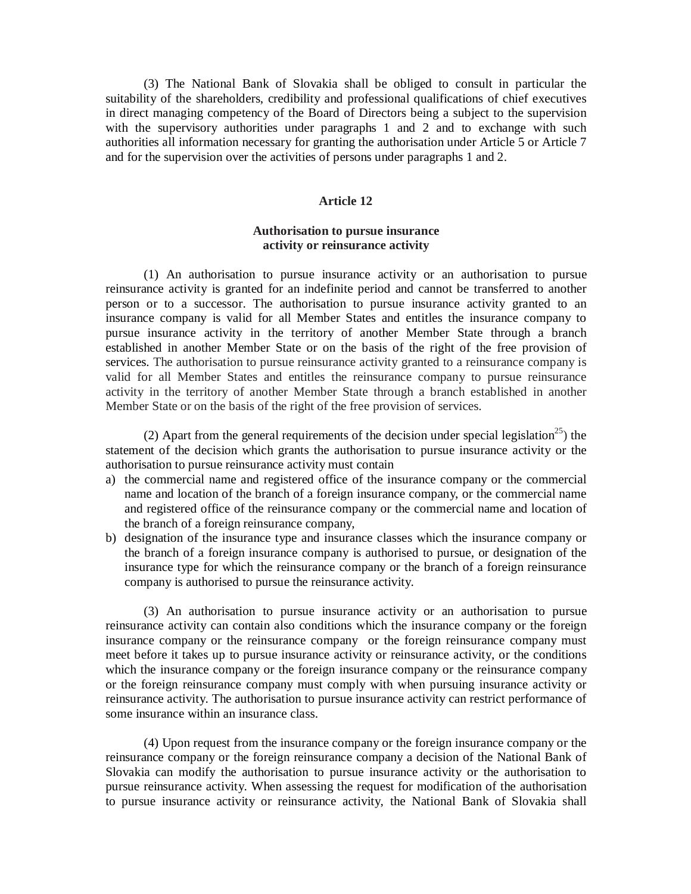(3) The National Bank of Slovakia shall be obliged to consult in particular the suitability of the shareholders, credibility and professional qualifications of chief executives in direct managing competency of the Board of Directors being a subject to the supervision with the supervisory authorities under paragraphs 1 and 2 and to exchange with such authorities all information necessary for granting the authorisation under Article 5 or Article 7 and for the supervision over the activities of persons under paragraphs 1 and 2.

### **Article 12**

# **Authorisation to pursue insurance activity or reinsurance activity**

(1) An authorisation to pursue insurance activity or an authorisation to pursue reinsurance activity is granted for an indefinite period and cannot be transferred to another person or to a successor. The authorisation to pursue insurance activity granted to an insurance company is valid for all Member States and entitles the insurance company to pursue insurance activity in the territory of another Member State through a branch established in another Member State or on the basis of the right of the free provision of services. The authorisation to pursue reinsurance activity granted to a reinsurance company is valid for all Member States and entitles the reinsurance company to pursue reinsurance activity in the territory of another Member State through a branch established in another Member State or on the basis of the right of the free provision of services.

(2) Apart from the general requirements of the decision under special legislation<sup>25</sup>) the statement of the decision which grants the authorisation to pursue insurance activity or the authorisation to pursue reinsurance activity must contain

- a) the commercial name and registered office of the insurance company or the commercial name and location of the branch of a foreign insurance company, or the commercial name and registered office of the reinsurance company or the commercial name and location of the branch of a foreign reinsurance company,
- b) designation of the insurance type and insurance classes which the insurance company or the branch of a foreign insurance company is authorised to pursue, or designation of the insurance type for which the reinsurance company or the branch of a foreign reinsurance company is authorised to pursue the reinsurance activity.

(3) An authorisation to pursue insurance activity or an authorisation to pursue reinsurance activity can contain also conditions which the insurance company or the foreign insurance company or the reinsurance company or the foreign reinsurance company must meet before it takes up to pursue insurance activity or reinsurance activity, or the conditions which the insurance company or the foreign insurance company or the reinsurance company or the foreign reinsurance company must comply with when pursuing insurance activity or reinsurance activity. The authorisation to pursue insurance activity can restrict performance of some insurance within an insurance class.

(4) Upon request from the insurance company or the foreign insurance company or the reinsurance company or the foreign reinsurance company a decision of the National Bank of Slovakia can modify the authorisation to pursue insurance activity or the authorisation to pursue reinsurance activity. When assessing the request for modification of the authorisation to pursue insurance activity or reinsurance activity, the National Bank of Slovakia shall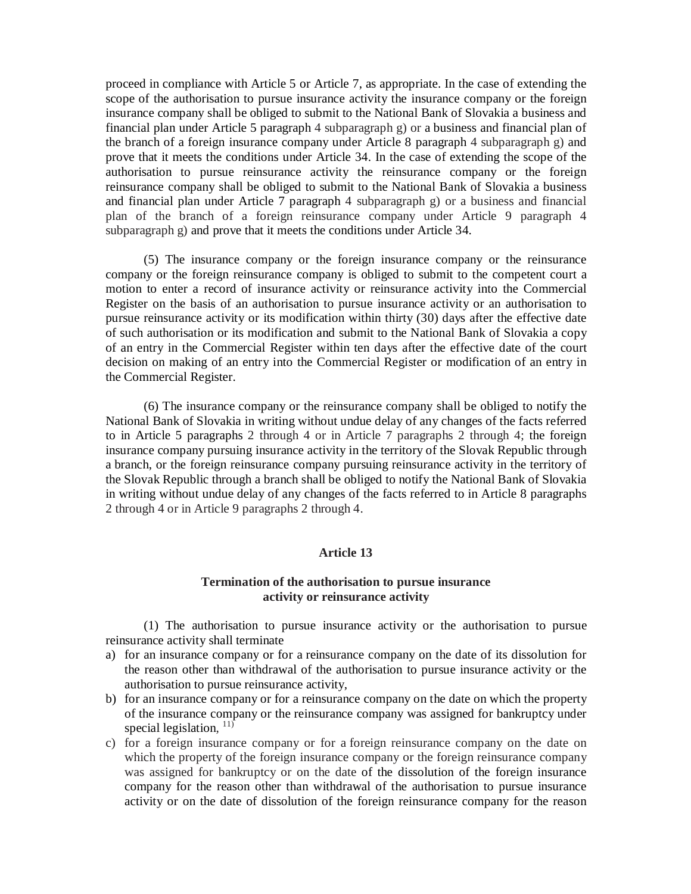proceed in compliance with Article 5 or Article 7, as appropriate. In the case of extending the scope of the authorisation to pursue insurance activity the insurance company or the foreign insurance company shall be obliged to submit to the National Bank of Slovakia a business and financial plan under Article 5 paragraph 4 subparagraph g) or a business and financial plan of the branch of a foreign insurance company under Article 8 paragraph 4 subparagraph g) and prove that it meets the conditions under Article 34. In the case of extending the scope of the authorisation to pursue reinsurance activity the reinsurance company or the foreign reinsurance company shall be obliged to submit to the National Bank of Slovakia a business and financial plan under Article 7 paragraph 4 subparagraph g) or a business and financial plan of the branch of a foreign reinsurance company under Article 9 paragraph 4 subparagraph g) and prove that it meets the conditions under Article 34.

(5) The insurance company or the foreign insurance company or the reinsurance company or the foreign reinsurance company is obliged to submit to the competent court a motion to enter a record of insurance activity or reinsurance activity into the Commercial Register on the basis of an authorisation to pursue insurance activity or an authorisation to pursue reinsurance activity or its modification within thirty (30) days after the effective date of such authorisation or its modification and submit to the National Bank of Slovakia a copy of an entry in the Commercial Register within ten days after the effective date of the court decision on making of an entry into the Commercial Register or modification of an entry in the Commercial Register.

(6) The insurance company or the reinsurance company shall be obliged to notify the National Bank of Slovakia in writing without undue delay of any changes of the facts referred to in Article 5 paragraphs 2 through 4 or in Article 7 paragraphs 2 through 4; the foreign insurance company pursuing insurance activity in the territory of the Slovak Republic through a branch, or the foreign reinsurance company pursuing reinsurance activity in the territory of the Slovak Republic through a branch shall be obliged to notify the National Bank of Slovakia in writing without undue delay of any changes of the facts referred to in Article 8 paragraphs 2 through 4 or in Article 9 paragraphs 2 through 4.

# **Article 13**

# **Termination of the authorisation to pursue insurance activity or reinsurance activity**

(1) The authorisation to pursue insurance activity or the authorisation to pursue reinsurance activity shall terminate

- a) for an insurance company or for a reinsurance company on the date of its dissolution for the reason other than withdrawal of the authorisation to pursue insurance activity or the authorisation to pursue reinsurance activity,
- b) for an insurance company or for a reinsurance company on the date on which the property of the insurance company or the reinsurance company was assigned for bankruptcy under special legislation,  $11$ <sup> $(1)$ </sup>
- c) for a foreign insurance company or for a foreign reinsurance company on the date on which the property of the foreign insurance company or the foreign reinsurance company was assigned for bankruptcy or on the date of the dissolution of the foreign insurance company for the reason other than withdrawal of the authorisation to pursue insurance activity or on the date of dissolution of the foreign reinsurance company for the reason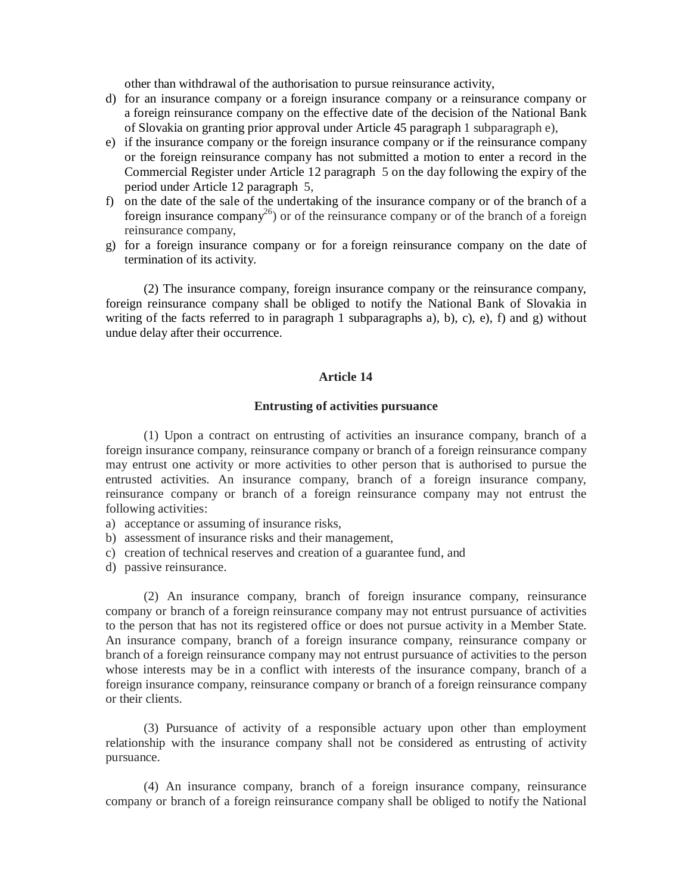other than withdrawal of the authorisation to pursue reinsurance activity,

- d) for an insurance company or a foreign insurance company or a reinsurance company or a foreign reinsurance company on the effective date of the decision of the National Bank of Slovakia on granting prior approval under Article 45 paragraph 1 subparagraph e),
- e) if the insurance company or the foreign insurance company or if the reinsurance company or the foreign reinsurance company has not submitted a motion to enter a record in the Commercial Register under Article 12 paragraph 5 on the day following the expiry of the period under Article 12 paragraph 5,
- f) on the date of the sale of the undertaking of the insurance company or of the branch of a foreign insurance company<sup>26</sup>) or of the reinsurance company or of the branch of a foreign reinsurance company,
- g) for a foreign insurance company or for a foreign reinsurance company on the date of termination of its activity.

(2) The insurance company, foreign insurance company or the reinsurance company, foreign reinsurance company shall be obliged to notify the National Bank of Slovakia in writing of the facts referred to in paragraph 1 subparagraphs a), b), c), e), f) and g) without undue delay after their occurrence.

### **Article 14**

#### **Entrusting of activities pursuance**

(1) Upon a contract on entrusting of activities an insurance company, branch of a foreign insurance company, reinsurance company or branch of a foreign reinsurance company may entrust one activity or more activities to other person that is authorised to pursue the entrusted activities. An insurance company, branch of a foreign insurance company, reinsurance company or branch of a foreign reinsurance company may not entrust the following activities:

- a) acceptance or assuming of insurance risks,
- b) assessment of insurance risks and their management,
- c) creation of technical reserves and creation of a guarantee fund, and
- d) passive reinsurance.

(2) An insurance company, branch of foreign insurance company, reinsurance company or branch of a foreign reinsurance company may not entrust pursuance of activities to the person that has not its registered office or does not pursue activity in a Member State. An insurance company, branch of a foreign insurance company, reinsurance company or branch of a foreign reinsurance company may not entrust pursuance of activities to the person whose interests may be in a conflict with interests of the insurance company, branch of a foreign insurance company, reinsurance company or branch of a foreign reinsurance company or their clients.

(3) Pursuance of activity of a responsible actuary upon other than employment relationship with the insurance company shall not be considered as entrusting of activity pursuance.

(4) An insurance company, branch of a foreign insurance company, reinsurance company or branch of a foreign reinsurance company shall be obliged to notify the National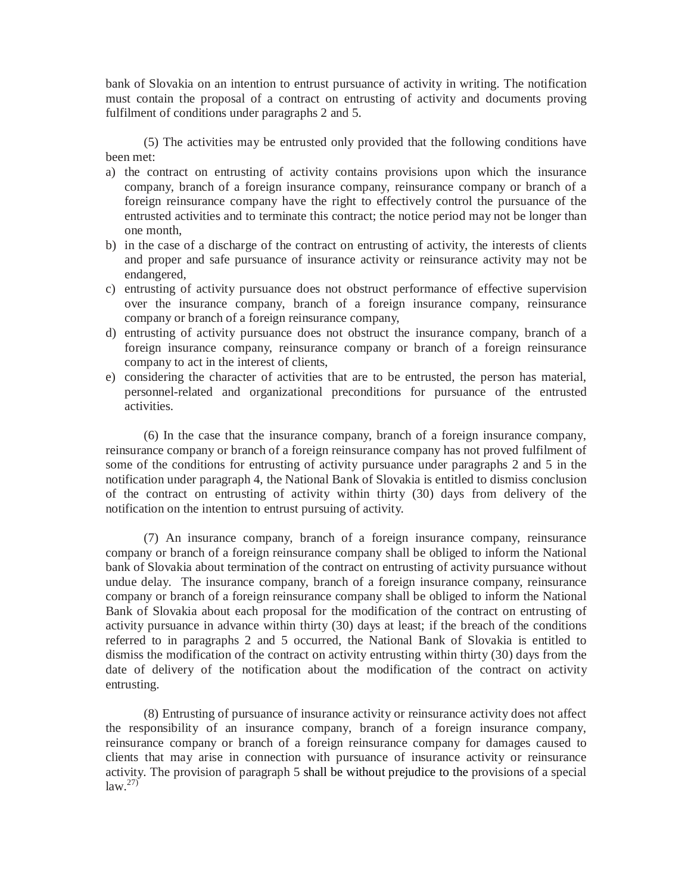bank of Slovakia on an intention to entrust pursuance of activity in writing. The notification must contain the proposal of a contract on entrusting of activity and documents proving fulfilment of conditions under paragraphs 2 and 5.

(5) The activities may be entrusted only provided that the following conditions have been met:

- a) the contract on entrusting of activity contains provisions upon which the insurance company, branch of a foreign insurance company, reinsurance company or branch of a foreign reinsurance company have the right to effectively control the pursuance of the entrusted activities and to terminate this contract; the notice period may not be longer than one month,
- b) in the case of a discharge of the contract on entrusting of activity, the interests of clients and proper and safe pursuance of insurance activity or reinsurance activity may not be endangered,
- c) entrusting of activity pursuance does not obstruct performance of effective supervision over the insurance company, branch of a foreign insurance company, reinsurance company or branch of a foreign reinsurance company,
- d) entrusting of activity pursuance does not obstruct the insurance company, branch of a foreign insurance company, reinsurance company or branch of a foreign reinsurance company to act in the interest of clients,
- e) considering the character of activities that are to be entrusted, the person has material, personnel-related and organizational preconditions for pursuance of the entrusted activities.

(6) In the case that the insurance company, branch of a foreign insurance company, reinsurance company or branch of a foreign reinsurance company has not proved fulfilment of some of the conditions for entrusting of activity pursuance under paragraphs 2 and 5 in the notification under paragraph 4, the National Bank of Slovakia is entitled to dismiss conclusion of the contract on entrusting of activity within thirty (30) days from delivery of the notification on the intention to entrust pursuing of activity.

(7) An insurance company, branch of a foreign insurance company, reinsurance company or branch of a foreign reinsurance company shall be obliged to inform the National bank of Slovakia about termination of the contract on entrusting of activity pursuance without undue delay. The insurance company, branch of a foreign insurance company, reinsurance company or branch of a foreign reinsurance company shall be obliged to inform the National Bank of Slovakia about each proposal for the modification of the contract on entrusting of activity pursuance in advance within thirty (30) days at least; if the breach of the conditions referred to in paragraphs 2 and 5 occurred, the National Bank of Slovakia is entitled to dismiss the modification of the contract on activity entrusting within thirty (30) days from the date of delivery of the notification about the modification of the contract on activity entrusting.

(8) Entrusting of pursuance of insurance activity or reinsurance activity does not affect the responsibility of an insurance company, branch of a foreign insurance company, reinsurance company or branch of a foreign reinsurance company for damages caused to clients that may arise in connection with pursuance of insurance activity or reinsurance activity. The provision of paragraph 5 shall be without prejudice to the provisions of a special  $\int$ law.<sup>27)</sup>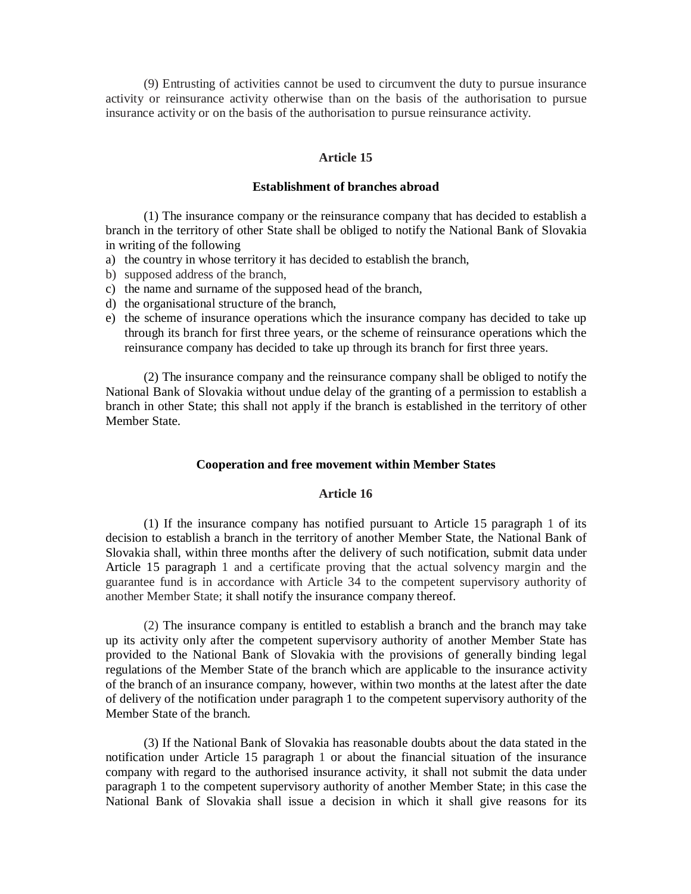(9) Entrusting of activities cannot be used to circumvent the duty to pursue insurance activity or reinsurance activity otherwise than on the basis of the authorisation to pursue insurance activity or on the basis of the authorisation to pursue reinsurance activity.

## **Article 15**

### **Establishment of branches abroad**

(1) The insurance company or the reinsurance company that has decided to establish a branch in the territory of other State shall be obliged to notify the National Bank of Slovakia in writing of the following

- a) the country in whose territory it has decided to establish the branch,
- b) supposed address of the branch,
- c) the name and surname of the supposed head of the branch,
- d) the organisational structure of the branch,
- e) the scheme of insurance operations which the insurance company has decided to take up through its branch for first three years, or the scheme of reinsurance operations which the reinsurance company has decided to take up through its branch for first three years.

(2) The insurance company and the reinsurance company shall be obliged to notify the National Bank of Slovakia without undue delay of the granting of a permission to establish a branch in other State; this shall not apply if the branch is established in the territory of other Member State.

### **Cooperation and free movement within Member States**

# **Article 16**

(1) If the insurance company has notified pursuant to Article 15 paragraph 1 of its decision to establish a branch in the territory of another Member State, the National Bank of Slovakia shall, within three months after the delivery of such notification, submit data under Article 15 paragraph 1 and a certificate proving that the actual solvency margin and the guarantee fund is in accordance with Article 34 to the competent supervisory authority of another Member State; it shall notify the insurance company thereof.

(2) The insurance company is entitled to establish a branch and the branch may take up its activity only after the competent supervisory authority of another Member State has provided to the National Bank of Slovakia with the provisions of generally binding legal regulations of the Member State of the branch which are applicable to the insurance activity of the branch of an insurance company, however, within two months at the latest after the date of delivery of the notification under paragraph 1 to the competent supervisory authority of the Member State of the branch.

(3) If the National Bank of Slovakia has reasonable doubts about the data stated in the notification under Article 15 paragraph 1 or about the financial situation of the insurance company with regard to the authorised insurance activity, it shall not submit the data under paragraph 1 to the competent supervisory authority of another Member State; in this case the National Bank of Slovakia shall issue a decision in which it shall give reasons for its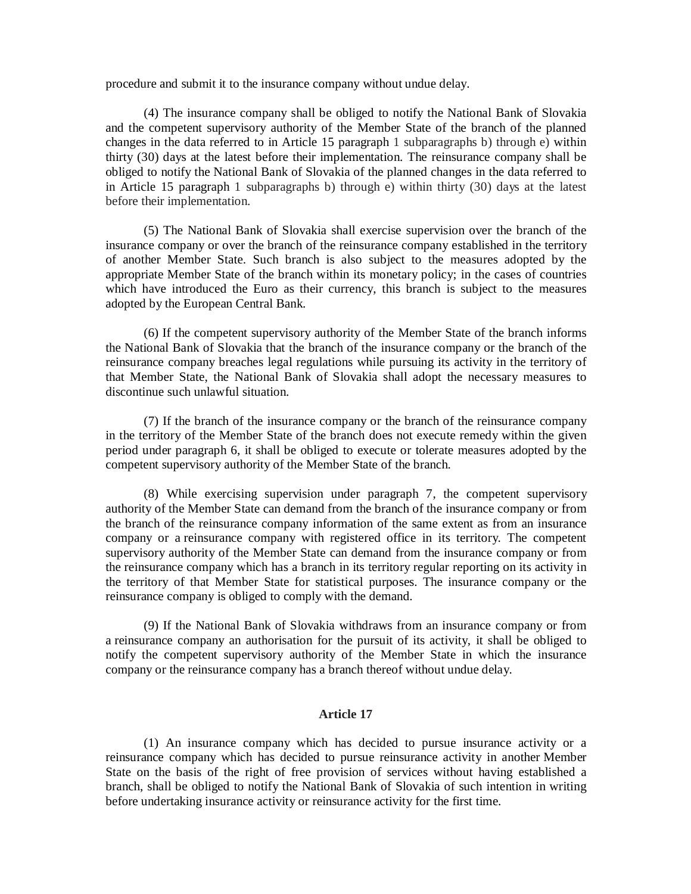procedure and submit it to the insurance company without undue delay.

(4) The insurance company shall be obliged to notify the National Bank of Slovakia and the competent supervisory authority of the Member State of the branch of the planned changes in the data referred to in Article 15 paragraph 1 subparagraphs b) through e) within thirty (30) days at the latest before their implementation. The reinsurance company shall be obliged to notify the National Bank of Slovakia of the planned changes in the data referred to in Article 15 paragraph 1 subparagraphs b) through e) within thirty (30) days at the latest before their implementation.

(5) The National Bank of Slovakia shall exercise supervision over the branch of the insurance company or over the branch of the reinsurance company established in the territory of another Member State. Such branch is also subject to the measures adopted by the appropriate Member State of the branch within its monetary policy; in the cases of countries which have introduced the Euro as their currency, this branch is subject to the measures adopted by the European Central Bank.

(6) If the competent supervisory authority of the Member State of the branch informs the National Bank of Slovakia that the branch of the insurance company or the branch of the reinsurance company breaches legal regulations while pursuing its activity in the territory of that Member State, the National Bank of Slovakia shall adopt the necessary measures to discontinue such unlawful situation.

(7) If the branch of the insurance company or the branch of the reinsurance company in the territory of the Member State of the branch does not execute remedy within the given period under paragraph 6, it shall be obliged to execute or tolerate measures adopted by the competent supervisory authority of the Member State of the branch.

(8) While exercising supervision under paragraph 7, the competent supervisory authority of the Member State can demand from the branch of the insurance company or from the branch of the reinsurance company information of the same extent as from an insurance company or a reinsurance company with registered office in its territory. The competent supervisory authority of the Member State can demand from the insurance company or from the reinsurance company which has a branch in its territory regular reporting on its activity in the territory of that Member State for statistical purposes. The insurance company or the reinsurance company is obliged to comply with the demand.

(9) If the National Bank of Slovakia withdraws from an insurance company or from a reinsurance company an authorisation for the pursuit of its activity, it shall be obliged to notify the competent supervisory authority of the Member State in which the insurance company or the reinsurance company has a branch thereof without undue delay.

## **Article 17**

(1) An insurance company which has decided to pursue insurance activity or a reinsurance company which has decided to pursue reinsurance activity in another Member State on the basis of the right of free provision of services without having established a branch, shall be obliged to notify the National Bank of Slovakia of such intention in writing before undertaking insurance activity or reinsurance activity for the first time.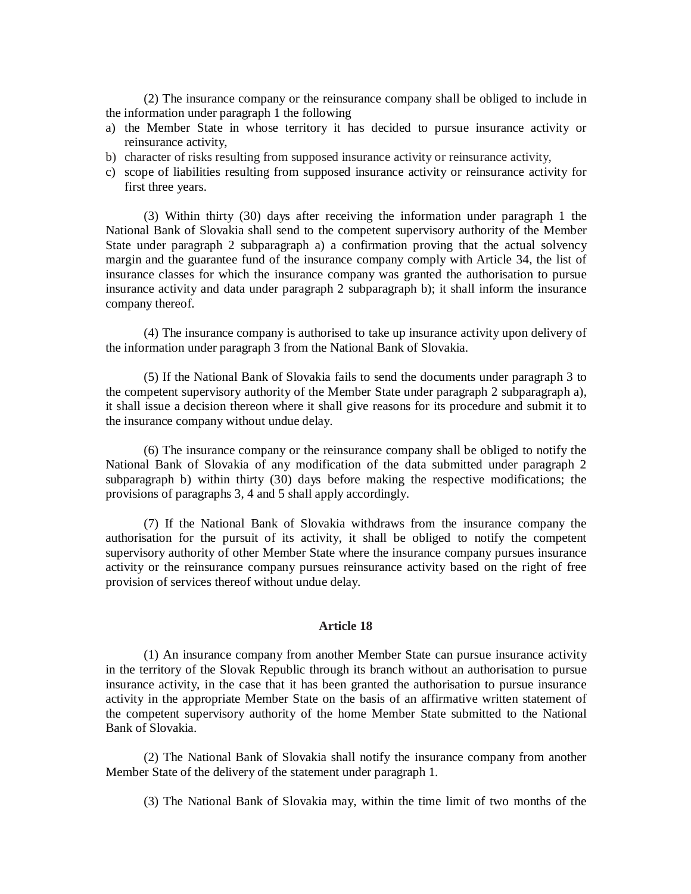(2) The insurance company or the reinsurance company shall be obliged to include in the information under paragraph 1 the following

- a) the Member State in whose territory it has decided to pursue insurance activity or reinsurance activity,
- b) character of risks resulting from supposed insurance activity or reinsurance activity,
- c) scope of liabilities resulting from supposed insurance activity or reinsurance activity for first three years.

(3) Within thirty (30) days after receiving the information under paragraph 1 the National Bank of Slovakia shall send to the competent supervisory authority of the Member State under paragraph 2 subparagraph a) a confirmation proving that the actual solvency margin and the guarantee fund of the insurance company comply with Article 34, the list of insurance classes for which the insurance company was granted the authorisation to pursue insurance activity and data under paragraph 2 subparagraph b); it shall inform the insurance company thereof.

(4) The insurance company is authorised to take up insurance activity upon delivery of the information under paragraph 3 from the National Bank of Slovakia.

(5) If the National Bank of Slovakia fails to send the documents under paragraph 3 to the competent supervisory authority of the Member State under paragraph 2 subparagraph a), it shall issue a decision thereon where it shall give reasons for its procedure and submit it to the insurance company without undue delay.

(6) The insurance company or the reinsurance company shall be obliged to notify the National Bank of Slovakia of any modification of the data submitted under paragraph 2 subparagraph b) within thirty (30) days before making the respective modifications; the provisions of paragraphs 3, 4 and 5 shall apply accordingly.

(7) If the National Bank of Slovakia withdraws from the insurance company the authorisation for the pursuit of its activity, it shall be obliged to notify the competent supervisory authority of other Member State where the insurance company pursues insurance activity or the reinsurance company pursues reinsurance activity based on the right of free provision of services thereof without undue delay.

#### **Article 18**

(1) An insurance company from another Member State can pursue insurance activity in the territory of the Slovak Republic through its branch without an authorisation to pursue insurance activity, in the case that it has been granted the authorisation to pursue insurance activity in the appropriate Member State on the basis of an affirmative written statement of the competent supervisory authority of the home Member State submitted to the National Bank of Slovakia.

(2) The National Bank of Slovakia shall notify the insurance company from another Member State of the delivery of the statement under paragraph 1.

(3) The National Bank of Slovakia may, within the time limit of two months of the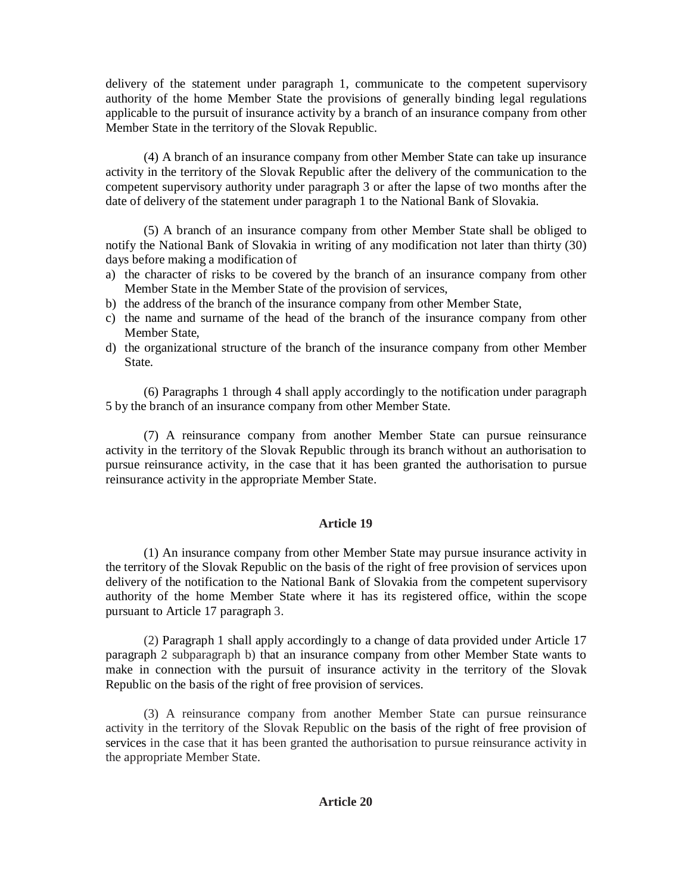delivery of the statement under paragraph 1, communicate to the competent supervisory authority of the home Member State the provisions of generally binding legal regulations applicable to the pursuit of insurance activity by a branch of an insurance company from other Member State in the territory of the Slovak Republic.

(4) A branch of an insurance company from other Member State can take up insurance activity in the territory of the Slovak Republic after the delivery of the communication to the competent supervisory authority under paragraph 3 or after the lapse of two months after the date of delivery of the statement under paragraph 1 to the National Bank of Slovakia.

(5) A branch of an insurance company from other Member State shall be obliged to notify the National Bank of Slovakia in writing of any modification not later than thirty (30) days before making a modification of

- a) the character of risks to be covered by the branch of an insurance company from other Member State in the Member State of the provision of services,
- b) the address of the branch of the insurance company from other Member State,
- c) the name and surname of the head of the branch of the insurance company from other Member State,
- d) the organizational structure of the branch of the insurance company from other Member State.

(6) Paragraphs 1 through 4 shall apply accordingly to the notification under paragraph 5 by the branch of an insurance company from other Member State.

(7) A reinsurance company from another Member State can pursue reinsurance activity in the territory of the Slovak Republic through its branch without an authorisation to pursue reinsurance activity, in the case that it has been granted the authorisation to pursue reinsurance activity in the appropriate Member State.

# **Article 19**

(1) An insurance company from other Member State may pursue insurance activity in the territory of the Slovak Republic on the basis of the right of free provision of services upon delivery of the notification to the National Bank of Slovakia from the competent supervisory authority of the home Member State where it has its registered office, within the scope pursuant to Article 17 paragraph 3.

(2) Paragraph 1 shall apply accordingly to a change of data provided under Article 17 paragraph 2 subparagraph b) that an insurance company from other Member State wants to make in connection with the pursuit of insurance activity in the territory of the Slovak Republic on the basis of the right of free provision of services.

(3) A reinsurance company from another Member State can pursue reinsurance activity in the territory of the Slovak Republic on the basis of the right of free provision of services in the case that it has been granted the authorisation to pursue reinsurance activity in the appropriate Member State.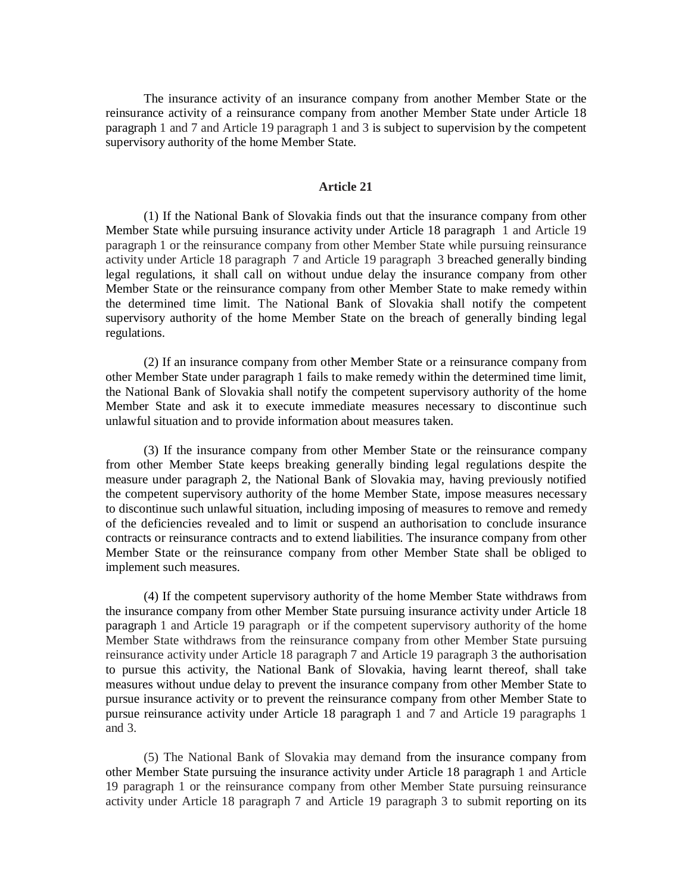The insurance activity of an insurance company from another Member State or the reinsurance activity of a reinsurance company from another Member State under Article 18 paragraph 1 and 7 and Article 19 paragraph 1 and 3 is subject to supervision by the competent supervisory authority of the home Member State.

### **Article 21**

(1) If the National Bank of Slovakia finds out that the insurance company from other Member State while pursuing insurance activity under Article 18 paragraph 1 and Article 19 paragraph 1 or the reinsurance company from other Member State while pursuing reinsurance activity under Article 18 paragraph 7 and Article 19 paragraph 3 breached generally binding legal regulations, it shall call on without undue delay the insurance company from other Member State or the reinsurance company from other Member State to make remedy within the determined time limit. The National Bank of Slovakia shall notify the competent supervisory authority of the home Member State on the breach of generally binding legal regulations.

(2) If an insurance company from other Member State or a reinsurance company from other Member State under paragraph 1 fails to make remedy within the determined time limit, the National Bank of Slovakia shall notify the competent supervisory authority of the home Member State and ask it to execute immediate measures necessary to discontinue such unlawful situation and to provide information about measures taken.

(3) If the insurance company from other Member State or the reinsurance company from other Member State keeps breaking generally binding legal regulations despite the measure under paragraph 2, the National Bank of Slovakia may, having previously notified the competent supervisory authority of the home Member State, impose measures necessary to discontinue such unlawful situation, including imposing of measures to remove and remedy of the deficiencies revealed and to limit or suspend an authorisation to conclude insurance contracts or reinsurance contracts and to extend liabilities. The insurance company from other Member State or the reinsurance company from other Member State shall be obliged to implement such measures.

(4) If the competent supervisory authority of the home Member State withdraws from the insurance company from other Member State pursuing insurance activity under Article 18 paragraph 1 and Article 19 paragraph or if the competent supervisory authority of the home Member State withdraws from the reinsurance company from other Member State pursuing reinsurance activity under Article 18 paragraph 7 and Article 19 paragraph 3 the authorisation to pursue this activity, the National Bank of Slovakia, having learnt thereof, shall take measures without undue delay to prevent the insurance company from other Member State to pursue insurance activity or to prevent the reinsurance company from other Member State to pursue reinsurance activity under Article 18 paragraph 1 and 7 and Article 19 paragraphs 1 and 3.

(5) The National Bank of Slovakia may demand from the insurance company from other Member State pursuing the insurance activity under Article 18 paragraph 1 and Article 19 paragraph 1 or the reinsurance company from other Member State pursuing reinsurance activity under Article 18 paragraph 7 and Article 19 paragraph 3 to submit reporting on its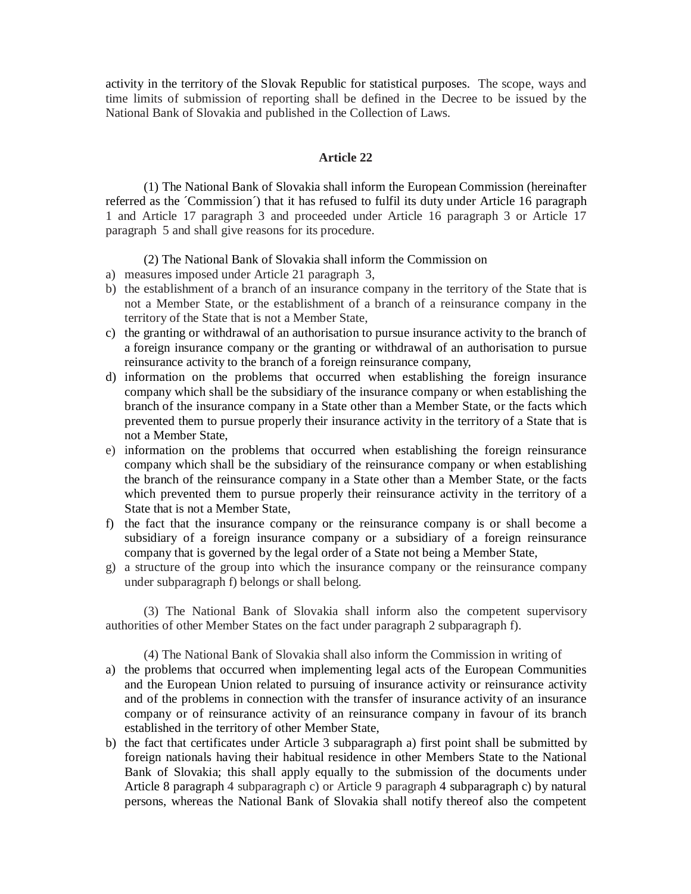activity in the territory of the Slovak Republic for statistical purposes. The scope, ways and time limits of submission of reporting shall be defined in the Decree to be issued by the National Bank of Slovakia and published in the Collection of Laws.

### **Article 22**

(1) The National Bank of Slovakia shall inform the European Commission (hereinafter referred as the ´Commission´) that it has refused to fulfil its duty under Article 16 paragraph 1 and Article 17 paragraph 3 and proceeded under Article 16 paragraph 3 or Article 17 paragraph 5 and shall give reasons for its procedure.

## (2) The National Bank of Slovakia shall inform the Commission on

- a) measures imposed under Article 21 paragraph 3,
- b) the establishment of a branch of an insurance company in the territory of the State that is not a Member State, or the establishment of a branch of a reinsurance company in the territory of the State that is not a Member State,
- c) the granting or withdrawal of an authorisation to pursue insurance activity to the branch of a foreign insurance company or the granting or withdrawal of an authorisation to pursue reinsurance activity to the branch of a foreign reinsurance company,
- d) information on the problems that occurred when establishing the foreign insurance company which shall be the subsidiary of the insurance company or when establishing the branch of the insurance company in a State other than a Member State, or the facts which prevented them to pursue properly their insurance activity in the territory of a State that is not a Member State,
- e) information on the problems that occurred when establishing the foreign reinsurance company which shall be the subsidiary of the reinsurance company or when establishing the branch of the reinsurance company in a State other than a Member State, or the facts which prevented them to pursue properly their reinsurance activity in the territory of a State that is not a Member State,
- f) the fact that the insurance company or the reinsurance company is or shall become a subsidiary of a foreign insurance company or a subsidiary of a foreign reinsurance company that is governed by the legal order of a State not being a Member State,
- g) a structure of the group into which the insurance company or the reinsurance company under subparagraph f) belongs or shall belong.

(3) The National Bank of Slovakia shall inform also the competent supervisory authorities of other Member States on the fact under paragraph 2 subparagraph f).

(4) The National Bank of Slovakia shall also inform the Commission in writing of

- a) the problems that occurred when implementing legal acts of the European Communities and the European Union related to pursuing of insurance activity or reinsurance activity and of the problems in connection with the transfer of insurance activity of an insurance company or of reinsurance activity of an reinsurance company in favour of its branch established in the territory of other Member State,
- b) the fact that certificates under Article 3 subparagraph a) first point shall be submitted by foreign nationals having their habitual residence in other Members State to the National Bank of Slovakia; this shall apply equally to the submission of the documents under Article 8 paragraph 4 subparagraph c) or Article 9 paragraph 4 subparagraph c) by natural persons, whereas the National Bank of Slovakia shall notify thereof also the competent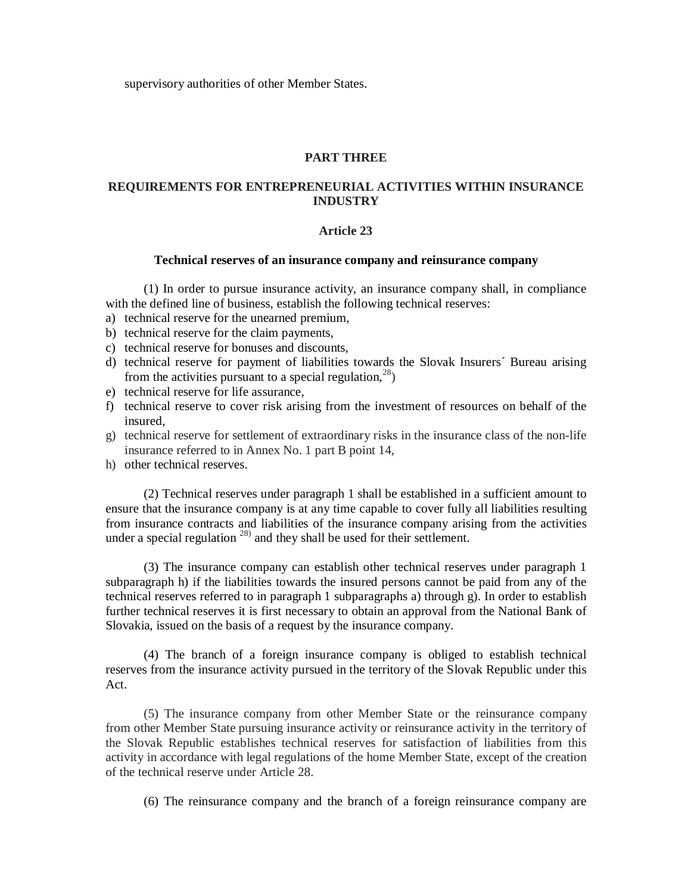supervisory authorities of other Member States.

### **PART THREE**

# **REQUIREMENTS FOR ENTREPRENEURIAL ACTIVITIES WITHIN INSURANCE INDUSTRY**

### **Article 23**

## **Technical reserves of an insurance company and reinsurance company**

(1) In order to pursue insurance activity, an insurance company shall, in compliance with the defined line of business, establish the following technical reserves:

- a) technical reserve for the unearned premium,
- b) technical reserve for the claim payments,
- c) technical reserve for bonuses and discounts,
- d) technical reserve for payment of liabilities towards the Slovak Insurers´ Bureau arising from the activities pursuant to a special regulation,  $28$ )
- e) technical reserve for life assurance,
- f) technical reserve to cover risk arising from the investment of resources on behalf of the insured,
- g) technical reserve for settlement of extraordinary risks in the insurance class of the non-life insurance referred to in Annex No. 1 part B point 14,
- h) other technical reserves.

(2) Technical reserves under paragraph 1 shall be established in a sufficient amount to ensure that the insurance company is at any time capable to cover fully all liabilities resulting from insurance contracts and liabilities of the insurance company arising from the activities under a special regulation  $^{28)}$  and they shall be used for their settlement.

(3) The insurance company can establish other technical reserves under paragraph 1 subparagraph h) if the liabilities towards the insured persons cannot be paid from any of the technical reserves referred to in paragraph 1 subparagraphs a) through g). In order to establish further technical reserves it is first necessary to obtain an approval from the National Bank of Slovakia, issued on the basis of a request by the insurance company.

(4) The branch of a foreign insurance company is obliged to establish technical reserves from the insurance activity pursued in the territory of the Slovak Republic under this Act.

(5) The insurance company from other Member State or the reinsurance company from other Member State pursuing insurance activity or reinsurance activity in the territory of the Slovak Republic establishes technical reserves for satisfaction of liabilities from this activity in accordance with legal regulations of the home Member State, except of the creation of the technical reserve under Article 28.

(6) The reinsurance company and the branch of a foreign reinsurance company are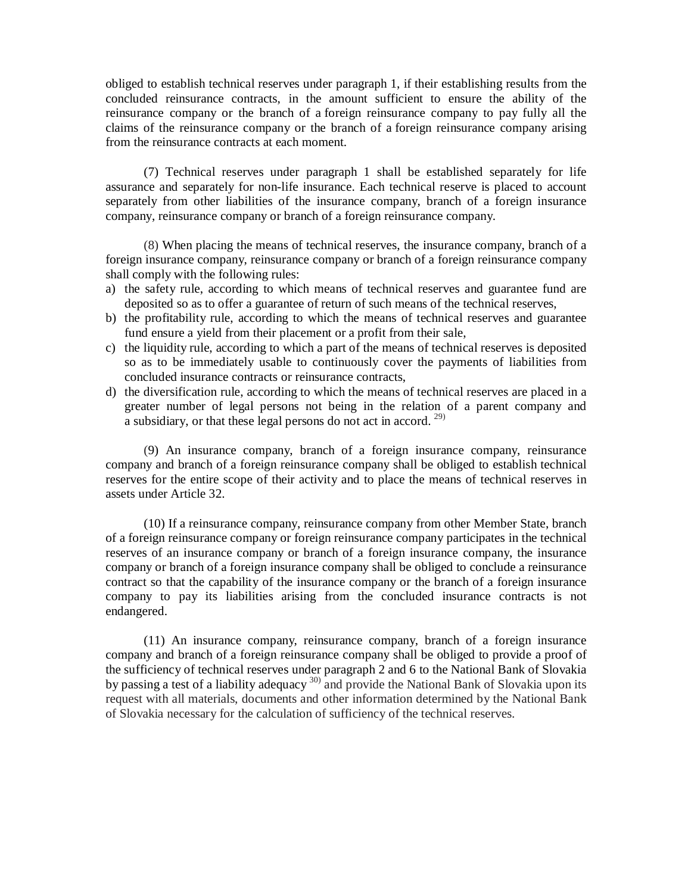obliged to establish technical reserves under paragraph 1, if their establishing results from the concluded reinsurance contracts, in the amount sufficient to ensure the ability of the reinsurance company or the branch of a foreign reinsurance company to pay fully all the claims of the reinsurance company or the branch of a foreign reinsurance company arising from the reinsurance contracts at each moment.

(7) Technical reserves under paragraph 1 shall be established separately for life assurance and separately for non-life insurance. Each technical reserve is placed to account separately from other liabilities of the insurance company, branch of a foreign insurance company, reinsurance company or branch of a foreign reinsurance company.

(8) When placing the means of technical reserves, the insurance company, branch of a foreign insurance company, reinsurance company or branch of a foreign reinsurance company shall comply with the following rules:

- a) the safety rule, according to which means of technical reserves and guarantee fund are deposited so as to offer a guarantee of return of such means of the technical reserves,
- b) the profitability rule, according to which the means of technical reserves and guarantee fund ensure a yield from their placement or a profit from their sale,
- c) the liquidity rule, according to which a part of the means of technical reserves is deposited so as to be immediately usable to continuously cover the payments of liabilities from concluded insurance contracts or reinsurance contracts,
- d) the diversification rule, according to which the means of technical reserves are placed in a greater number of legal persons not being in the relation of a parent company and a subsidiary, or that these legal persons do not act in accord.<sup>29)</sup>

(9) An insurance company, branch of a foreign insurance company, reinsurance company and branch of a foreign reinsurance company shall be obliged to establish technical reserves for the entire scope of their activity and to place the means of technical reserves in assets under Article 32.

(10) If a reinsurance company, reinsurance company from other Member State, branch of a foreign reinsurance company or foreign reinsurance company participates in the technical reserves of an insurance company or branch of a foreign insurance company, the insurance company or branch of a foreign insurance company shall be obliged to conclude a reinsurance contract so that the capability of the insurance company or the branch of a foreign insurance company to pay its liabilities arising from the concluded insurance contracts is not endangered.

(11) An insurance company, reinsurance company, branch of a foreign insurance company and branch of a foreign reinsurance company shall be obliged to provide a proof of the sufficiency of technical reserves under paragraph 2 and 6 to the National Bank of Slovakia by passing a test of a liability adequacy<sup>30)</sup> and provide the National Bank of Slovakia upon its request with all materials, documents and other information determined by the National Bank of Slovakia necessary for the calculation of sufficiency of the technical reserves.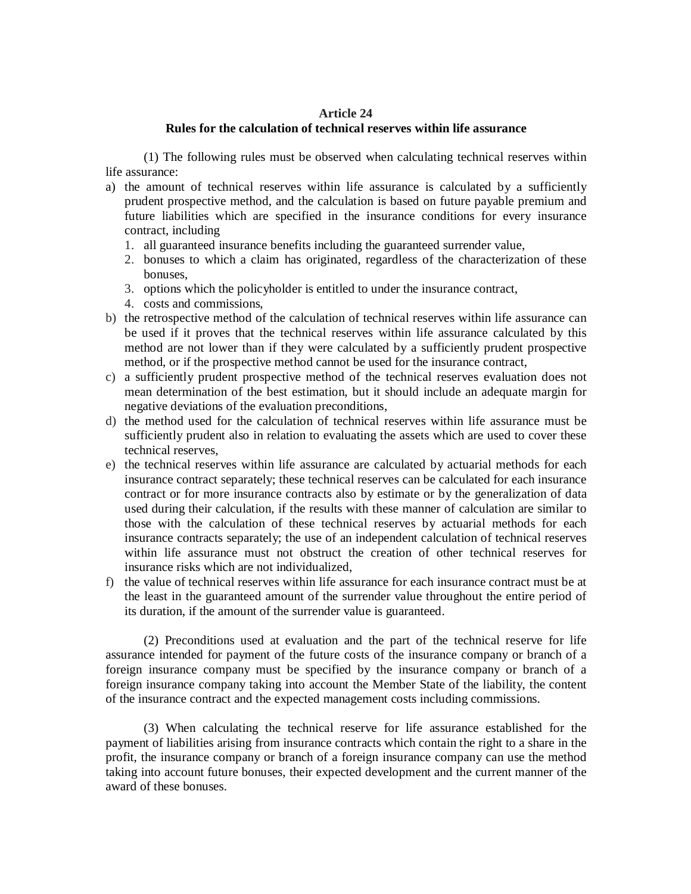# **Article 24**

## **Rules for the calculation of technical reserves within life assurance**

(1) The following rules must be observed when calculating technical reserves within life assurance:

- a) the amount of technical reserves within life assurance is calculated by a sufficiently prudent prospective method, and the calculation is based on future payable premium and future liabilities which are specified in the insurance conditions for every insurance contract, including
	- 1. all guaranteed insurance benefits including the guaranteed surrender value,
	- 2. bonuses to which a claim has originated, regardless of the characterization of these bonuses,
	- 3. options which the policyholder is entitled to under the insurance contract,
	- 4. costs and commissions,
- b) the retrospective method of the calculation of technical reserves within life assurance can be used if it proves that the technical reserves within life assurance calculated by this method are not lower than if they were calculated by a sufficiently prudent prospective method, or if the prospective method cannot be used for the insurance contract,
- c) a sufficiently prudent prospective method of the technical reserves evaluation does not mean determination of the best estimation, but it should include an adequate margin for negative deviations of the evaluation preconditions,
- d) the method used for the calculation of technical reserves within life assurance must be sufficiently prudent also in relation to evaluating the assets which are used to cover these technical reserves,
- e) the technical reserves within life assurance are calculated by actuarial methods for each insurance contract separately; these technical reserves can be calculated for each insurance contract or for more insurance contracts also by estimate or by the generalization of data used during their calculation, if the results with these manner of calculation are similar to those with the calculation of these technical reserves by actuarial methods for each insurance contracts separately; the use of an independent calculation of technical reserves within life assurance must not obstruct the creation of other technical reserves for insurance risks which are not individualized,
- f) the value of technical reserves within life assurance for each insurance contract must be at the least in the guaranteed amount of the surrender value throughout the entire period of its duration, if the amount of the surrender value is guaranteed.

(2) Preconditions used at evaluation and the part of the technical reserve for life assurance intended for payment of the future costs of the insurance company or branch of a foreign insurance company must be specified by the insurance company or branch of a foreign insurance company taking into account the Member State of the liability, the content of the insurance contract and the expected management costs including commissions.

(3) When calculating the technical reserve for life assurance established for the payment of liabilities arising from insurance contracts which contain the right to a share in the profit, the insurance company or branch of a foreign insurance company can use the method taking into account future bonuses, their expected development and the current manner of the award of these bonuses.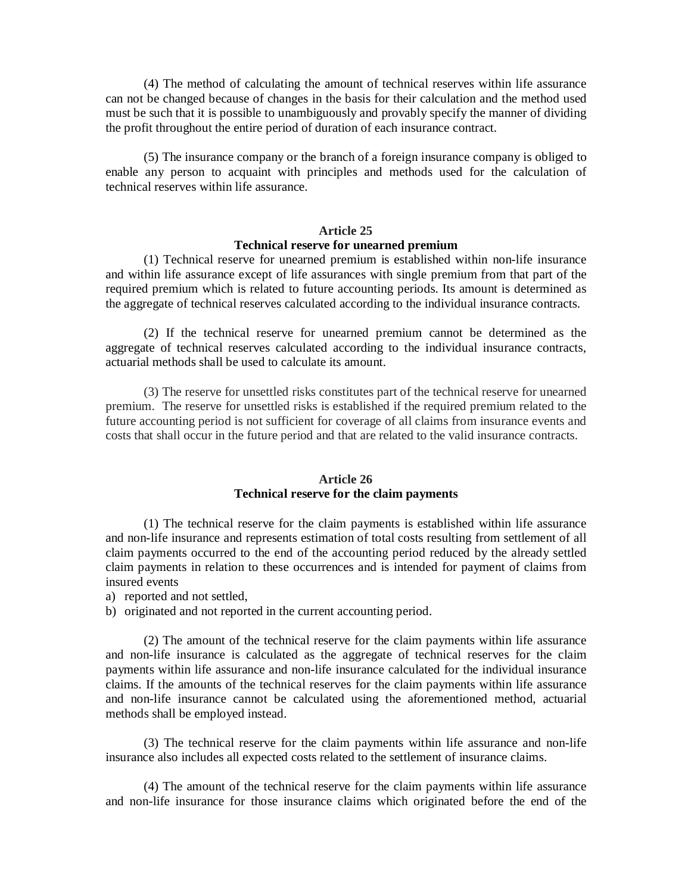(4) The method of calculating the amount of technical reserves within life assurance can not be changed because of changes in the basis for their calculation and the method used must be such that it is possible to unambiguously and provably specify the manner of dividing the profit throughout the entire period of duration of each insurance contract.

(5) The insurance company or the branch of a foreign insurance company is obliged to enable any person to acquaint with principles and methods used for the calculation of technical reserves within life assurance.

## **Article 25**

# **Technical reserve for unearned premium**

(1) Technical reserve for unearned premium is established within non-life insurance and within life assurance except of life assurances with single premium from that part of the required premium which is related to future accounting periods. Its amount is determined as the aggregate of technical reserves calculated according to the individual insurance contracts.

(2) If the technical reserve for unearned premium cannot be determined as the aggregate of technical reserves calculated according to the individual insurance contracts, actuarial methods shall be used to calculate its amount.

(3) The reserve for unsettled risks constitutes part of the technical reserve for unearned premium. The reserve for unsettled risks is established if the required premium related to the future accounting period is not sufficient for coverage of all claims from insurance events and costs that shall occur in the future period and that are related to the valid insurance contracts.

### **Article 26 Technical reserve for the claim payments**

(1) The technical reserve for the claim payments is established within life assurance and non-life insurance and represents estimation of total costs resulting from settlement of all claim payments occurred to the end of the accounting period reduced by the already settled claim payments in relation to these occurrences and is intended for payment of claims from insured events

a) reported and not settled,

b) originated and not reported in the current accounting period.

(2) The amount of the technical reserve for the claim payments within life assurance and non-life insurance is calculated as the aggregate of technical reserves for the claim payments within life assurance and non-life insurance calculated for the individual insurance claims. If the amounts of the technical reserves for the claim payments within life assurance and non-life insurance cannot be calculated using the aforementioned method, actuarial methods shall be employed instead.

(3) The technical reserve for the claim payments within life assurance and non-life insurance also includes all expected costs related to the settlement of insurance claims.

(4) The amount of the technical reserve for the claim payments within life assurance and non-life insurance for those insurance claims which originated before the end of the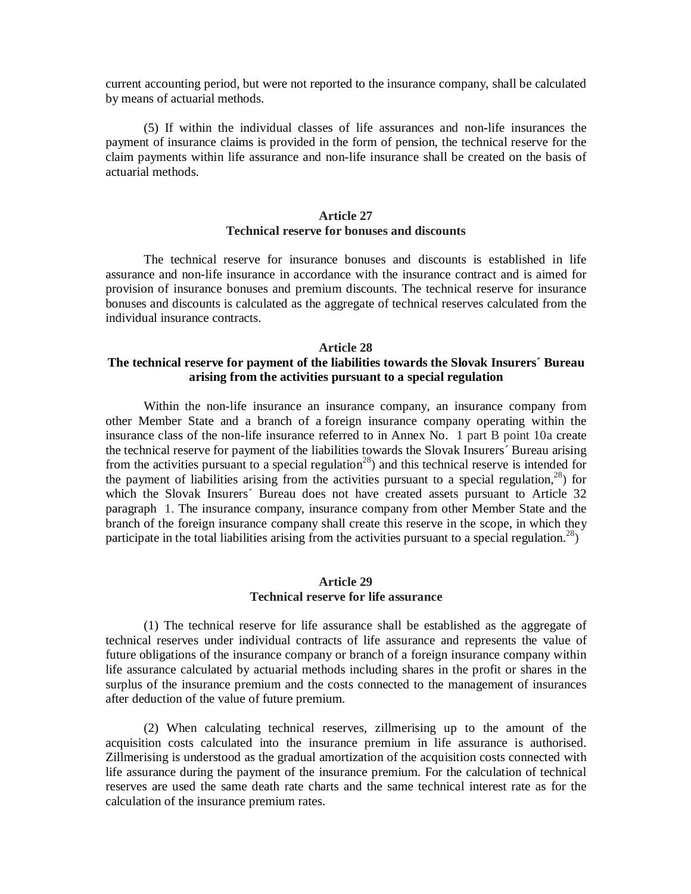current accounting period, but were not reported to the insurance company, shall be calculated by means of actuarial methods.

(5) If within the individual classes of life assurances and non-life insurances the payment of insurance claims is provided in the form of pension, the technical reserve for the claim payments within life assurance and non-life insurance shall be created on the basis of actuarial methods.

# **Article 27 Technical reserve for bonuses and discounts**

The technical reserve for insurance bonuses and discounts is established in life assurance and non-life insurance in accordance with the insurance contract and is aimed for provision of insurance bonuses and premium discounts. The technical reserve for insurance bonuses and discounts is calculated as the aggregate of technical reserves calculated from the individual insurance contracts.

## **Article 28**

# **The technical reserve for payment of the liabilities towards the Slovak Insurers´ Bureau arising from the activities pursuant to a special regulation**

Within the non-life insurance an insurance company, an insurance company from other Member State and a branch of a foreign insurance company operating within the insurance class of the non-life insurance referred to in Annex No. 1 part B point 10a create the technical reserve for payment of the liabilities towards the Slovak Insurers´ Bureau arising from the activities pursuant to a special regulation<sup>28</sup>) and this technical reserve is intended for the payment of liabilities arising from the activities pursuant to a special regulation,  $28$ ) for which the Slovak Insurers´ Bureau does not have created assets pursuant to Article 32 paragraph 1. The insurance company, insurance company from other Member State and the branch of the foreign insurance company shall create this reserve in the scope, in which they participate in the total liabilities arising from the activities pursuant to a special regulation.<sup>28</sup>)

## **Article 29 Technical reserve for life assurance**

(1) The technical reserve for life assurance shall be established as the aggregate of technical reserves under individual contracts of life assurance and represents the value of future obligations of the insurance company or branch of a foreign insurance company within life assurance calculated by actuarial methods including shares in the profit or shares in the surplus of the insurance premium and the costs connected to the management of insurances after deduction of the value of future premium.

(2) When calculating technical reserves, zillmerising up to the amount of the acquisition costs calculated into the insurance premium in life assurance is authorised. Zillmerising is understood as the gradual amortization of the acquisition costs connected with life assurance during the payment of the insurance premium. For the calculation of technical reserves are used the same death rate charts and the same technical interest rate as for the calculation of the insurance premium rates.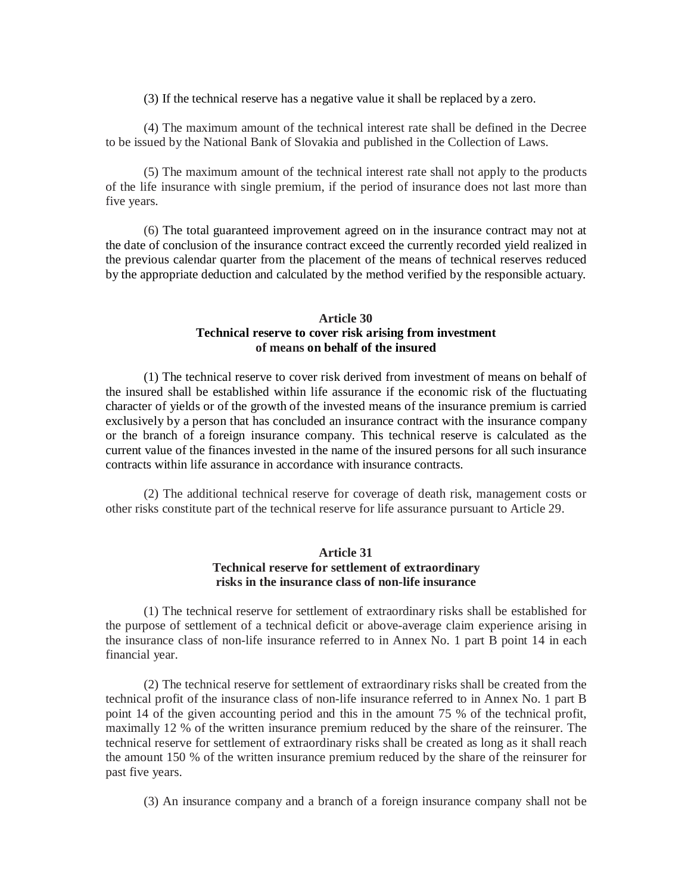(3) If the technical reserve has a negative value it shall be replaced by a zero.

(4) The maximum amount of the technical interest rate shall be defined in the Decree to be issued by the National Bank of Slovakia and published in the Collection of Laws.

(5) The maximum amount of the technical interest rate shall not apply to the products of the life insurance with single premium, if the period of insurance does not last more than five years.

(6) The total guaranteed improvement agreed on in the insurance contract may not at the date of conclusion of the insurance contract exceed the currently recorded yield realized in the previous calendar quarter from the placement of the means of technical reserves reduced by the appropriate deduction and calculated by the method verified by the responsible actuary.

# **Article 30 Technical reserve to cover risk arising from investment of means on behalf of the insured**

(1) The technical reserve to cover risk derived from investment of means on behalf of the insured shall be established within life assurance if the economic risk of the fluctuating character of yields or of the growth of the invested means of the insurance premium is carried exclusively by a person that has concluded an insurance contract with the insurance company or the branch of a foreign insurance company. This technical reserve is calculated as the current value of the finances invested in the name of the insured persons for all such insurance contracts within life assurance in accordance with insurance contracts.

(2) The additional technical reserve for coverage of death risk, management costs or other risks constitute part of the technical reserve for life assurance pursuant to Article 29.

# **Article 31 Technical reserve for settlement of extraordinary risks in the insurance class of non-life insurance**

(1) The technical reserve for settlement of extraordinary risks shall be established for the purpose of settlement of a technical deficit or above-average claim experience arising in the insurance class of non-life insurance referred to in Annex No. 1 part B point 14 in each financial year.

(2) The technical reserve for settlement of extraordinary risks shall be created from the technical profit of the insurance class of non-life insurance referred to in Annex No. 1 part B point 14 of the given accounting period and this in the amount 75 % of the technical profit, maximally 12 % of the written insurance premium reduced by the share of the reinsurer. The technical reserve for settlement of extraordinary risks shall be created as long as it shall reach the amount 150 % of the written insurance premium reduced by the share of the reinsurer for past five years.

(3) An insurance company and a branch of a foreign insurance company shall not be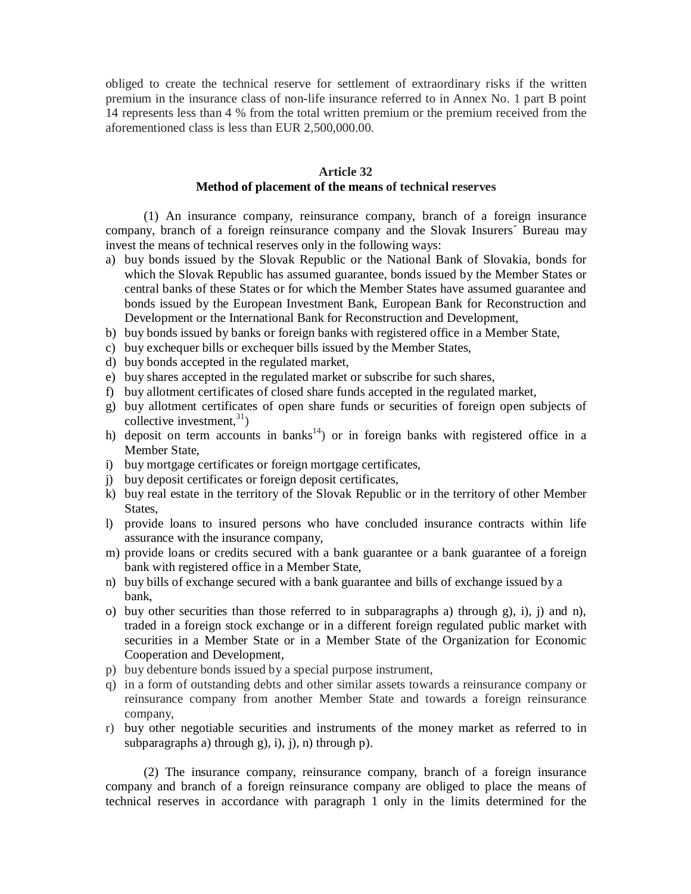obliged to create the technical reserve for settlement of extraordinary risks if the written premium in the insurance class of non-life insurance referred to in Annex No. 1 part B point 14 represents less than 4 % from the total written premium or the premium received from the aforementioned class is less than EUR 2,500,000.00.

## **Article 32 Method of placement of the means of technical reserves**

(1) An insurance company, reinsurance company, branch of a foreign insurance company, branch of a foreign reinsurance company and the Slovak Insurers´ Bureau may invest the means of technical reserves only in the following ways:

- a) buy bonds issued by the Slovak Republic or the National Bank of Slovakia, bonds for which the Slovak Republic has assumed guarantee, bonds issued by the Member States or central banks of these States or for which the Member States have assumed guarantee and bonds issued by the European Investment Bank, European Bank for Reconstruction and Development or the International Bank for Reconstruction and Development,
- b) buy bonds issued by banks or foreign banks with registered office in a Member State,
- c) buy exchequer bills or exchequer bills issued by the Member States,
- d) buy bonds accepted in the regulated market,
- e) buy shares accepted in the regulated market or subscribe for such shares,
- f) buy allotment certificates of closed share funds accepted in the regulated market,
- g) buy allotment certificates of open share funds or securities of foreign open subjects of collective investment, 31)
- h) deposit on term accounts in banks<sup>14</sup>) or in foreign banks with registered office in a Member State,
- i) buy mortgage certificates or foreign mortgage certificates,
- j) buy deposit certificates or foreign deposit certificates,
- k) buy real estate in the territory of the Slovak Republic or in the territory of other Member States,
- l) provide loans to insured persons who have concluded insurance contracts within life assurance with the insurance company,
- m) provide loans or credits secured with a bank guarantee or a bank guarantee of a foreign bank with registered office in a Member State,
- n) buy bills of exchange secured with a bank guarantee and bills of exchange issued by a bank,
- o) buy other securities than those referred to in subparagraphs a) through g), i), j) and n), traded in a foreign stock exchange or in a different foreign regulated public market with securities in a Member State or in a Member State of the Organization for Economic Cooperation and Development,
- p) buy debenture bonds issued by a special purpose instrument,
- q) in a form of outstanding debts and other similar assets towards a reinsurance company or reinsurance company from another Member State and towards a foreign reinsurance company,
- r) buy other negotiable securities and instruments of the money market as referred to in subparagraphs a) through g), i), j), n) through p).

(2) The insurance company, reinsurance company, branch of a foreign insurance company and branch of a foreign reinsurance company are obliged to place the means of technical reserves in accordance with paragraph 1 only in the limits determined for the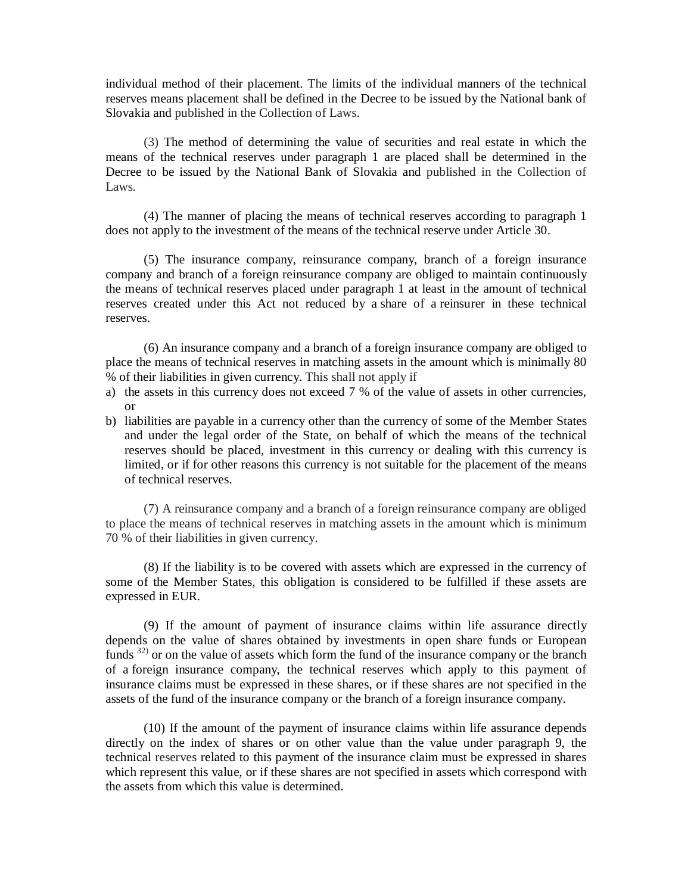individual method of their placement. The limits of the individual manners of the technical reserves means placement shall be defined in the Decree to be issued by the National bank of Slovakia and published in the Collection of Laws.

(3) The method of determining the value of securities and real estate in which the means of the technical reserves under paragraph 1 are placed shall be determined in the Decree to be issued by the National Bank of Slovakia and published in the Collection of Laws.

(4) The manner of placing the means of technical reserves according to paragraph 1 does not apply to the investment of the means of the technical reserve under Article 30.

(5) The insurance company, reinsurance company, branch of a foreign insurance company and branch of a foreign reinsurance company are obliged to maintain continuously the means of technical reserves placed under paragraph 1 at least in the amount of technical reserves created under this Act not reduced by a share of a reinsurer in these technical reserves.

(6) An insurance company and a branch of a foreign insurance company are obliged to place the means of technical reserves in matching assets in the amount which is minimally 80 % of their liabilities in given currency. This shall not apply if

- a) the assets in this currency does not exceed 7 % of the value of assets in other currencies, or
- b) liabilities are payable in a currency other than the currency of some of the Member States and under the legal order of the State, on behalf of which the means of the technical reserves should be placed, investment in this currency or dealing with this currency is limited, or if for other reasons this currency is not suitable for the placement of the means of technical reserves.

(7) A reinsurance company and a branch of a foreign reinsurance company are obliged to place the means of technical reserves in matching assets in the amount which is minimum 70 % of their liabilities in given currency.

(8) If the liability is to be covered with assets which are expressed in the currency of some of the Member States, this obligation is considered to be fulfilled if these assets are expressed in EUR.

(9) If the amount of payment of insurance claims within life assurance directly depends on the value of shares obtained by investments in open share funds or European funds <sup>32)</sup> or on the value of assets which form the fund of the insurance company or the branch of a foreign insurance company, the technical reserves which apply to this payment of insurance claims must be expressed in these shares, or if these shares are not specified in the assets of the fund of the insurance company or the branch of a foreign insurance company.

(10) If the amount of the payment of insurance claims within life assurance depends directly on the index of shares or on other value than the value under paragraph 9, the technical reserves related to this payment of the insurance claim must be expressed in shares which represent this value, or if these shares are not specified in assets which correspond with the assets from which this value is determined.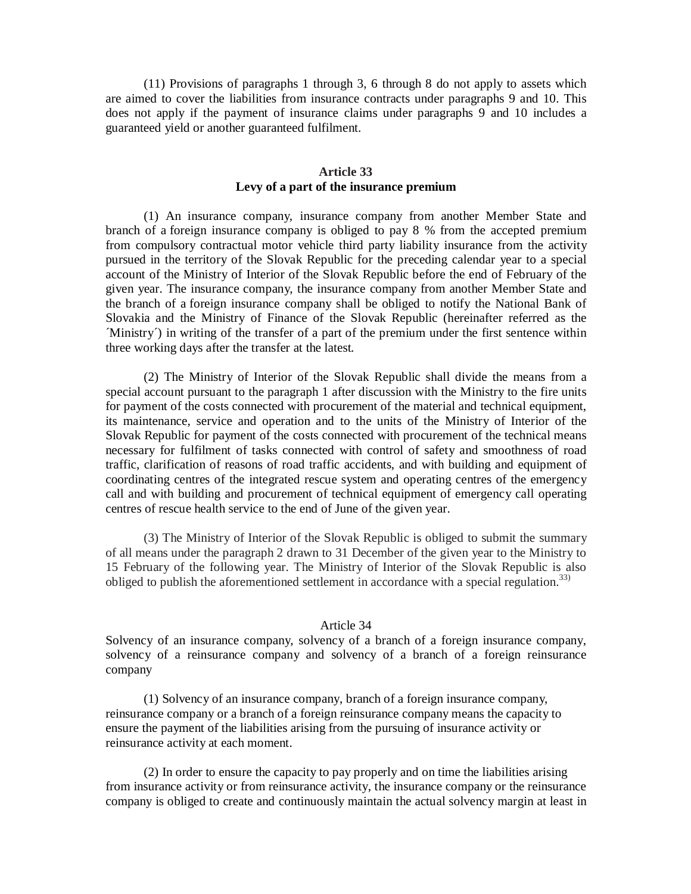(11) Provisions of paragraphs 1 through 3, 6 through 8 do not apply to assets which are aimed to cover the liabilities from insurance contracts under paragraphs 9 and 10. This does not apply if the payment of insurance claims under paragraphs 9 and 10 includes a guaranteed yield or another guaranteed fulfilment.

## **Article 33 Levy of a part of the insurance premium**

(1) An insurance company, insurance company from another Member State and branch of a foreign insurance company is obliged to pay 8 % from the accepted premium from compulsory contractual motor vehicle third party liability insurance from the activity pursued in the territory of the Slovak Republic for the preceding calendar year to a special account of the Ministry of Interior of the Slovak Republic before the end of February of the given year. The insurance company, the insurance company from another Member State and the branch of a foreign insurance company shall be obliged to notify the National Bank of Slovakia and the Ministry of Finance of the Slovak Republic (hereinafter referred as the ´Ministry´) in writing of the transfer of a part of the premium under the first sentence within three working days after the transfer at the latest*.* 

(2) The Ministry of Interior of the Slovak Republic shall divide the means from a special account pursuant to the paragraph 1 after discussion with the Ministry to the fire units for payment of the costs connected with procurement of the material and technical equipment, its maintenance, service and operation and to the units of the Ministry of Interior of the Slovak Republic for payment of the costs connected with procurement of the technical means necessary for fulfilment of tasks connected with control of safety and smoothness of road traffic, clarification of reasons of road traffic accidents, and with building and equipment of coordinating centres of the integrated rescue system and operating centres of the emergency call and with building and procurement of technical equipment of emergency call operating centres of rescue health service to the end of June of the given year.

(3) The Ministry of Interior of the Slovak Republic is obliged to submit the summary of all means under the paragraph 2 drawn to 31 December of the given year to the Ministry to 15 February of the following year. The Ministry of Interior of the Slovak Republic is also obliged to publish the aforementioned settlement in accordance with a special regulation. 33)

### Article 34

Solvency of an insurance company, solvency of a branch of a foreign insurance company, solvency of a reinsurance company and solvency of a branch of a foreign reinsurance company

(1) Solvency of an insurance company, branch of a foreign insurance company, reinsurance company or a branch of a foreign reinsurance company means the capacity to ensure the payment of the liabilities arising from the pursuing of insurance activity or reinsurance activity at each moment.

(2) In order to ensure the capacity to pay properly and on time the liabilities arising from insurance activity or from reinsurance activity, the insurance company or the reinsurance company is obliged to create and continuously maintain the actual solvency margin at least in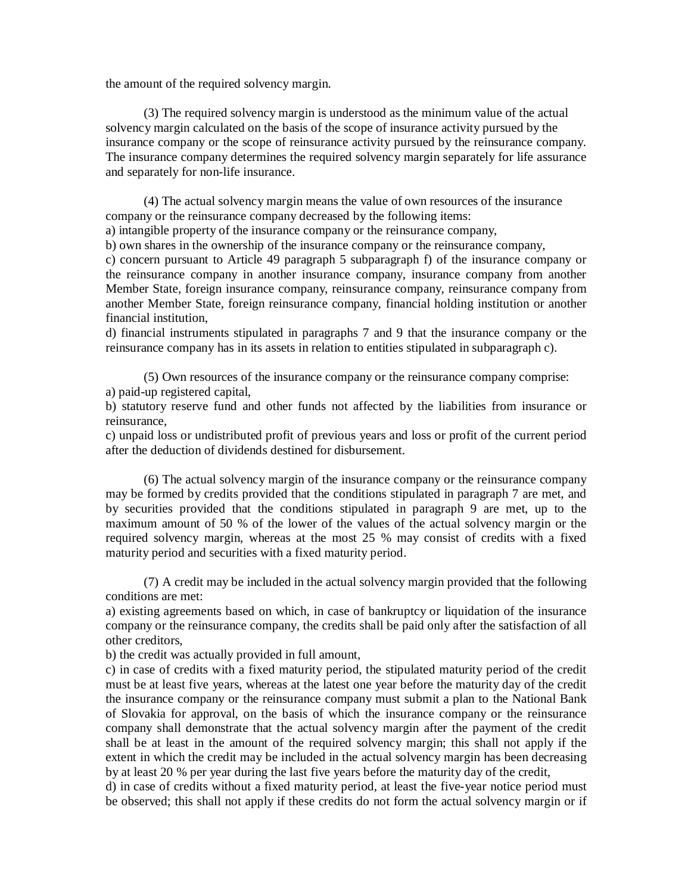the amount of the required solvency margin.

(3) The required solvency margin is understood as the minimum value of the actual solvency margin calculated on the basis of the scope of insurance activity pursued by the insurance company or the scope of reinsurance activity pursued by the reinsurance company. The insurance company determines the required solvency margin separately for life assurance and separately for non-life insurance.

(4) The actual solvency margin means the value of own resources of the insurance company or the reinsurance company decreased by the following items:

a) intangible property of the insurance company or the reinsurance company,

b) own shares in the ownership of the insurance company or the reinsurance company,

c) concern pursuant to Article 49 paragraph 5 subparagraph f) of the insurance company or the reinsurance company in another insurance company, insurance company from another Member State, foreign insurance company, reinsurance company, reinsurance company from another Member State, foreign reinsurance company, financial holding institution or another financial institution,

d) financial instruments stipulated in paragraphs 7 and 9 that the insurance company or the reinsurance company has in its assets in relation to entities stipulated in subparagraph c).

(5) Own resources of the insurance company or the reinsurance company comprise: a) paid-up registered capital,

b) statutory reserve fund and other funds not affected by the liabilities from insurance or reinsurance,

c) unpaid loss or undistributed profit of previous years and loss or profit of the current period after the deduction of dividends destined for disbursement.

(6) The actual solvency margin of the insurance company or the reinsurance company may be formed by credits provided that the conditions stipulated in paragraph 7 are met, and by securities provided that the conditions stipulated in paragraph 9 are met, up to the maximum amount of 50 % of the lower of the values of the actual solvency margin or the required solvency margin, whereas at the most 25 % may consist of credits with a fixed maturity period and securities with a fixed maturity period.

(7) A credit may be included in the actual solvency margin provided that the following conditions are met:

a) existing agreements based on which, in case of bankruptcy or liquidation of the insurance company or the reinsurance company, the credits shall be paid only after the satisfaction of all other creditors,

b) the credit was actually provided in full amount,

c) in case of credits with a fixed maturity period, the stipulated maturity period of the credit must be at least five years, whereas at the latest one year before the maturity day of the credit the insurance company or the reinsurance company must submit a plan to the National Bank of Slovakia for approval, on the basis of which the insurance company or the reinsurance company shall demonstrate that the actual solvency margin after the payment of the credit shall be at least in the amount of the required solvency margin; this shall not apply if the extent in which the credit may be included in the actual solvency margin has been decreasing by at least 20 % per year during the last five years before the maturity day of the credit,

d) in case of credits without a fixed maturity period, at least the five-year notice period must be observed; this shall not apply if these credits do not form the actual solvency margin or if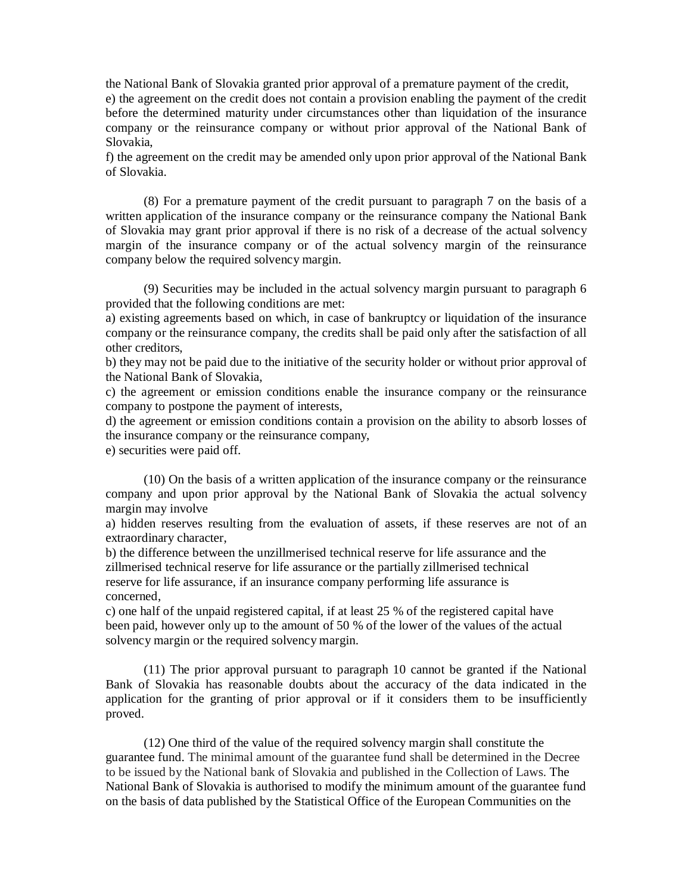the National Bank of Slovakia granted prior approval of a premature payment of the credit, e) the agreement on the credit does not contain a provision enabling the payment of the credit before the determined maturity under circumstances other than liquidation of the insurance company or the reinsurance company or without prior approval of the National Bank of Slovakia,

f) the agreement on the credit may be amended only upon prior approval of the National Bank of Slovakia.

(8) For a premature payment of the credit pursuant to paragraph 7 on the basis of a written application of the insurance company or the reinsurance company the National Bank of Slovakia may grant prior approval if there is no risk of a decrease of the actual solvency margin of the insurance company or of the actual solvency margin of the reinsurance company below the required solvency margin.

(9) Securities may be included in the actual solvency margin pursuant to paragraph 6 provided that the following conditions are met:

a) existing agreements based on which, in case of bankruptcy or liquidation of the insurance company or the reinsurance company, the credits shall be paid only after the satisfaction of all other creditors,

b) they may not be paid due to the initiative of the security holder or without prior approval of the National Bank of Slovakia,

c) the agreement or emission conditions enable the insurance company or the reinsurance company to postpone the payment of interests,

d) the agreement or emission conditions contain a provision on the ability to absorb losses of the insurance company or the reinsurance company,

e) securities were paid off.

(10) On the basis of a written application of the insurance company or the reinsurance company and upon prior approval by the National Bank of Slovakia the actual solvency margin may involve

a) hidden reserves resulting from the evaluation of assets, if these reserves are not of an extraordinary character,

b) the difference between the unzillmerised technical reserve for life assurance and the zillmerised technical reserve for life assurance or the partially zillmerised technical reserve for life assurance, if an insurance company performing life assurance is concerned,

c) one half of the unpaid registered capital, if at least 25 % of the registered capital have been paid, however only up to the amount of 50 % of the lower of the values of the actual solvency margin or the required solvency margin.

(11) The prior approval pursuant to paragraph 10 cannot be granted if the National Bank of Slovakia has reasonable doubts about the accuracy of the data indicated in the application for the granting of prior approval or if it considers them to be insufficiently proved.

(12) One third of the value of the required solvency margin shall constitute the guarantee fund. The minimal amount of the guarantee fund shall be determined in the Decree to be issued by the National bank of Slovakia and published in the Collection of Laws. The National Bank of Slovakia is authorised to modify the minimum amount of the guarantee fund on the basis of data published by the Statistical Office of the European Communities on the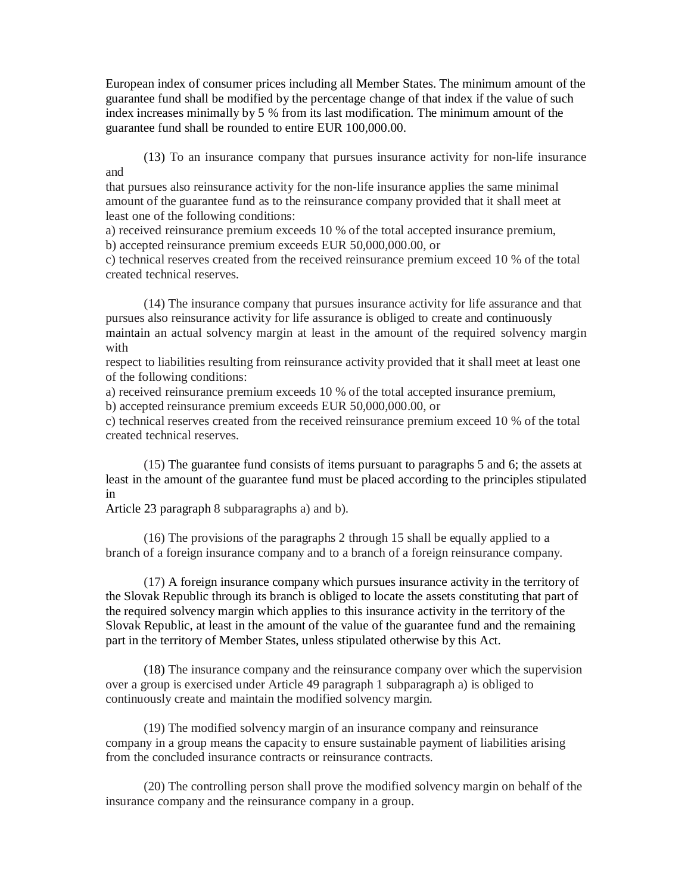European index of consumer prices including all Member States. The minimum amount of the guarantee fund shall be modified by the percentage change of that index if the value of such index increases minimally by 5 % from its last modification. The minimum amount of the guarantee fund shall be rounded to entire EUR 100,000.00.

(13) To an insurance company that pursues insurance activity for non-life insurance and

that pursues also reinsurance activity for the non-life insurance applies the same minimal amount of the guarantee fund as to the reinsurance company provided that it shall meet at least one of the following conditions:

a) received reinsurance premium exceeds 10 % of the total accepted insurance premium, b) accepted reinsurance premium exceeds EUR 50,000,000.00, or

c) technical reserves created from the received reinsurance premium exceed 10 % of the total created technical reserves.

(14) The insurance company that pursues insurance activity for life assurance and that pursues also reinsurance activity for life assurance is obliged to create and continuously maintain an actual solvency margin at least in the amount of the required solvency margin with

respect to liabilities resulting from reinsurance activity provided that it shall meet at least one of the following conditions:

a) received reinsurance premium exceeds 10 % of the total accepted insurance premium, b) accepted reinsurance premium exceeds EUR 50,000,000.00, or

c) technical reserves created from the received reinsurance premium exceed 10 % of the total created technical reserves.

(15) The guarantee fund consists of items pursuant to paragraphs 5 and 6; the assets at least in the amount of the guarantee fund must be placed according to the principles stipulated in

Article 23 paragraph 8 subparagraphs a) and b).

(16) The provisions of the paragraphs 2 through 15 shall be equally applied to a branch of a foreign insurance company and to a branch of a foreign reinsurance company.

(17) A foreign insurance company which pursues insurance activity in the territory of the Slovak Republic through its branch is obliged to locate the assets constituting that part of the required solvency margin which applies to this insurance activity in the territory of the Slovak Republic, at least in the amount of the value of the guarantee fund and the remaining part in the territory of Member States, unless stipulated otherwise by this Act.

(18) The insurance company and the reinsurance company over which the supervision over a group is exercised under Article 49 paragraph 1 subparagraph a) is obliged to continuously create and maintain the modified solvency margin.

(19) The modified solvency margin of an insurance company and reinsurance company in a group means the capacity to ensure sustainable payment of liabilities arising from the concluded insurance contracts or reinsurance contracts.

(20) The controlling person shall prove the modified solvency margin on behalf of the insurance company and the reinsurance company in a group.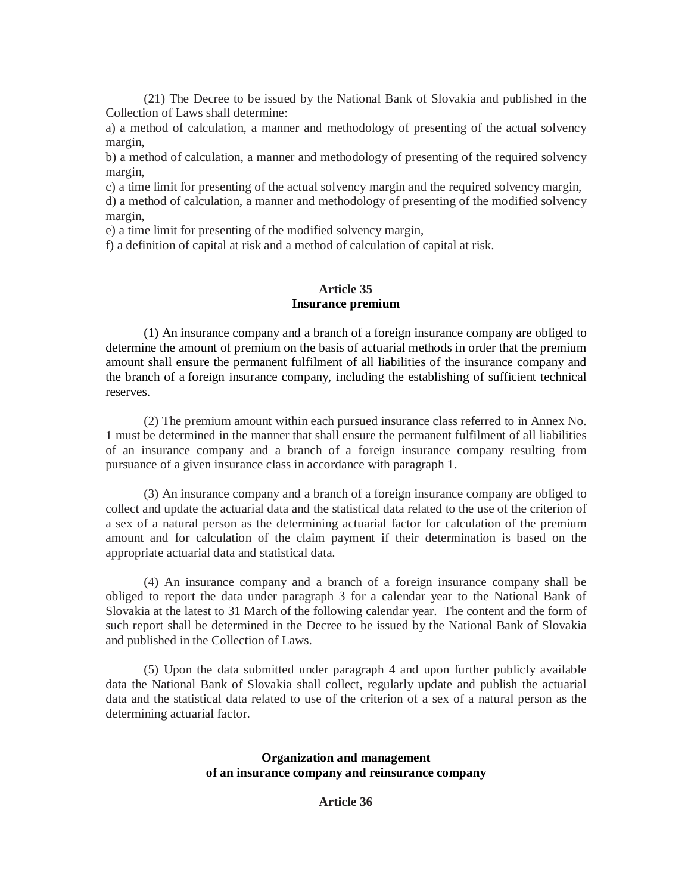(21) The Decree to be issued by the National Bank of Slovakia and published in the Collection of Laws shall determine:

a) a method of calculation, a manner and methodology of presenting of the actual solvency margin,

b) a method of calculation, a manner and methodology of presenting of the required solvency margin,

c) a time limit for presenting of the actual solvency margin and the required solvency margin,

d) a method of calculation, a manner and methodology of presenting of the modified solvency margin,

e) a time limit for presenting of the modified solvency margin,

f) a definition of capital at risk and a method of calculation of capital at risk.

# **Article 35 Insurance premium**

(1) An insurance company and a branch of a foreign insurance company are obliged to determine the amount of premium on the basis of actuarial methods in order that the premium amount shall ensure the permanent fulfilment of all liabilities of the insurance company and the branch of a foreign insurance company, including the establishing of sufficient technical reserves.

(2) The premium amount within each pursued insurance class referred to in Annex No. 1 must be determined in the manner that shall ensure the permanent fulfilment of all liabilities of an insurance company and a branch of a foreign insurance company resulting from pursuance of a given insurance class in accordance with paragraph 1.

(3) An insurance company and a branch of a foreign insurance company are obliged to collect and update the actuarial data and the statistical data related to the use of the criterion of a sex of a natural person as the determining actuarial factor for calculation of the premium amount and for calculation of the claim payment if their determination is based on the appropriate actuarial data and statistical data.

(4) An insurance company and a branch of a foreign insurance company shall be obliged to report the data under paragraph 3 for a calendar year to the National Bank of Slovakia at the latest to 31 March of the following calendar year. The content and the form of such report shall be determined in the Decree to be issued by the National Bank of Slovakia and published in the Collection of Laws.

(5) Upon the data submitted under paragraph 4 and upon further publicly available data the National Bank of Slovakia shall collect, regularly update and publish the actuarial data and the statistical data related to use of the criterion of a sex of a natural person as the determining actuarial factor.

# **Organization and management of an insurance company and reinsurance company**

# **Article 36**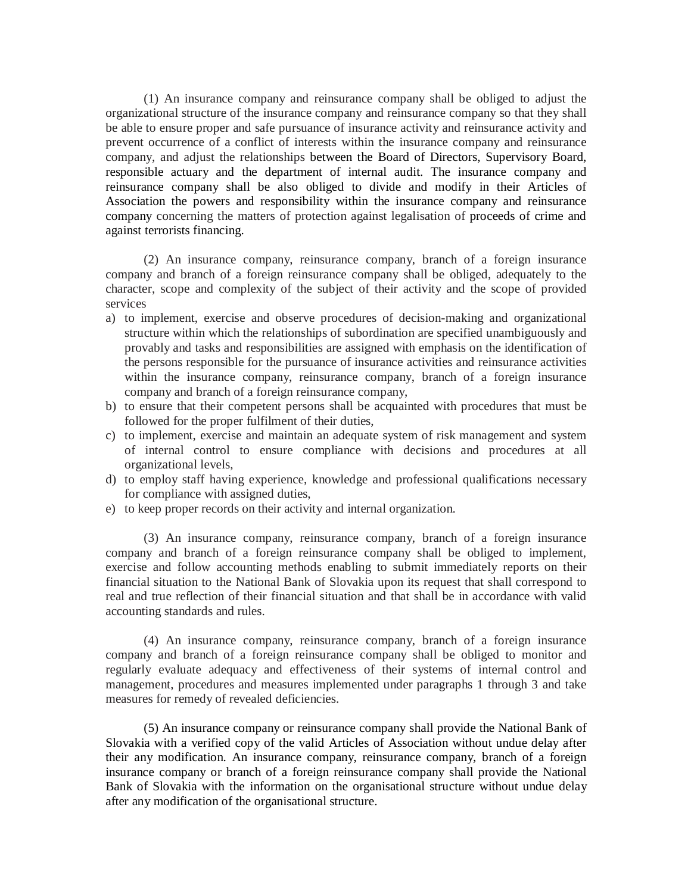(1) An insurance company and reinsurance company shall be obliged to adjust the organizational structure of the insurance company and reinsurance company so that they shall be able to ensure proper and safe pursuance of insurance activity and reinsurance activity and prevent occurrence of a conflict of interests within the insurance company and reinsurance company, and adjust the relationships between the Board of Directors, Supervisory Board, responsible actuary and the department of internal audit. The insurance company and reinsurance company shall be also obliged to divide and modify in their Articles of Association the powers and responsibility within the insurance company and reinsurance company concerning the matters of protection against legalisation of proceeds of crime and against terrorists financing.

(2) An insurance company, reinsurance company, branch of a foreign insurance company and branch of a foreign reinsurance company shall be obliged, adequately to the character, scope and complexity of the subject of their activity and the scope of provided services

- a) to implement, exercise and observe procedures of decision-making and organizational structure within which the relationships of subordination are specified unambiguously and provably and tasks and responsibilities are assigned with emphasis on the identification of the persons responsible for the pursuance of insurance activities and reinsurance activities within the insurance company, reinsurance company, branch of a foreign insurance company and branch of a foreign reinsurance company,
- b) to ensure that their competent persons shall be acquainted with procedures that must be followed for the proper fulfilment of their duties,
- c) to implement, exercise and maintain an adequate system of risk management and system of internal control to ensure compliance with decisions and procedures at all organizational levels,
- d) to employ staff having experience, knowledge and professional qualifications necessary for compliance with assigned duties,
- e) to keep proper records on their activity and internal organization.

(3) An insurance company, reinsurance company, branch of a foreign insurance company and branch of a foreign reinsurance company shall be obliged to implement, exercise and follow accounting methods enabling to submit immediately reports on their financial situation to the National Bank of Slovakia upon its request that shall correspond to real and true reflection of their financial situation and that shall be in accordance with valid accounting standards and rules.

(4) An insurance company, reinsurance company, branch of a foreign insurance company and branch of a foreign reinsurance company shall be obliged to monitor and regularly evaluate adequacy and effectiveness of their systems of internal control and management, procedures and measures implemented under paragraphs 1 through 3 and take measures for remedy of revealed deficiencies.

(5) An insurance company or reinsurance company shall provide the National Bank of Slovakia with a verified copy of the valid Articles of Association without undue delay after their any modification. An insurance company, reinsurance company, branch of a foreign insurance company or branch of a foreign reinsurance company shall provide the National Bank of Slovakia with the information on the organisational structure without undue delay after any modification of the organisational structure.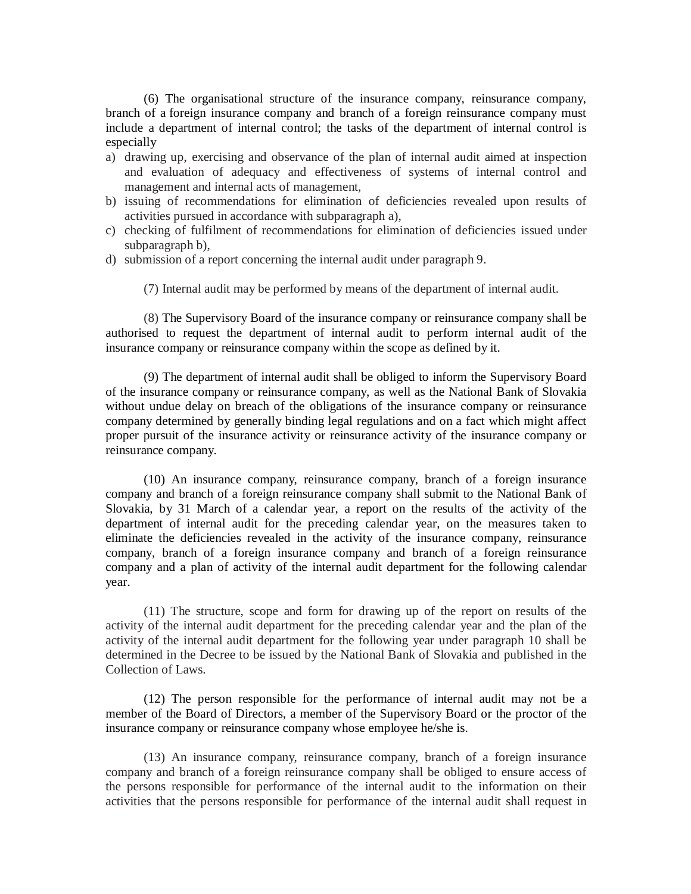(6) The organisational structure of the insurance company, reinsurance company, branch of a foreign insurance company and branch of a foreign reinsurance company must include a department of internal control; the tasks of the department of internal control is especially

- a) drawing up, exercising and observance of the plan of internal audit aimed at inspection and evaluation of adequacy and effectiveness of systems of internal control and management and internal acts of management,
- b) issuing of recommendations for elimination of deficiencies revealed upon results of activities pursued in accordance with subparagraph a),
- c) checking of fulfilment of recommendations for elimination of deficiencies issued under subparagraph b),
- d) submission of a report concerning the internal audit under paragraph 9.

(7) Internal audit may be performed by means of the department of internal audit.

(8) The Supervisory Board of the insurance company or reinsurance company shall be authorised to request the department of internal audit to perform internal audit of the insurance company or reinsurance company within the scope as defined by it.

(9) The department of internal audit shall be obliged to inform the Supervisory Board of the insurance company or reinsurance company, as well as the National Bank of Slovakia without undue delay on breach of the obligations of the insurance company or reinsurance company determined by generally binding legal regulations and on a fact which might affect proper pursuit of the insurance activity or reinsurance activity of the insurance company or reinsurance company.

(10) An insurance company, reinsurance company, branch of a foreign insurance company and branch of a foreign reinsurance company shall submit to the National Bank of Slovakia, by 31 March of a calendar year, a report on the results of the activity of the department of internal audit for the preceding calendar year, on the measures taken to eliminate the deficiencies revealed in the activity of the insurance company, reinsurance company, branch of a foreign insurance company and branch of a foreign reinsurance company and a plan of activity of the internal audit department for the following calendar year.

(11) The structure, scope and form for drawing up of the report on results of the activity of the internal audit department for the preceding calendar year and the plan of the activity of the internal audit department for the following year under paragraph 10 shall be determined in the Decree to be issued by the National Bank of Slovakia and published in the Collection of Laws.

(12) The person responsible for the performance of internal audit may not be a member of the Board of Directors, a member of the Supervisory Board or the proctor of the insurance company or reinsurance company whose employee he/she is.

(13) An insurance company, reinsurance company, branch of a foreign insurance company and branch of a foreign reinsurance company shall be obliged to ensure access of the persons responsible for performance of the internal audit to the information on their activities that the persons responsible for performance of the internal audit shall request in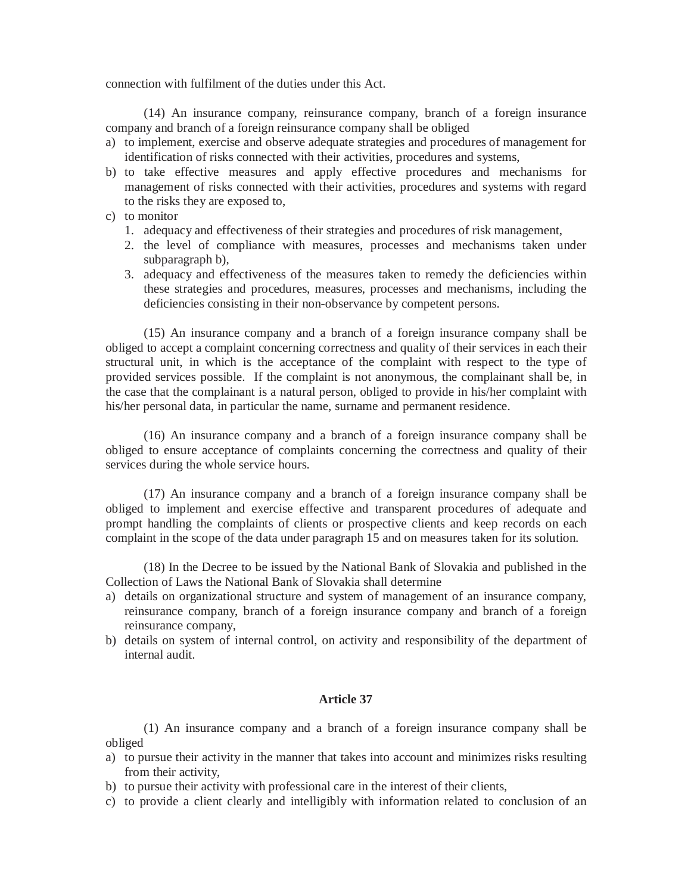connection with fulfilment of the duties under this Act.

(14) An insurance company, reinsurance company, branch of a foreign insurance company and branch of a foreign reinsurance company shall be obliged

- a) to implement, exercise and observe adequate strategies and procedures of management for identification of risks connected with their activities, procedures and systems,
- b) to take effective measures and apply effective procedures and mechanisms for management of risks connected with their activities, procedures and systems with regard to the risks they are exposed to,
- c) to monitor
	- 1. adequacy and effectiveness of their strategies and procedures of risk management,
	- 2. the level of compliance with measures, processes and mechanisms taken under subparagraph b),
	- 3. adequacy and effectiveness of the measures taken to remedy the deficiencies within these strategies and procedures, measures, processes and mechanisms, including the deficiencies consisting in their non-observance by competent persons.

(15) An insurance company and a branch of a foreign insurance company shall be obliged to accept a complaint concerning correctness and quality of their services in each their structural unit, in which is the acceptance of the complaint with respect to the type of provided services possible. If the complaint is not anonymous, the complainant shall be, in the case that the complainant is a natural person, obliged to provide in his/her complaint with his/her personal data, in particular the name, surname and permanent residence.

(16) An insurance company and a branch of a foreign insurance company shall be obliged to ensure acceptance of complaints concerning the correctness and quality of their services during the whole service hours.

(17) An insurance company and a branch of a foreign insurance company shall be obliged to implement and exercise effective and transparent procedures of adequate and prompt handling the complaints of clients or prospective clients and keep records on each complaint in the scope of the data under paragraph 15 and on measures taken for its solution.

(18) In the Decree to be issued by the National Bank of Slovakia and published in the Collection of Laws the National Bank of Slovakia shall determine

- a) details on organizational structure and system of management of an insurance company, reinsurance company, branch of a foreign insurance company and branch of a foreign reinsurance company,
- b) details on system of internal control, on activity and responsibility of the department of internal audit.

## **Article 37**

(1) An insurance company and a branch of a foreign insurance company shall be obliged

- a) to pursue their activity in the manner that takes into account and minimizes risks resulting from their activity,
- b) to pursue their activity with professional care in the interest of their clients,
- c) to provide a client clearly and intelligibly with information related to conclusion of an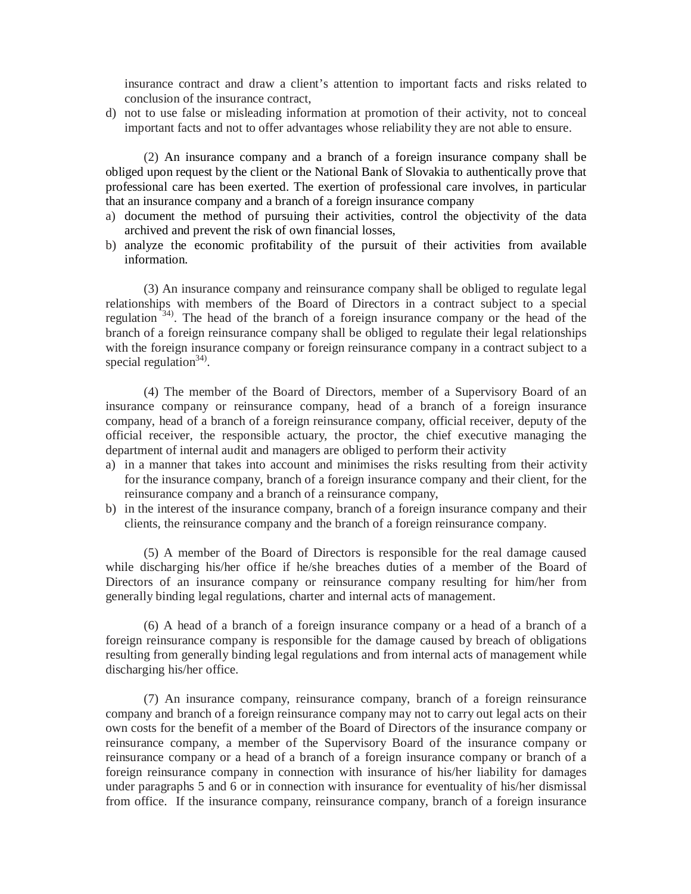insurance contract and draw a client's attention to important facts and risks related to conclusion of the insurance contract,

d) not to use false or misleading information at promotion of their activity, not to conceal important facts and not to offer advantages whose reliability they are not able to ensure.

(2) An insurance company and a branch of a foreign insurance company shall be obliged upon request by the client or the National Bank of Slovakia to authentically prove that professional care has been exerted. The exertion of professional care involves, in particular that an insurance company and a branch of a foreign insurance company

- a) document the method of pursuing their activities, control the objectivity of the data archived and prevent the risk of own financial losses,
- b) analyze the economic profitability of the pursuit of their activities from available information.

(3) An insurance company and reinsurance company shall be obliged to regulate legal relationships with members of the Board of Directors in a contract subject to a special regulation<sup>34)</sup>. The head of the branch of a foreign insurance company or the head of the branch of a foreign reinsurance company shall be obliged to regulate their legal relationships with the foreign insurance company or foreign reinsurance company in a contract subject to a special regulation $34$ .

(4) The member of the Board of Directors, member of a Supervisory Board of an insurance company or reinsurance company, head of a branch of a foreign insurance company, head of a branch of a foreign reinsurance company, official receiver, deputy of the official receiver, the responsible actuary, the proctor, the chief executive managing the department of internal audit and managers are obliged to perform their activity

- a) in a manner that takes into account and minimises the risks resulting from their activity for the insurance company, branch of a foreign insurance company and their client, for the reinsurance company and a branch of a reinsurance company,
- b) in the interest of the insurance company, branch of a foreign insurance company and their clients, the reinsurance company and the branch of a foreign reinsurance company.

(5) A member of the Board of Directors is responsible for the real damage caused while discharging his/her office if he/she breaches duties of a member of the Board of Directors of an insurance company or reinsurance company resulting for him/her from generally binding legal regulations, charter and internal acts of management.

(6) A head of a branch of a foreign insurance company or a head of a branch of a foreign reinsurance company is responsible for the damage caused by breach of obligations resulting from generally binding legal regulations and from internal acts of management while discharging his/her office.

(7) An insurance company, reinsurance company, branch of a foreign reinsurance company and branch of a foreign reinsurance company may not to carry out legal acts on their own costs for the benefit of a member of the Board of Directors of the insurance company or reinsurance company, a member of the Supervisory Board of the insurance company or reinsurance company or a head of a branch of a foreign insurance company or branch of a foreign reinsurance company in connection with insurance of his/her liability for damages under paragraphs 5 and 6 or in connection with insurance for eventuality of his/her dismissal from office. If the insurance company, reinsurance company, branch of a foreign insurance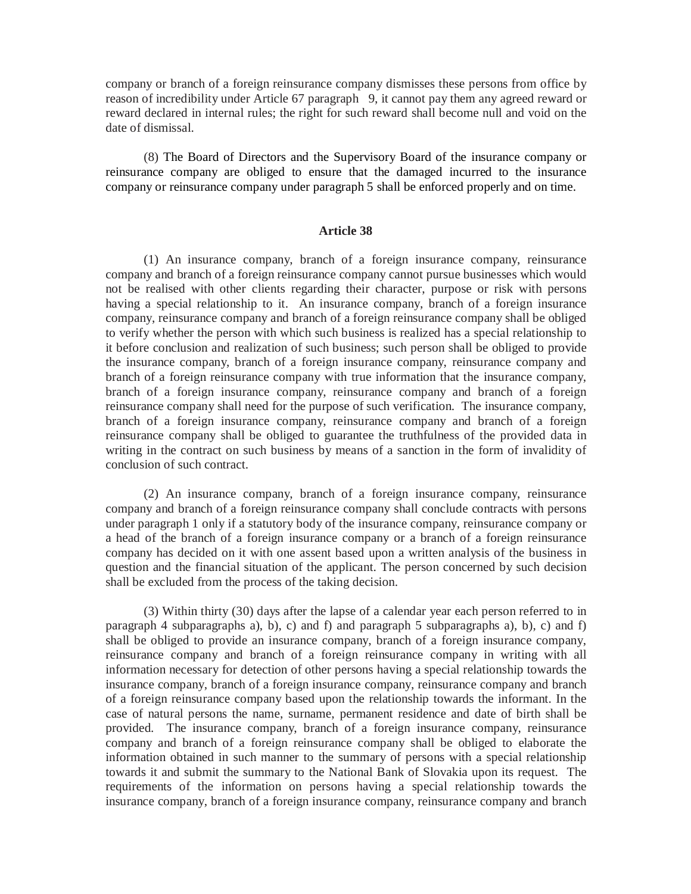company or branch of a foreign reinsurance company dismisses these persons from office by reason of incredibility under Article 67 paragraph 9, it cannot pay them any agreed reward or reward declared in internal rules; the right for such reward shall become null and void on the date of dismissal.

(8) The Board of Directors and the Supervisory Board of the insurance company or reinsurance company are obliged to ensure that the damaged incurred to the insurance company or reinsurance company under paragraph 5 shall be enforced properly and on time.

### **Article 38**

(1) An insurance company, branch of a foreign insurance company, reinsurance company and branch of a foreign reinsurance company cannot pursue businesses which would not be realised with other clients regarding their character, purpose or risk with persons having a special relationship to it. An insurance company, branch of a foreign insurance company, reinsurance company and branch of a foreign reinsurance company shall be obliged to verify whether the person with which such business is realized has a special relationship to it before conclusion and realization of such business; such person shall be obliged to provide the insurance company, branch of a foreign insurance company, reinsurance company and branch of a foreign reinsurance company with true information that the insurance company, branch of a foreign insurance company, reinsurance company and branch of a foreign reinsurance company shall need for the purpose of such verification. The insurance company, branch of a foreign insurance company, reinsurance company and branch of a foreign reinsurance company shall be obliged to guarantee the truthfulness of the provided data in writing in the contract on such business by means of a sanction in the form of invalidity of conclusion of such contract.

(2) An insurance company, branch of a foreign insurance company, reinsurance company and branch of a foreign reinsurance company shall conclude contracts with persons under paragraph 1 only if a statutory body of the insurance company, reinsurance company or a head of the branch of a foreign insurance company or a branch of a foreign reinsurance company has decided on it with one assent based upon a written analysis of the business in question and the financial situation of the applicant. The person concerned by such decision shall be excluded from the process of the taking decision.

(3) Within thirty (30) days after the lapse of a calendar year each person referred to in paragraph 4 subparagraphs a), b), c) and f) and paragraph 5 subparagraphs a), b), c) and f) shall be obliged to provide an insurance company, branch of a foreign insurance company, reinsurance company and branch of a foreign reinsurance company in writing with all information necessary for detection of other persons having a special relationship towards the insurance company, branch of a foreign insurance company, reinsurance company and branch of a foreign reinsurance company based upon the relationship towards the informant. In the case of natural persons the name, surname, permanent residence and date of birth shall be provided. The insurance company, branch of a foreign insurance company, reinsurance company and branch of a foreign reinsurance company shall be obliged to elaborate the information obtained in such manner to the summary of persons with a special relationship towards it and submit the summary to the National Bank of Slovakia upon its request. The requirements of the information on persons having a special relationship towards the insurance company, branch of a foreign insurance company, reinsurance company and branch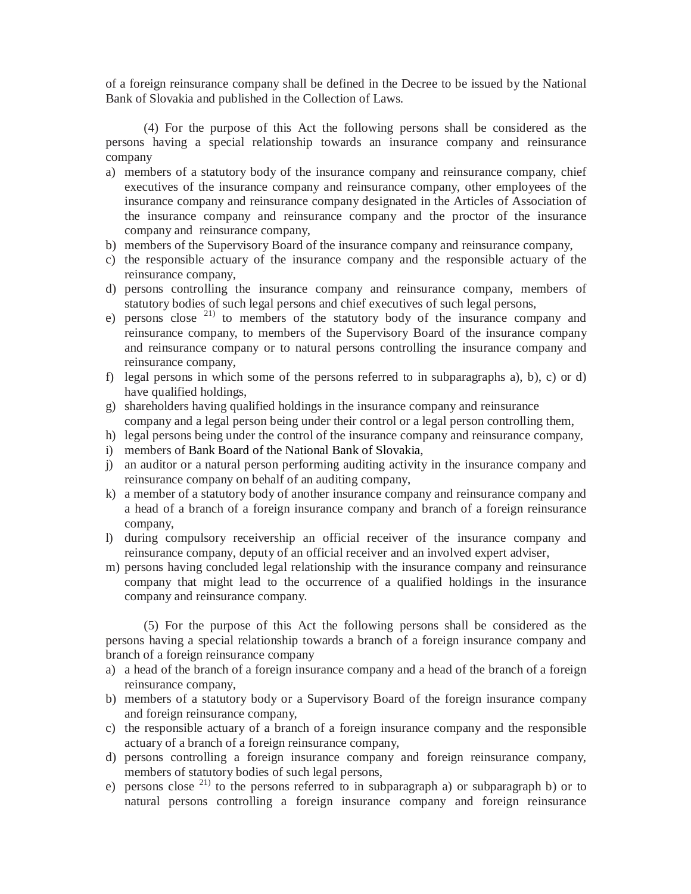of a foreign reinsurance company shall be defined in the Decree to be issued by the National Bank of Slovakia and published in the Collection of Laws.

(4) For the purpose of this Act the following persons shall be considered as the persons having a special relationship towards an insurance company and reinsurance company

- a) members of a statutory body of the insurance company and reinsurance company, chief executives of the insurance company and reinsurance company, other employees of the insurance company and reinsurance company designated in the Articles of Association of the insurance company and reinsurance company and the proctor of the insurance company and reinsurance company,
- b) members of the Supervisory Board of the insurance company and reinsurance company,
- c) the responsible actuary of the insurance company and the responsible actuary of the reinsurance company,
- d) persons controlling the insurance company and reinsurance company, members of statutory bodies of such legal persons and chief executives of such legal persons,
- e) persons close <sup>21)</sup> to members of the statutory body of the insurance company and reinsurance company, to members of the Supervisory Board of the insurance company and reinsurance company or to natural persons controlling the insurance company and reinsurance company,
- f) legal persons in which some of the persons referred to in subparagraphs a), b), c) or d) have qualified holdings,
- g) shareholders having qualified holdings in the insurance company and reinsurance company and a legal person being under their control or a legal person controlling them,
- h) legal persons being under the control of the insurance company and reinsurance company,
- i) members of Bank Board of the National Bank of Slovakia,
- j) an auditor or a natural person performing auditing activity in the insurance company and reinsurance company on behalf of an auditing company,
- k) a member of a statutory body of another insurance company and reinsurance company and a head of a branch of a foreign insurance company and branch of a foreign reinsurance company,
- l) during compulsory receivership an official receiver of the insurance company and reinsurance company, deputy of an official receiver and an involved expert adviser,
- m) persons having concluded legal relationship with the insurance company and reinsurance company that might lead to the occurrence of a qualified holdings in the insurance company and reinsurance company.

(5) For the purpose of this Act the following persons shall be considered as the persons having a special relationship towards a branch of a foreign insurance company and branch of a foreign reinsurance company

- a) a head of the branch of a foreign insurance company and a head of the branch of a foreign reinsurance company,
- b) members of a statutory body or a Supervisory Board of the foreign insurance company and foreign reinsurance company,
- c) the responsible actuary of a branch of a foreign insurance company and the responsible actuary of a branch of a foreign reinsurance company,
- d) persons controlling a foreign insurance company and foreign reinsurance company, members of statutory bodies of such legal persons,
- e) persons close  $^{21}$  to the persons referred to in subparagraph a) or subparagraph b) or to natural persons controlling a foreign insurance company and foreign reinsurance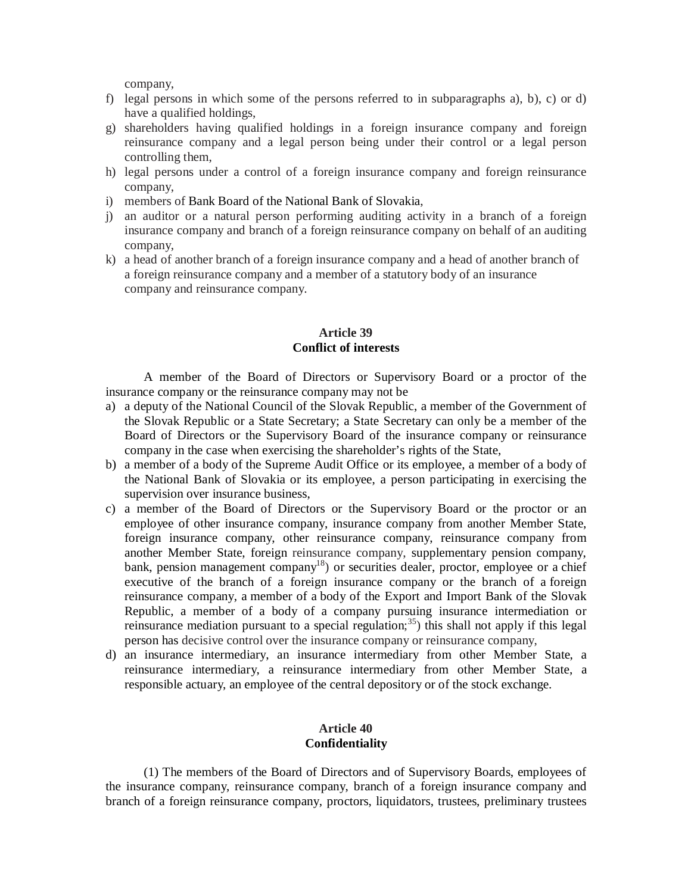company,

- f) legal persons in which some of the persons referred to in subparagraphs a), b), c) or d) have a qualified holdings,
- g) shareholders having qualified holdings in a foreign insurance company and foreign reinsurance company and a legal person being under their control or a legal person controlling them,
- h) legal persons under a control of a foreign insurance company and foreign reinsurance company,
- i) members of Bank Board of the National Bank of Slovakia,
- j) an auditor or a natural person performing auditing activity in a branch of a foreign insurance company and branch of a foreign reinsurance company on behalf of an auditing company,
- k) a head of another branch of a foreign insurance company and a head of another branch of a foreign reinsurance company and a member of a statutory body of an insurance company and reinsurance company.

# **Article 39 Conflict of interests**

A member of the Board of Directors or Supervisory Board or a proctor of the insurance company or the reinsurance company may not be

- a) a deputy of the National Council of the Slovak Republic, a member of the Government of the Slovak Republic or a State Secretary; a State Secretary can only be a member of the Board of Directors or the Supervisory Board of the insurance company or reinsurance company in the case when exercising the shareholder's rights of the State,
- b) a member of a body of the Supreme Audit Office or its employee, a member of a body of the National Bank of Slovakia or its employee, a person participating in exercising the supervision over insurance business,
- c) a member of the Board of Directors or the Supervisory Board or the proctor or an employee of other insurance company, insurance company from another Member State, foreign insurance company, other reinsurance company, reinsurance company from another Member State, foreign reinsurance company, supplementary pension company, bank, pension management company<sup>18</sup>) or securities dealer, proctor, employee or a chief executive of the branch of a foreign insurance company or the branch of a foreign reinsurance company, a member of a body of the Export and Import Bank of the Slovak Republic, a member of a body of a company pursuing insurance intermediation or reinsurance mediation pursuant to a special regulation;<sup>35</sup>) this shall not apply if this legal person has decisive control over the insurance company or reinsurance company,
- d) an insurance intermediary, an insurance intermediary from other Member State, a reinsurance intermediary, a reinsurance intermediary from other Member State, a responsible actuary, an employee of the central depository or of the stock exchange.

# **Article 40 Confidentiality**

(1) The members of the Board of Directors and of Supervisory Boards, employees of the insurance company, reinsurance company, branch of a foreign insurance company and branch of a foreign reinsurance company, proctors, liquidators, trustees, preliminary trustees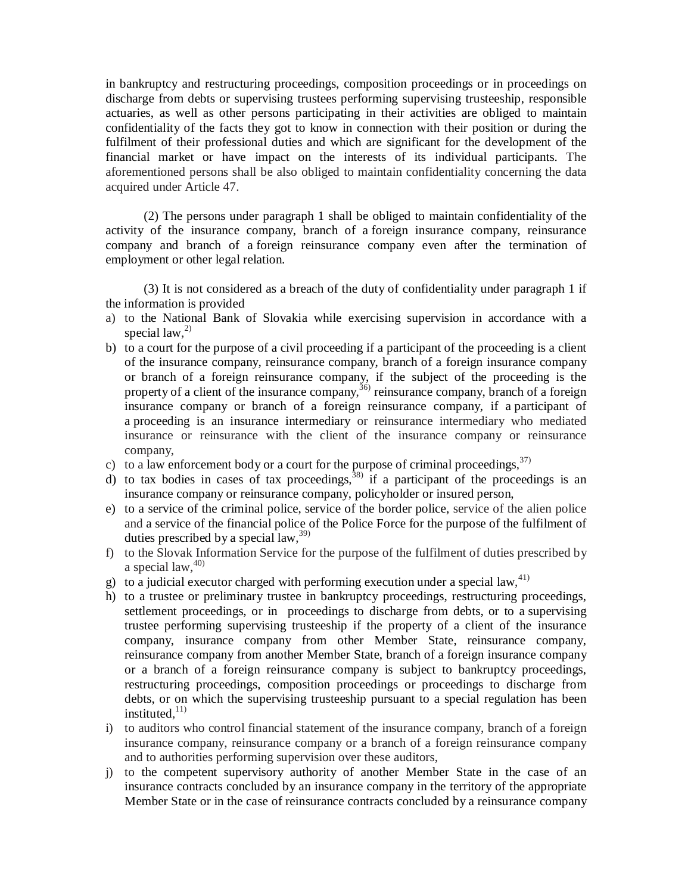in bankruptcy and restructuring proceedings, composition proceedings or in proceedings on discharge from debts or supervising trustees performing supervising trusteeship, responsible actuaries, as well as other persons participating in their activities are obliged to maintain confidentiality of the facts they got to know in connection with their position or during the fulfilment of their professional duties and which are significant for the development of the financial market or have impact on the interests of its individual participants. The aforementioned persons shall be also obliged to maintain confidentiality concerning the data acquired under Article 47.

(2) The persons under paragraph 1 shall be obliged to maintain confidentiality of the activity of the insurance company, branch of a foreign insurance company, reinsurance company and branch of a foreign reinsurance company even after the termination of employment or other legal relation.

(3) It is not considered as a breach of the duty of confidentiality under paragraph 1 if the information is provided

- a) to the National Bank of Slovakia while exercising supervision in accordance with a special law, 2)
- b) to a court for the purpose of a civil proceeding if a participant of the proceeding is a client of the insurance company, reinsurance company, branch of a foreign insurance company or branch of a foreign reinsurance company, if the subject of the proceeding is the property of a client of the insurance company,  $36$  reinsurance company, branch of a foreign insurance company or branch of a foreign reinsurance company, if a participant of a proceeding is an insurance intermediary or reinsurance intermediary who mediated insurance or reinsurance with the client of the insurance company or reinsurance company,
- c) to a law enforcement body or a court for the purpose of criminal proceedings,  $37$
- d) to tax bodies in cases of tax proceedings,  $38$  if a participant of the proceedings is an insurance company or reinsurance company, policyholder or insured person,
- e) to a service of the criminal police, service of the border police, service of the alien police and a service of the financial police of the Police Force for the purpose of the fulfilment of duties prescribed by a special law,  $39$ )
- f) to the Slovak Information Service for the purpose of the fulfilment of duties prescribed by a special law,  $40$ )
- g) to a judicial executor charged with performing execution under a special law,  $41$ )
- h) to a trustee or preliminary trustee in bankruptcy proceedings, restructuring proceedings, settlement proceedings, or in proceedings to discharge from debts, or to a supervising trustee performing supervising trusteeship if the property of a client of the insurance company, insurance company from other Member State, reinsurance company, reinsurance company from another Member State, branch of a foreign insurance company or a branch of a foreign reinsurance company is subject to bankruptcy proceedings, restructuring proceedings, composition proceedings or proceedings to discharge from debts, or on which the supervising trusteeship pursuant to a special regulation has been instituted, $11)$
- i) to auditors who control financial statement of the insurance company, branch of a foreign insurance company, reinsurance company or a branch of a foreign reinsurance company and to authorities performing supervision over these auditors,
- j) to the competent supervisory authority of another Member State in the case of an insurance contracts concluded by an insurance company in the territory of the appropriate Member State or in the case of reinsurance contracts concluded by a reinsurance company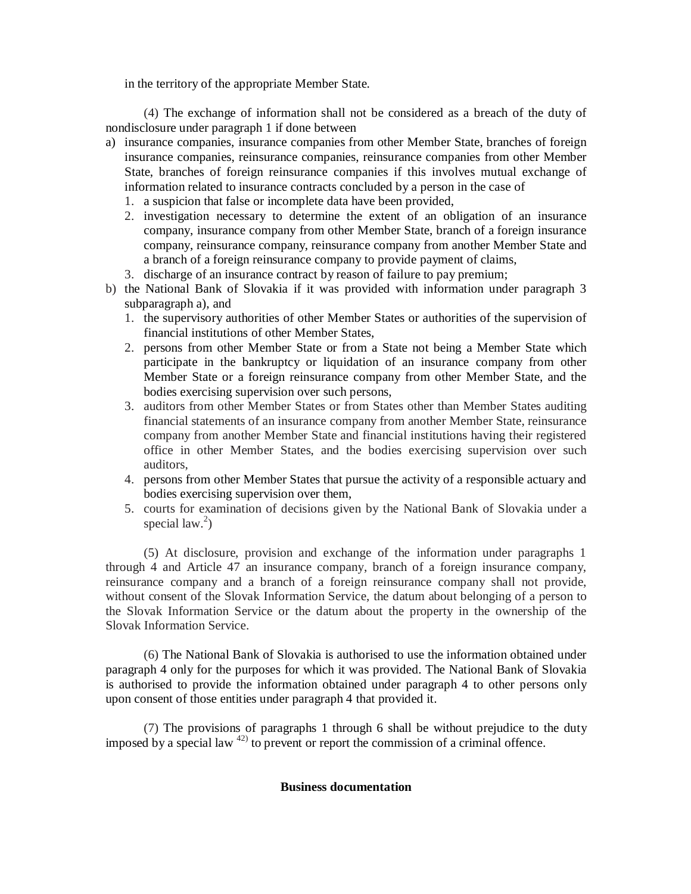in the territory of the appropriate Member State.

(4) The exchange of information shall not be considered as a breach of the duty of nondisclosure under paragraph 1 if done between

- a) insurance companies, insurance companies from other Member State, branches of foreign insurance companies, reinsurance companies, reinsurance companies from other Member State, branches of foreign reinsurance companies if this involves mutual exchange of information related to insurance contracts concluded by a person in the case of
	- 1. a suspicion that false or incomplete data have been provided,
	- 2. investigation necessary to determine the extent of an obligation of an insurance company, insurance company from other Member State, branch of a foreign insurance company, reinsurance company, reinsurance company from another Member State and a branch of a foreign reinsurance company to provide payment of claims,
	- 3. discharge of an insurance contract by reason of failure to pay premium;
- b) the National Bank of Slovakia if it was provided with information under paragraph 3 subparagraph a), and
	- 1. the supervisory authorities of other Member States or authorities of the supervision of financial institutions of other Member States,
	- 2. persons from other Member State or from a State not being a Member State which participate in the bankruptcy or liquidation of an insurance company from other Member State or a foreign reinsurance company from other Member State, and the bodies exercising supervision over such persons,
	- 3. auditors from other Member States or from States other than Member States auditing financial statements of an insurance company from another Member State, reinsurance company from another Member State and financial institutions having their registered office in other Member States, and the bodies exercising supervision over such auditors,
	- 4. persons from other Member States that pursue the activity of a responsible actuary and bodies exercising supervision over them,
	- 5. courts for examination of decisions given by the National Bank of Slovakia under a special  $law.<sup>2</sup>$ )

(5) At disclosure, provision and exchange of the information under paragraphs 1 through 4 and Article 47 an insurance company, branch of a foreign insurance company, reinsurance company and a branch of a foreign reinsurance company shall not provide, without consent of the Slovak Information Service, the datum about belonging of a person to the Slovak Information Service or the datum about the property in the ownership of the Slovak Information Service.

(6) The National Bank of Slovakia is authorised to use the information obtained under paragraph 4 only for the purposes for which it was provided. The National Bank of Slovakia is authorised to provide the information obtained under paragraph 4 to other persons only upon consent of those entities under paragraph 4 that provided it.

(7) The provisions of paragraphs 1 through 6 shall be without prejudice to the duty imposed by a special law  $42$ ) to prevent or report the commission of a criminal offence.

### **Business documentation**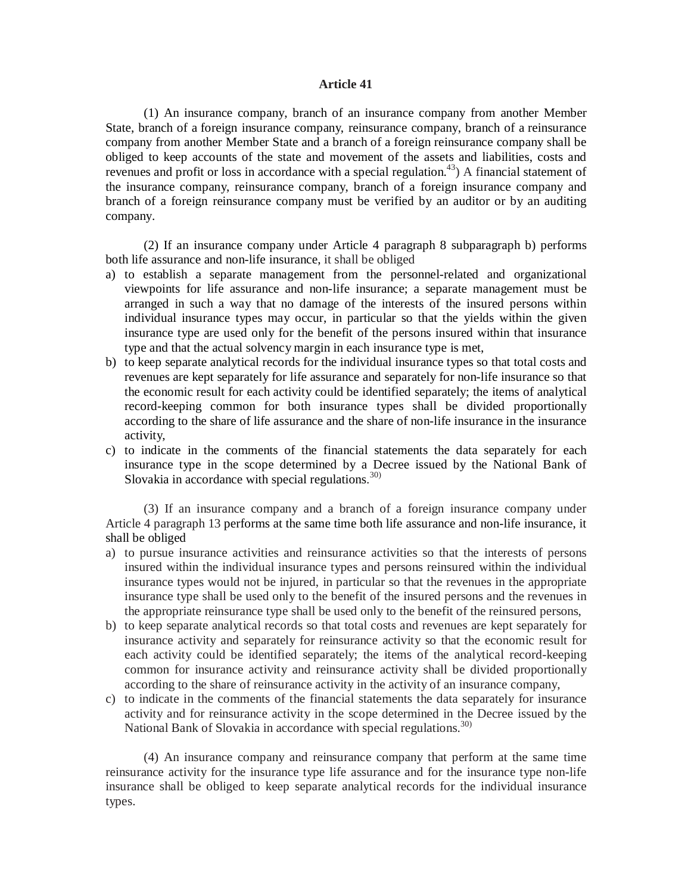### **Article 41**

(1) An insurance company, branch of an insurance company from another Member State, branch of a foreign insurance company, reinsurance company, branch of a reinsurance company from another Member State and a branch of a foreign reinsurance company shall be obliged to keep accounts of the state and movement of the assets and liabilities, costs and revenues and profit or loss in accordance with a special regulation.<sup>43</sup>) A financial statement of the insurance company, reinsurance company, branch of a foreign insurance company and branch of a foreign reinsurance company must be verified by an auditor or by an auditing company.

(2) If an insurance company under Article 4 paragraph 8 subparagraph b) performs both life assurance and non-life insurance, it shall be obliged

- a) to establish a separate management from the personnel-related and organizational viewpoints for life assurance and non-life insurance; a separate management must be arranged in such a way that no damage of the interests of the insured persons within individual insurance types may occur, in particular so that the yields within the given insurance type are used only for the benefit of the persons insured within that insurance type and that the actual solvency margin in each insurance type is met,
- b) to keep separate analytical records for the individual insurance types so that total costs and revenues are kept separately for life assurance and separately for non-life insurance so that the economic result for each activity could be identified separately; the items of analytical record-keeping common for both insurance types shall be divided proportionally according to the share of life assurance and the share of non-life insurance in the insurance activity,
- c) to indicate in the comments of the financial statements the data separately for each insurance type in the scope determined by a Decree issued by the National Bank of Slovakia in accordance with special regulations.<sup>30)</sup>

(3) If an insurance company and a branch of a foreign insurance company under Article 4 paragraph 13 performs at the same time both life assurance and non-life insurance, it shall be obliged

- a) to pursue insurance activities and reinsurance activities so that the interests of persons insured within the individual insurance types and persons reinsured within the individual insurance types would not be injured, in particular so that the revenues in the appropriate insurance type shall be used only to the benefit of the insured persons and the revenues in the appropriate reinsurance type shall be used only to the benefit of the reinsured persons,
- b) to keep separate analytical records so that total costs and revenues are kept separately for insurance activity and separately for reinsurance activity so that the economic result for each activity could be identified separately; the items of the analytical record-keeping common for insurance activity and reinsurance activity shall be divided proportionally according to the share of reinsurance activity in the activity of an insurance company,
- c) to indicate in the comments of the financial statements the data separately for insurance activity and for reinsurance activity in the scope determined in the Decree issued by the National Bank of Slovakia in accordance with special regulations.<sup>30)</sup>

(4) An insurance company and reinsurance company that perform at the same time reinsurance activity for the insurance type life assurance and for the insurance type non-life insurance shall be obliged to keep separate analytical records for the individual insurance types.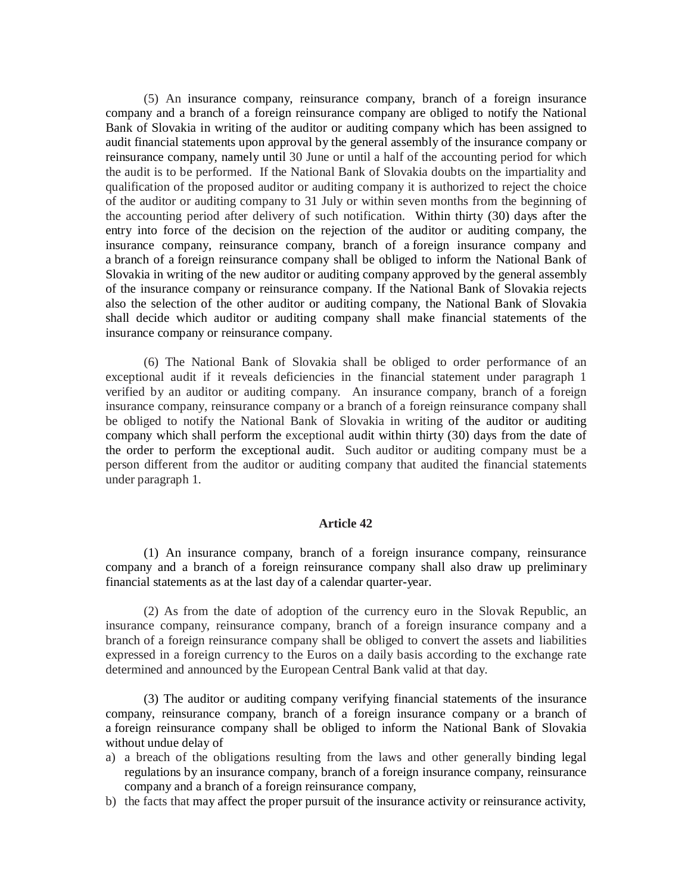(5) An insurance company, reinsurance company, branch of a foreign insurance company and a branch of a foreign reinsurance company are obliged to notify the National Bank of Slovakia in writing of the auditor or auditing company which has been assigned to audit financial statements upon approval by the general assembly of the insurance company or reinsurance company, namely until 30 June or until a half of the accounting period for which the audit is to be performed. If the National Bank of Slovakia doubts on the impartiality and qualification of the proposed auditor or auditing company it is authorized to reject the choice of the auditor or auditing company to 31 July or within seven months from the beginning of the accounting period after delivery of such notification. Within thirty (30) days after the entry into force of the decision on the rejection of the auditor or auditing company, the insurance company, reinsurance company, branch of a foreign insurance company and a branch of a foreign reinsurance company shall be obliged to inform the National Bank of Slovakia in writing of the new auditor or auditing company approved by the general assembly of the insurance company or reinsurance company. If the National Bank of Slovakia rejects also the selection of the other auditor or auditing company, the National Bank of Slovakia shall decide which auditor or auditing company shall make financial statements of the insurance company or reinsurance company.

(6) The National Bank of Slovakia shall be obliged to order performance of an exceptional audit if it reveals deficiencies in the financial statement under paragraph 1 verified by an auditor or auditing company. An insurance company, branch of a foreign insurance company, reinsurance company or a branch of a foreign reinsurance company shall be obliged to notify the National Bank of Slovakia in writing of the auditor or auditing company which shall perform the exceptional audit within thirty (30) days from the date of the order to perform the exceptional audit. Such auditor or auditing company must be a person different from the auditor or auditing company that audited the financial statements under paragraph 1.

## **Article 42**

(1) An insurance company, branch of a foreign insurance company, reinsurance company and a branch of a foreign reinsurance company shall also draw up preliminary financial statements as at the last day of a calendar quarter-year.

(2) As from the date of adoption of the currency euro in the Slovak Republic, an insurance company, reinsurance company, branch of a foreign insurance company and a branch of a foreign reinsurance company shall be obliged to convert the assets and liabilities expressed in a foreign currency to the Euros on a daily basis according to the exchange rate determined and announced by the European Central Bank valid at that day.

(3) The auditor or auditing company verifying financial statements of the insurance company, reinsurance company, branch of a foreign insurance company or a branch of a foreign reinsurance company shall be obliged to inform the National Bank of Slovakia without undue delay of

- a) a breach of the obligations resulting from the laws and other generally binding legal regulations by an insurance company, branch of a foreign insurance company, reinsurance company and a branch of a foreign reinsurance company,
- b) the facts that may affect the proper pursuit of the insurance activity or reinsurance activity,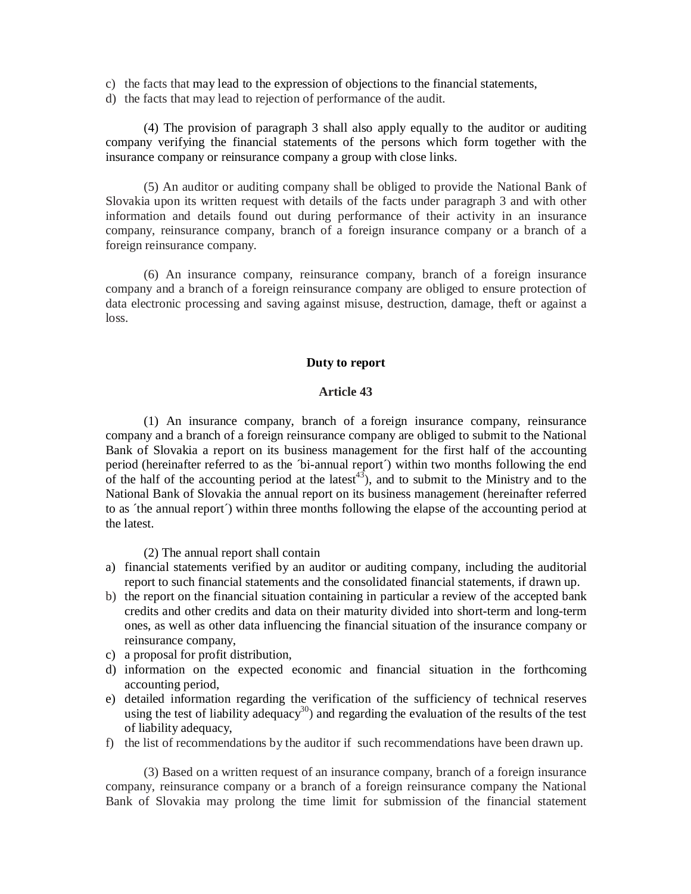- c) the facts that may lead to the expression of objections to the financial statements,
- d) the facts that may lead to rejection of performance of the audit.

(4) The provision of paragraph 3 shall also apply equally to the auditor or auditing company verifying the financial statements of the persons which form together with the insurance company or reinsurance company a group with close links.

(5) An auditor or auditing company shall be obliged to provide the National Bank of Slovakia upon its written request with details of the facts under paragraph 3 and with other information and details found out during performance of their activity in an insurance company, reinsurance company, branch of a foreign insurance company or a branch of a foreign reinsurance company.

(6) An insurance company, reinsurance company, branch of a foreign insurance company and a branch of a foreign reinsurance company are obliged to ensure protection of data electronic processing and saving against misuse, destruction, damage, theft or against a loss.

### **Duty to report**

## **Article 43**

(1) An insurance company, branch of a foreign insurance company, reinsurance company and a branch of a foreign reinsurance company are obliged to submit to the National Bank of Slovakia a report on its business management for the first half of the accounting period (hereinafter referred to as the ´bi-annual report´) within two months following the end of the half of the accounting period at the latest<sup>43</sup>), and to submit to the Ministry and to the National Bank of Slovakia the annual report on its business management (hereinafter referred to as ´the annual report´) within three months following the elapse of the accounting period at the latest.

(2) The annual report shall contain

- a) financial statements verified by an auditor or auditing company, including the auditorial report to such financial statements and the consolidated financial statements, if drawn up.
- b) the report on the financial situation containing in particular a review of the accepted bank credits and other credits and data on their maturity divided into short-term and long-term ones, as well as other data influencing the financial situation of the insurance company or reinsurance company,
- c) a proposal for profit distribution,
- d) information on the expected economic and financial situation in the forthcoming accounting period,
- e) detailed information regarding the verification of the sufficiency of technical reserves using the test of liability adequacy<sup>30</sup>) and regarding the evaluation of the results of the test of liability adequacy,
- f) the list of recommendations by the auditor if such recommendations have been drawn up.

(3) Based on a written request of an insurance company, branch of a foreign insurance company, reinsurance company or a branch of a foreign reinsurance company the National Bank of Slovakia may prolong the time limit for submission of the financial statement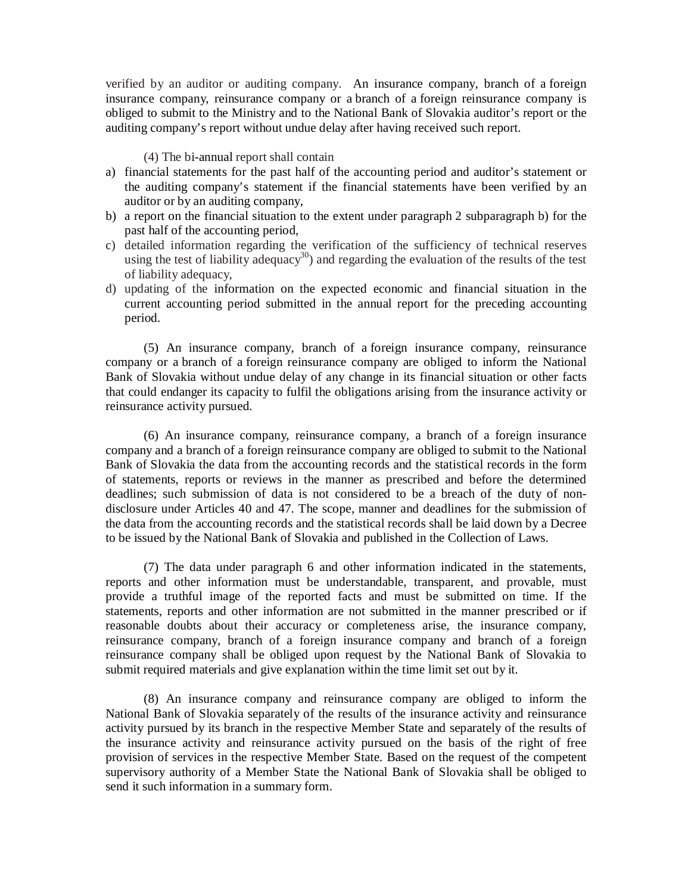verified by an auditor or auditing company. An insurance company, branch of a foreign insurance company, reinsurance company or a branch of a foreign reinsurance company is obliged to submit to the Ministry and to the National Bank of Slovakia auditor's report or the auditing company's report without undue delay after having received such report.

### (4) The bi-annual report shall contain

- a) financial statements for the past half of the accounting period and auditor's statement or the auditing company's statement if the financial statements have been verified by an auditor or by an auditing company,
- b) a report on the financial situation to the extent under paragraph 2 subparagraph b) for the past half of the accounting period,
- c) detailed information regarding the verification of the sufficiency of technical reserves using the test of liability adequacy<sup>30</sup>) and regarding the evaluation of the results of the test of liability adequacy,
- d) updating of the information on the expected economic and financial situation in the current accounting period submitted in the annual report for the preceding accounting period.

(5) An insurance company, branch of a foreign insurance company, reinsurance company or a branch of a foreign reinsurance company are obliged to inform the National Bank of Slovakia without undue delay of any change in its financial situation or other facts that could endanger its capacity to fulfil the obligations arising from the insurance activity or reinsurance activity pursued.

(6) An insurance company, reinsurance company, a branch of a foreign insurance company and a branch of a foreign reinsurance company are obliged to submit to the National Bank of Slovakia the data from the accounting records and the statistical records in the form of statements, reports or reviews in the manner as prescribed and before the determined deadlines; such submission of data is not considered to be a breach of the duty of nondisclosure under Articles 40 and 47. The scope, manner and deadlines for the submission of the data from the accounting records and the statistical records shall be laid down by a Decree to be issued by the National Bank of Slovakia and published in the Collection of Laws.

(7) The data under paragraph 6 and other information indicated in the statements, reports and other information must be understandable, transparent, and provable, must provide a truthful image of the reported facts and must be submitted on time. If the statements, reports and other information are not submitted in the manner prescribed or if reasonable doubts about their accuracy or completeness arise, the insurance company, reinsurance company, branch of a foreign insurance company and branch of a foreign reinsurance company shall be obliged upon request by the National Bank of Slovakia to submit required materials and give explanation within the time limit set out by it.

(8) An insurance company and reinsurance company are obliged to inform the National Bank of Slovakia separately of the results of the insurance activity and reinsurance activity pursued by its branch in the respective Member State and separately of the results of the insurance activity and reinsurance activity pursued on the basis of the right of free provision of services in the respective Member State. Based on the request of the competent supervisory authority of a Member State the National Bank of Slovakia shall be obliged to send it such information in a summary form.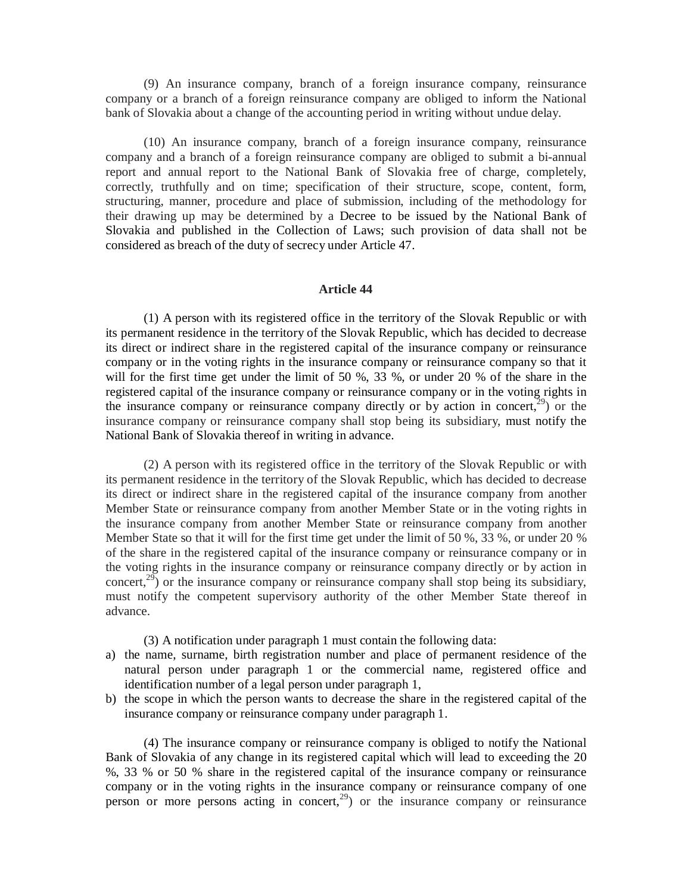(9) An insurance company, branch of a foreign insurance company, reinsurance company or a branch of a foreign reinsurance company are obliged to inform the National bank of Slovakia about a change of the accounting period in writing without undue delay.

(10) An insurance company, branch of a foreign insurance company, reinsurance company and a branch of a foreign reinsurance company are obliged to submit a bi-annual report and annual report to the National Bank of Slovakia free of charge, completely, correctly, truthfully and on time; specification of their structure, scope, content, form, structuring, manner, procedure and place of submission, including of the methodology for their drawing up may be determined by a Decree to be issued by the National Bank of Slovakia and published in the Collection of Laws; such provision of data shall not be considered as breach of the duty of secrecy under Article 47.

### **Article 44**

(1) A person with its registered office in the territory of the Slovak Republic or with its permanent residence in the territory of the Slovak Republic, which has decided to decrease its direct or indirect share in the registered capital of the insurance company or reinsurance company or in the voting rights in the insurance company or reinsurance company so that it will for the first time get under the limit of 50 %, 33 %, or under 20 % of the share in the registered capital of the insurance company or reinsurance company or in the voting rights in the insurance company or reinsurance company directly or by action in concert,  $29$ ) or the insurance company or reinsurance company shall stop being its subsidiary, must notify the National Bank of Slovakia thereof in writing in advance.

(2) A person with its registered office in the territory of the Slovak Republic or with its permanent residence in the territory of the Slovak Republic, which has decided to decrease its direct or indirect share in the registered capital of the insurance company from another Member State or reinsurance company from another Member State or in the voting rights in the insurance company from another Member State or reinsurance company from another Member State so that it will for the first time get under the limit of 50 %, 33 %, or under 20 % of the share in the registered capital of the insurance company or reinsurance company or in the voting rights in the insurance company or reinsurance company directly or by action in concert,<sup>29</sup>) or the insurance company or reinsurance company shall stop being its subsidiary, must notify the competent supervisory authority of the other Member State thereof in advance.

(3) A notification under paragraph 1 must contain the following data:

- a) the name, surname, birth registration number and place of permanent residence of the natural person under paragraph 1 or the commercial name, registered office and identification number of a legal person under paragraph 1,
- b) the scope in which the person wants to decrease the share in the registered capital of the insurance company or reinsurance company under paragraph 1.

(4) The insurance company or reinsurance company is obliged to notify the National Bank of Slovakia of any change in its registered capital which will lead to exceeding the 20 %, 33 % or 50 % share in the registered capital of the insurance company or reinsurance company or in the voting rights in the insurance company or reinsurance company of one person or more persons acting in concert,  $29$  or the insurance company or reinsurance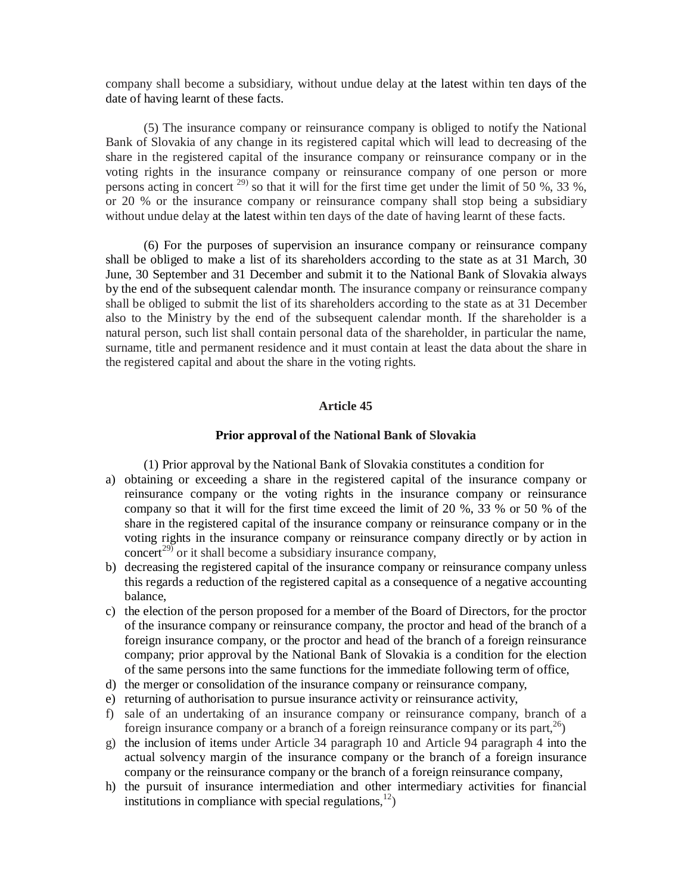company shall become a subsidiary, without undue delay at the latest within ten days of the date of having learnt of these facts.

(5) The insurance company or reinsurance company is obliged to notify the National Bank of Slovakia of any change in its registered capital which will lead to decreasing of the share in the registered capital of the insurance company or reinsurance company or in the voting rights in the insurance company or reinsurance company of one person or more persons acting in concert  $^{29}$  so that it will for the first time get under the limit of 50 %, 33 %, or 20 % or the insurance company or reinsurance company shall stop being a subsidiary without undue delay at the latest within ten days of the date of having learnt of these facts.

(6) For the purposes of supervision an insurance company or reinsurance company shall be obliged to make a list of its shareholders according to the state as at 31 March, 30 June, 30 September and 31 December and submit it to the National Bank of Slovakia always by the end of the subsequent calendar month. The insurance company or reinsurance company shall be obliged to submit the list of its shareholders according to the state as at 31 December also to the Ministry by the end of the subsequent calendar month. If the shareholder is a natural person, such list shall contain personal data of the shareholder, in particular the name, surname, title and permanent residence and it must contain at least the data about the share in the registered capital and about the share in the voting rights.

# **Article 45**

#### **Prior approval of the National Bank of Slovakia**

(1) Prior approval by the National Bank of Slovakia constitutes a condition for

- a) obtaining or exceeding a share in the registered capital of the insurance company or reinsurance company or the voting rights in the insurance company or reinsurance company so that it will for the first time exceed the limit of 20 %, 33 % or 50 % of the share in the registered capital of the insurance company or reinsurance company or in the voting rights in the insurance company or reinsurance company directly or by action in concert<sup>29)</sup> or it shall become a subsidiary insurance company,
- b) decreasing the registered capital of the insurance company or reinsurance company unless this regards a reduction of the registered capital as a consequence of a negative accounting balance,
- c) the election of the person proposed for a member of the Board of Directors, for the proctor of the insurance company or reinsurance company, the proctor and head of the branch of a foreign insurance company, or the proctor and head of the branch of a foreign reinsurance company; prior approval by the National Bank of Slovakia is a condition for the election of the same persons into the same functions for the immediate following term of office,
- d) the merger or consolidation of the insurance company or reinsurance company,
- e) returning of authorisation to pursue insurance activity or reinsurance activity,
- f) sale of an undertaking of an insurance company or reinsurance company, branch of a foreign insurance company or a branch of a foreign reinsurance company or its part,  $^{26}$ )
- g) the inclusion of items under Article 34 paragraph 10 and Article 94 paragraph 4 into the actual solvency margin of the insurance company or the branch of a foreign insurance company or the reinsurance company or the branch of a foreign reinsurance company,
- h) the pursuit of insurance intermediation and other intermediary activities for financial institutions in compliance with special regulations,  $12$ )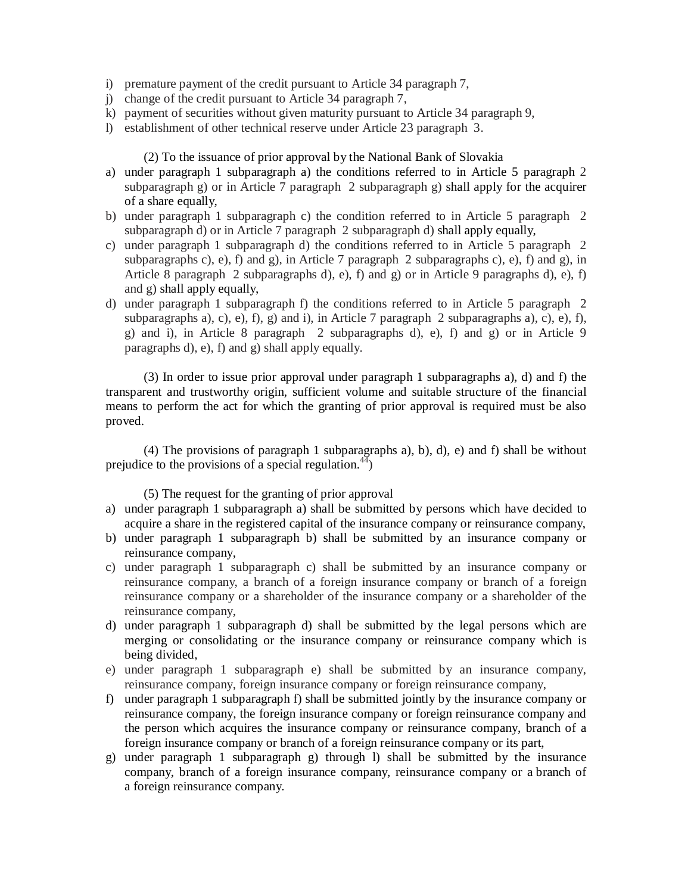- i) premature payment of the credit pursuant to Article 34 paragraph 7,
- j) change of the credit pursuant to Article 34 paragraph 7,
- k) payment of securities without given maturity pursuant to Article 34 paragraph 9,
- l) establishment of other technical reserve under Article 23 paragraph 3.

# (2) To the issuance of prior approval by the National Bank of Slovakia

- a) under paragraph 1 subparagraph a) the conditions referred to in Article 5 paragraph 2 subparagraph g) or in Article 7 paragraph 2 subparagraph g) shall apply for the acquirer of a share equally,
- b) under paragraph 1 subparagraph c) the condition referred to in Article 5 paragraph 2 subparagraph d) or in Article 7 paragraph 2 subparagraph d) shall apply equally,
- c) under paragraph 1 subparagraph d) the conditions referred to in Article 5 paragraph 2 subparagraphs c), e), f) and g), in Article 7 paragraph 2 subparagraphs c), e), f) and g), in Article 8 paragraph 2 subparagraphs d), e), f) and g) or in Article 9 paragraphs d), e), f) and g) shall apply equally,
- d) under paragraph 1 subparagraph f) the conditions referred to in Article 5 paragraph 2 subparagraphs a), c), e), f), g) and i), in Article 7 paragraph 2 subparagraphs a), c), e), f), g) and i), in Article 8 paragraph 2 subparagraphs d), e), f) and g) or in Article 9 paragraphs d), e), f) and g) shall apply equally.

(3) In order to issue prior approval under paragraph 1 subparagraphs a), d) and f) the transparent and trustworthy origin, sufficient volume and suitable structure of the financial means to perform the act for which the granting of prior approval is required must be also proved.

(4) The provisions of paragraph 1 subparagraphs a), b), d), e) and f) shall be without prejudice to the provisions of a special regulation.<sup>44</sup>)

(5) The request for the granting of prior approval

- a) under paragraph 1 subparagraph a) shall be submitted by persons which have decided to acquire a share in the registered capital of the insurance company or reinsurance company,
- b) under paragraph 1 subparagraph b) shall be submitted by an insurance company or reinsurance company,
- c) under paragraph 1 subparagraph c) shall be submitted by an insurance company or reinsurance company, a branch of a foreign insurance company or branch of a foreign reinsurance company or a shareholder of the insurance company or a shareholder of the reinsurance company,
- d) under paragraph 1 subparagraph d) shall be submitted by the legal persons which are merging or consolidating or the insurance company or reinsurance company which is being divided,
- e) under paragraph 1 subparagraph e) shall be submitted by an insurance company, reinsurance company, foreign insurance company or foreign reinsurance company,
- f) under paragraph 1 subparagraph f) shall be submitted jointly by the insurance company or reinsurance company, the foreign insurance company or foreign reinsurance company and the person which acquires the insurance company or reinsurance company, branch of a foreign insurance company or branch of a foreign reinsurance company or its part,
- g) under paragraph 1 subparagraph g) through l) shall be submitted by the insurance company, branch of a foreign insurance company, reinsurance company or a branch of a foreign reinsurance company.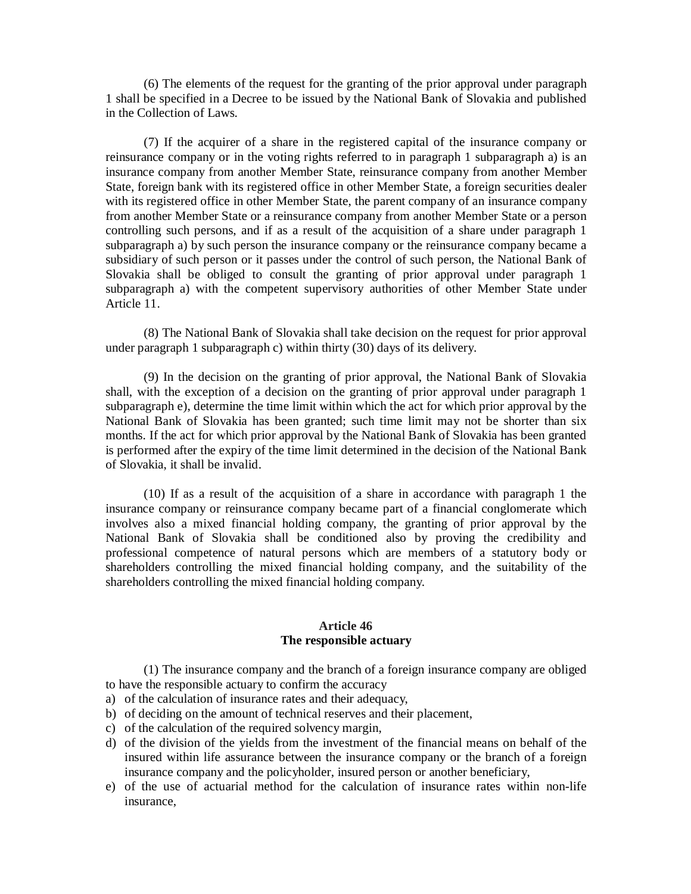(6) The elements of the request for the granting of the prior approval under paragraph 1 shall be specified in a Decree to be issued by the National Bank of Slovakia and published in the Collection of Laws.

(7) If the acquirer of a share in the registered capital of the insurance company or reinsurance company or in the voting rights referred to in paragraph 1 subparagraph a) is an insurance company from another Member State, reinsurance company from another Member State, foreign bank with its registered office in other Member State, a foreign securities dealer with its registered office in other Member State, the parent company of an insurance company from another Member State or a reinsurance company from another Member State or a person controlling such persons, and if as a result of the acquisition of a share under paragraph 1 subparagraph a) by such person the insurance company or the reinsurance company became a subsidiary of such person or it passes under the control of such person, the National Bank of Slovakia shall be obliged to consult the granting of prior approval under paragraph 1 subparagraph a) with the competent supervisory authorities of other Member State under Article 11.

(8) The National Bank of Slovakia shall take decision on the request for prior approval under paragraph 1 subparagraph c) within thirty (30) days of its delivery.

(9) In the decision on the granting of prior approval, the National Bank of Slovakia shall, with the exception of a decision on the granting of prior approval under paragraph 1 subparagraph e), determine the time limit within which the act for which prior approval by the National Bank of Slovakia has been granted; such time limit may not be shorter than six months. If the act for which prior approval by the National Bank of Slovakia has been granted is performed after the expiry of the time limit determined in the decision of the National Bank of Slovakia, it shall be invalid.

(10) If as a result of the acquisition of a share in accordance with paragraph 1 the insurance company or reinsurance company became part of a financial conglomerate which involves also a mixed financial holding company, the granting of prior approval by the National Bank of Slovakia shall be conditioned also by proving the credibility and professional competence of natural persons which are members of a statutory body or shareholders controlling the mixed financial holding company, and the suitability of the shareholders controlling the mixed financial holding company.

### **Article 46 The responsible actuary**

(1) The insurance company and the branch of a foreign insurance company are obliged to have the responsible actuary to confirm the accuracy

- a) of the calculation of insurance rates and their adequacy,
- b) of deciding on the amount of technical reserves and their placement,
- c) of the calculation of the required solvency margin,
- d) of the division of the yields from the investment of the financial means on behalf of the insured within life assurance between the insurance company or the branch of a foreign insurance company and the policyholder, insured person or another beneficiary,
- e) of the use of actuarial method for the calculation of insurance rates within non-life insurance,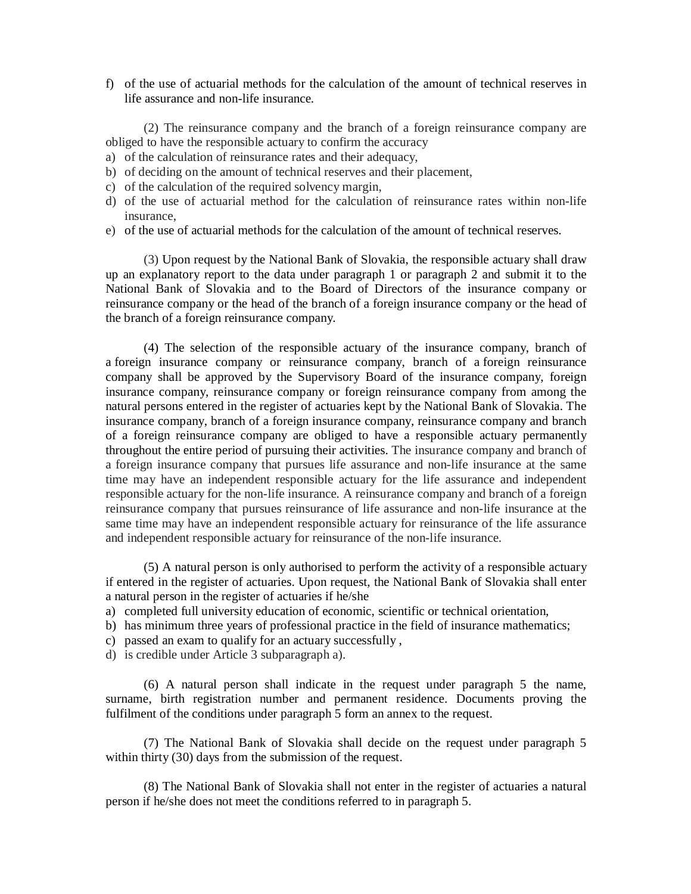f) of the use of actuarial methods for the calculation of the amount of technical reserves in life assurance and non-life insurance.

(2) The reinsurance company and the branch of a foreign reinsurance company are obliged to have the responsible actuary to confirm the accuracy

- a) of the calculation of reinsurance rates and their adequacy,
- b) of deciding on the amount of technical reserves and their placement,
- c) of the calculation of the required solvency margin,
- d) of the use of actuarial method for the calculation of reinsurance rates within non-life insurance,
- e) of the use of actuarial methods for the calculation of the amount of technical reserves.

(3) Upon request by the National Bank of Slovakia, the responsible actuary shall draw up an explanatory report to the data under paragraph 1 or paragraph 2 and submit it to the National Bank of Slovakia and to the Board of Directors of the insurance company or reinsurance company or the head of the branch of a foreign insurance company or the head of the branch of a foreign reinsurance company.

(4) The selection of the responsible actuary of the insurance company, branch of a foreign insurance company or reinsurance company, branch of a foreign reinsurance company shall be approved by the Supervisory Board of the insurance company, foreign insurance company, reinsurance company or foreign reinsurance company from among the natural persons entered in the register of actuaries kept by the National Bank of Slovakia. The insurance company, branch of a foreign insurance company, reinsurance company and branch of a foreign reinsurance company are obliged to have a responsible actuary permanently throughout the entire period of pursuing their activities. The insurance company and branch of a foreign insurance company that pursues life assurance and non-life insurance at the same time may have an independent responsible actuary for the life assurance and independent responsible actuary for the non-life insurance. A reinsurance company and branch of a foreign reinsurance company that pursues reinsurance of life assurance and non-life insurance at the same time may have an independent responsible actuary for reinsurance of the life assurance and independent responsible actuary for reinsurance of the non-life insurance.

(5) A natural person is only authorised to perform the activity of a responsible actuary if entered in the register of actuaries. Upon request, the National Bank of Slovakia shall enter a natural person in the register of actuaries if he/she

- a) completed full university education of economic, scientific or technical orientation,
- b) has minimum three years of professional practice in the field of insurance mathematics;
- c) passed an exam to qualify for an actuary successfully ,
- d) is credible under Article 3 subparagraph a).

(6) A natural person shall indicate in the request under paragraph 5 the name, surname, birth registration number and permanent residence. Documents proving the fulfilment of the conditions under paragraph 5 form an annex to the request.

(7) The National Bank of Slovakia shall decide on the request under paragraph 5 within thirty (30) days from the submission of the request.

(8) The National Bank of Slovakia shall not enter in the register of actuaries a natural person if he/she does not meet the conditions referred to in paragraph 5.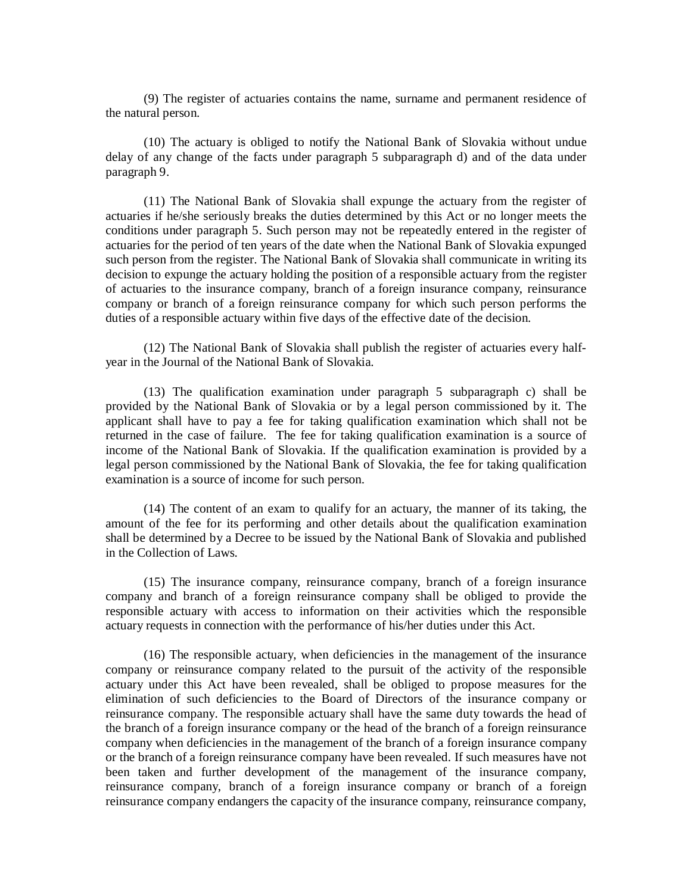(9) The register of actuaries contains the name, surname and permanent residence of the natural person.

(10) The actuary is obliged to notify the National Bank of Slovakia without undue delay of any change of the facts under paragraph 5 subparagraph d) and of the data under paragraph 9.

(11) The National Bank of Slovakia shall expunge the actuary from the register of actuaries if he/she seriously breaks the duties determined by this Act or no longer meets the conditions under paragraph 5. Such person may not be repeatedly entered in the register of actuaries for the period of ten years of the date when the National Bank of Slovakia expunged such person from the register. The National Bank of Slovakia shall communicate in writing its decision to expunge the actuary holding the position of a responsible actuary from the register of actuaries to the insurance company, branch of a foreign insurance company, reinsurance company or branch of a foreign reinsurance company for which such person performs the duties of a responsible actuary within five days of the effective date of the decision.

(12) The National Bank of Slovakia shall publish the register of actuaries every halfyear in the Journal of the National Bank of Slovakia.

(13) The qualification examination under paragraph 5 subparagraph c) shall be provided by the National Bank of Slovakia or by a legal person commissioned by it. The applicant shall have to pay a fee for taking qualification examination which shall not be returned in the case of failure. The fee for taking qualification examination is a source of income of the National Bank of Slovakia. If the qualification examination is provided by a legal person commissioned by the National Bank of Slovakia, the fee for taking qualification examination is a source of income for such person.

(14) The content of an exam to qualify for an actuary, the manner of its taking, the amount of the fee for its performing and other details about the qualification examination shall be determined by a Decree to be issued by the National Bank of Slovakia and published in the Collection of Laws.

(15) The insurance company, reinsurance company, branch of a foreign insurance company and branch of a foreign reinsurance company shall be obliged to provide the responsible actuary with access to information on their activities which the responsible actuary requests in connection with the performance of his/her duties under this Act.

(16) The responsible actuary, when deficiencies in the management of the insurance company or reinsurance company related to the pursuit of the activity of the responsible actuary under this Act have been revealed, shall be obliged to propose measures for the elimination of such deficiencies to the Board of Directors of the insurance company or reinsurance company. The responsible actuary shall have the same duty towards the head of the branch of a foreign insurance company or the head of the branch of a foreign reinsurance company when deficiencies in the management of the branch of a foreign insurance company or the branch of a foreign reinsurance company have been revealed. If such measures have not been taken and further development of the management of the insurance company, reinsurance company, branch of a foreign insurance company or branch of a foreign reinsurance company endangers the capacity of the insurance company, reinsurance company,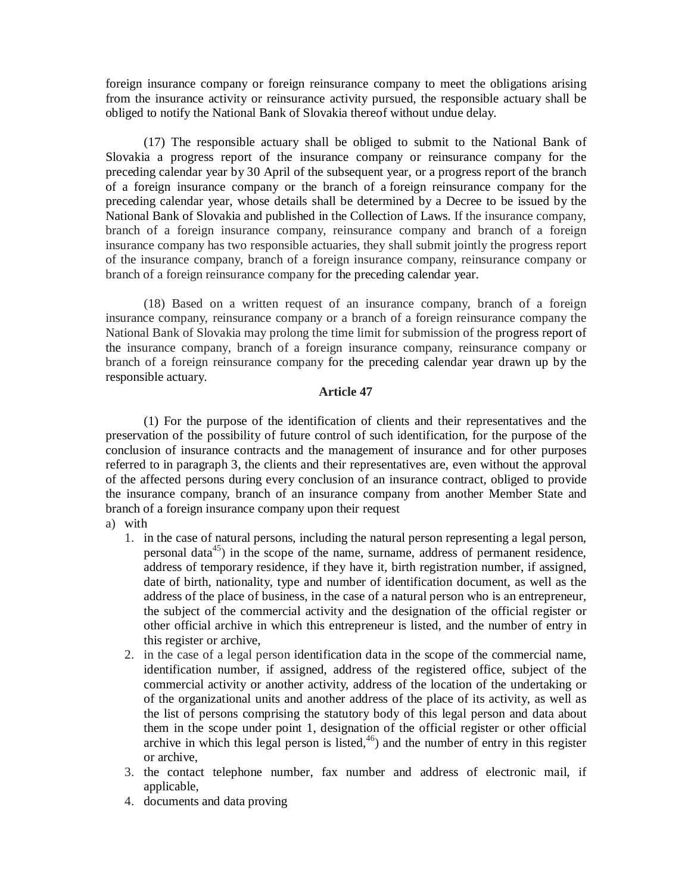foreign insurance company or foreign reinsurance company to meet the obligations arising from the insurance activity or reinsurance activity pursued, the responsible actuary shall be obliged to notify the National Bank of Slovakia thereof without undue delay.

(17) The responsible actuary shall be obliged to submit to the National Bank of Slovakia a progress report of the insurance company or reinsurance company for the preceding calendar year by 30 April of the subsequent year, or a progress report of the branch of a foreign insurance company or the branch of a foreign reinsurance company for the preceding calendar year, whose details shall be determined by a Decree to be issued by the National Bank of Slovakia and published in the Collection of Laws. If the insurance company, branch of a foreign insurance company, reinsurance company and branch of a foreign insurance company has two responsible actuaries, they shall submit jointly the progress report of the insurance company, branch of a foreign insurance company, reinsurance company or branch of a foreign reinsurance company for the preceding calendar year.

(18) Based on a written request of an insurance company, branch of a foreign insurance company, reinsurance company or a branch of a foreign reinsurance company the National Bank of Slovakia may prolong the time limit for submission of the progress report of the insurance company, branch of a foreign insurance company, reinsurance company or branch of a foreign reinsurance company for the preceding calendar year drawn up by the responsible actuary.

## **Article 47**

(1) For the purpose of the identification of clients and their representatives and the preservation of the possibility of future control of such identification, for the purpose of the conclusion of insurance contracts and the management of insurance and for other purposes referred to in paragraph 3, the clients and their representatives are, even without the approval of the affected persons during every conclusion of an insurance contract, obliged to provide the insurance company, branch of an insurance company from another Member State and branch of a foreign insurance company upon their request

## a) with

- 1. in the case of natural persons, including the natural person representing a legal person, personal data $45$ ) in the scope of the name, surname, address of permanent residence, address of temporary residence, if they have it, birth registration number, if assigned, date of birth, nationality, type and number of identification document, as well as the address of the place of business, in the case of a natural person who is an entrepreneur, the subject of the commercial activity and the designation of the official register or other official archive in which this entrepreneur is listed, and the number of entry in this register or archive,
- 2. in the case of a legal person identification data in the scope of the commercial name, identification number, if assigned, address of the registered office, subject of the commercial activity or another activity, address of the location of the undertaking or of the organizational units and another address of the place of its activity, as well as the list of persons comprising the statutory body of this legal person and data about them in the scope under point 1, designation of the official register or other official archive in which this legal person is listed,  $46$ ) and the number of entry in this register or archive,
- 3. the contact telephone number, fax number and address of electronic mail, if applicable,
- 4. documents and data proving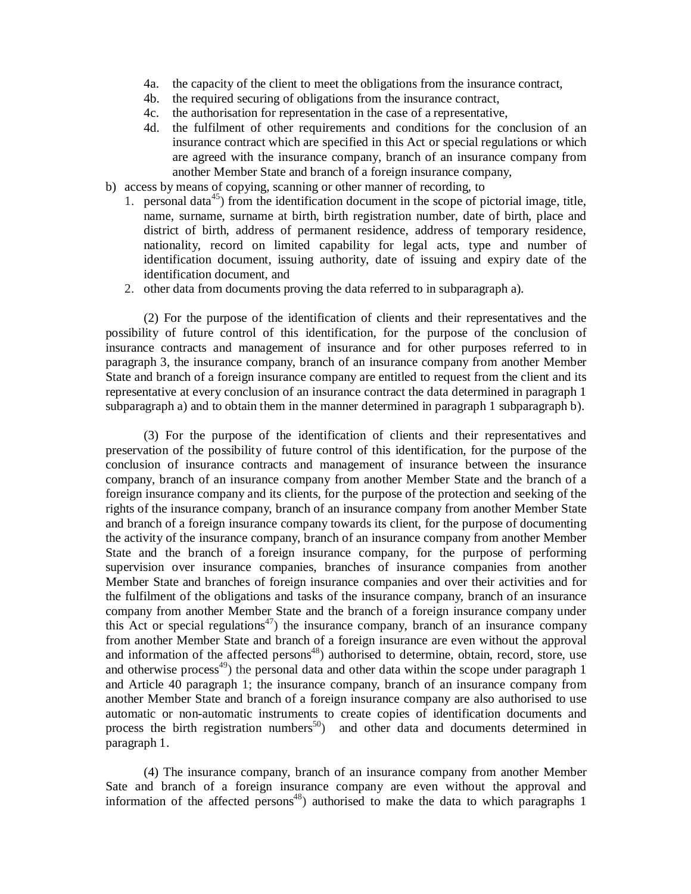- 4a. the capacity of the client to meet the obligations from the insurance contract,
- 4b. the required securing of obligations from the insurance contract,
- 4c. the authorisation for representation in the case of a representative,
- 4d. the fulfilment of other requirements and conditions for the conclusion of an insurance contract which are specified in this Act or special regulations or which are agreed with the insurance company, branch of an insurance company from another Member State and branch of a foreign insurance company,
- b) access by means of copying, scanning or other manner of recording, to
	- 1. personal data<sup>45</sup>) from the identification document in the scope of pictorial image, title, name, surname, surname at birth, birth registration number, date of birth, place and district of birth, address of permanent residence, address of temporary residence, nationality, record on limited capability for legal acts, type and number of identification document, issuing authority, date of issuing and expiry date of the identification document, and
	- 2. other data from documents proving the data referred to in subparagraph a).

(2) For the purpose of the identification of clients and their representatives and the possibility of future control of this identification, for the purpose of the conclusion of insurance contracts and management of insurance and for other purposes referred to in paragraph 3, the insurance company, branch of an insurance company from another Member State and branch of a foreign insurance company are entitled to request from the client and its representative at every conclusion of an insurance contract the data determined in paragraph 1 subparagraph a) and to obtain them in the manner determined in paragraph 1 subparagraph b).

(3) For the purpose of the identification of clients and their representatives and preservation of the possibility of future control of this identification, for the purpose of the conclusion of insurance contracts and management of insurance between the insurance company, branch of an insurance company from another Member State and the branch of a foreign insurance company and its clients, for the purpose of the protection and seeking of the rights of the insurance company, branch of an insurance company from another Member State and branch of a foreign insurance company towards its client, for the purpose of documenting the activity of the insurance company, branch of an insurance company from another Member State and the branch of a foreign insurance company, for the purpose of performing supervision over insurance companies, branches of insurance companies from another Member State and branches of foreign insurance companies and over their activities and for the fulfilment of the obligations and tasks of the insurance company, branch of an insurance company from another Member State and the branch of a foreign insurance company under this Act or special regulations<sup>47</sup>) the insurance company, branch of an insurance company from another Member State and branch of a foreign insurance are even without the approval and information of the affected persons $48$ ) authorised to determine, obtain, record, store, use and otherwise process<sup>49</sup>) the personal data and other data within the scope under paragraph 1 and Article 40 paragraph 1; the insurance company, branch of an insurance company from another Member State and branch of a foreign insurance company are also authorised to use automatic or non-automatic instruments to create copies of identification documents and process the birth registration numbers<sup>50</sup>) and other data and documents determined in paragraph 1.

(4) The insurance company, branch of an insurance company from another Member Sate and branch of a foreign insurance company are even without the approval and information of the affected persons <sup>48</sup>) authorised to make the data to which paragraphs 1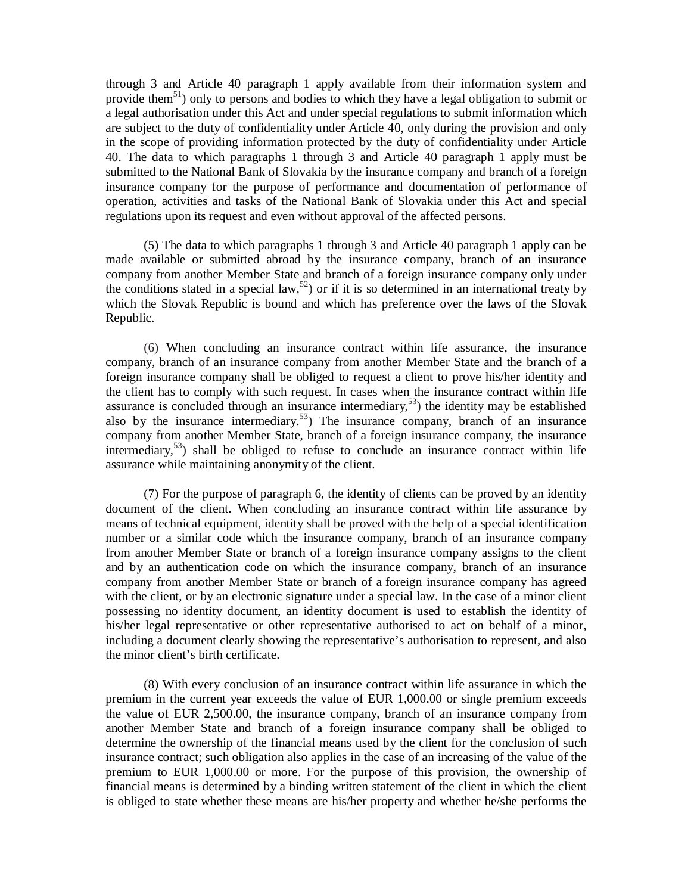through 3 and Article 40 paragraph 1 apply available from their information system and provide them<sup>51</sup>) only to persons and bodies to which they have a legal obligation to submit or a legal authorisation under this Act and under special regulations to submit information which are subject to the duty of confidentiality under Article 40, only during the provision and only in the scope of providing information protected by the duty of confidentiality under Article 40. The data to which paragraphs 1 through 3 and Article 40 paragraph 1 apply must be submitted to the National Bank of Slovakia by the insurance company and branch of a foreign insurance company for the purpose of performance and documentation of performance of operation, activities and tasks of the National Bank of Slovakia under this Act and special regulations upon its request and even without approval of the affected persons.

(5) The data to which paragraphs 1 through 3 and Article 40 paragraph 1 apply can be made available or submitted abroad by the insurance company, branch of an insurance company from another Member State and branch of a foreign insurance company only under the conditions stated in a special law,<sup>52</sup>) or if it is so determined in an international treaty by which the Slovak Republic is bound and which has preference over the laws of the Slovak Republic.

(6) When concluding an insurance contract within life assurance, the insurance company, branch of an insurance company from another Member State and the branch of a foreign insurance company shall be obliged to request a client to prove his/her identity and the client has to comply with such request. In cases when the insurance contract within life assurance is concluded through an insurance intermediary, <sup>53</sup>) the identity may be established also by the insurance intermediary.<sup>53</sup>) The insurance company, branch of an insurance company from another Member State, branch of a foreign insurance company, the insurance intermediary,<sup>53</sup>) shall be obliged to refuse to conclude an insurance contract within life assurance while maintaining anonymity of the client.

(7) For the purpose of paragraph 6, the identity of clients can be proved by an identity document of the client. When concluding an insurance contract within life assurance by means of technical equipment, identity shall be proved with the help of a special identification number or a similar code which the insurance company, branch of an insurance company from another Member State or branch of a foreign insurance company assigns to the client and by an authentication code on which the insurance company, branch of an insurance company from another Member State or branch of a foreign insurance company has agreed with the client, or by an electronic signature under a special law. In the case of a minor client possessing no identity document, an identity document is used to establish the identity of his/her legal representative or other representative authorised to act on behalf of a minor, including a document clearly showing the representative's authorisation to represent, and also the minor client's birth certificate.

(8) With every conclusion of an insurance contract within life assurance in which the premium in the current year exceeds the value of EUR 1,000.00 or single premium exceeds the value of EUR 2,500.00, the insurance company, branch of an insurance company from another Member State and branch of a foreign insurance company shall be obliged to determine the ownership of the financial means used by the client for the conclusion of such insurance contract; such obligation also applies in the case of an increasing of the value of the premium to EUR 1,000.00 or more. For the purpose of this provision, the ownership of financial means is determined by a binding written statement of the client in which the client is obliged to state whether these means are his/her property and whether he/she performs the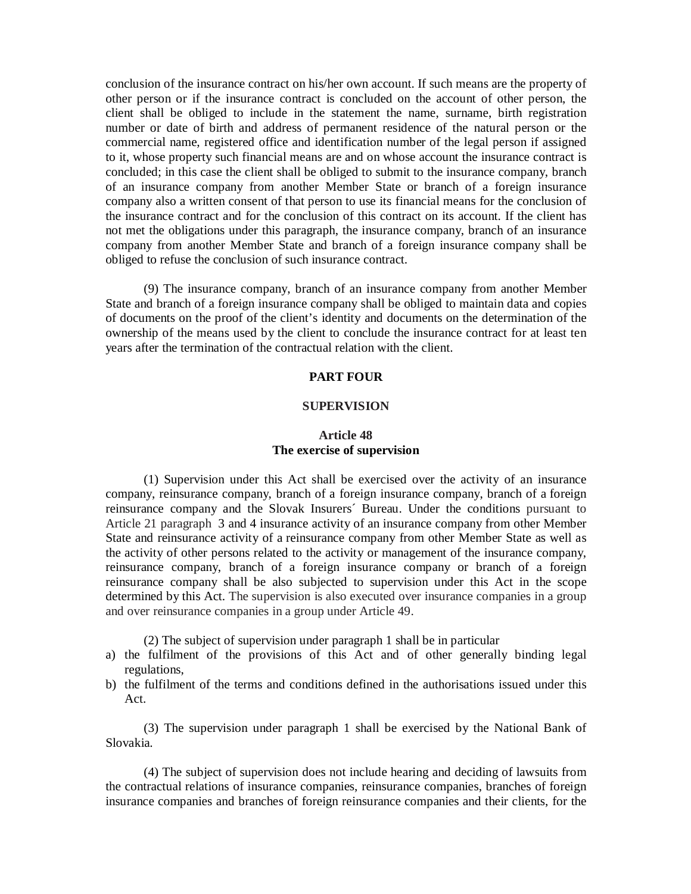conclusion of the insurance contract on his/her own account. If such means are the property of other person or if the insurance contract is concluded on the account of other person, the client shall be obliged to include in the statement the name, surname, birth registration number or date of birth and address of permanent residence of the natural person or the commercial name, registered office and identification number of the legal person if assigned to it, whose property such financial means are and on whose account the insurance contract is concluded; in this case the client shall be obliged to submit to the insurance company, branch of an insurance company from another Member State or branch of a foreign insurance company also a written consent of that person to use its financial means for the conclusion of the insurance contract and for the conclusion of this contract on its account. If the client has not met the obligations under this paragraph, the insurance company, branch of an insurance company from another Member State and branch of a foreign insurance company shall be obliged to refuse the conclusion of such insurance contract.

(9) The insurance company, branch of an insurance company from another Member State and branch of a foreign insurance company shall be obliged to maintain data and copies of documents on the proof of the client's identity and documents on the determination of the ownership of the means used by the client to conclude the insurance contract for at least ten years after the termination of the contractual relation with the client.

### **PART FOUR**

### **SUPERVISION**

# **Article 48 The exercise of supervision**

(1) Supervision under this Act shall be exercised over the activity of an insurance company, reinsurance company, branch of a foreign insurance company, branch of a foreign reinsurance company and the Slovak Insurers´ Bureau. Under the conditions pursuant to Article 21 paragraph 3 and 4 insurance activity of an insurance company from other Member State and reinsurance activity of a reinsurance company from other Member State as well as the activity of other persons related to the activity or management of the insurance company, reinsurance company, branch of a foreign insurance company or branch of a foreign reinsurance company shall be also subjected to supervision under this Act in the scope determined by this Act. The supervision is also executed over insurance companies in a group and over reinsurance companies in a group under Article 49.

(2) The subject of supervision under paragraph 1 shall be in particular

- a) the fulfilment of the provisions of this Act and of other generally binding legal regulations,
- b) the fulfilment of the terms and conditions defined in the authorisations issued under this Act.

(3) The supervision under paragraph 1 shall be exercised by the National Bank of Slovakia.

(4) The subject of supervision does not include hearing and deciding of lawsuits from the contractual relations of insurance companies, reinsurance companies, branches of foreign insurance companies and branches of foreign reinsurance companies and their clients, for the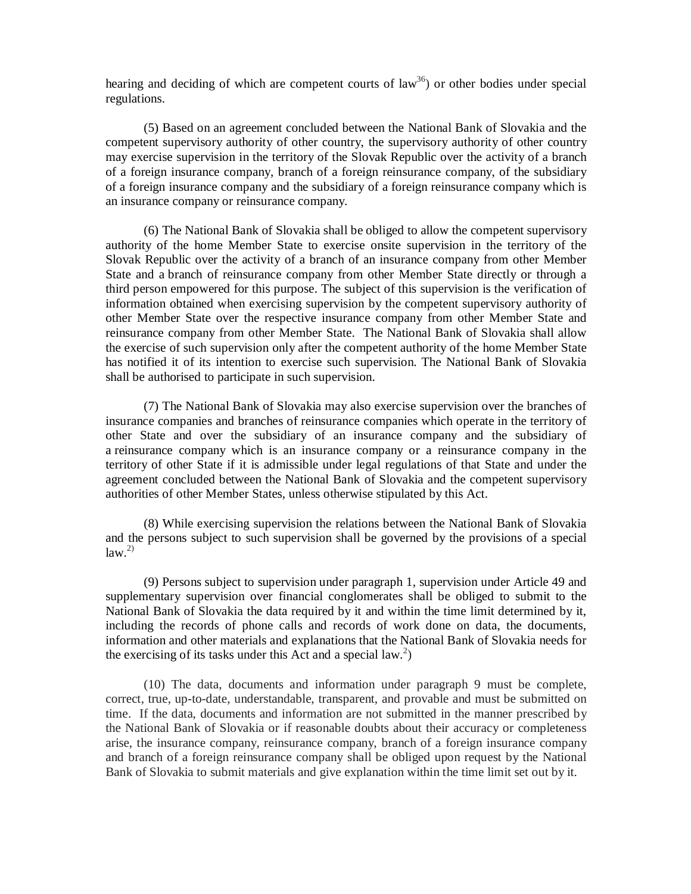hearing and deciding of which are competent courts of law<sup>36</sup>) or other bodies under special regulations.

(5) Based on an agreement concluded between the National Bank of Slovakia and the competent supervisory authority of other country, the supervisory authority of other country may exercise supervision in the territory of the Slovak Republic over the activity of a branch of a foreign insurance company, branch of a foreign reinsurance company, of the subsidiary of a foreign insurance company and the subsidiary of a foreign reinsurance company which is an insurance company or reinsurance company.

(6) The National Bank of Slovakia shall be obliged to allow the competent supervisory authority of the home Member State to exercise onsite supervision in the territory of the Slovak Republic over the activity of a branch of an insurance company from other Member State and a branch of reinsurance company from other Member State directly or through a third person empowered for this purpose. The subject of this supervision is the verification of information obtained when exercising supervision by the competent supervisory authority of other Member State over the respective insurance company from other Member State and reinsurance company from other Member State. The National Bank of Slovakia shall allow the exercise of such supervision only after the competent authority of the home Member State has notified it of its intention to exercise such supervision. The National Bank of Slovakia shall be authorised to participate in such supervision.

(7) The National Bank of Slovakia may also exercise supervision over the branches of insurance companies and branches of reinsurance companies which operate in the territory of other State and over the subsidiary of an insurance company and the subsidiary of a reinsurance company which is an insurance company or a reinsurance company in the territory of other State if it is admissible under legal regulations of that State and under the agreement concluded between the National Bank of Slovakia and the competent supervisory authorities of other Member States, unless otherwise stipulated by this Act.

(8) While exercising supervision the relations between the National Bank of Slovakia and the persons subject to such supervision shall be governed by the provisions of a special  $law.<sup>2</sup>$ 

(9) Persons subject to supervision under paragraph 1, supervision under Article 49 and supplementary supervision over financial conglomerates shall be obliged to submit to the National Bank of Slovakia the data required by it and within the time limit determined by it, including the records of phone calls and records of work done on data, the documents, information and other materials and explanations that the National Bank of Slovakia needs for the exercising of its tasks under this Act and a special law.<sup>2</sup>)

(10) The data, documents and information under paragraph 9 must be complete, correct, true, up-to-date, understandable, transparent, and provable and must be submitted on time. If the data, documents and information are not submitted in the manner prescribed by the National Bank of Slovakia or if reasonable doubts about their accuracy or completeness arise, the insurance company, reinsurance company, branch of a foreign insurance company and branch of a foreign reinsurance company shall be obliged upon request by the National Bank of Slovakia to submit materials and give explanation within the time limit set out by it.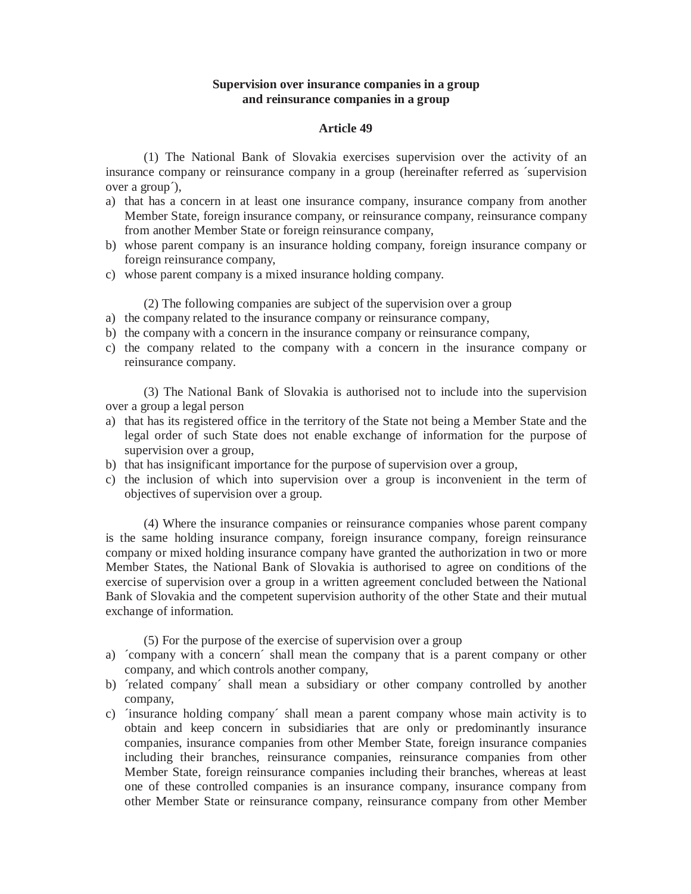# **Supervision over insurance companies in a group and reinsurance companies in a group**

## **Article 49**

(1) The National Bank of Slovakia exercises supervision over the activity of an insurance company or reinsurance company in a group (hereinafter referred as ´supervision over a group´),

- a) that has a concern in at least one insurance company, insurance company from another Member State, foreign insurance company, or reinsurance company, reinsurance company from another Member State or foreign reinsurance company,
- b) whose parent company is an insurance holding company, foreign insurance company or foreign reinsurance company,
- c) whose parent company is a mixed insurance holding company.

(2) The following companies are subject of the supervision over a group

- a) the company related to the insurance company or reinsurance company,
- b) the company with a concern in the insurance company or reinsurance company,
- c) the company related to the company with a concern in the insurance company or reinsurance company.

(3) The National Bank of Slovakia is authorised not to include into the supervision over a group a legal person

- a) that has its registered office in the territory of the State not being a Member State and the legal order of such State does not enable exchange of information for the purpose of supervision over a group,
- b) that has insignificant importance for the purpose of supervision over a group,
- c) the inclusion of which into supervision over a group is inconvenient in the term of objectives of supervision over a group.

(4) Where the insurance companies or reinsurance companies whose parent company is the same holding insurance company, foreign insurance company, foreign reinsurance company or mixed holding insurance company have granted the authorization in two or more Member States, the National Bank of Slovakia is authorised to agree on conditions of the exercise of supervision over a group in a written agreement concluded between the National Bank of Slovakia and the competent supervision authority of the other State and their mutual exchange of information.

(5) For the purpose of the exercise of supervision over a group

- a) ´company with a concern´ shall mean the company that is a parent company or other company, and which controls another company,
- b) *frelated company* shall mean a subsidiary or other company controlled by another company,
- c) ´insurance holding company´ shall mean a parent company whose main activity is to obtain and keep concern in subsidiaries that are only or predominantly insurance companies, insurance companies from other Member State, foreign insurance companies including their branches, reinsurance companies, reinsurance companies from other Member State, foreign reinsurance companies including their branches, whereas at least one of these controlled companies is an insurance company, insurance company from other Member State or reinsurance company, reinsurance company from other Member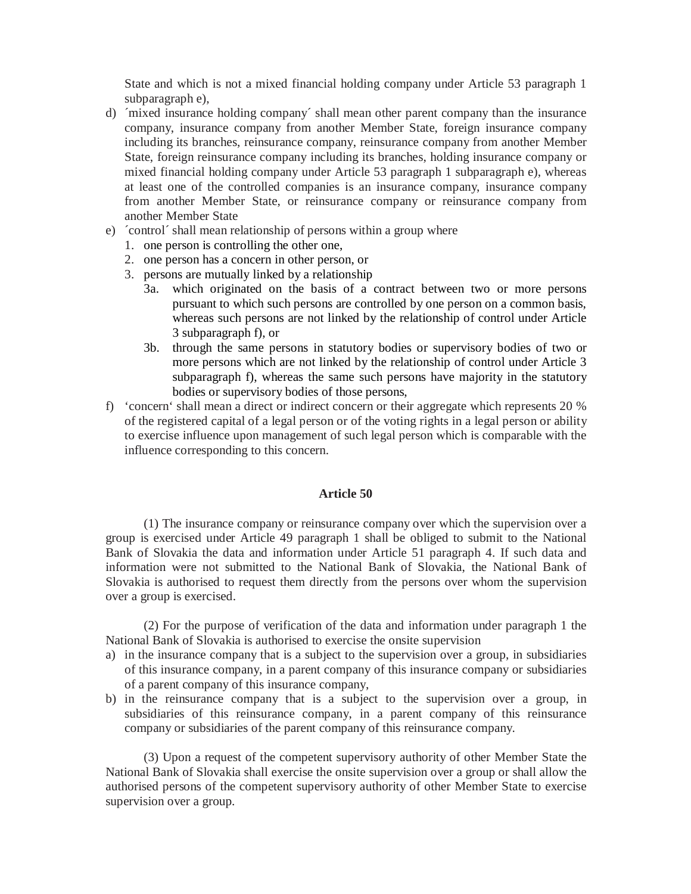State and which is not a mixed financial holding company under Article 53 paragraph 1 subparagraph e),

- d) ´mixed insurance holding company´ shall mean other parent company than the insurance company, insurance company from another Member State, foreign insurance company including its branches, reinsurance company, reinsurance company from another Member State, foreign reinsurance company including its branches, holding insurance company or mixed financial holding company under Article 53 paragraph 1 subparagraph e), whereas at least one of the controlled companies is an insurance company, insurance company from another Member State, or reinsurance company or reinsurance company from another Member State
- e) ´control´ shall mean relationship of persons within a group where
	- 1. one person is controlling the other one,
	- 2. one person has a concern in other person, or
	- 3. persons are mutually linked by a relationship
		- 3a. which originated on the basis of a contract between two or more persons pursuant to which such persons are controlled by one person on a common basis, whereas such persons are not linked by the relationship of control under Article 3 subparagraph f), or
		- 3b. through the same persons in statutory bodies or supervisory bodies of two or more persons which are not linked by the relationship of control under Article 3 subparagraph f), whereas the same such persons have majority in the statutory bodies or supervisory bodies of those persons,
- f) 'concern' shall mean a direct or indirect concern or their aggregate which represents 20 % of the registered capital of a legal person or of the voting rights in a legal person or ability to exercise influence upon management of such legal person which is comparable with the influence corresponding to this concern.

# **Article 50**

(1) The insurance company or reinsurance company over which the supervision over a group is exercised under Article 49 paragraph 1 shall be obliged to submit to the National Bank of Slovakia the data and information under Article 51 paragraph 4. If such data and information were not submitted to the National Bank of Slovakia, the National Bank of Slovakia is authorised to request them directly from the persons over whom the supervision over a group is exercised.

(2) For the purpose of verification of the data and information under paragraph 1 the National Bank of Slovakia is authorised to exercise the onsite supervision

- a) in the insurance company that is a subject to the supervision over a group, in subsidiaries of this insurance company, in a parent company of this insurance company or subsidiaries of a parent company of this insurance company,
- b) in the reinsurance company that is a subject to the supervision over a group, in subsidiaries of this reinsurance company, in a parent company of this reinsurance company or subsidiaries of the parent company of this reinsurance company.

(3) Upon a request of the competent supervisory authority of other Member State the National Bank of Slovakia shall exercise the onsite supervision over a group or shall allow the authorised persons of the competent supervisory authority of other Member State to exercise supervision over a group.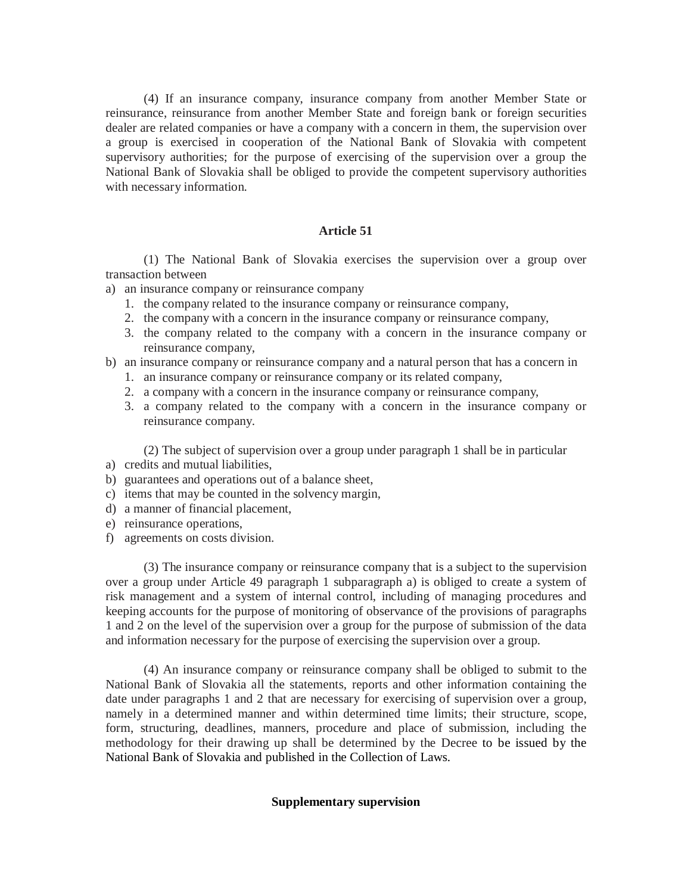(4) If an insurance company, insurance company from another Member State or reinsurance, reinsurance from another Member State and foreign bank or foreign securities dealer are related companies or have a company with a concern in them, the supervision over a group is exercised in cooperation of the National Bank of Slovakia with competent supervisory authorities; for the purpose of exercising of the supervision over a group the National Bank of Slovakia shall be obliged to provide the competent supervisory authorities with necessary information.

# **Article 51**

(1) The National Bank of Slovakia exercises the supervision over a group over transaction between

- a) an insurance company or reinsurance company
	- 1. the company related to the insurance company or reinsurance company,
	- 2. the company with a concern in the insurance company or reinsurance company,
	- 3. the company related to the company with a concern in the insurance company or reinsurance company,
- b) an insurance company or reinsurance company and a natural person that has a concern in
	- 1. an insurance company or reinsurance company or its related company,
	- 2. a company with a concern in the insurance company or reinsurance company,
	- 3. a company related to the company with a concern in the insurance company or reinsurance company.

(2) The subject of supervision over a group under paragraph 1 shall be in particular

- a) credits and mutual liabilities,
- b) guarantees and operations out of a balance sheet,
- c) items that may be counted in the solvency margin,
- d) a manner of financial placement,
- e) reinsurance operations,
- f) agreements on costs division.

(3) The insurance company or reinsurance company that is a subject to the supervision over a group under Article 49 paragraph 1 subparagraph a) is obliged to create a system of risk management and a system of internal control, including of managing procedures and keeping accounts for the purpose of monitoring of observance of the provisions of paragraphs 1 and 2 on the level of the supervision over a group for the purpose of submission of the data and information necessary for the purpose of exercising the supervision over a group.

(4) An insurance company or reinsurance company shall be obliged to submit to the National Bank of Slovakia all the statements, reports and other information containing the date under paragraphs 1 and 2 that are necessary for exercising of supervision over a group, namely in a determined manner and within determined time limits; their structure, scope, form, structuring, deadlines, manners, procedure and place of submission, including the methodology for their drawing up shall be determined by the Decree to be issued by the National Bank of Slovakia and published in the Collection of Laws.

#### **Supplementary supervision**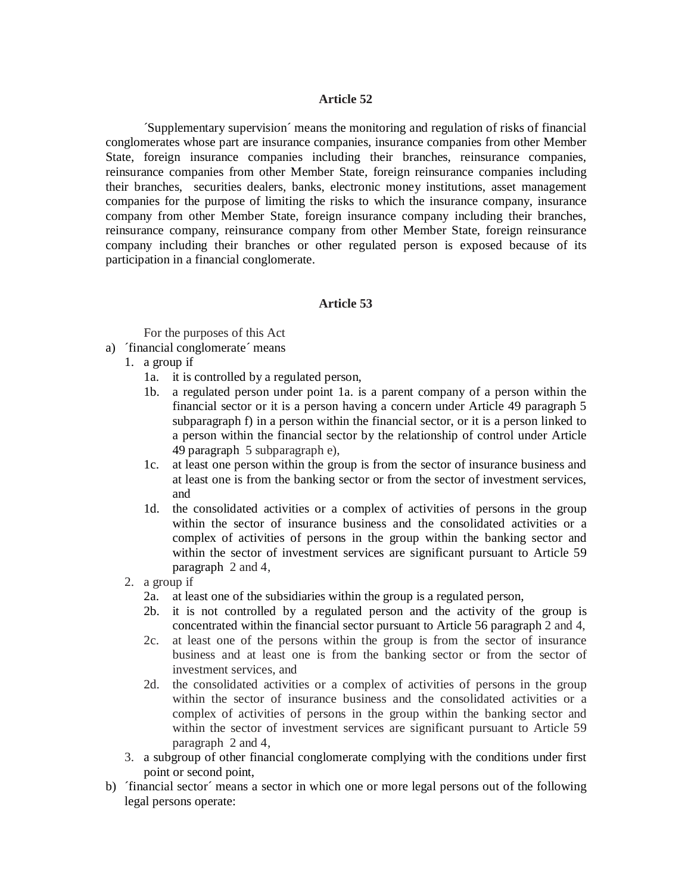## **Article 52**

´Supplementary supervision´ means the monitoring and regulation of risks of financial conglomerates whose part are insurance companies, insurance companies from other Member State, foreign insurance companies including their branches, reinsurance companies, reinsurance companies from other Member State, foreign reinsurance companies including their branches, securities dealers, banks, electronic money institutions, asset management companies for the purpose of limiting the risks to which the insurance company, insurance company from other Member State, foreign insurance company including their branches, reinsurance company, reinsurance company from other Member State, foreign reinsurance company including their branches or other regulated person is exposed because of its participation in a financial conglomerate.

# **Article 53**

For the purposes of this Act

- a) ´financial conglomerate´ means
	- 1. a group if
		- 1a. it is controlled by a regulated person,
		- 1b. a regulated person under point 1a. is a parent company of a person within the financial sector or it is a person having a concern under Article 49 paragraph 5 subparagraph f) in a person within the financial sector, or it is a person linked to a person within the financial sector by the relationship of control under Article 49 paragraph 5 subparagraph e),
		- 1c. at least one person within the group is from the sector of insurance business and at least one is from the banking sector or from the sector of investment services, and
		- 1d. the consolidated activities or a complex of activities of persons in the group within the sector of insurance business and the consolidated activities or a complex of activities of persons in the group within the banking sector and within the sector of investment services are significant pursuant to Article 59 paragraph 2 and 4,
	- 2. a group if
		- 2a. at least one of the subsidiaries within the group is a regulated person,
		- 2b. it is not controlled by a regulated person and the activity of the group is concentrated within the financial sector pursuant to Article 56 paragraph 2 and 4,
		- 2c. at least one of the persons within the group is from the sector of insurance business and at least one is from the banking sector or from the sector of investment services, and
		- 2d. the consolidated activities or a complex of activities of persons in the group within the sector of insurance business and the consolidated activities or a complex of activities of persons in the group within the banking sector and within the sector of investment services are significant pursuant to Article 59 paragraph 2 and 4,
	- 3. a subgroup of other financial conglomerate complying with the conditions under first point or second point,
- b) ´financial sector´ means a sector in which one or more legal persons out of the following legal persons operate: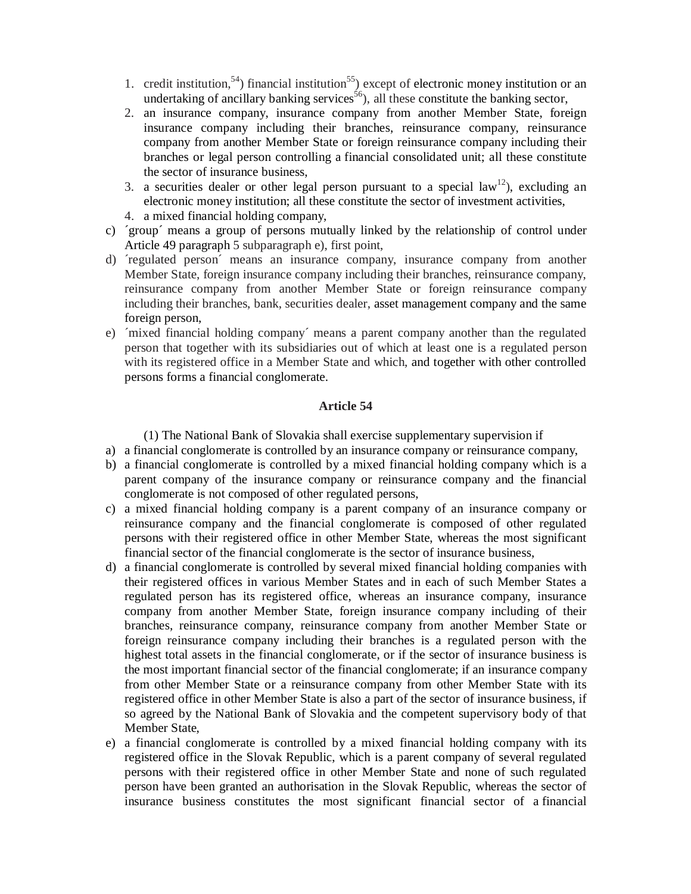- 1. credit institution,<sup>54</sup>) financial institution<sup>55</sup>) except of electronic money institution or an undertaking of ancillary banking services<sup>56</sup>), all these constitute the banking sector,
- 2. an insurance company, insurance company from another Member State, foreign insurance company including their branches, reinsurance company, reinsurance company from another Member State or foreign reinsurance company including their branches or legal person controlling a financial consolidated unit; all these constitute the sector of insurance business,
- 3. a securities dealer or other legal person pursuant to a special law<sup>12</sup>), excluding an electronic money institution; all these constitute the sector of investment activities,
- 4. a mixed financial holding company,
- c) ´group´ means a group of persons mutually linked by the relationship of control under Article 49 paragraph 5 subparagraph e), first point,
- d) ´regulated person´ means an insurance company, insurance company from another Member State, foreign insurance company including their branches, reinsurance company, reinsurance company from another Member State or foreign reinsurance company including their branches, bank, securities dealer, asset management company and the same foreign person,
- e) ´mixed financial holding company´ means a parent company another than the regulated person that together with its subsidiaries out of which at least one is a regulated person with its registered office in a Member State and which, and together with other controlled persons forms a financial conglomerate.

# **Article 54**

(1) The National Bank of Slovakia shall exercise supplementary supervision if

- a) a financial conglomerate is controlled by an insurance company or reinsurance company,
- b) a financial conglomerate is controlled by a mixed financial holding company which is a parent company of the insurance company or reinsurance company and the financial conglomerate is not composed of other regulated persons,
- c) a mixed financial holding company is a parent company of an insurance company or reinsurance company and the financial conglomerate is composed of other regulated persons with their registered office in other Member State, whereas the most significant financial sector of the financial conglomerate is the sector of insurance business,
- d) a financial conglomerate is controlled by several mixed financial holding companies with their registered offices in various Member States and in each of such Member States a regulated person has its registered office, whereas an insurance company, insurance company from another Member State, foreign insurance company including of their branches, reinsurance company, reinsurance company from another Member State or foreign reinsurance company including their branches is a regulated person with the highest total assets in the financial conglomerate, or if the sector of insurance business is the most important financial sector of the financial conglomerate; if an insurance company from other Member State or a reinsurance company from other Member State with its registered office in other Member State is also a part of the sector of insurance business, if so agreed by the National Bank of Slovakia and the competent supervisory body of that Member State,
- e) a financial conglomerate is controlled by a mixed financial holding company with its registered office in the Slovak Republic, which is a parent company of several regulated persons with their registered office in other Member State and none of such regulated person have been granted an authorisation in the Slovak Republic, whereas the sector of insurance business constitutes the most significant financial sector of a financial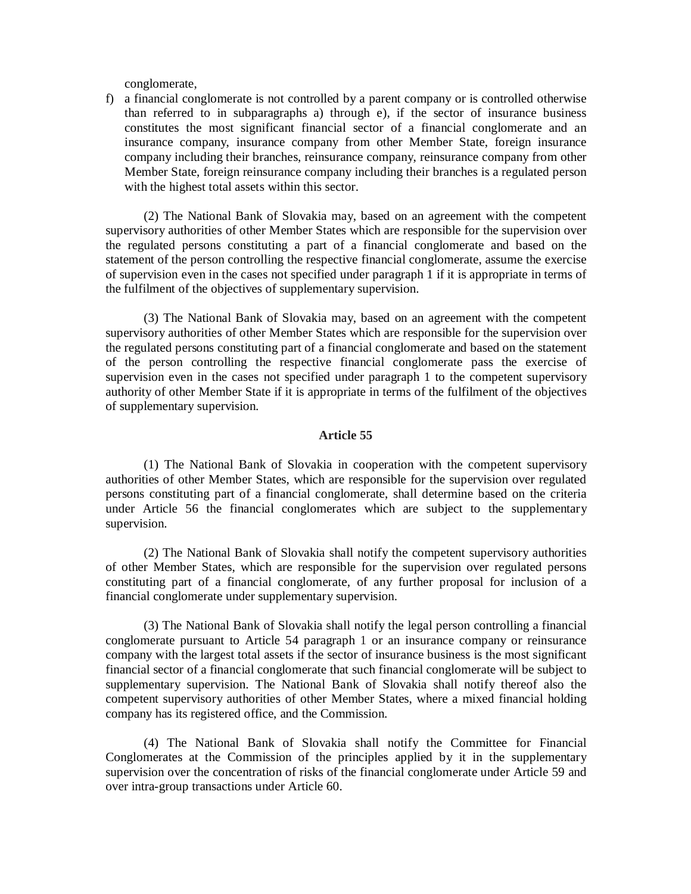conglomerate,

f) a financial conglomerate is not controlled by a parent company or is controlled otherwise than referred to in subparagraphs a) through e), if the sector of insurance business constitutes the most significant financial sector of a financial conglomerate and an insurance company, insurance company from other Member State, foreign insurance company including their branches, reinsurance company, reinsurance company from other Member State, foreign reinsurance company including their branches is a regulated person with the highest total assets within this sector.

(2) The National Bank of Slovakia may, based on an agreement with the competent supervisory authorities of other Member States which are responsible for the supervision over the regulated persons constituting a part of a financial conglomerate and based on the statement of the person controlling the respective financial conglomerate, assume the exercise of supervision even in the cases not specified under paragraph 1 if it is appropriate in terms of the fulfilment of the objectives of supplementary supervision.

(3) The National Bank of Slovakia may, based on an agreement with the competent supervisory authorities of other Member States which are responsible for the supervision over the regulated persons constituting part of a financial conglomerate and based on the statement of the person controlling the respective financial conglomerate pass the exercise of supervision even in the cases not specified under paragraph 1 to the competent supervisory authority of other Member State if it is appropriate in terms of the fulfilment of the objectives of supplementary supervision.

## **Article 55**

(1) The National Bank of Slovakia in cooperation with the competent supervisory authorities of other Member States, which are responsible for the supervision over regulated persons constituting part of a financial conglomerate, shall determine based on the criteria under Article 56 the financial conglomerates which are subject to the supplementary supervision.

(2) The National Bank of Slovakia shall notify the competent supervisory authorities of other Member States, which are responsible for the supervision over regulated persons constituting part of a financial conglomerate, of any further proposal for inclusion of a financial conglomerate under supplementary supervision.

(3) The National Bank of Slovakia shall notify the legal person controlling a financial conglomerate pursuant to Article 54 paragraph 1 or an insurance company or reinsurance company with the largest total assets if the sector of insurance business is the most significant financial sector of a financial conglomerate that such financial conglomerate will be subject to supplementary supervision. The National Bank of Slovakia shall notify thereof also the competent supervisory authorities of other Member States, where a mixed financial holding company has its registered office, and the Commission.

(4) The National Bank of Slovakia shall notify the Committee for Financial Conglomerates at the Commission of the principles applied by it in the supplementary supervision over the concentration of risks of the financial conglomerate under Article 59 and over intra-group transactions under Article 60.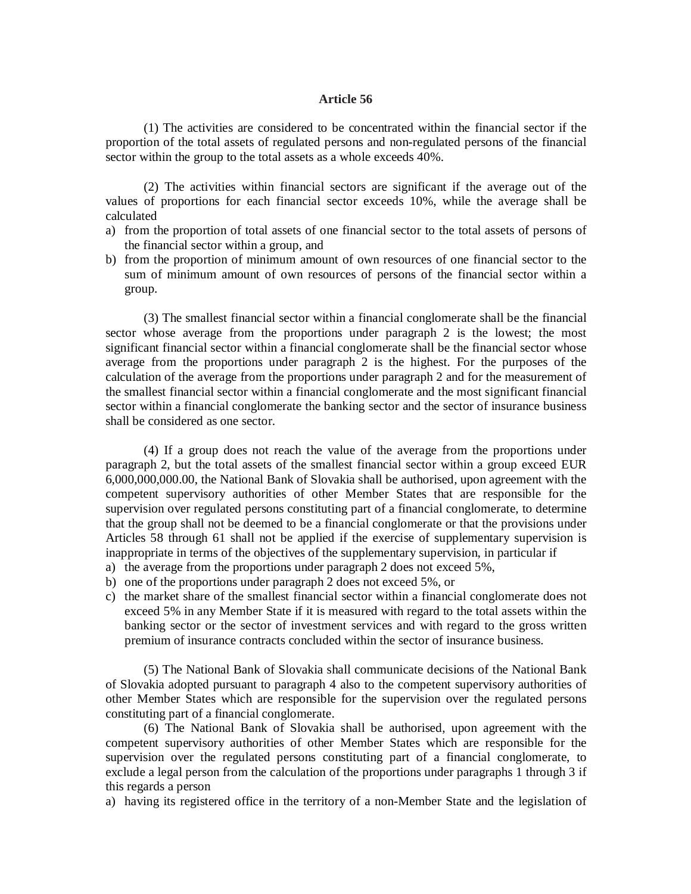#### **Article 56**

(1) The activities are considered to be concentrated within the financial sector if the proportion of the total assets of regulated persons and non-regulated persons of the financial sector within the group to the total assets as a whole exceeds 40%.

(2) The activities within financial sectors are significant if the average out of the values of proportions for each financial sector exceeds 10%, while the average shall be calculated

- a) from the proportion of total assets of one financial sector to the total assets of persons of the financial sector within a group, and
- b) from the proportion of minimum amount of own resources of one financial sector to the sum of minimum amount of own resources of persons of the financial sector within a group.

(3) The smallest financial sector within a financial conglomerate shall be the financial sector whose average from the proportions under paragraph 2 is the lowest; the most significant financial sector within a financial conglomerate shall be the financial sector whose average from the proportions under paragraph 2 is the highest. For the purposes of the calculation of the average from the proportions under paragraph 2 and for the measurement of the smallest financial sector within a financial conglomerate and the most significant financial sector within a financial conglomerate the banking sector and the sector of insurance business shall be considered as one sector.

(4) If a group does not reach the value of the average from the proportions under paragraph 2, but the total assets of the smallest financial sector within a group exceed EUR 6,000,000,000.00, the National Bank of Slovakia shall be authorised, upon agreement with the competent supervisory authorities of other Member States that are responsible for the supervision over regulated persons constituting part of a financial conglomerate, to determine that the group shall not be deemed to be a financial conglomerate or that the provisions under Articles 58 through 61 shall not be applied if the exercise of supplementary supervision is inappropriate in terms of the objectives of the supplementary supervision, in particular if

- a) the average from the proportions under paragraph 2 does not exceed 5%,
- b) one of the proportions under paragraph 2 does not exceed 5%, or
- c) the market share of the smallest financial sector within a financial conglomerate does not exceed 5% in any Member State if it is measured with regard to the total assets within the banking sector or the sector of investment services and with regard to the gross written premium of insurance contracts concluded within the sector of insurance business.

(5) The National Bank of Slovakia shall communicate decisions of the National Bank of Slovakia adopted pursuant to paragraph 4 also to the competent supervisory authorities of other Member States which are responsible for the supervision over the regulated persons constituting part of a financial conglomerate.

(6) The National Bank of Slovakia shall be authorised, upon agreement with the competent supervisory authorities of other Member States which are responsible for the supervision over the regulated persons constituting part of a financial conglomerate, to exclude a legal person from the calculation of the proportions under paragraphs 1 through 3 if this regards a person

a) having its registered office in the territory of a non-Member State and the legislation of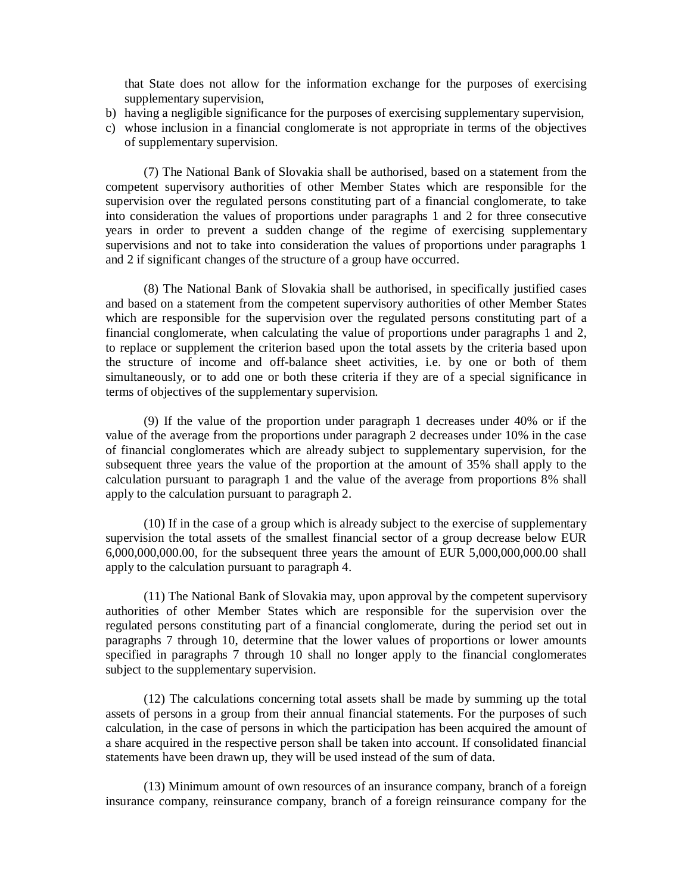that State does not allow for the information exchange for the purposes of exercising supplementary supervision,

- b) having a negligible significance for the purposes of exercising supplementary supervision,
- c) whose inclusion in a financial conglomerate is not appropriate in terms of the objectives of supplementary supervision.

(7) The National Bank of Slovakia shall be authorised, based on a statement from the competent supervisory authorities of other Member States which are responsible for the supervision over the regulated persons constituting part of a financial conglomerate, to take into consideration the values of proportions under paragraphs 1 and 2 for three consecutive years in order to prevent a sudden change of the regime of exercising supplementary supervisions and not to take into consideration the values of proportions under paragraphs 1 and 2 if significant changes of the structure of a group have occurred.

(8) The National Bank of Slovakia shall be authorised, in specifically justified cases and based on a statement from the competent supervisory authorities of other Member States which are responsible for the supervision over the regulated persons constituting part of a financial conglomerate, when calculating the value of proportions under paragraphs 1 and 2, to replace or supplement the criterion based upon the total assets by the criteria based upon the structure of income and off-balance sheet activities, i.e. by one or both of them simultaneously, or to add one or both these criteria if they are of a special significance in terms of objectives of the supplementary supervision.

(9) If the value of the proportion under paragraph 1 decreases under 40% or if the value of the average from the proportions under paragraph 2 decreases under 10% in the case of financial conglomerates which are already subject to supplementary supervision, for the subsequent three years the value of the proportion at the amount of 35% shall apply to the calculation pursuant to paragraph 1 and the value of the average from proportions 8% shall apply to the calculation pursuant to paragraph 2.

(10) If in the case of a group which is already subject to the exercise of supplementary supervision the total assets of the smallest financial sector of a group decrease below EUR 6,000,000,000.00, for the subsequent three years the amount of EUR 5,000,000,000.00 shall apply to the calculation pursuant to paragraph 4.

(11) The National Bank of Slovakia may, upon approval by the competent supervisory authorities of other Member States which are responsible for the supervision over the regulated persons constituting part of a financial conglomerate, during the period set out in paragraphs 7 through 10, determine that the lower values of proportions or lower amounts specified in paragraphs 7 through 10 shall no longer apply to the financial conglomerates subject to the supplementary supervision.

(12) The calculations concerning total assets shall be made by summing up the total assets of persons in a group from their annual financial statements. For the purposes of such calculation, in the case of persons in which the participation has been acquired the amount of a share acquired in the respective person shall be taken into account. If consolidated financial statements have been drawn up, they will be used instead of the sum of data.

(13) Minimum amount of own resources of an insurance company, branch of a foreign insurance company, reinsurance company, branch of a foreign reinsurance company for the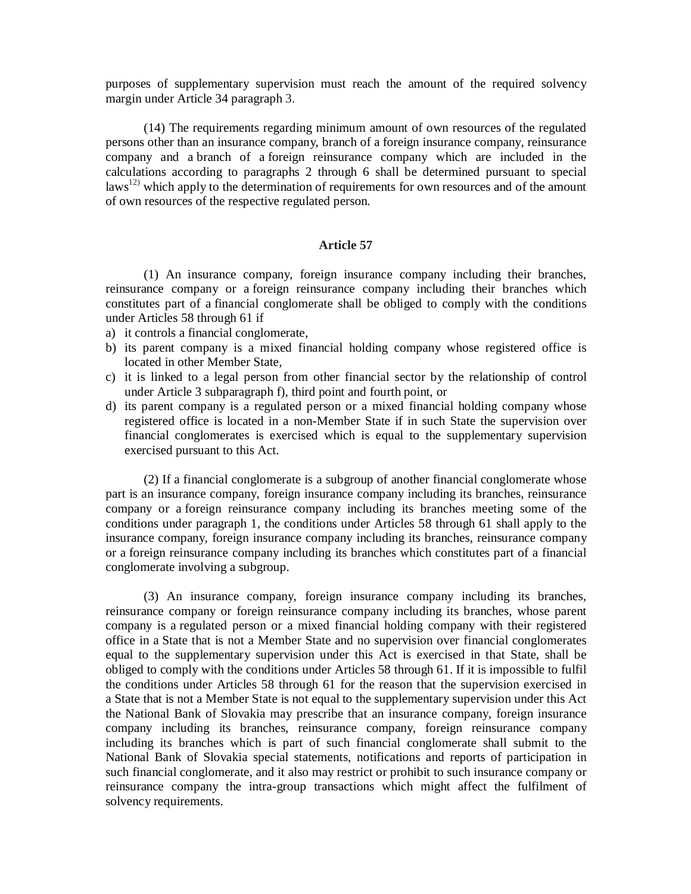purposes of supplementary supervision must reach the amount of the required solvency margin under Article 34 paragraph 3.

(14) The requirements regarding minimum amount of own resources of the regulated persons other than an insurance company, branch of a foreign insurance company, reinsurance company and a branch of a foreign reinsurance company which are included in the calculations according to paragraphs 2 through 6 shall be determined pursuant to special laws<sup>12)</sup> which apply to the determination of requirements for own resources and of the amount of own resources of the respective regulated person.

## **Article 57**

(1) An insurance company, foreign insurance company including their branches, reinsurance company or a foreign reinsurance company including their branches which constitutes part of a financial conglomerate shall be obliged to comply with the conditions under Articles 58 through 61 if

- a) it controls a financial conglomerate,
- b) its parent company is a mixed financial holding company whose registered office is located in other Member State,
- c) it is linked to a legal person from other financial sector by the relationship of control under Article 3 subparagraph f), third point and fourth point, or
- d) its parent company is a regulated person or a mixed financial holding company whose registered office is located in a non-Member State if in such State the supervision over financial conglomerates is exercised which is equal to the supplementary supervision exercised pursuant to this Act.

(2) If a financial conglomerate is a subgroup of another financial conglomerate whose part is an insurance company, foreign insurance company including its branches, reinsurance company or a foreign reinsurance company including its branches meeting some of the conditions under paragraph 1, the conditions under Articles 58 through 61 shall apply to the insurance company, foreign insurance company including its branches, reinsurance company or a foreign reinsurance company including its branches which constitutes part of a financial conglomerate involving a subgroup.

(3) An insurance company, foreign insurance company including its branches, reinsurance company or foreign reinsurance company including its branches, whose parent company is a regulated person or a mixed financial holding company with their registered office in a State that is not a Member State and no supervision over financial conglomerates equal to the supplementary supervision under this Act is exercised in that State, shall be obliged to comply with the conditions under Articles 58 through 61. If it is impossible to fulfil the conditions under Articles 58 through 61 for the reason that the supervision exercised in a State that is not a Member State is not equal to the supplementary supervision under this Act the National Bank of Slovakia may prescribe that an insurance company, foreign insurance company including its branches, reinsurance company, foreign reinsurance company including its branches which is part of such financial conglomerate shall submit to the National Bank of Slovakia special statements, notifications and reports of participation in such financial conglomerate, and it also may restrict or prohibit to such insurance company or reinsurance company the intra-group transactions which might affect the fulfilment of solvency requirements.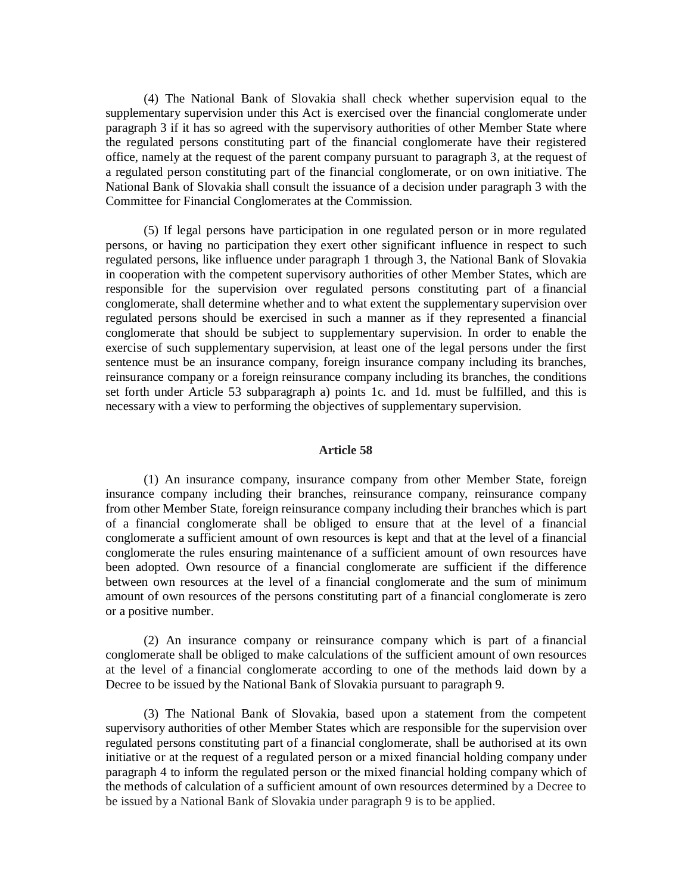(4) The National Bank of Slovakia shall check whether supervision equal to the supplementary supervision under this Act is exercised over the financial conglomerate under paragraph 3 if it has so agreed with the supervisory authorities of other Member State where the regulated persons constituting part of the financial conglomerate have their registered office, namely at the request of the parent company pursuant to paragraph 3, at the request of a regulated person constituting part of the financial conglomerate, or on own initiative. The National Bank of Slovakia shall consult the issuance of a decision under paragraph 3 with the Committee for Financial Conglomerates at the Commission.

(5) If legal persons have participation in one regulated person or in more regulated persons, or having no participation they exert other significant influence in respect to such regulated persons, like influence under paragraph 1 through 3, the National Bank of Slovakia in cooperation with the competent supervisory authorities of other Member States, which are responsible for the supervision over regulated persons constituting part of a financial conglomerate, shall determine whether and to what extent the supplementary supervision over regulated persons should be exercised in such a manner as if they represented a financial conglomerate that should be subject to supplementary supervision. In order to enable the exercise of such supplementary supervision, at least one of the legal persons under the first sentence must be an insurance company, foreign insurance company including its branches, reinsurance company or a foreign reinsurance company including its branches, the conditions set forth under Article 53 subparagraph a) points 1c. and 1d. must be fulfilled, and this is necessary with a view to performing the objectives of supplementary supervision.

#### **Article 58**

(1) An insurance company, insurance company from other Member State, foreign insurance company including their branches, reinsurance company, reinsurance company from other Member State, foreign reinsurance company including their branches which is part of a financial conglomerate shall be obliged to ensure that at the level of a financial conglomerate a sufficient amount of own resources is kept and that at the level of a financial conglomerate the rules ensuring maintenance of a sufficient amount of own resources have been adopted. Own resource of a financial conglomerate are sufficient if the difference between own resources at the level of a financial conglomerate and the sum of minimum amount of own resources of the persons constituting part of a financial conglomerate is zero or a positive number.

(2) An insurance company or reinsurance company which is part of a financial conglomerate shall be obliged to make calculations of the sufficient amount of own resources at the level of a financial conglomerate according to one of the methods laid down by a Decree to be issued by the National Bank of Slovakia pursuant to paragraph 9.

(3) The National Bank of Slovakia, based upon a statement from the competent supervisory authorities of other Member States which are responsible for the supervision over regulated persons constituting part of a financial conglomerate, shall be authorised at its own initiative or at the request of a regulated person or a mixed financial holding company under paragraph 4 to inform the regulated person or the mixed financial holding company which of the methods of calculation of a sufficient amount of own resources determined by a Decree to be issued by a National Bank of Slovakia under paragraph 9 is to be applied.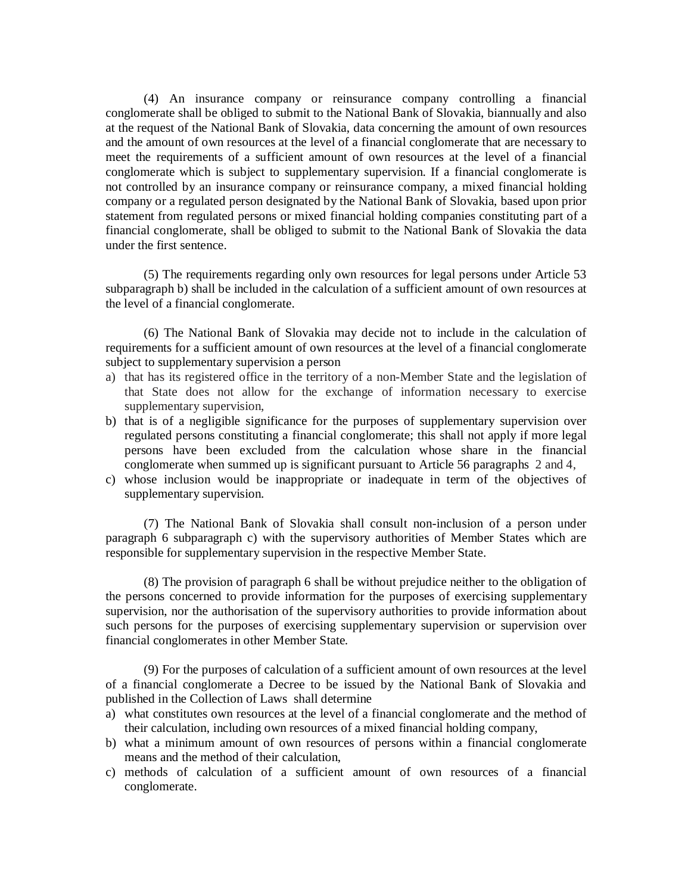(4) An insurance company or reinsurance company controlling a financial conglomerate shall be obliged to submit to the National Bank of Slovakia, biannually and also at the request of the National Bank of Slovakia, data concerning the amount of own resources and the amount of own resources at the level of a financial conglomerate that are necessary to meet the requirements of a sufficient amount of own resources at the level of a financial conglomerate which is subject to supplementary supervision. If a financial conglomerate is not controlled by an insurance company or reinsurance company, a mixed financial holding company or a regulated person designated by the National Bank of Slovakia, based upon prior statement from regulated persons or mixed financial holding companies constituting part of a financial conglomerate, shall be obliged to submit to the National Bank of Slovakia the data under the first sentence.

(5) The requirements regarding only own resources for legal persons under Article 53 subparagraph b) shall be included in the calculation of a sufficient amount of own resources at the level of a financial conglomerate.

(6) The National Bank of Slovakia may decide not to include in the calculation of requirements for a sufficient amount of own resources at the level of a financial conglomerate subject to supplementary supervision a person

- a) that has its registered office in the territory of a non-Member State and the legislation of that State does not allow for the exchange of information necessary to exercise supplementary supervision,
- b) that is of a negligible significance for the purposes of supplementary supervision over regulated persons constituting a financial conglomerate; this shall not apply if more legal persons have been excluded from the calculation whose share in the financial conglomerate when summed up is significant pursuant to Article 56 paragraphs 2 and 4,
- c) whose inclusion would be inappropriate or inadequate in term of the objectives of supplementary supervision.

(7) The National Bank of Slovakia shall consult non-inclusion of a person under paragraph 6 subparagraph c) with the supervisory authorities of Member States which are responsible for supplementary supervision in the respective Member State.

(8) The provision of paragraph 6 shall be without prejudice neither to the obligation of the persons concerned to provide information for the purposes of exercising supplementary supervision, nor the authorisation of the supervisory authorities to provide information about such persons for the purposes of exercising supplementary supervision or supervision over financial conglomerates in other Member State.

(9) For the purposes of calculation of a sufficient amount of own resources at the level of a financial conglomerate a Decree to be issued by the National Bank of Slovakia and published in the Collection of Laws shall determine

- a) what constitutes own resources at the level of a financial conglomerate and the method of their calculation, including own resources of a mixed financial holding company,
- b) what a minimum amount of own resources of persons within a financial conglomerate means and the method of their calculation,
- c) methods of calculation of a sufficient amount of own resources of a financial conglomerate.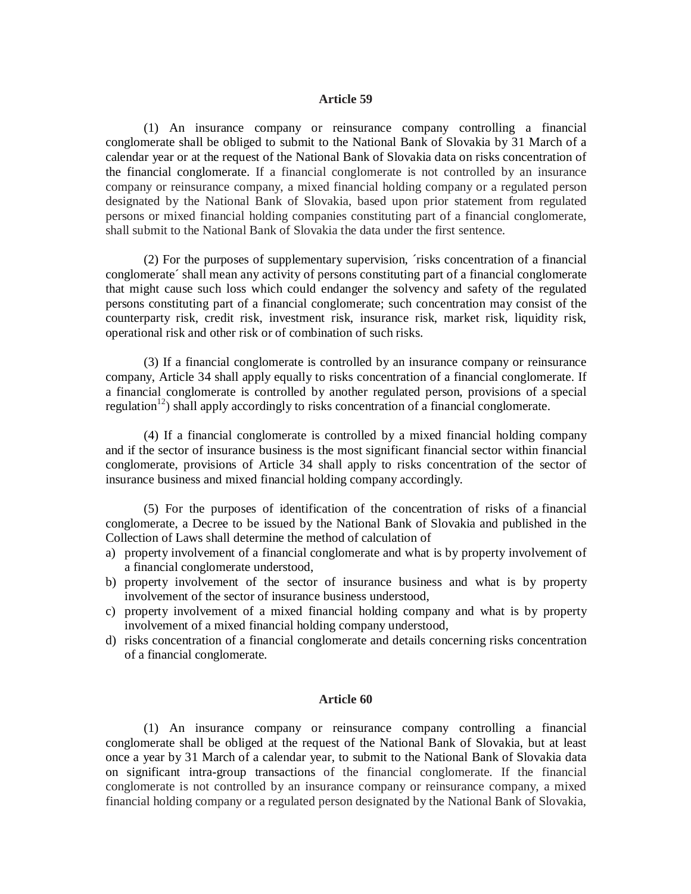#### **Article 59**

(1) An insurance company or reinsurance company controlling a financial conglomerate shall be obliged to submit to the National Bank of Slovakia by 31 March of a calendar year or at the request of the National Bank of Slovakia data on risks concentration of the financial conglomerate. If a financial conglomerate is not controlled by an insurance company or reinsurance company, a mixed financial holding company or a regulated person designated by the National Bank of Slovakia, based upon prior statement from regulated persons or mixed financial holding companies constituting part of a financial conglomerate, shall submit to the National Bank of Slovakia the data under the first sentence.

(2) For the purposes of supplementary supervision, ´risks concentration of a financial conglomerate´ shall mean any activity of persons constituting part of a financial conglomerate that might cause such loss which could endanger the solvency and safety of the regulated persons constituting part of a financial conglomerate; such concentration may consist of the counterparty risk, credit risk, investment risk, insurance risk, market risk, liquidity risk, operational risk and other risk or of combination of such risks.

(3) If a financial conglomerate is controlled by an insurance company or reinsurance company, Article 34 shall apply equally to risks concentration of a financial conglomerate. If a financial conglomerate is controlled by another regulated person, provisions of a special regulation<sup>12</sup>) shall apply accordingly to risks concentration of a financial conglomerate.

(4) If a financial conglomerate is controlled by a mixed financial holding company and if the sector of insurance business is the most significant financial sector within financial conglomerate, provisions of Article 34 shall apply to risks concentration of the sector of insurance business and mixed financial holding company accordingly.

(5) For the purposes of identification of the concentration of risks of a financial conglomerate, a Decree to be issued by the National Bank of Slovakia and published in the Collection of Laws shall determine the method of calculation of

- a) property involvement of a financial conglomerate and what is by property involvement of a financial conglomerate understood,
- b) property involvement of the sector of insurance business and what is by property involvement of the sector of insurance business understood,
- c) property involvement of a mixed financial holding company and what is by property involvement of a mixed financial holding company understood,
- d) risks concentration of a financial conglomerate and details concerning risks concentration of a financial conglomerate.

#### **Article 60**

(1) An insurance company or reinsurance company controlling a financial conglomerate shall be obliged at the request of the National Bank of Slovakia, but at least once a year by 31 March of a calendar year, to submit to the National Bank of Slovakia data on significant intra-group transactions of the financial conglomerate. If the financial conglomerate is not controlled by an insurance company or reinsurance company, a mixed financial holding company or a regulated person designated by the National Bank of Slovakia,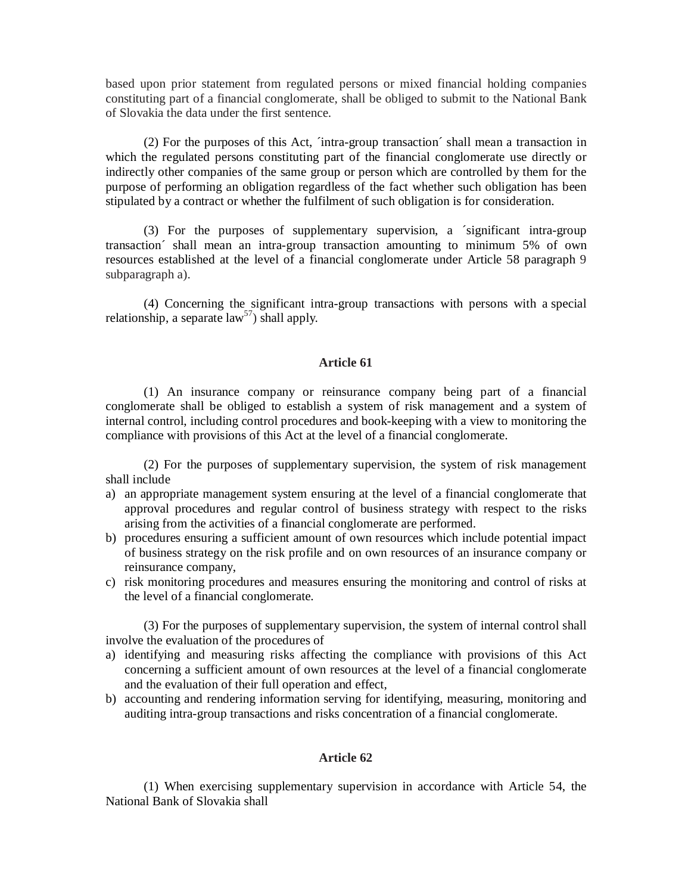based upon prior statement from regulated persons or mixed financial holding companies constituting part of a financial conglomerate, shall be obliged to submit to the National Bank of Slovakia the data under the first sentence.

(2) For the purposes of this Act, ´intra-group transaction´ shall mean a transaction in which the regulated persons constituting part of the financial conglomerate use directly or indirectly other companies of the same group or person which are controlled by them for the purpose of performing an obligation regardless of the fact whether such obligation has been stipulated by a contract or whether the fulfilment of such obligation is for consideration.

(3) For the purposes of supplementary supervision, a ´significant intra-group transaction´ shall mean an intra-group transaction amounting to minimum 5% of own resources established at the level of a financial conglomerate under Article 58 paragraph 9 subparagraph a).

(4) Concerning the significant intra-group transactions with persons with a special relationship, a separate  $law^{57}$  shall apply.

### **Article 61**

(1) An insurance company or reinsurance company being part of a financial conglomerate shall be obliged to establish a system of risk management and a system of internal control, including control procedures and book-keeping with a view to monitoring the compliance with provisions of this Act at the level of a financial conglomerate.

(2) For the purposes of supplementary supervision, the system of risk management shall include

- a) an appropriate management system ensuring at the level of a financial conglomerate that approval procedures and regular control of business strategy with respect to the risks arising from the activities of a financial conglomerate are performed.
- b) procedures ensuring a sufficient amount of own resources which include potential impact of business strategy on the risk profile and on own resources of an insurance company or reinsurance company,
- c) risk monitoring procedures and measures ensuring the monitoring and control of risks at the level of a financial conglomerate.

(3) For the purposes of supplementary supervision, the system of internal control shall involve the evaluation of the procedures of

- a) identifying and measuring risks affecting the compliance with provisions of this Act concerning a sufficient amount of own resources at the level of a financial conglomerate and the evaluation of their full operation and effect,
- b) accounting and rendering information serving for identifying, measuring, monitoring and auditing intra-group transactions and risks concentration of a financial conglomerate.

# **Article 62**

(1) When exercising supplementary supervision in accordance with Article 54, the National Bank of Slovakia shall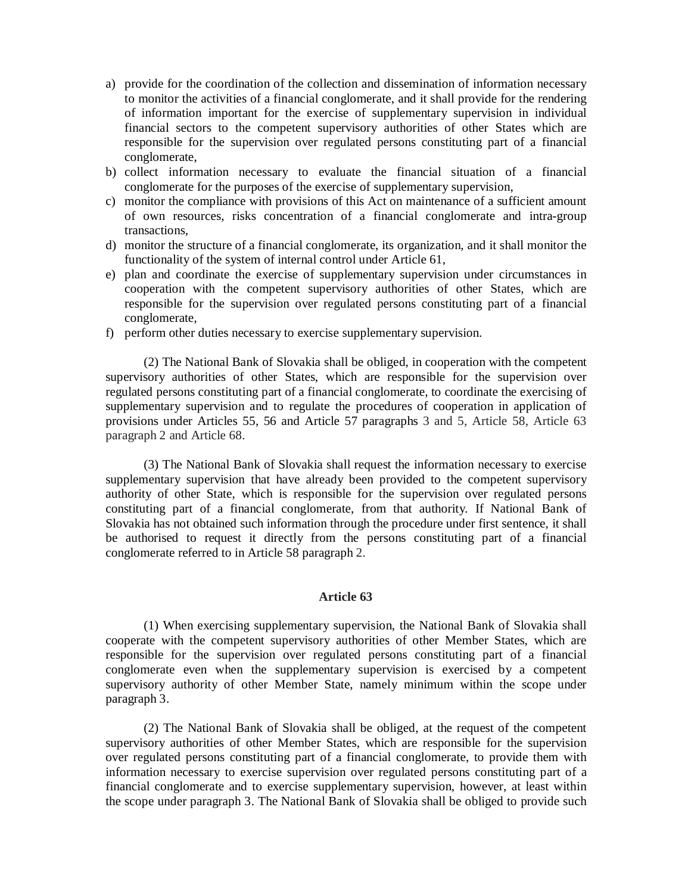- a) provide for the coordination of the collection and dissemination of information necessary to monitor the activities of a financial conglomerate, and it shall provide for the rendering of information important for the exercise of supplementary supervision in individual financial sectors to the competent supervisory authorities of other States which are responsible for the supervision over regulated persons constituting part of a financial conglomerate,
- b) collect information necessary to evaluate the financial situation of a financial conglomerate for the purposes of the exercise of supplementary supervision,
- c) monitor the compliance with provisions of this Act on maintenance of a sufficient amount of own resources, risks concentration of a financial conglomerate and intra-group transactions,
- d) monitor the structure of a financial conglomerate, its organization, and it shall monitor the functionality of the system of internal control under Article 61,
- e) plan and coordinate the exercise of supplementary supervision under circumstances in cooperation with the competent supervisory authorities of other States, which are responsible for the supervision over regulated persons constituting part of a financial conglomerate,
- f) perform other duties necessary to exercise supplementary supervision.

(2) The National Bank of Slovakia shall be obliged, in cooperation with the competent supervisory authorities of other States, which are responsible for the supervision over regulated persons constituting part of a financial conglomerate, to coordinate the exercising of supplementary supervision and to regulate the procedures of cooperation in application of provisions under Articles 55, 56 and Article 57 paragraphs 3 and 5, Article 58, Article 63 paragraph 2 and Article 68.

(3) The National Bank of Slovakia shall request the information necessary to exercise supplementary supervision that have already been provided to the competent supervisory authority of other State, which is responsible for the supervision over regulated persons constituting part of a financial conglomerate, from that authority. If National Bank of Slovakia has not obtained such information through the procedure under first sentence, it shall be authorised to request it directly from the persons constituting part of a financial conglomerate referred to in Article 58 paragraph 2.

## **Article 63**

(1) When exercising supplementary supervision, the National Bank of Slovakia shall cooperate with the competent supervisory authorities of other Member States, which are responsible for the supervision over regulated persons constituting part of a financial conglomerate even when the supplementary supervision is exercised by a competent supervisory authority of other Member State, namely minimum within the scope under paragraph 3.

(2) The National Bank of Slovakia shall be obliged, at the request of the competent supervisory authorities of other Member States, which are responsible for the supervision over regulated persons constituting part of a financial conglomerate, to provide them with information necessary to exercise supervision over regulated persons constituting part of a financial conglomerate and to exercise supplementary supervision, however, at least within the scope under paragraph 3. The National Bank of Slovakia shall be obliged to provide such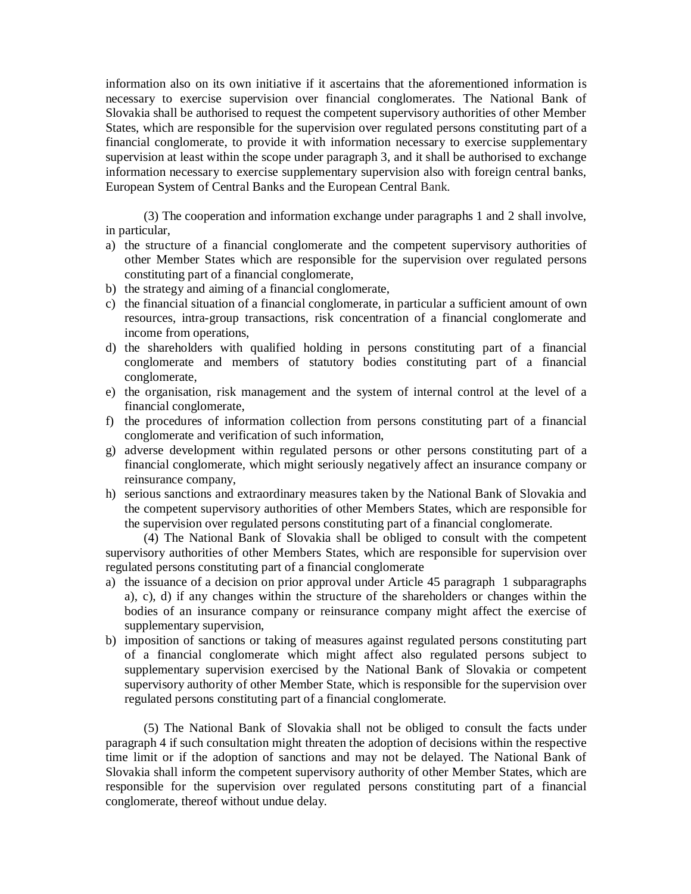information also on its own initiative if it ascertains that the aforementioned information is necessary to exercise supervision over financial conglomerates. The National Bank of Slovakia shall be authorised to request the competent supervisory authorities of other Member States, which are responsible for the supervision over regulated persons constituting part of a financial conglomerate, to provide it with information necessary to exercise supplementary supervision at least within the scope under paragraph 3, and it shall be authorised to exchange information necessary to exercise supplementary supervision also with foreign central banks, European System of Central Banks and the European Central Bank.

(3) The cooperation and information exchange under paragraphs 1 and 2 shall involve, in particular,

- a) the structure of a financial conglomerate and the competent supervisory authorities of other Member States which are responsible for the supervision over regulated persons constituting part of a financial conglomerate,
- b) the strategy and aiming of a financial conglomerate,
- c) the financial situation of a financial conglomerate, in particular a sufficient amount of own resources, intra-group transactions, risk concentration of a financial conglomerate and income from operations,
- d) the shareholders with qualified holding in persons constituting part of a financial conglomerate and members of statutory bodies constituting part of a financial conglomerate,
- e) the organisation, risk management and the system of internal control at the level of a financial conglomerate,
- f) the procedures of information collection from persons constituting part of a financial conglomerate and verification of such information,
- g) adverse development within regulated persons or other persons constituting part of a financial conglomerate, which might seriously negatively affect an insurance company or reinsurance company,
- h) serious sanctions and extraordinary measures taken by the National Bank of Slovakia and the competent supervisory authorities of other Members States, which are responsible for the supervision over regulated persons constituting part of a financial conglomerate.

(4) The National Bank of Slovakia shall be obliged to consult with the competent supervisory authorities of other Members States, which are responsible for supervision over regulated persons constituting part of a financial conglomerate

- a) the issuance of a decision on prior approval under Article 45 paragraph 1 subparagraphs a), c), d) if any changes within the structure of the shareholders or changes within the bodies of an insurance company or reinsurance company might affect the exercise of supplementary supervision,
- b) imposition of sanctions or taking of measures against regulated persons constituting part of a financial conglomerate which might affect also regulated persons subject to supplementary supervision exercised by the National Bank of Slovakia or competent supervisory authority of other Member State, which is responsible for the supervision over regulated persons constituting part of a financial conglomerate.

(5) The National Bank of Slovakia shall not be obliged to consult the facts under paragraph 4 if such consultation might threaten the adoption of decisions within the respective time limit or if the adoption of sanctions and may not be delayed. The National Bank of Slovakia shall inform the competent supervisory authority of other Member States, which are responsible for the supervision over regulated persons constituting part of a financial conglomerate, thereof without undue delay.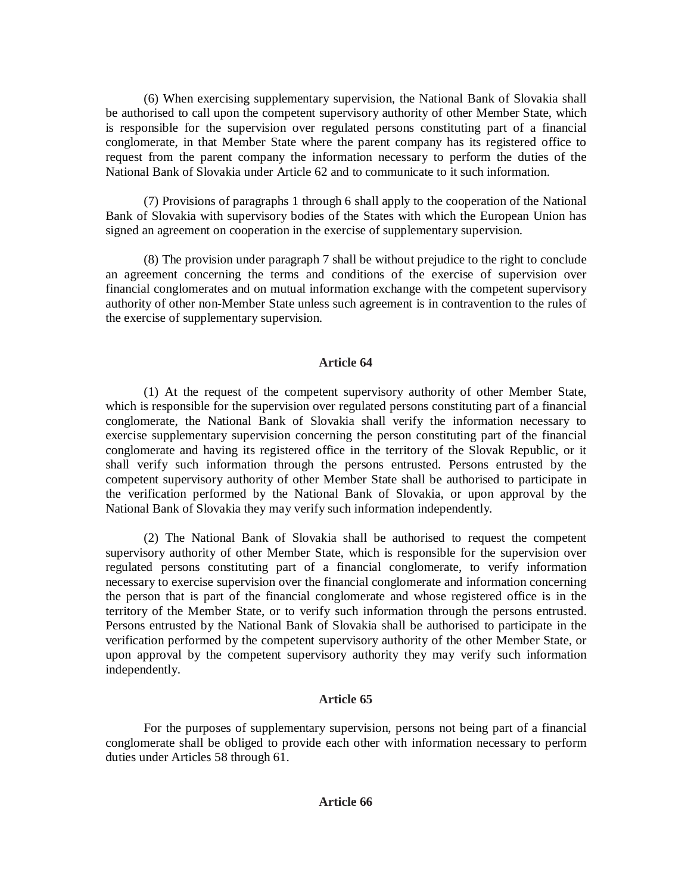(6) When exercising supplementary supervision, the National Bank of Slovakia shall be authorised to call upon the competent supervisory authority of other Member State, which is responsible for the supervision over regulated persons constituting part of a financial conglomerate, in that Member State where the parent company has its registered office to request from the parent company the information necessary to perform the duties of the National Bank of Slovakia under Article 62 and to communicate to it such information.

(7) Provisions of paragraphs 1 through 6 shall apply to the cooperation of the National Bank of Slovakia with supervisory bodies of the States with which the European Union has signed an agreement on cooperation in the exercise of supplementary supervision.

(8) The provision under paragraph 7 shall be without prejudice to the right to conclude an agreement concerning the terms and conditions of the exercise of supervision over financial conglomerates and on mutual information exchange with the competent supervisory authority of other non-Member State unless such agreement is in contravention to the rules of the exercise of supplementary supervision.

# **Article 64**

(1) At the request of the competent supervisory authority of other Member State, which is responsible for the supervision over regulated persons constituting part of a financial conglomerate, the National Bank of Slovakia shall verify the information necessary to exercise supplementary supervision concerning the person constituting part of the financial conglomerate and having its registered office in the territory of the Slovak Republic, or it shall verify such information through the persons entrusted. Persons entrusted by the competent supervisory authority of other Member State shall be authorised to participate in the verification performed by the National Bank of Slovakia, or upon approval by the National Bank of Slovakia they may verify such information independently.

(2) The National Bank of Slovakia shall be authorised to request the competent supervisory authority of other Member State, which is responsible for the supervision over regulated persons constituting part of a financial conglomerate, to verify information necessary to exercise supervision over the financial conglomerate and information concerning the person that is part of the financial conglomerate and whose registered office is in the territory of the Member State, or to verify such information through the persons entrusted. Persons entrusted by the National Bank of Slovakia shall be authorised to participate in the verification performed by the competent supervisory authority of the other Member State, or upon approval by the competent supervisory authority they may verify such information independently.

# **Article 65**

For the purposes of supplementary supervision, persons not being part of a financial conglomerate shall be obliged to provide each other with information necessary to perform duties under Articles 58 through 61.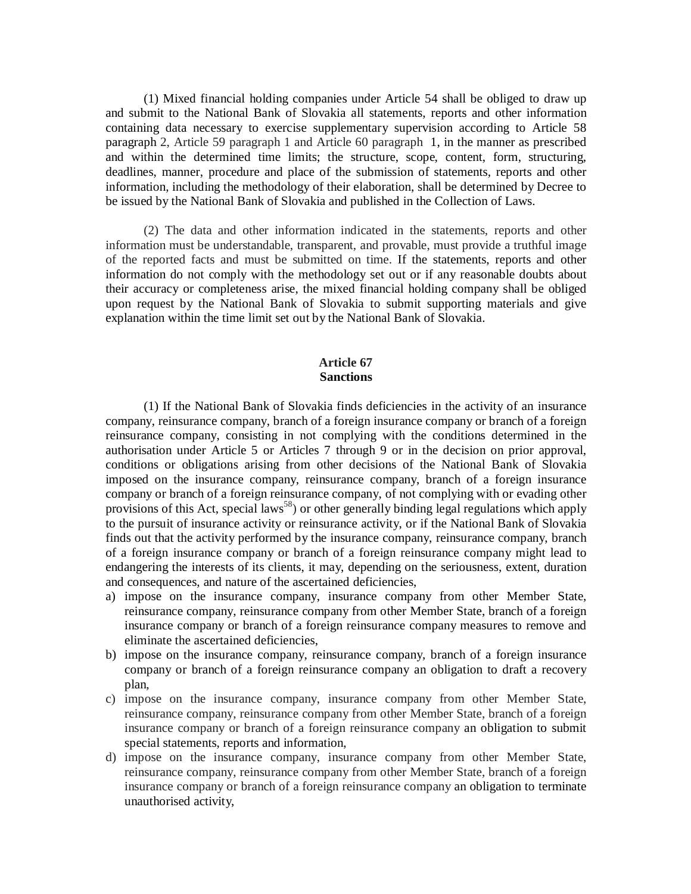(1) Mixed financial holding companies under Article 54 shall be obliged to draw up and submit to the National Bank of Slovakia all statements, reports and other information containing data necessary to exercise supplementary supervision according to Article 58 paragraph 2, Article 59 paragraph 1 and Article 60 paragraph 1, in the manner as prescribed and within the determined time limits; the structure, scope, content, form, structuring, deadlines, manner, procedure and place of the submission of statements, reports and other information, including the methodology of their elaboration, shall be determined by Decree to be issued by the National Bank of Slovakia and published in the Collection of Laws.

(2) The data and other information indicated in the statements, reports and other information must be understandable, transparent, and provable, must provide a truthful image of the reported facts and must be submitted on time. If the statements, reports and other information do not comply with the methodology set out or if any reasonable doubts about their accuracy or completeness arise, the mixed financial holding company shall be obliged upon request by the National Bank of Slovakia to submit supporting materials and give explanation within the time limit set out by the National Bank of Slovakia.

## **Article 67 Sanctions**

(1) If the National Bank of Slovakia finds deficiencies in the activity of an insurance company, reinsurance company, branch of a foreign insurance company or branch of a foreign reinsurance company, consisting in not complying with the conditions determined in the authorisation under Article 5 or Articles 7 through 9 or in the decision on prior approval, conditions or obligations arising from other decisions of the National Bank of Slovakia imposed on the insurance company, reinsurance company, branch of a foreign insurance company or branch of a foreign reinsurance company, of not complying with or evading other provisions of this Act, special laws<sup>58</sup>) or other generally binding legal regulations which apply to the pursuit of insurance activity or reinsurance activity, or if the National Bank of Slovakia finds out that the activity performed by the insurance company, reinsurance company, branch of a foreign insurance company or branch of a foreign reinsurance company might lead to endangering the interests of its clients, it may, depending on the seriousness, extent, duration and consequences, and nature of the ascertained deficiencies,

- a) impose on the insurance company, insurance company from other Member State, reinsurance company, reinsurance company from other Member State, branch of a foreign insurance company or branch of a foreign reinsurance company measures to remove and eliminate the ascertained deficiencies,
- b) impose on the insurance company, reinsurance company, branch of a foreign insurance company or branch of a foreign reinsurance company an obligation to draft a recovery plan,
- c) impose on the insurance company, insurance company from other Member State, reinsurance company, reinsurance company from other Member State, branch of a foreign insurance company or branch of a foreign reinsurance company an obligation to submit special statements, reports and information,
- d) impose on the insurance company, insurance company from other Member State, reinsurance company, reinsurance company from other Member State, branch of a foreign insurance company or branch of a foreign reinsurance company an obligation to terminate unauthorised activity,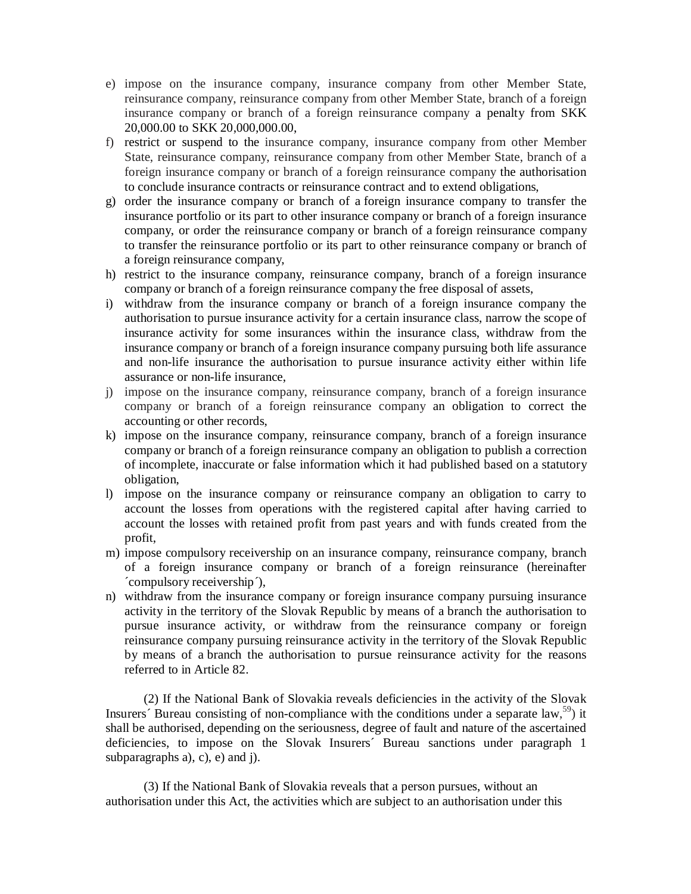- e) impose on the insurance company, insurance company from other Member State, reinsurance company, reinsurance company from other Member State, branch of a foreign insurance company or branch of a foreign reinsurance company a penalty from SKK 20,000.00 to SKK 20,000,000.00,
- f) restrict or suspend to the insurance company, insurance company from other Member State, reinsurance company, reinsurance company from other Member State, branch of a foreign insurance company or branch of a foreign reinsurance company the authorisation to conclude insurance contracts or reinsurance contract and to extend obligations,
- g) order the insurance company or branch of a foreign insurance company to transfer the insurance portfolio or its part to other insurance company or branch of a foreign insurance company, or order the reinsurance company or branch of a foreign reinsurance company to transfer the reinsurance portfolio or its part to other reinsurance company or branch of a foreign reinsurance company,
- h) restrict to the insurance company, reinsurance company, branch of a foreign insurance company or branch of a foreign reinsurance company the free disposal of assets,
- i) withdraw from the insurance company or branch of a foreign insurance company the authorisation to pursue insurance activity for a certain insurance class, narrow the scope of insurance activity for some insurances within the insurance class, withdraw from the insurance company or branch of a foreign insurance company pursuing both life assurance and non-life insurance the authorisation to pursue insurance activity either within life assurance or non-life insurance,
- j) impose on the insurance company, reinsurance company, branch of a foreign insurance company or branch of a foreign reinsurance company an obligation to correct the accounting or other records,
- k) impose on the insurance company, reinsurance company, branch of a foreign insurance company or branch of a foreign reinsurance company an obligation to publish a correction of incomplete, inaccurate or false information which it had published based on a statutory obligation,
- l) impose on the insurance company or reinsurance company an obligation to carry to account the losses from operations with the registered capital after having carried to account the losses with retained profit from past years and with funds created from the profit,
- m) impose compulsory receivership on an insurance company, reinsurance company, branch of a foreign insurance company or branch of a foreign reinsurance (hereinafter ´compulsory receivership´),
- n) withdraw from the insurance company or foreign insurance company pursuing insurance activity in the territory of the Slovak Republic by means of a branch the authorisation to pursue insurance activity, or withdraw from the reinsurance company or foreign reinsurance company pursuing reinsurance activity in the territory of the Slovak Republic by means of a branch the authorisation to pursue reinsurance activity for the reasons referred to in Article 82.

(2) If the National Bank of Slovakia reveals deficiencies in the activity of the Slovak Insurers' Bureau consisting of non-compliance with the conditions under a separate law,  $59$ ) it shall be authorised, depending on the seriousness, degree of fault and nature of the ascertained deficiencies, to impose on the Slovak Insurers´ Bureau sanctions under paragraph 1 subparagraphs a), c), e) and j).

(3) If the National Bank of Slovakia reveals that a person pursues, without an authorisation under this Act, the activities which are subject to an authorisation under this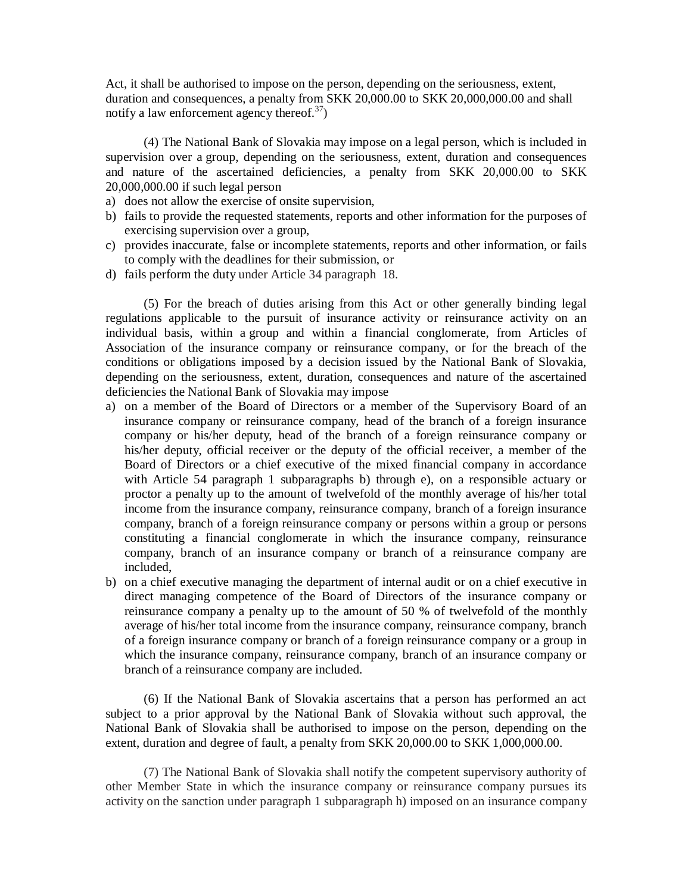Act, it shall be authorised to impose on the person, depending on the seriousness, extent, duration and consequences, a penalty from SKK 20,000.00 to SKK 20,000,000.00 and shall notify a law enforcement agency thereof.<sup>37</sup>)

(4) The National Bank of Slovakia may impose on a legal person, which is included in supervision over a group, depending on the seriousness, extent, duration and consequences and nature of the ascertained deficiencies, a penalty from SKK 20,000.00 to SKK 20,000,000.00 if such legal person

- a) does not allow the exercise of onsite supervision,
- b) fails to provide the requested statements, reports and other information for the purposes of exercising supervision over a group,
- c) provides inaccurate, false or incomplete statements, reports and other information, or fails to comply with the deadlines for their submission, or
- d) fails perform the duty under Article 34 paragraph 18.

(5) For the breach of duties arising from this Act or other generally binding legal regulations applicable to the pursuit of insurance activity or reinsurance activity on an individual basis, within a group and within a financial conglomerate, from Articles of Association of the insurance company or reinsurance company, or for the breach of the conditions or obligations imposed by a decision issued by the National Bank of Slovakia, depending on the seriousness, extent, duration, consequences and nature of the ascertained deficiencies the National Bank of Slovakia may impose

- a) on a member of the Board of Directors or a member of the Supervisory Board of an insurance company or reinsurance company, head of the branch of a foreign insurance company or his/her deputy, head of the branch of a foreign reinsurance company or his/her deputy, official receiver or the deputy of the official receiver, a member of the Board of Directors or a chief executive of the mixed financial company in accordance with Article 54 paragraph 1 subparagraphs b) through e), on a responsible actuary or proctor a penalty up to the amount of twelvefold of the monthly average of his/her total income from the insurance company, reinsurance company, branch of a foreign insurance company, branch of a foreign reinsurance company or persons within a group or persons constituting a financial conglomerate in which the insurance company, reinsurance company, branch of an insurance company or branch of a reinsurance company are included,
- b) on a chief executive managing the department of internal audit or on a chief executive in direct managing competence of the Board of Directors of the insurance company or reinsurance company a penalty up to the amount of 50 % of twelvefold of the monthly average of his/her total income from the insurance company, reinsurance company, branch of a foreign insurance company or branch of a foreign reinsurance company or a group in which the insurance company, reinsurance company, branch of an insurance company or branch of a reinsurance company are included.

(6) If the National Bank of Slovakia ascertains that a person has performed an act subject to a prior approval by the National Bank of Slovakia without such approval, the National Bank of Slovakia shall be authorised to impose on the person, depending on the extent, duration and degree of fault, a penalty from SKK 20,000.00 to SKK 1,000,000.00.

(7) The National Bank of Slovakia shall notify the competent supervisory authority of other Member State in which the insurance company or reinsurance company pursues its activity on the sanction under paragraph 1 subparagraph h) imposed on an insurance company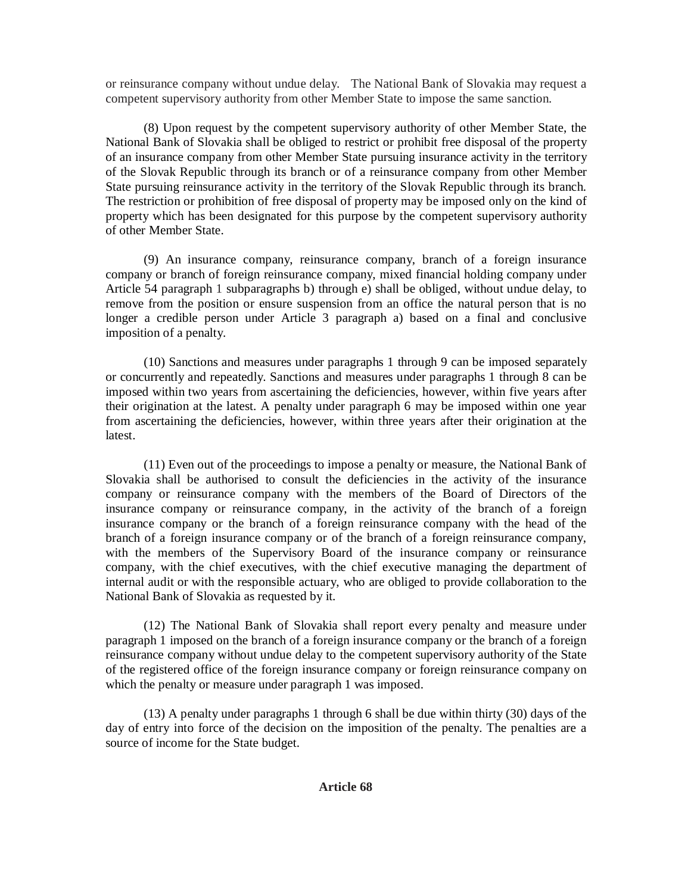or reinsurance company without undue delay. The National Bank of Slovakia may request a competent supervisory authority from other Member State to impose the same sanction.

(8) Upon request by the competent supervisory authority of other Member State, the National Bank of Slovakia shall be obliged to restrict or prohibit free disposal of the property of an insurance company from other Member State pursuing insurance activity in the territory of the Slovak Republic through its branch or of a reinsurance company from other Member State pursuing reinsurance activity in the territory of the Slovak Republic through its branch. The restriction or prohibition of free disposal of property may be imposed only on the kind of property which has been designated for this purpose by the competent supervisory authority of other Member State.

(9) An insurance company, reinsurance company, branch of a foreign insurance company or branch of foreign reinsurance company, mixed financial holding company under Article 54 paragraph 1 subparagraphs b) through e) shall be obliged, without undue delay, to remove from the position or ensure suspension from an office the natural person that is no longer a credible person under Article 3 paragraph a) based on a final and conclusive imposition of a penalty.

(10) Sanctions and measures under paragraphs 1 through 9 can be imposed separately or concurrently and repeatedly. Sanctions and measures under paragraphs 1 through 8 can be imposed within two years from ascertaining the deficiencies, however, within five years after their origination at the latest. A penalty under paragraph 6 may be imposed within one year from ascertaining the deficiencies, however, within three years after their origination at the latest.

(11) Even out of the proceedings to impose a penalty or measure, the National Bank of Slovakia shall be authorised to consult the deficiencies in the activity of the insurance company or reinsurance company with the members of the Board of Directors of the insurance company or reinsurance company, in the activity of the branch of a foreign insurance company or the branch of a foreign reinsurance company with the head of the branch of a foreign insurance company or of the branch of a foreign reinsurance company, with the members of the Supervisory Board of the insurance company or reinsurance company, with the chief executives, with the chief executive managing the department of internal audit or with the responsible actuary, who are obliged to provide collaboration to the National Bank of Slovakia as requested by it.

(12) The National Bank of Slovakia shall report every penalty and measure under paragraph 1 imposed on the branch of a foreign insurance company or the branch of a foreign reinsurance company without undue delay to the competent supervisory authority of the State of the registered office of the foreign insurance company or foreign reinsurance company on which the penalty or measure under paragraph 1 was imposed.

(13) A penalty under paragraphs 1 through 6 shall be due within thirty (30) days of the day of entry into force of the decision on the imposition of the penalty. The penalties are a source of income for the State budget.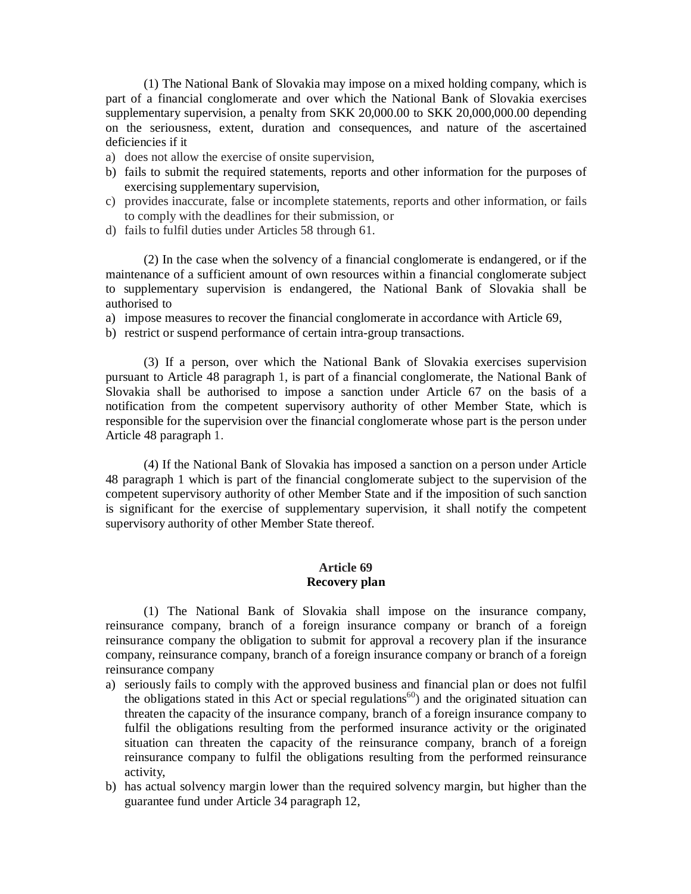(1) The National Bank of Slovakia may impose on a mixed holding company, which is part of a financial conglomerate and over which the National Bank of Slovakia exercises supplementary supervision, a penalty from SKK 20,000.00 to SKK 20,000,000.00 depending on the seriousness, extent, duration and consequences, and nature of the ascertained deficiencies if it

- a) does not allow the exercise of onsite supervision,
- b) fails to submit the required statements, reports and other information for the purposes of exercising supplementary supervision,
- c) provides inaccurate, false or incomplete statements, reports and other information, or fails to comply with the deadlines for their submission, or
- d) fails to fulfil duties under Articles 58 through 61.

(2) In the case when the solvency of a financial conglomerate is endangered, or if the maintenance of a sufficient amount of own resources within a financial conglomerate subject to supplementary supervision is endangered, the National Bank of Slovakia shall be authorised to

- a) impose measures to recover the financial conglomerate in accordance with Article 69,
- b) restrict or suspend performance of certain intra-group transactions.

(3) If a person, over which the National Bank of Slovakia exercises supervision pursuant to Article 48 paragraph 1, is part of a financial conglomerate, the National Bank of Slovakia shall be authorised to impose a sanction under Article 67 on the basis of a notification from the competent supervisory authority of other Member State, which is responsible for the supervision over the financial conglomerate whose part is the person under Article 48 paragraph 1.

(4) If the National Bank of Slovakia has imposed a sanction on a person under Article 48 paragraph 1 which is part of the financial conglomerate subject to the supervision of the competent supervisory authority of other Member State and if the imposition of such sanction is significant for the exercise of supplementary supervision, it shall notify the competent supervisory authority of other Member State thereof.

## **Article 69 Recovery plan**

(1) The National Bank of Slovakia shall impose on the insurance company, reinsurance company, branch of a foreign insurance company or branch of a foreign reinsurance company the obligation to submit for approval a recovery plan if the insurance company, reinsurance company, branch of a foreign insurance company or branch of a foreign reinsurance company

- a) seriously fails to comply with the approved business and financial plan or does not fulfil the obligations stated in this Act or special regulations<sup>60</sup>) and the originated situation can threaten the capacity of the insurance company, branch of a foreign insurance company to fulfil the obligations resulting from the performed insurance activity or the originated situation can threaten the capacity of the reinsurance company, branch of a foreign reinsurance company to fulfil the obligations resulting from the performed reinsurance activity,
- b) has actual solvency margin lower than the required solvency margin, but higher than the guarantee fund under Article 34 paragraph 12,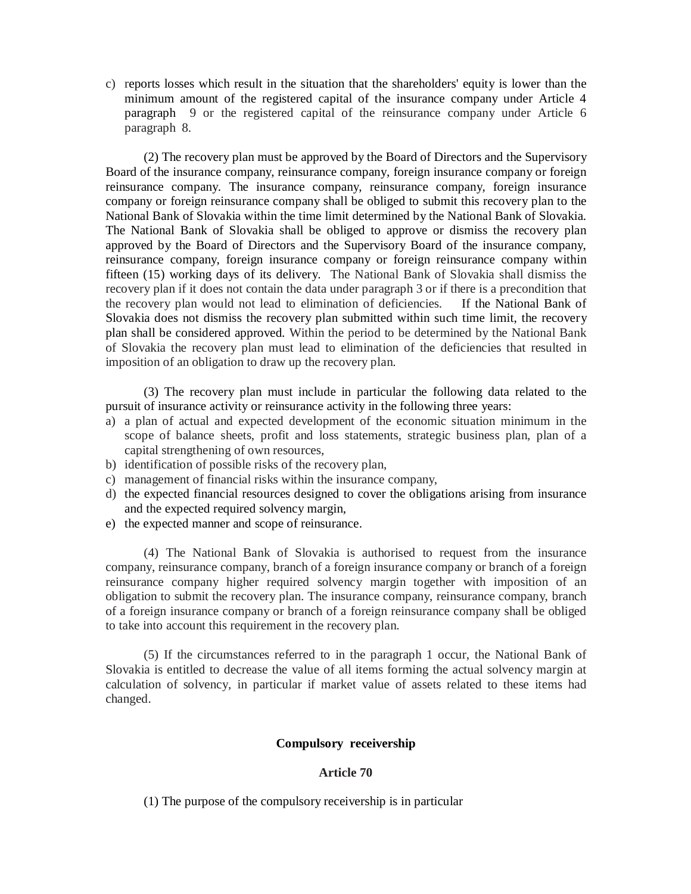c) reports losses which result in the situation that the shareholders' equity is lower than the minimum amount of the registered capital of the insurance company under Article 4 paragraph 9 or the registered capital of the reinsurance company under Article 6 paragraph 8.

(2) The recovery plan must be approved by the Board of Directors and the Supervisory Board of the insurance company, reinsurance company, foreign insurance company or foreign reinsurance company. The insurance company, reinsurance company, foreign insurance company or foreign reinsurance company shall be obliged to submit this recovery plan to the National Bank of Slovakia within the time limit determined by the National Bank of Slovakia. The National Bank of Slovakia shall be obliged to approve or dismiss the recovery plan approved by the Board of Directors and the Supervisory Board of the insurance company, reinsurance company, foreign insurance company or foreign reinsurance company within fifteen (15) working days of its delivery. The National Bank of Slovakia shall dismiss the recovery plan if it does not contain the data under paragraph 3 or if there is a precondition that the recovery plan would not lead to elimination of deficiencies. If the National Bank of Slovakia does not dismiss the recovery plan submitted within such time limit, the recovery plan shall be considered approved. Within the period to be determined by the National Bank of Slovakia the recovery plan must lead to elimination of the deficiencies that resulted in imposition of an obligation to draw up the recovery plan.

(3) The recovery plan must include in particular the following data related to the pursuit of insurance activity or reinsurance activity in the following three years:

- a) a plan of actual and expected development of the economic situation minimum in the scope of balance sheets, profit and loss statements, strategic business plan, plan of a capital strengthening of own resources,
- b) identification of possible risks of the recovery plan,
- c) management of financial risks within the insurance company,
- d) the expected financial resources designed to cover the obligations arising from insurance and the expected required solvency margin,
- e) the expected manner and scope of reinsurance.

(4) The National Bank of Slovakia is authorised to request from the insurance company, reinsurance company, branch of a foreign insurance company or branch of a foreign reinsurance company higher required solvency margin together with imposition of an obligation to submit the recovery plan. The insurance company, reinsurance company, branch of a foreign insurance company or branch of a foreign reinsurance company shall be obliged to take into account this requirement in the recovery plan.

(5) If the circumstances referred to in the paragraph 1 occur, the National Bank of Slovakia is entitled to decrease the value of all items forming the actual solvency margin at calculation of solvency, in particular if market value of assets related to these items had changed.

## **Compulsory receivership**

#### **Article 70**

(1) The purpose of the compulsory receivership is in particular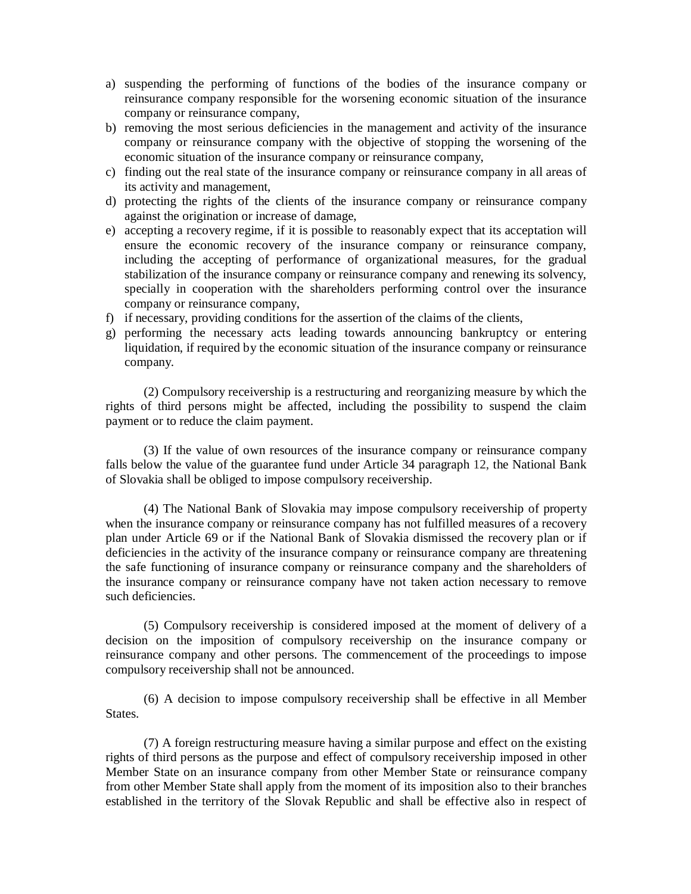- a) suspending the performing of functions of the bodies of the insurance company or reinsurance company responsible for the worsening economic situation of the insurance company or reinsurance company,
- b) removing the most serious deficiencies in the management and activity of the insurance company or reinsurance company with the objective of stopping the worsening of the economic situation of the insurance company or reinsurance company,
- c) finding out the real state of the insurance company or reinsurance company in all areas of its activity and management,
- d) protecting the rights of the clients of the insurance company or reinsurance company against the origination or increase of damage,
- e) accepting a recovery regime, if it is possible to reasonably expect that its acceptation will ensure the economic recovery of the insurance company or reinsurance company, including the accepting of performance of organizational measures, for the gradual stabilization of the insurance company or reinsurance company and renewing its solvency, specially in cooperation with the shareholders performing control over the insurance company or reinsurance company,
- f) if necessary, providing conditions for the assertion of the claims of the clients,
- g) performing the necessary acts leading towards announcing bankruptcy or entering liquidation, if required by the economic situation of the insurance company or reinsurance company.

(2) Compulsory receivership is a restructuring and reorganizing measure by which the rights of third persons might be affected, including the possibility to suspend the claim payment or to reduce the claim payment.

(3) If the value of own resources of the insurance company or reinsurance company falls below the value of the guarantee fund under Article 34 paragraph 12, the National Bank of Slovakia shall be obliged to impose compulsory receivership.

(4) The National Bank of Slovakia may impose compulsory receivership of property when the insurance company or reinsurance company has not fulfilled measures of a recovery plan under Article 69 or if the National Bank of Slovakia dismissed the recovery plan or if deficiencies in the activity of the insurance company or reinsurance company are threatening the safe functioning of insurance company or reinsurance company and the shareholders of the insurance company or reinsurance company have not taken action necessary to remove such deficiencies.

(5) Compulsory receivership is considered imposed at the moment of delivery of a decision on the imposition of compulsory receivership on the insurance company or reinsurance company and other persons. The commencement of the proceedings to impose compulsory receivership shall not be announced.

(6) A decision to impose compulsory receivership shall be effective in all Member States.

(7) A foreign restructuring measure having a similar purpose and effect on the existing rights of third persons as the purpose and effect of compulsory receivership imposed in other Member State on an insurance company from other Member State or reinsurance company from other Member State shall apply from the moment of its imposition also to their branches established in the territory of the Slovak Republic and shall be effective also in respect of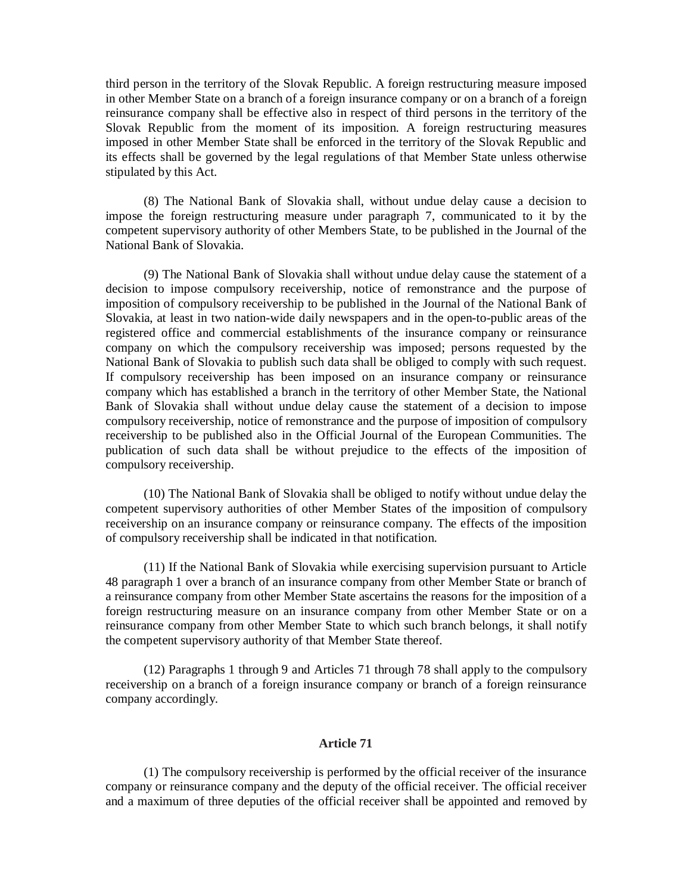third person in the territory of the Slovak Republic. A foreign restructuring measure imposed in other Member State on a branch of a foreign insurance company or on a branch of a foreign reinsurance company shall be effective also in respect of third persons in the territory of the Slovak Republic from the moment of its imposition. A foreign restructuring measures imposed in other Member State shall be enforced in the territory of the Slovak Republic and its effects shall be governed by the legal regulations of that Member State unless otherwise stipulated by this Act.

(8) The National Bank of Slovakia shall, without undue delay cause a decision to impose the foreign restructuring measure under paragraph 7, communicated to it by the competent supervisory authority of other Members State, to be published in the Journal of the National Bank of Slovakia.

(9) The National Bank of Slovakia shall without undue delay cause the statement of a decision to impose compulsory receivership, notice of remonstrance and the purpose of imposition of compulsory receivership to be published in the Journal of the National Bank of Slovakia, at least in two nation-wide daily newspapers and in the open-to-public areas of the registered office and commercial establishments of the insurance company or reinsurance company on which the compulsory receivership was imposed; persons requested by the National Bank of Slovakia to publish such data shall be obliged to comply with such request. If compulsory receivership has been imposed on an insurance company or reinsurance company which has established a branch in the territory of other Member State, the National Bank of Slovakia shall without undue delay cause the statement of a decision to impose compulsory receivership, notice of remonstrance and the purpose of imposition of compulsory receivership to be published also in the Official Journal of the European Communities. The publication of such data shall be without prejudice to the effects of the imposition of compulsory receivership.

(10) The National Bank of Slovakia shall be obliged to notify without undue delay the competent supervisory authorities of other Member States of the imposition of compulsory receivership on an insurance company or reinsurance company. The effects of the imposition of compulsory receivership shall be indicated in that notification.

(11) If the National Bank of Slovakia while exercising supervision pursuant to Article 48 paragraph 1 over a branch of an insurance company from other Member State or branch of a reinsurance company from other Member State ascertains the reasons for the imposition of a foreign restructuring measure on an insurance company from other Member State or on a reinsurance company from other Member State to which such branch belongs, it shall notify the competent supervisory authority of that Member State thereof.

(12) Paragraphs 1 through 9 and Articles 71 through 78 shall apply to the compulsory receivership on a branch of a foreign insurance company or branch of a foreign reinsurance company accordingly.

#### **Article 71**

(1) The compulsory receivership is performed by the official receiver of the insurance company or reinsurance company and the deputy of the official receiver. The official receiver and a maximum of three deputies of the official receiver shall be appointed and removed by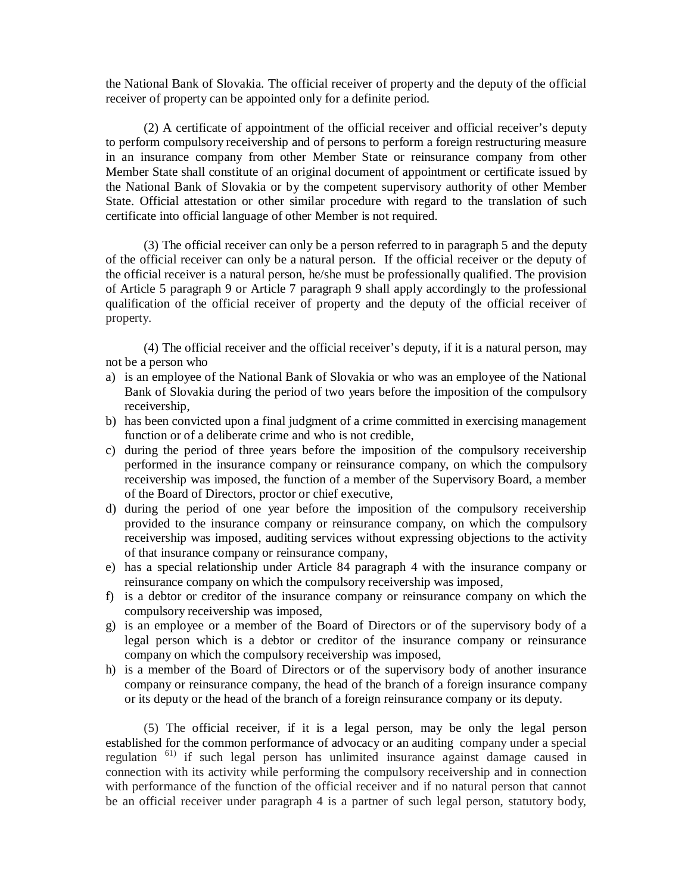the National Bank of Slovakia. The official receiver of property and the deputy of the official receiver of property can be appointed only for a definite period.

(2) A certificate of appointment of the official receiver and official receiver's deputy to perform compulsory receivership and of persons to perform a foreign restructuring measure in an insurance company from other Member State or reinsurance company from other Member State shall constitute of an original document of appointment or certificate issued by the National Bank of Slovakia or by the competent supervisory authority of other Member State. Official attestation or other similar procedure with regard to the translation of such certificate into official language of other Member is not required.

(3) The official receiver can only be a person referred to in paragraph 5 and the deputy of the official receiver can only be a natural person. If the official receiver or the deputy of the official receiver is a natural person, he/she must be professionally qualified. The provision of Article 5 paragraph 9 or Article 7 paragraph 9 shall apply accordingly to the professional qualification of the official receiver of property and the deputy of the official receiver of property.

(4) The official receiver and the official receiver's deputy, if it is a natural person, may not be a person who

- a) is an employee of the National Bank of Slovakia or who was an employee of the National Bank of Slovakia during the period of two years before the imposition of the compulsory receivership,
- b) has been convicted upon a final judgment of a crime committed in exercising management function or of a deliberate crime and who is not credible,
- c) during the period of three years before the imposition of the compulsory receivership performed in the insurance company or reinsurance company, on which the compulsory receivership was imposed, the function of a member of the Supervisory Board, a member of the Board of Directors, proctor or chief executive,
- d) during the period of one year before the imposition of the compulsory receivership provided to the insurance company or reinsurance company, on which the compulsory receivership was imposed, auditing services without expressing objections to the activity of that insurance company or reinsurance company,
- e) has a special relationship under Article 84 paragraph 4 with the insurance company or reinsurance company on which the compulsory receivership was imposed,
- f) is a debtor or creditor of the insurance company or reinsurance company on which the compulsory receivership was imposed,
- g) is an employee or a member of the Board of Directors or of the supervisory body of a legal person which is a debtor or creditor of the insurance company or reinsurance company on which the compulsory receivership was imposed,
- h) is a member of the Board of Directors or of the supervisory body of another insurance company or reinsurance company, the head of the branch of a foreign insurance company or its deputy or the head of the branch of a foreign reinsurance company or its deputy.

(5) The official receiver, if it is a legal person, may be only the legal person established for the common performance of advocacy or an auditing company under a special regulation 61) if such legal person has unlimited insurance against damage caused in connection with its activity while performing the compulsory receivership and in connection with performance of the function of the official receiver and if no natural person that cannot be an official receiver under paragraph 4 is a partner of such legal person, statutory body,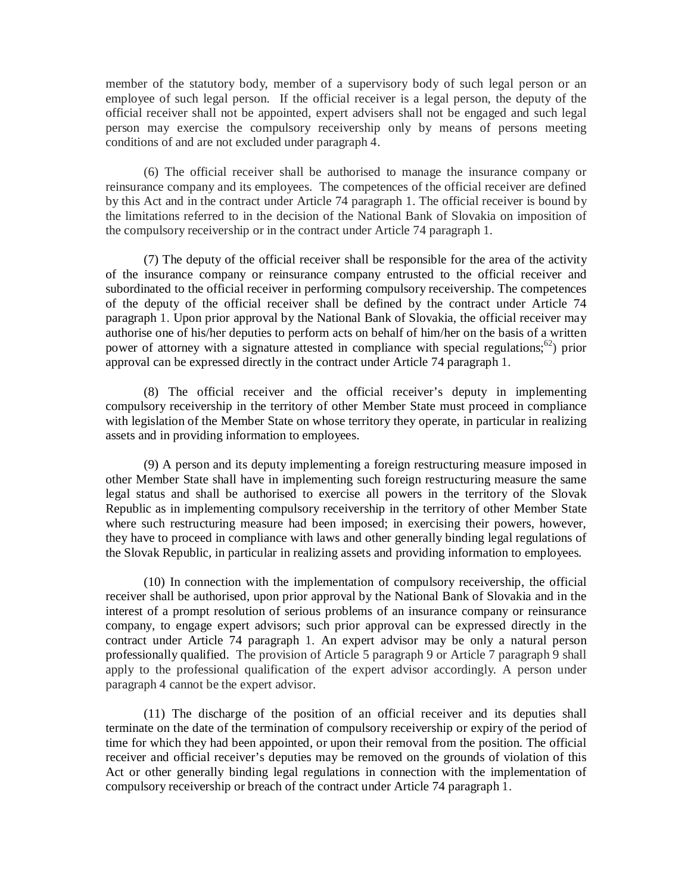member of the statutory body, member of a supervisory body of such legal person or an employee of such legal person. If the official receiver is a legal person, the deputy of the official receiver shall not be appointed, expert advisers shall not be engaged and such legal person may exercise the compulsory receivership only by means of persons meeting conditions of and are not excluded under paragraph 4.

(6) The official receiver shall be authorised to manage the insurance company or reinsurance company and its employees. The competences of the official receiver are defined by this Act and in the contract under Article 74 paragraph 1. The official receiver is bound by the limitations referred to in the decision of the National Bank of Slovakia on imposition of the compulsory receivership or in the contract under Article 74 paragraph 1.

(7) The deputy of the official receiver shall be responsible for the area of the activity of the insurance company or reinsurance company entrusted to the official receiver and subordinated to the official receiver in performing compulsory receivership. The competences of the deputy of the official receiver shall be defined by the contract under Article 74 paragraph 1. Upon prior approval by the National Bank of Slovakia, the official receiver may authorise one of his/her deputies to perform acts on behalf of him/her on the basis of a written power of attorney with a signature attested in compliance with special regulations; <sup>62</sup>) prior approval can be expressed directly in the contract under Article 74 paragraph 1.

(8) The official receiver and the official receiver's deputy in implementing compulsory receivership in the territory of other Member State must proceed in compliance with legislation of the Member State on whose territory they operate, in particular in realizing assets and in providing information to employees.

(9) A person and its deputy implementing a foreign restructuring measure imposed in other Member State shall have in implementing such foreign restructuring measure the same legal status and shall be authorised to exercise all powers in the territory of the Slovak Republic as in implementing compulsory receivership in the territory of other Member State where such restructuring measure had been imposed; in exercising their powers, however, they have to proceed in compliance with laws and other generally binding legal regulations of the Slovak Republic, in particular in realizing assets and providing information to employees.

(10) In connection with the implementation of compulsory receivership, the official receiver shall be authorised, upon prior approval by the National Bank of Slovakia and in the interest of a prompt resolution of serious problems of an insurance company or reinsurance company, to engage expert advisors; such prior approval can be expressed directly in the contract under Article 74 paragraph 1. An expert advisor may be only a natural person professionally qualified. The provision of Article 5 paragraph 9 or Article 7 paragraph 9 shall apply to the professional qualification of the expert advisor accordingly. A person under paragraph 4 cannot be the expert advisor.

(11) The discharge of the position of an official receiver and its deputies shall terminate on the date of the termination of compulsory receivership or expiry of the period of time for which they had been appointed, or upon their removal from the position. The official receiver and official receiver's deputies may be removed on the grounds of violation of this Act or other generally binding legal regulations in connection with the implementation of compulsory receivership or breach of the contract under Article 74 paragraph 1.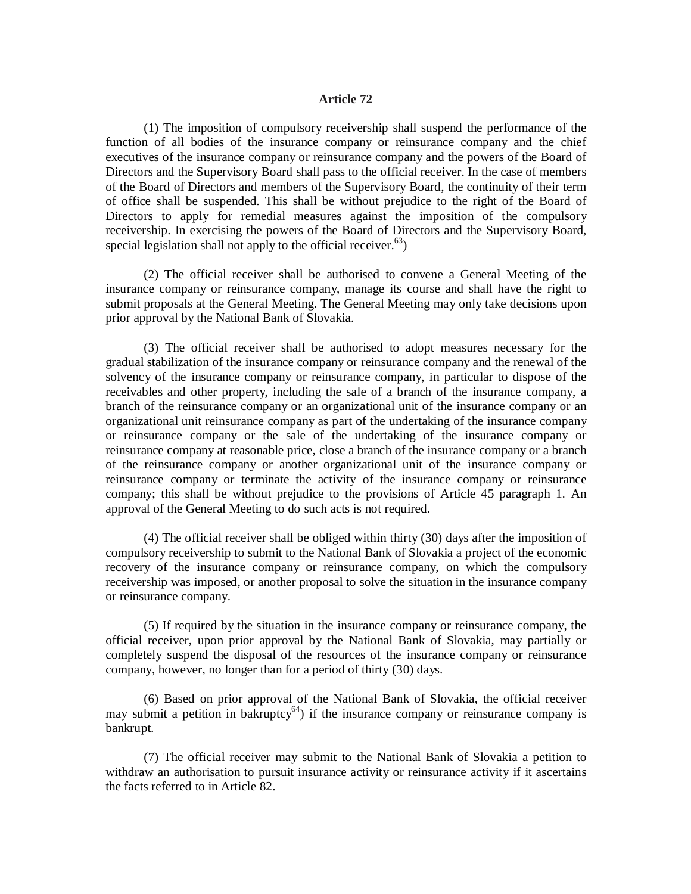#### **Article 72**

(1) The imposition of compulsory receivership shall suspend the performance of the function of all bodies of the insurance company or reinsurance company and the chief executives of the insurance company or reinsurance company and the powers of the Board of Directors and the Supervisory Board shall pass to the official receiver. In the case of members of the Board of Directors and members of the Supervisory Board, the continuity of their term of office shall be suspended. This shall be without prejudice to the right of the Board of Directors to apply for remedial measures against the imposition of the compulsory receivership. In exercising the powers of the Board of Directors and the Supervisory Board, special legislation shall not apply to the official receiver.<sup>63</sup>)

(2) The official receiver shall be authorised to convene a General Meeting of the insurance company or reinsurance company, manage its course and shall have the right to submit proposals at the General Meeting. The General Meeting may only take decisions upon prior approval by the National Bank of Slovakia.

(3) The official receiver shall be authorised to adopt measures necessary for the gradual stabilization of the insurance company or reinsurance company and the renewal of the solvency of the insurance company or reinsurance company, in particular to dispose of the receivables and other property, including the sale of a branch of the insurance company, a branch of the reinsurance company or an organizational unit of the insurance company or an organizational unit reinsurance company as part of the undertaking of the insurance company or reinsurance company or the sale of the undertaking of the insurance company or reinsurance company at reasonable price, close a branch of the insurance company or a branch of the reinsurance company or another organizational unit of the insurance company or reinsurance company or terminate the activity of the insurance company or reinsurance company; this shall be without prejudice to the provisions of Article 45 paragraph 1. An approval of the General Meeting to do such acts is not required.

(4) The official receiver shall be obliged within thirty (30) days after the imposition of compulsory receivership to submit to the National Bank of Slovakia a project of the economic recovery of the insurance company or reinsurance company, on which the compulsory receivership was imposed, or another proposal to solve the situation in the insurance company or reinsurance company.

(5) If required by the situation in the insurance company or reinsurance company, the official receiver, upon prior approval by the National Bank of Slovakia, may partially or completely suspend the disposal of the resources of the insurance company or reinsurance company, however, no longer than for a period of thirty (30) days.

(6) Based on prior approval of the National Bank of Slovakia, the official receiver may submit a petition in bakruptcy<sup>64</sup>) if the insurance company or reinsurance company is bankrupt.

(7) The official receiver may submit to the National Bank of Slovakia a petition to withdraw an authorisation to pursuit insurance activity or reinsurance activity if it ascertains the facts referred to in Article 82.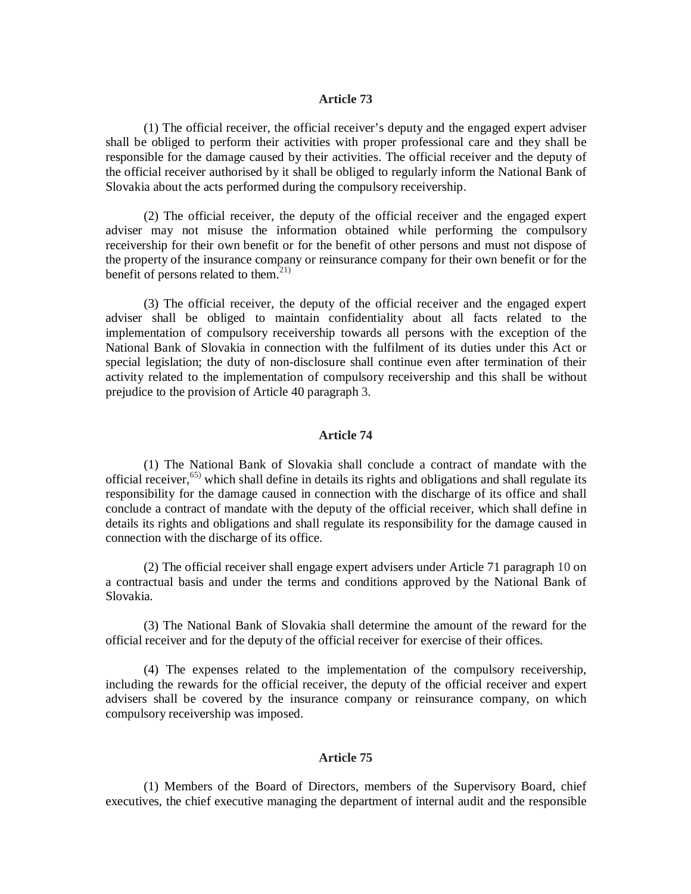### **Article 73**

(1) The official receiver, the official receiver's deputy and the engaged expert adviser shall be obliged to perform their activities with proper professional care and they shall be responsible for the damage caused by their activities. The official receiver and the deputy of the official receiver authorised by it shall be obliged to regularly inform the National Bank of Slovakia about the acts performed during the compulsory receivership.

(2) The official receiver, the deputy of the official receiver and the engaged expert adviser may not misuse the information obtained while performing the compulsory receivership for their own benefit or for the benefit of other persons and must not dispose of the property of the insurance company or reinsurance company for their own benefit or for the benefit of persons related to them. $21$ )

(3) The official receiver, the deputy of the official receiver and the engaged expert adviser shall be obliged to maintain confidentiality about all facts related to the implementation of compulsory receivership towards all persons with the exception of the National Bank of Slovakia in connection with the fulfilment of its duties under this Act or special legislation; the duty of non-disclosure shall continue even after termination of their activity related to the implementation of compulsory receivership and this shall be without prejudice to the provision of Article 40 paragraph 3.

## **Article 74**

(1) The National Bank of Slovakia shall conclude a contract of mandate with the official receiver, 65) which shall define in details its rights and obligations and shall regulate its responsibility for the damage caused in connection with the discharge of its office and shall conclude a contract of mandate with the deputy of the official receiver, which shall define in details its rights and obligations and shall regulate its responsibility for the damage caused in connection with the discharge of its office.

(2) The official receiver shall engage expert advisers under Article 71 paragraph 10 on a contractual basis and under the terms and conditions approved by the National Bank of Slovakia.

(3) The National Bank of Slovakia shall determine the amount of the reward for the official receiver and for the deputy of the official receiver for exercise of their offices.

(4) The expenses related to the implementation of the compulsory receivership, including the rewards for the official receiver, the deputy of the official receiver and expert advisers shall be covered by the insurance company or reinsurance company, on which compulsory receivership was imposed.

# **Article 75**

(1) Members of the Board of Directors, members of the Supervisory Board, chief executives, the chief executive managing the department of internal audit and the responsible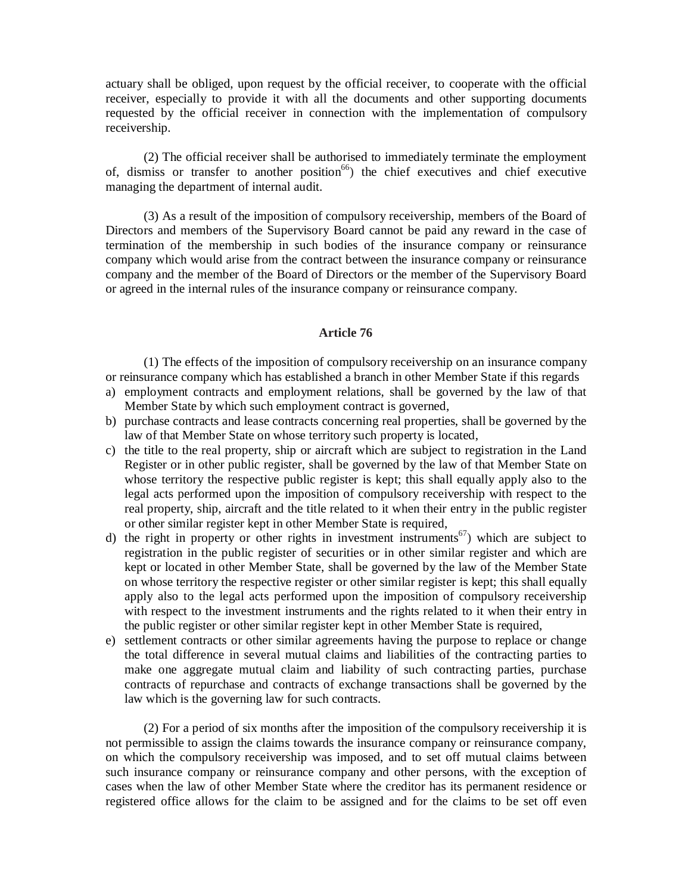actuary shall be obliged, upon request by the official receiver, to cooperate with the official receiver, especially to provide it with all the documents and other supporting documents requested by the official receiver in connection with the implementation of compulsory receivership.

(2) The official receiver shall be authorised to immediately terminate the employment of, dismiss or transfer to another position<sup>66</sup>) the chief executives and chief executive managing the department of internal audit.

(3) As a result of the imposition of compulsory receivership, members of the Board of Directors and members of the Supervisory Board cannot be paid any reward in the case of termination of the membership in such bodies of the insurance company or reinsurance company which would arise from the contract between the insurance company or reinsurance company and the member of the Board of Directors or the member of the Supervisory Board or agreed in the internal rules of the insurance company or reinsurance company.

## **Article 76**

(1) The effects of the imposition of compulsory receivership on an insurance company or reinsurance company which has established a branch in other Member State if this regards

- a) employment contracts and employment relations, shall be governed by the law of that Member State by which such employment contract is governed,
- b) purchase contracts and lease contracts concerning real properties, shall be governed by the law of that Member State on whose territory such property is located,
- c) the title to the real property, ship or aircraft which are subject to registration in the Land Register or in other public register, shall be governed by the law of that Member State on whose territory the respective public register is kept; this shall equally apply also to the legal acts performed upon the imposition of compulsory receivership with respect to the real property, ship, aircraft and the title related to it when their entry in the public register or other similar register kept in other Member State is required,
- d) the right in property or other rights in investment instruments<sup>67</sup>) which are subject to registration in the public register of securities or in other similar register and which are kept or located in other Member State, shall be governed by the law of the Member State on whose territory the respective register or other similar register is kept; this shall equally apply also to the legal acts performed upon the imposition of compulsory receivership with respect to the investment instruments and the rights related to it when their entry in the public register or other similar register kept in other Member State is required,
- e) settlement contracts or other similar agreements having the purpose to replace or change the total difference in several mutual claims and liabilities of the contracting parties to make one aggregate mutual claim and liability of such contracting parties, purchase contracts of repurchase and contracts of exchange transactions shall be governed by the law which is the governing law for such contracts.

(2) For a period of six months after the imposition of the compulsory receivership it is not permissible to assign the claims towards the insurance company or reinsurance company, on which the compulsory receivership was imposed, and to set off mutual claims between such insurance company or reinsurance company and other persons, with the exception of cases when the law of other Member State where the creditor has its permanent residence or registered office allows for the claim to be assigned and for the claims to be set off even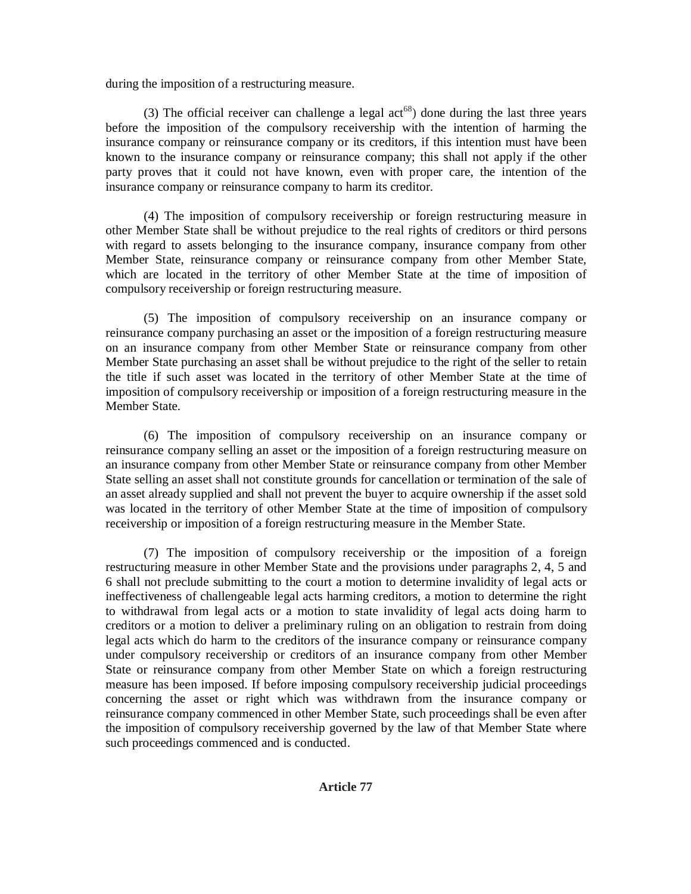during the imposition of a restructuring measure.

(3) The official receiver can challenge a legal  $act^{68}$ ) done during the last three years before the imposition of the compulsory receivership with the intention of harming the insurance company or reinsurance company or its creditors, if this intention must have been known to the insurance company or reinsurance company; this shall not apply if the other party proves that it could not have known, even with proper care, the intention of the insurance company or reinsurance company to harm its creditor.

(4) The imposition of compulsory receivership or foreign restructuring measure in other Member State shall be without prejudice to the real rights of creditors or third persons with regard to assets belonging to the insurance company, insurance company from other Member State, reinsurance company or reinsurance company from other Member State, which are located in the territory of other Member State at the time of imposition of compulsory receivership or foreign restructuring measure.

(5) The imposition of compulsory receivership on an insurance company or reinsurance company purchasing an asset or the imposition of a foreign restructuring measure on an insurance company from other Member State or reinsurance company from other Member State purchasing an asset shall be without prejudice to the right of the seller to retain the title if such asset was located in the territory of other Member State at the time of imposition of compulsory receivership or imposition of a foreign restructuring measure in the Member State.

(6) The imposition of compulsory receivership on an insurance company or reinsurance company selling an asset or the imposition of a foreign restructuring measure on an insurance company from other Member State or reinsurance company from other Member State selling an asset shall not constitute grounds for cancellation or termination of the sale of an asset already supplied and shall not prevent the buyer to acquire ownership if the asset sold was located in the territory of other Member State at the time of imposition of compulsory receivership or imposition of a foreign restructuring measure in the Member State.

(7) The imposition of compulsory receivership or the imposition of a foreign restructuring measure in other Member State and the provisions under paragraphs 2, 4, 5 and 6 shall not preclude submitting to the court a motion to determine invalidity of legal acts or ineffectiveness of challengeable legal acts harming creditors, a motion to determine the right to withdrawal from legal acts or a motion to state invalidity of legal acts doing harm to creditors or a motion to deliver a preliminary ruling on an obligation to restrain from doing legal acts which do harm to the creditors of the insurance company or reinsurance company under compulsory receivership or creditors of an insurance company from other Member State or reinsurance company from other Member State on which a foreign restructuring measure has been imposed. If before imposing compulsory receivership judicial proceedings concerning the asset or right which was withdrawn from the insurance company or reinsurance company commenced in other Member State, such proceedings shall be even after the imposition of compulsory receivership governed by the law of that Member State where such proceedings commenced and is conducted.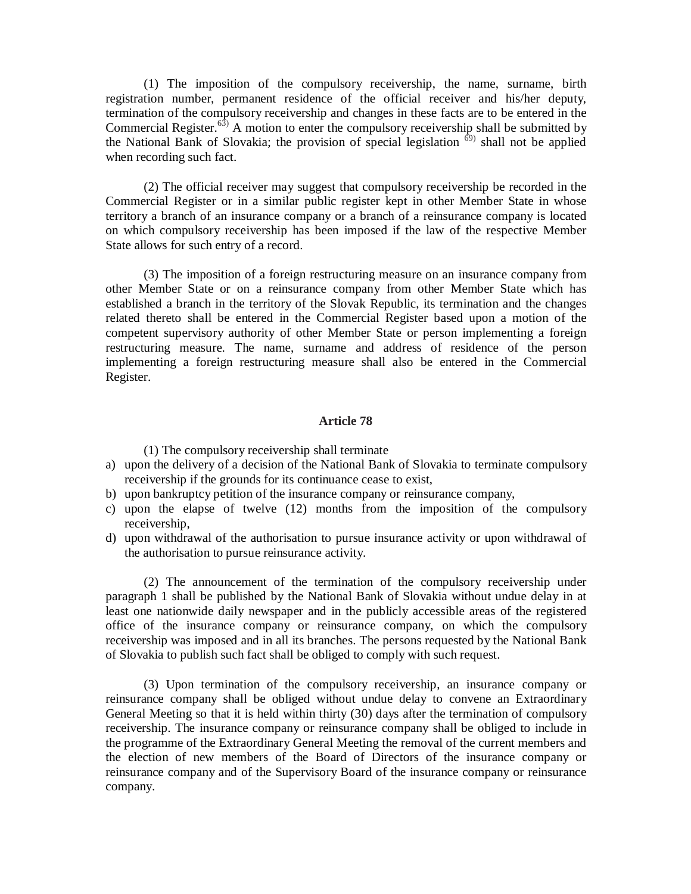(1) The imposition of the compulsory receivership, the name, surname, birth registration number, permanent residence of the official receiver and his/her deputy, termination of the compulsory receivership and changes in these facts are to be entered in the Commercial Register.<sup>63)</sup> A motion to enter the compulsory receivership shall be submitted by the National Bank of Slovakia; the provision of special legislation  $\delta$ <sup>9)</sup> shall not be applied when recording such fact.

(2) The official receiver may suggest that compulsory receivership be recorded in the Commercial Register or in a similar public register kept in other Member State in whose territory a branch of an insurance company or a branch of a reinsurance company is located on which compulsory receivership has been imposed if the law of the respective Member State allows for such entry of a record.

(3) The imposition of a foreign restructuring measure on an insurance company from other Member State or on a reinsurance company from other Member State which has established a branch in the territory of the Slovak Republic, its termination and the changes related thereto shall be entered in the Commercial Register based upon a motion of the competent supervisory authority of other Member State or person implementing a foreign restructuring measure. The name, surname and address of residence of the person implementing a foreign restructuring measure shall also be entered in the Commercial Register.

#### **Article 78**

(1) The compulsory receivership shall terminate

- a) upon the delivery of a decision of the National Bank of Slovakia to terminate compulsory receivership if the grounds for its continuance cease to exist,
- b) upon bankruptcy petition of the insurance company or reinsurance company,
- c) upon the elapse of twelve (12) months from the imposition of the compulsory receivership,
- d) upon withdrawal of the authorisation to pursue insurance activity or upon withdrawal of the authorisation to pursue reinsurance activity.

(2) The announcement of the termination of the compulsory receivership under paragraph 1 shall be published by the National Bank of Slovakia without undue delay in at least one nationwide daily newspaper and in the publicly accessible areas of the registered office of the insurance company or reinsurance company, on which the compulsory receivership was imposed and in all its branches. The persons requested by the National Bank of Slovakia to publish such fact shall be obliged to comply with such request.

(3) Upon termination of the compulsory receivership, an insurance company or reinsurance company shall be obliged without undue delay to convene an Extraordinary General Meeting so that it is held within thirty (30) days after the termination of compulsory receivership. The insurance company or reinsurance company shall be obliged to include in the programme of the Extraordinary General Meeting the removal of the current members and the election of new members of the Board of Directors of the insurance company or reinsurance company and of the Supervisory Board of the insurance company or reinsurance company.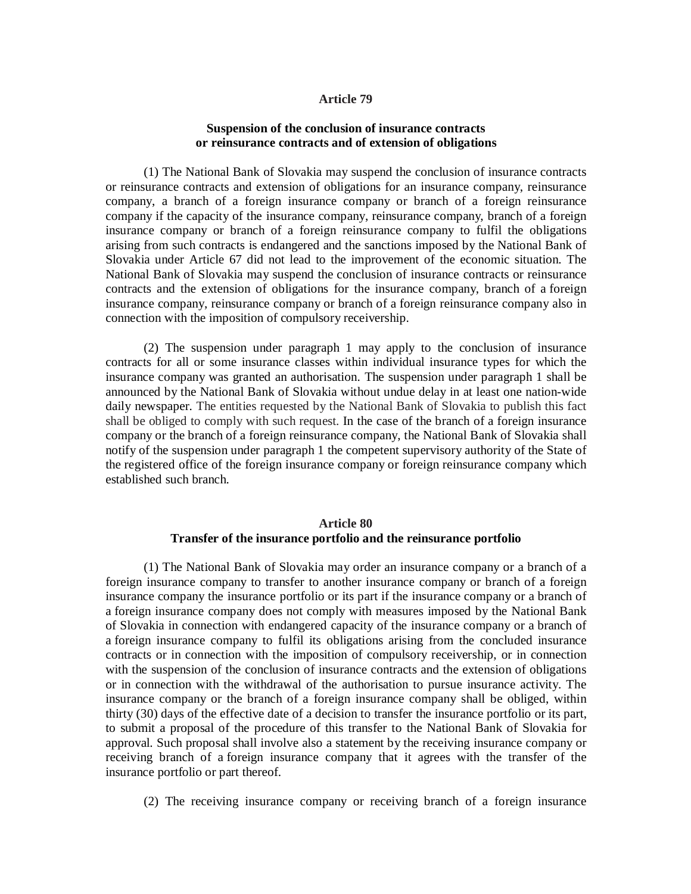#### **Article 79**

#### **Suspension of the conclusion of insurance contracts or reinsurance contracts and of extension of obligations**

(1) The National Bank of Slovakia may suspend the conclusion of insurance contracts or reinsurance contracts and extension of obligations for an insurance company, reinsurance company, a branch of a foreign insurance company or branch of a foreign reinsurance company if the capacity of the insurance company, reinsurance company, branch of a foreign insurance company or branch of a foreign reinsurance company to fulfil the obligations arising from such contracts is endangered and the sanctions imposed by the National Bank of Slovakia under Article 67 did not lead to the improvement of the economic situation. The National Bank of Slovakia may suspend the conclusion of insurance contracts or reinsurance contracts and the extension of obligations for the insurance company, branch of a foreign insurance company, reinsurance company or branch of a foreign reinsurance company also in connection with the imposition of compulsory receivership.

(2) The suspension under paragraph 1 may apply to the conclusion of insurance contracts for all or some insurance classes within individual insurance types for which the insurance company was granted an authorisation. The suspension under paragraph 1 shall be announced by the National Bank of Slovakia without undue delay in at least one nation-wide daily newspaper. The entities requested by the National Bank of Slovakia to publish this fact shall be obliged to comply with such request. In the case of the branch of a foreign insurance company or the branch of a foreign reinsurance company, the National Bank of Slovakia shall notify of the suspension under paragraph 1 the competent supervisory authority of the State of the registered office of the foreign insurance company or foreign reinsurance company which established such branch.

# **Article 80 Transfer of the insurance portfolio and the reinsurance portfolio**

(1) The National Bank of Slovakia may order an insurance company or a branch of a foreign insurance company to transfer to another insurance company or branch of a foreign insurance company the insurance portfolio or its part if the insurance company or a branch of a foreign insurance company does not comply with measures imposed by the National Bank of Slovakia in connection with endangered capacity of the insurance company or a branch of a foreign insurance company to fulfil its obligations arising from the concluded insurance contracts or in connection with the imposition of compulsory receivership, or in connection with the suspension of the conclusion of insurance contracts and the extension of obligations or in connection with the withdrawal of the authorisation to pursue insurance activity. The insurance company or the branch of a foreign insurance company shall be obliged, within thirty (30) days of the effective date of a decision to transfer the insurance portfolio or its part, to submit a proposal of the procedure of this transfer to the National Bank of Slovakia for approval. Such proposal shall involve also a statement by the receiving insurance company or receiving branch of a foreign insurance company that it agrees with the transfer of the insurance portfolio or part thereof.

(2) The receiving insurance company or receiving branch of a foreign insurance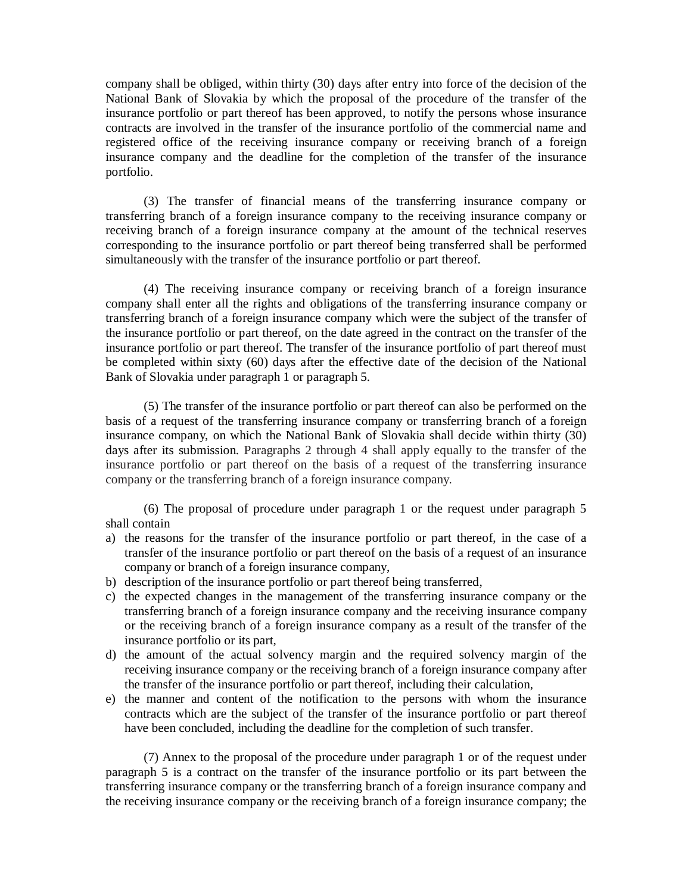company shall be obliged, within thirty (30) days after entry into force of the decision of the National Bank of Slovakia by which the proposal of the procedure of the transfer of the insurance portfolio or part thereof has been approved, to notify the persons whose insurance contracts are involved in the transfer of the insurance portfolio of the commercial name and registered office of the receiving insurance company or receiving branch of a foreign insurance company and the deadline for the completion of the transfer of the insurance portfolio.

(3) The transfer of financial means of the transferring insurance company or transferring branch of a foreign insurance company to the receiving insurance company or receiving branch of a foreign insurance company at the amount of the technical reserves corresponding to the insurance portfolio or part thereof being transferred shall be performed simultaneously with the transfer of the insurance portfolio or part thereof.

(4) The receiving insurance company or receiving branch of a foreign insurance company shall enter all the rights and obligations of the transferring insurance company or transferring branch of a foreign insurance company which were the subject of the transfer of the insurance portfolio or part thereof, on the date agreed in the contract on the transfer of the insurance portfolio or part thereof. The transfer of the insurance portfolio of part thereof must be completed within sixty (60) days after the effective date of the decision of the National Bank of Slovakia under paragraph 1 or paragraph 5.

(5) The transfer of the insurance portfolio or part thereof can also be performed on the basis of a request of the transferring insurance company or transferring branch of a foreign insurance company, on which the National Bank of Slovakia shall decide within thirty (30) days after its submission. Paragraphs 2 through 4 shall apply equally to the transfer of the insurance portfolio or part thereof on the basis of a request of the transferring insurance company or the transferring branch of a foreign insurance company.

(6) The proposal of procedure under paragraph 1 or the request under paragraph 5 shall contain

- a) the reasons for the transfer of the insurance portfolio or part thereof, in the case of a transfer of the insurance portfolio or part thereof on the basis of a request of an insurance company or branch of a foreign insurance company,
- b) description of the insurance portfolio or part thereof being transferred,
- c) the expected changes in the management of the transferring insurance company or the transferring branch of a foreign insurance company and the receiving insurance company or the receiving branch of a foreign insurance company as a result of the transfer of the insurance portfolio or its part,
- d) the amount of the actual solvency margin and the required solvency margin of the receiving insurance company or the receiving branch of a foreign insurance company after the transfer of the insurance portfolio or part thereof, including their calculation,
- e) the manner and content of the notification to the persons with whom the insurance contracts which are the subject of the transfer of the insurance portfolio or part thereof have been concluded, including the deadline for the completion of such transfer.

(7) Annex to the proposal of the procedure under paragraph 1 or of the request under paragraph 5 is a contract on the transfer of the insurance portfolio or its part between the transferring insurance company or the transferring branch of a foreign insurance company and the receiving insurance company or the receiving branch of a foreign insurance company; the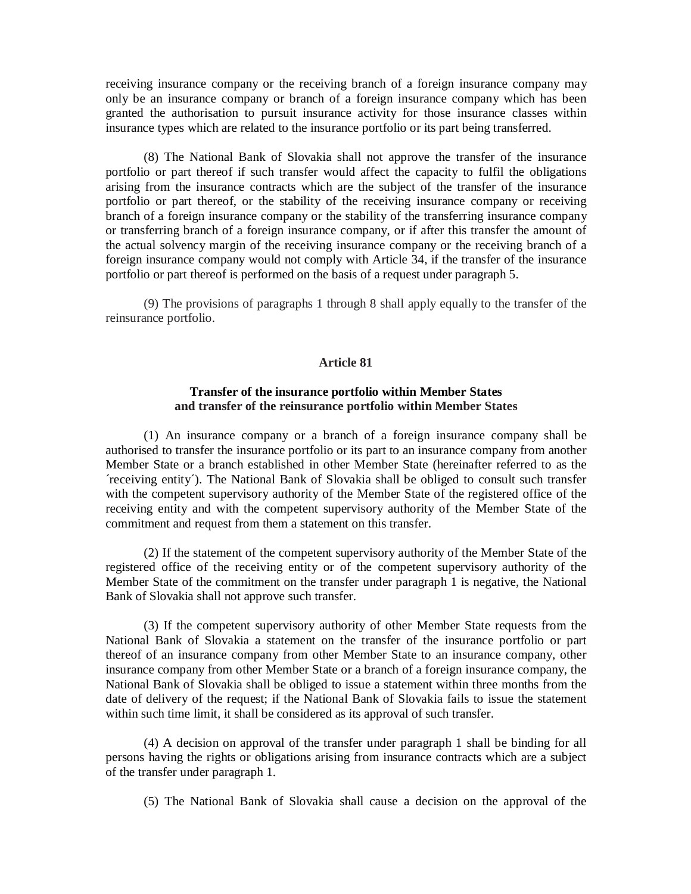receiving insurance company or the receiving branch of a foreign insurance company may only be an insurance company or branch of a foreign insurance company which has been granted the authorisation to pursuit insurance activity for those insurance classes within insurance types which are related to the insurance portfolio or its part being transferred.

(8) The National Bank of Slovakia shall not approve the transfer of the insurance portfolio or part thereof if such transfer would affect the capacity to fulfil the obligations arising from the insurance contracts which are the subject of the transfer of the insurance portfolio or part thereof, or the stability of the receiving insurance company or receiving branch of a foreign insurance company or the stability of the transferring insurance company or transferring branch of a foreign insurance company, or if after this transfer the amount of the actual solvency margin of the receiving insurance company or the receiving branch of a foreign insurance company would not comply with Article 34, if the transfer of the insurance portfolio or part thereof is performed on the basis of a request under paragraph 5.

(9) The provisions of paragraphs 1 through 8 shall apply equally to the transfer of the reinsurance portfolio.

# **Article 81**

# **Transfer of the insurance portfolio within Member States and transfer of the reinsurance portfolio within Member States**

(1) An insurance company or a branch of a foreign insurance company shall be authorised to transfer the insurance portfolio or its part to an insurance company from another Member State or a branch established in other Member State (hereinafter referred to as the ´receiving entity´). The National Bank of Slovakia shall be obliged to consult such transfer with the competent supervisory authority of the Member State of the registered office of the receiving entity and with the competent supervisory authority of the Member State of the commitment and request from them a statement on this transfer.

(2) If the statement of the competent supervisory authority of the Member State of the registered office of the receiving entity or of the competent supervisory authority of the Member State of the commitment on the transfer under paragraph 1 is negative, the National Bank of Slovakia shall not approve such transfer.

(3) If the competent supervisory authority of other Member State requests from the National Bank of Slovakia a statement on the transfer of the insurance portfolio or part thereof of an insurance company from other Member State to an insurance company, other insurance company from other Member State or a branch of a foreign insurance company, the National Bank of Slovakia shall be obliged to issue a statement within three months from the date of delivery of the request; if the National Bank of Slovakia fails to issue the statement within such time limit, it shall be considered as its approval of such transfer.

(4) A decision on approval of the transfer under paragraph 1 shall be binding for all persons having the rights or obligations arising from insurance contracts which are a subject of the transfer under paragraph 1.

(5) The National Bank of Slovakia shall cause a decision on the approval of the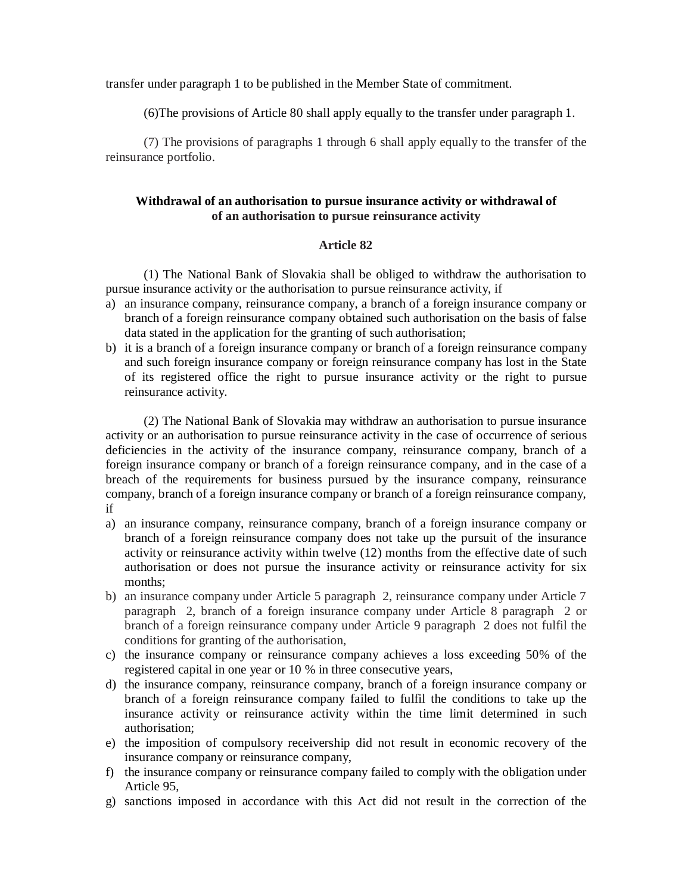transfer under paragraph 1 to be published in the Member State of commitment.

(6)The provisions of Article 80 shall apply equally to the transfer under paragraph 1.

(7) The provisions of paragraphs 1 through 6 shall apply equally to the transfer of the reinsurance portfolio.

# **Withdrawal of an authorisation to pursue insurance activity or withdrawal of of an authorisation to pursue reinsurance activity**

## **Article 82**

(1) The National Bank of Slovakia shall be obliged to withdraw the authorisation to pursue insurance activity or the authorisation to pursue reinsurance activity, if

- a) an insurance company, reinsurance company, a branch of a foreign insurance company or branch of a foreign reinsurance company obtained such authorisation on the basis of false data stated in the application for the granting of such authorisation;
- b) it is a branch of a foreign insurance company or branch of a foreign reinsurance company and such foreign insurance company or foreign reinsurance company has lost in the State of its registered office the right to pursue insurance activity or the right to pursue reinsurance activity.

(2) The National Bank of Slovakia may withdraw an authorisation to pursue insurance activity or an authorisation to pursue reinsurance activity in the case of occurrence of serious deficiencies in the activity of the insurance company, reinsurance company, branch of a foreign insurance company or branch of a foreign reinsurance company, and in the case of a breach of the requirements for business pursued by the insurance company, reinsurance company, branch of a foreign insurance company or branch of a foreign reinsurance company, if

- a) an insurance company, reinsurance company, branch of a foreign insurance company or branch of a foreign reinsurance company does not take up the pursuit of the insurance activity or reinsurance activity within twelve (12) months from the effective date of such authorisation or does not pursue the insurance activity or reinsurance activity for six months;
- b) an insurance company under Article 5 paragraph 2, reinsurance company under Article 7 paragraph 2, branch of a foreign insurance company under Article 8 paragraph 2 or branch of a foreign reinsurance company under Article 9 paragraph 2 does not fulfil the conditions for granting of the authorisation,
- c) the insurance company or reinsurance company achieves a loss exceeding 50% of the registered capital in one year or 10 % in three consecutive years,
- d) the insurance company, reinsurance company, branch of a foreign insurance company or branch of a foreign reinsurance company failed to fulfil the conditions to take up the insurance activity or reinsurance activity within the time limit determined in such authorisation;
- e) the imposition of compulsory receivership did not result in economic recovery of the insurance company or reinsurance company,
- f) the insurance company or reinsurance company failed to comply with the obligation under Article 95,
- g) sanctions imposed in accordance with this Act did not result in the correction of the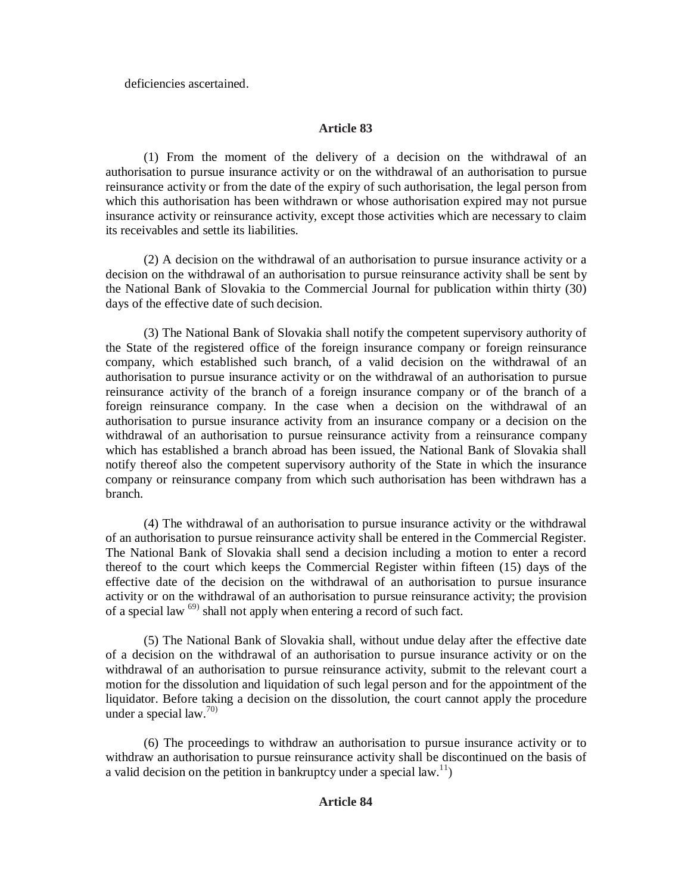deficiencies ascertained.

# **Article 83**

(1) From the moment of the delivery of a decision on the withdrawal of an authorisation to pursue insurance activity or on the withdrawal of an authorisation to pursue reinsurance activity or from the date of the expiry of such authorisation, the legal person from which this authorisation has been withdrawn or whose authorisation expired may not pursue insurance activity or reinsurance activity, except those activities which are necessary to claim its receivables and settle its liabilities.

(2) A decision on the withdrawal of an authorisation to pursue insurance activity or a decision on the withdrawal of an authorisation to pursue reinsurance activity shall be sent by the National Bank of Slovakia to the Commercial Journal for publication within thirty (30) days of the effective date of such decision.

(3) The National Bank of Slovakia shall notify the competent supervisory authority of the State of the registered office of the foreign insurance company or foreign reinsurance company, which established such branch, of a valid decision on the withdrawal of an authorisation to pursue insurance activity or on the withdrawal of an authorisation to pursue reinsurance activity of the branch of a foreign insurance company or of the branch of a foreign reinsurance company. In the case when a decision on the withdrawal of an authorisation to pursue insurance activity from an insurance company or a decision on the withdrawal of an authorisation to pursue reinsurance activity from a reinsurance company which has established a branch abroad has been issued, the National Bank of Slovakia shall notify thereof also the competent supervisory authority of the State in which the insurance company or reinsurance company from which such authorisation has been withdrawn has a branch.

(4) The withdrawal of an authorisation to pursue insurance activity or the withdrawal of an authorisation to pursue reinsurance activity shall be entered in the Commercial Register. The National Bank of Slovakia shall send a decision including a motion to enter a record thereof to the court which keeps the Commercial Register within fifteen (15) days of the effective date of the decision on the withdrawal of an authorisation to pursue insurance activity or on the withdrawal of an authorisation to pursue reinsurance activity; the provision of a special law<sup>69)</sup> shall not apply when entering a record of such fact.

(5) The National Bank of Slovakia shall, without undue delay after the effective date of a decision on the withdrawal of an authorisation to pursue insurance activity or on the withdrawal of an authorisation to pursue reinsurance activity, submit to the relevant court a motion for the dissolution and liquidation of such legal person and for the appointment of the liquidator. Before taking a decision on the dissolution, the court cannot apply the procedure under a special law.<sup>70)</sup>

(6) The proceedings to withdraw an authorisation to pursue insurance activity or to withdraw an authorisation to pursue reinsurance activity shall be discontinued on the basis of a valid decision on the petition in bankruptcy under a special law.<sup>11</sup>)

# **Article 84**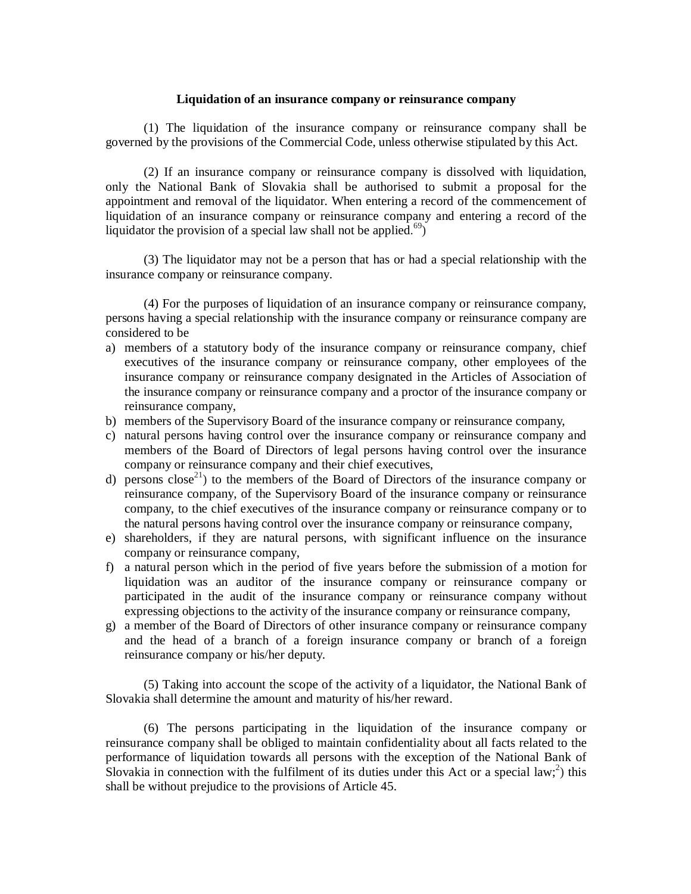## **Liquidation of an insurance company or reinsurance company**

(1) The liquidation of the insurance company or reinsurance company shall be governed by the provisions of the Commercial Code, unless otherwise stipulated by this Act.

(2) If an insurance company or reinsurance company is dissolved with liquidation, only the National Bank of Slovakia shall be authorised to submit a proposal for the appointment and removal of the liquidator. When entering a record of the commencement of liquidation of an insurance company or reinsurance company and entering a record of the liquidator the provision of a special law shall not be applied.<sup>69</sup>)

(3) The liquidator may not be a person that has or had a special relationship with the insurance company or reinsurance company.

(4) For the purposes of liquidation of an insurance company or reinsurance company, persons having a special relationship with the insurance company or reinsurance company are considered to be

- a) members of a statutory body of the insurance company or reinsurance company, chief executives of the insurance company or reinsurance company, other employees of the insurance company or reinsurance company designated in the Articles of Association of the insurance company or reinsurance company and a proctor of the insurance company or reinsurance company,
- b) members of the Supervisory Board of the insurance company or reinsurance company,
- c) natural persons having control over the insurance company or reinsurance company and members of the Board of Directors of legal persons having control over the insurance company or reinsurance company and their chief executives,
- d) persons  $\text{close}^{21}$  to the members of the Board of Directors of the insurance company or reinsurance company, of the Supervisory Board of the insurance company or reinsurance company, to the chief executives of the insurance company or reinsurance company or to the natural persons having control over the insurance company or reinsurance company,
- e) shareholders, if they are natural persons, with significant influence on the insurance company or reinsurance company,
- f) a natural person which in the period of five years before the submission of a motion for liquidation was an auditor of the insurance company or reinsurance company or participated in the audit of the insurance company or reinsurance company without expressing objections to the activity of the insurance company or reinsurance company,
- g) a member of the Board of Directors of other insurance company or reinsurance company and the head of a branch of a foreign insurance company or branch of a foreign reinsurance company or his/her deputy.

(5) Taking into account the scope of the activity of a liquidator, the National Bank of Slovakia shall determine the amount and maturity of his/her reward.

(6) The persons participating in the liquidation of the insurance company or reinsurance company shall be obliged to maintain confidentiality about all facts related to the performance of liquidation towards all persons with the exception of the National Bank of Slovakia in connection with the fulfilment of its duties under this Act or a special law;<sup>2</sup>) this shall be without prejudice to the provisions of Article 45.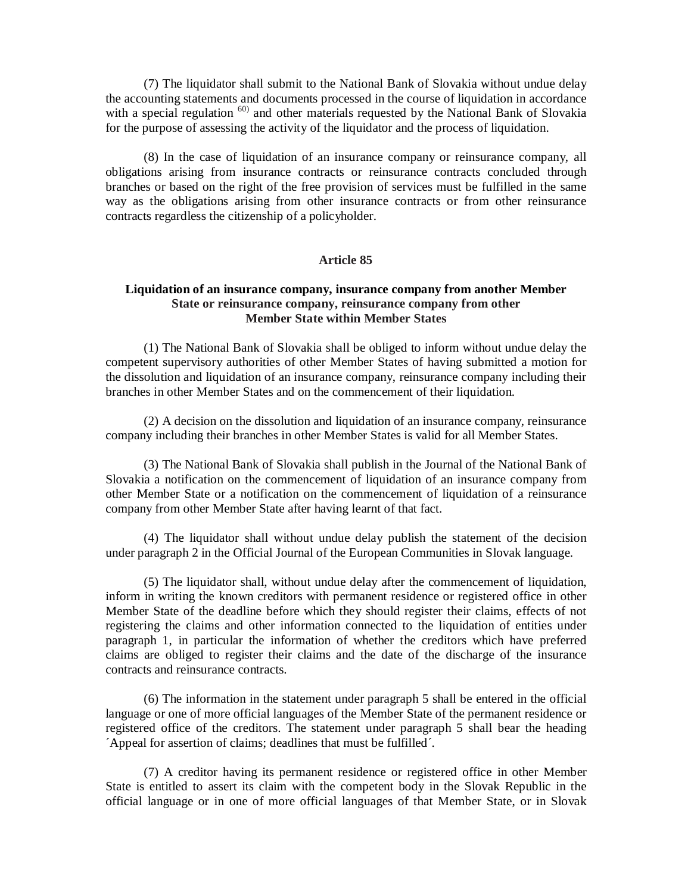(7) The liquidator shall submit to the National Bank of Slovakia without undue delay the accounting statements and documents processed in the course of liquidation in accordance with a special regulation  $60$  and other materials requested by the National Bank of Slovakia for the purpose of assessing the activity of the liquidator and the process of liquidation.

(8) In the case of liquidation of an insurance company or reinsurance company, all obligations arising from insurance contracts or reinsurance contracts concluded through branches or based on the right of the free provision of services must be fulfilled in the same way as the obligations arising from other insurance contracts or from other reinsurance contracts regardless the citizenship of a policyholder.

## **Article 85**

## **Liquidation of an insurance company, insurance company from another Member State or reinsurance company, reinsurance company from other Member State within Member States**

(1) The National Bank of Slovakia shall be obliged to inform without undue delay the competent supervisory authorities of other Member States of having submitted a motion for the dissolution and liquidation of an insurance company, reinsurance company including their branches in other Member States and on the commencement of their liquidation.

(2) A decision on the dissolution and liquidation of an insurance company, reinsurance company including their branches in other Member States is valid for all Member States.

(3) The National Bank of Slovakia shall publish in the Journal of the National Bank of Slovakia a notification on the commencement of liquidation of an insurance company from other Member State or a notification on the commencement of liquidation of a reinsurance company from other Member State after having learnt of that fact.

(4) The liquidator shall without undue delay publish the statement of the decision under paragraph 2 in the Official Journal of the European Communities in Slovak language.

(5) The liquidator shall, without undue delay after the commencement of liquidation, inform in writing the known creditors with permanent residence or registered office in other Member State of the deadline before which they should register their claims, effects of not registering the claims and other information connected to the liquidation of entities under paragraph 1, in particular the information of whether the creditors which have preferred claims are obliged to register their claims and the date of the discharge of the insurance contracts and reinsurance contracts.

(6) The information in the statement under paragraph 5 shall be entered in the official language or one of more official languages of the Member State of the permanent residence or registered office of the creditors. The statement under paragraph 5 shall bear the heading ´Appeal for assertion of claims; deadlines that must be fulfilled´.

(7) A creditor having its permanent residence or registered office in other Member State is entitled to assert its claim with the competent body in the Slovak Republic in the official language or in one of more official languages of that Member State, or in Slovak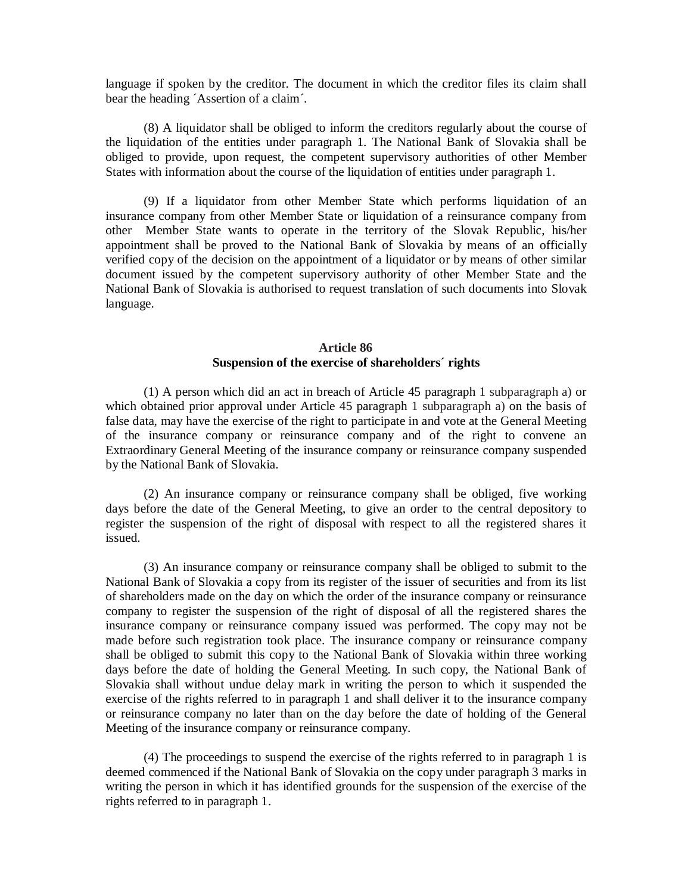language if spoken by the creditor. The document in which the creditor files its claim shall bear the heading ´Assertion of a claim´.

(8) A liquidator shall be obliged to inform the creditors regularly about the course of the liquidation of the entities under paragraph 1. The National Bank of Slovakia shall be obliged to provide, upon request, the competent supervisory authorities of other Member States with information about the course of the liquidation of entities under paragraph 1.

(9) If a liquidator from other Member State which performs liquidation of an insurance company from other Member State or liquidation of a reinsurance company from other Member State wants to operate in the territory of the Slovak Republic, his/her appointment shall be proved to the National Bank of Slovakia by means of an officially verified copy of the decision on the appointment of a liquidator or by means of other similar document issued by the competent supervisory authority of other Member State and the National Bank of Slovakia is authorised to request translation of such documents into Slovak language.

# **Article 86 Suspension of the exercise of shareholders´ rights**

(1) A person which did an act in breach of Article 45 paragraph 1 subparagraph a) or which obtained prior approval under Article 45 paragraph 1 subparagraph a) on the basis of false data, may have the exercise of the right to participate in and vote at the General Meeting of the insurance company or reinsurance company and of the right to convene an Extraordinary General Meeting of the insurance company or reinsurance company suspended by the National Bank of Slovakia.

(2) An insurance company or reinsurance company shall be obliged, five working days before the date of the General Meeting, to give an order to the central depository to register the suspension of the right of disposal with respect to all the registered shares it issued.

(3) An insurance company or reinsurance company shall be obliged to submit to the National Bank of Slovakia a copy from its register of the issuer of securities and from its list of shareholders made on the day on which the order of the insurance company or reinsurance company to register the suspension of the right of disposal of all the registered shares the insurance company or reinsurance company issued was performed. The copy may not be made before such registration took place. The insurance company or reinsurance company shall be obliged to submit this copy to the National Bank of Slovakia within three working days before the date of holding the General Meeting. In such copy, the National Bank of Slovakia shall without undue delay mark in writing the person to which it suspended the exercise of the rights referred to in paragraph 1 and shall deliver it to the insurance company or reinsurance company no later than on the day before the date of holding of the General Meeting of the insurance company or reinsurance company.

(4) The proceedings to suspend the exercise of the rights referred to in paragraph 1 is deemed commenced if the National Bank of Slovakia on the copy under paragraph 3 marks in writing the person in which it has identified grounds for the suspension of the exercise of the rights referred to in paragraph 1.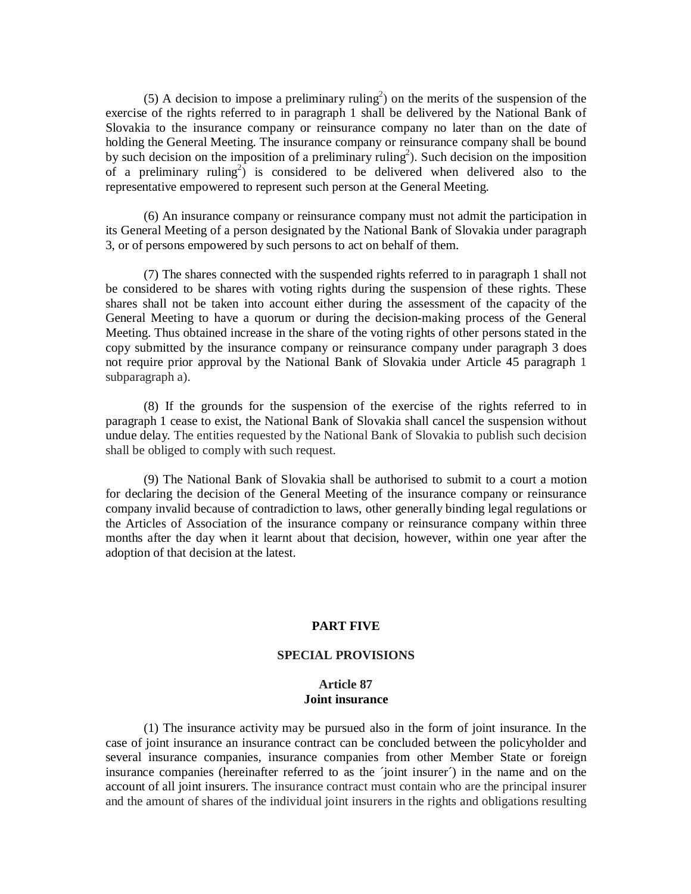(5) A decision to impose a preliminary ruling<sup>2</sup>) on the merits of the suspension of the exercise of the rights referred to in paragraph 1 shall be delivered by the National Bank of Slovakia to the insurance company or reinsurance company no later than on the date of holding the General Meeting. The insurance company or reinsurance company shall be bound by such decision on the imposition of a preliminary ruling<sup>2</sup>). Such decision on the imposition of a preliminary ruling<sup>2</sup>) is considered to be delivered when delivered also to the representative empowered to represent such person at the General Meeting.

(6) An insurance company or reinsurance company must not admit the participation in its General Meeting of a person designated by the National Bank of Slovakia under paragraph 3, or of persons empowered by such persons to act on behalf of them.

(7) The shares connected with the suspended rights referred to in paragraph 1 shall not be considered to be shares with voting rights during the suspension of these rights. These shares shall not be taken into account either during the assessment of the capacity of the General Meeting to have a quorum or during the decision-making process of the General Meeting. Thus obtained increase in the share of the voting rights of other persons stated in the copy submitted by the insurance company or reinsurance company under paragraph 3 does not require prior approval by the National Bank of Slovakia under Article 45 paragraph 1 subparagraph a).

(8) If the grounds for the suspension of the exercise of the rights referred to in paragraph 1 cease to exist, the National Bank of Slovakia shall cancel the suspension without undue delay. The entities requested by the National Bank of Slovakia to publish such decision shall be obliged to comply with such request.

(9) The National Bank of Slovakia shall be authorised to submit to a court a motion for declaring the decision of the General Meeting of the insurance company or reinsurance company invalid because of contradiction to laws, other generally binding legal regulations or the Articles of Association of the insurance company or reinsurance company within three months after the day when it learnt about that decision, however, within one year after the adoption of that decision at the latest.

#### **PART FIVE**

#### **SPECIAL PROVISIONS**

#### **Article 87 Joint insurance**

(1) The insurance activity may be pursued also in the form of joint insurance. In the case of joint insurance an insurance contract can be concluded between the policyholder and several insurance companies, insurance companies from other Member State or foreign insurance companies (hereinafter referred to as the  $\gamma$  in the name and on the account of all joint insurers. The insurance contract must contain who are the principal insurer and the amount of shares of the individual joint insurers in the rights and obligations resulting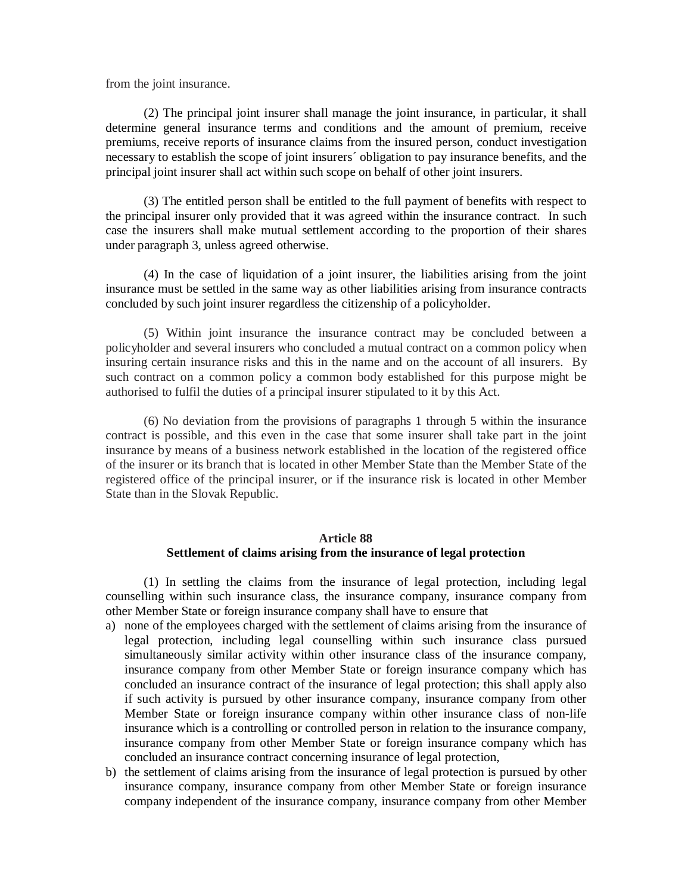from the joint insurance.

(2) The principal joint insurer shall manage the joint insurance, in particular, it shall determine general insurance terms and conditions and the amount of premium, receive premiums, receive reports of insurance claims from the insured person, conduct investigation necessary to establish the scope of joint insurers´ obligation to pay insurance benefits, and the principal joint insurer shall act within such scope on behalf of other joint insurers.

(3) The entitled person shall be entitled to the full payment of benefits with respect to the principal insurer only provided that it was agreed within the insurance contract. In such case the insurers shall make mutual settlement according to the proportion of their shares under paragraph 3, unless agreed otherwise.

(4) In the case of liquidation of a joint insurer, the liabilities arising from the joint insurance must be settled in the same way as other liabilities arising from insurance contracts concluded by such joint insurer regardless the citizenship of a policyholder.

(5) Within joint insurance the insurance contract may be concluded between a policyholder and several insurers who concluded a mutual contract on a common policy when insuring certain insurance risks and this in the name and on the account of all insurers. By such contract on a common policy a common body established for this purpose might be authorised to fulfil the duties of a principal insurer stipulated to it by this Act.

(6) No deviation from the provisions of paragraphs 1 through 5 within the insurance contract is possible, and this even in the case that some insurer shall take part in the joint insurance by means of a business network established in the location of the registered office of the insurer or its branch that is located in other Member State than the Member State of the registered office of the principal insurer, or if the insurance risk is located in other Member State than in the Slovak Republic.

## **Article 88 Settlement of claims arising from the insurance of legal protection**

(1) In settling the claims from the insurance of legal protection, including legal counselling within such insurance class, the insurance company, insurance company from other Member State or foreign insurance company shall have to ensure that

- a) none of the employees charged with the settlement of claims arising from the insurance of legal protection, including legal counselling within such insurance class pursued simultaneously similar activity within other insurance class of the insurance company, insurance company from other Member State or foreign insurance company which has concluded an insurance contract of the insurance of legal protection; this shall apply also if such activity is pursued by other insurance company, insurance company from other Member State or foreign insurance company within other insurance class of non-life insurance which is a controlling or controlled person in relation to the insurance company, insurance company from other Member State or foreign insurance company which has concluded an insurance contract concerning insurance of legal protection,
- b) the settlement of claims arising from the insurance of legal protection is pursued by other insurance company, insurance company from other Member State or foreign insurance company independent of the insurance company, insurance company from other Member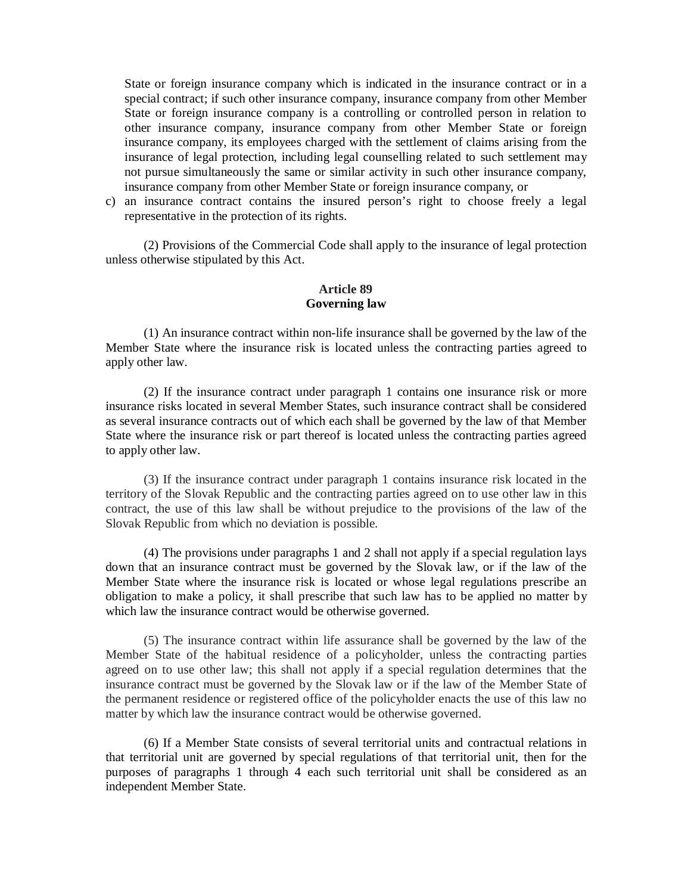State or foreign insurance company which is indicated in the insurance contract or in a special contract; if such other insurance company, insurance company from other Member State or foreign insurance company is a controlling or controlled person in relation to other insurance company, insurance company from other Member State or foreign insurance company, its employees charged with the settlement of claims arising from the insurance of legal protection, including legal counselling related to such settlement may not pursue simultaneously the same or similar activity in such other insurance company, insurance company from other Member State or foreign insurance company, or

c) an insurance contract contains the insured person's right to choose freely a legal representative in the protection of its rights.

(2) Provisions of the Commercial Code shall apply to the insurance of legal protection unless otherwise stipulated by this Act.

## **Article 89 Governing law**

(1) An insurance contract within non-life insurance shall be governed by the law of the Member State where the insurance risk is located unless the contracting parties agreed to apply other law.

(2) If the insurance contract under paragraph 1 contains one insurance risk or more insurance risks located in several Member States, such insurance contract shall be considered as several insurance contracts out of which each shall be governed by the law of that Member State where the insurance risk or part thereof is located unless the contracting parties agreed to apply other law.

(3) If the insurance contract under paragraph 1 contains insurance risk located in the territory of the Slovak Republic and the contracting parties agreed on to use other law in this contract, the use of this law shall be without prejudice to the provisions of the law of the Slovak Republic from which no deviation is possible.

(4) The provisions under paragraphs 1 and 2 shall not apply if a special regulation lays down that an insurance contract must be governed by the Slovak law, or if the law of the Member State where the insurance risk is located or whose legal regulations prescribe an obligation to make a policy, it shall prescribe that such law has to be applied no matter by which law the insurance contract would be otherwise governed.

(5) The insurance contract within life assurance shall be governed by the law of the Member State of the habitual residence of a policyholder, unless the contracting parties agreed on to use other law; this shall not apply if a special regulation determines that the insurance contract must be governed by the Slovak law or if the law of the Member State of the permanent residence or registered office of the policyholder enacts the use of this law no matter by which law the insurance contract would be otherwise governed.

(6) If a Member State consists of several territorial units and contractual relations in that territorial unit are governed by special regulations of that territorial unit, then for the purposes of paragraphs 1 through 4 each such territorial unit shall be considered as an independent Member State.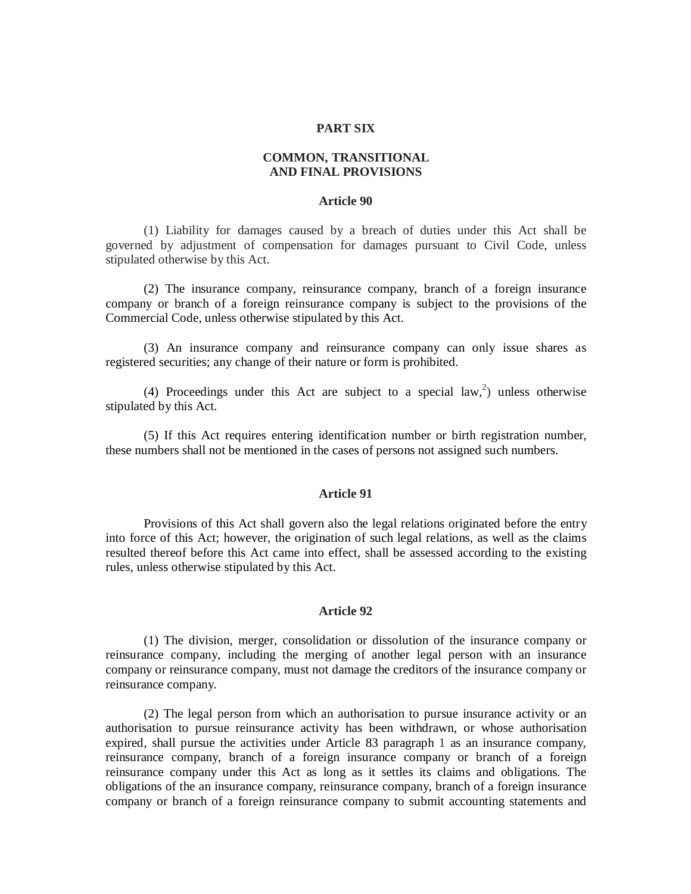#### **PART SIX**

## **COMMON, TRANSITIONAL AND FINAL PROVISIONS**

#### **Article 90**

(1) Liability for damages caused by a breach of duties under this Act shall be governed by adjustment of compensation for damages pursuant to Civil Code, unless stipulated otherwise by this Act.

(2) The insurance company, reinsurance company, branch of a foreign insurance company or branch of a foreign reinsurance company is subject to the provisions of the Commercial Code, unless otherwise stipulated by this Act.

(3) An insurance company and reinsurance company can only issue shares as registered securities; any change of their nature or form is prohibited.

(4) Proceedings under this Act are subject to a special law,<sup>2</sup>) unless otherwise stipulated by this Act.

(5) If this Act requires entering identification number or birth registration number, these numbers shall not be mentioned in the cases of persons not assigned such numbers.

#### **Article 91**

Provisions of this Act shall govern also the legal relations originated before the entry into force of this Act; however, the origination of such legal relations, as well as the claims resulted thereof before this Act came into effect, shall be assessed according to the existing rules, unless otherwise stipulated by this Act.

## **Article 92**

(1) The division, merger, consolidation or dissolution of the insurance company or reinsurance company, including the merging of another legal person with an insurance company or reinsurance company, must not damage the creditors of the insurance company or reinsurance company.

(2) The legal person from which an authorisation to pursue insurance activity or an authorisation to pursue reinsurance activity has been withdrawn, or whose authorisation expired, shall pursue the activities under Article 83 paragraph 1 as an insurance company, reinsurance company, branch of a foreign insurance company or branch of a foreign reinsurance company under this Act as long as it settles its claims and obligations. The obligations of the an insurance company, reinsurance company, branch of a foreign insurance company or branch of a foreign reinsurance company to submit accounting statements and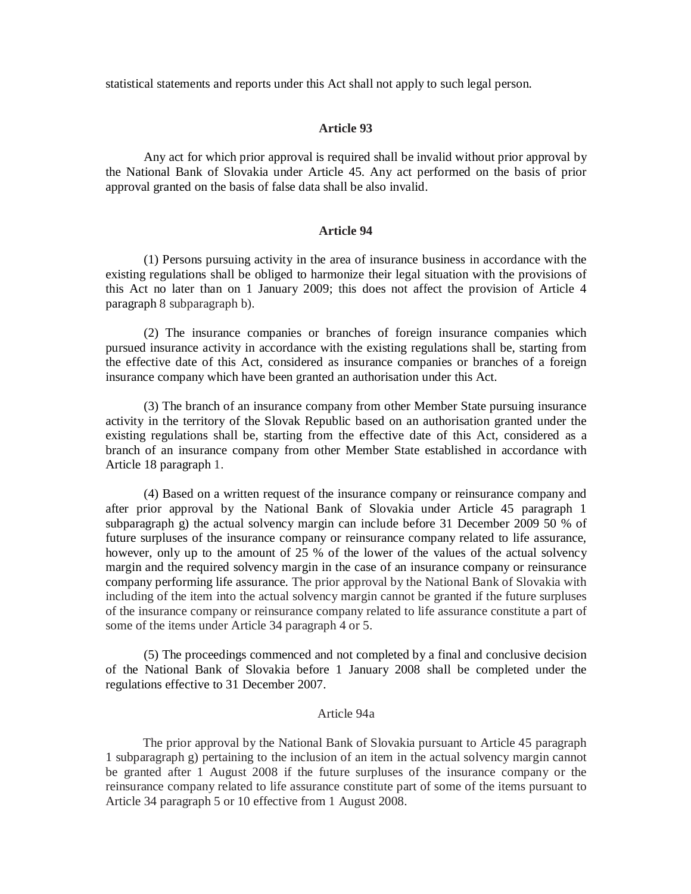statistical statements and reports under this Act shall not apply to such legal person.

## **Article 93**

Any act for which prior approval is required shall be invalid without prior approval by the National Bank of Slovakia under Article 45. Any act performed on the basis of prior approval granted on the basis of false data shall be also invalid.

#### **Article 94**

(1) Persons pursuing activity in the area of insurance business in accordance with the existing regulations shall be obliged to harmonize their legal situation with the provisions of this Act no later than on 1 January 2009; this does not affect the provision of Article 4 paragraph 8 subparagraph b).

(2) The insurance companies or branches of foreign insurance companies which pursued insurance activity in accordance with the existing regulations shall be, starting from the effective date of this Act, considered as insurance companies or branches of a foreign insurance company which have been granted an authorisation under this Act.

(3) The branch of an insurance company from other Member State pursuing insurance activity in the territory of the Slovak Republic based on an authorisation granted under the existing regulations shall be, starting from the effective date of this Act, considered as a branch of an insurance company from other Member State established in accordance with Article 18 paragraph 1.

(4) Based on a written request of the insurance company or reinsurance company and after prior approval by the National Bank of Slovakia under Article 45 paragraph 1 subparagraph g) the actual solvency margin can include before 31 December 2009 50 % of future surpluses of the insurance company or reinsurance company related to life assurance, however, only up to the amount of 25 % of the lower of the values of the actual solvency margin and the required solvency margin in the case of an insurance company or reinsurance company performing life assurance. The prior approval by the National Bank of Slovakia with including of the item into the actual solvency margin cannot be granted if the future surpluses of the insurance company or reinsurance company related to life assurance constitute a part of some of the items under Article 34 paragraph 4 or 5.

(5) The proceedings commenced and not completed by a final and conclusive decision of the National Bank of Slovakia before 1 January 2008 shall be completed under the regulations effective to 31 December 2007.

## Article 94a

The prior approval by the National Bank of Slovakia pursuant to Article 45 paragraph 1 subparagraph g) pertaining to the inclusion of an item in the actual solvency margin cannot be granted after 1 August 2008 if the future surpluses of the insurance company or the reinsurance company related to life assurance constitute part of some of the items pursuant to Article 34 paragraph 5 or 10 effective from 1 August 2008.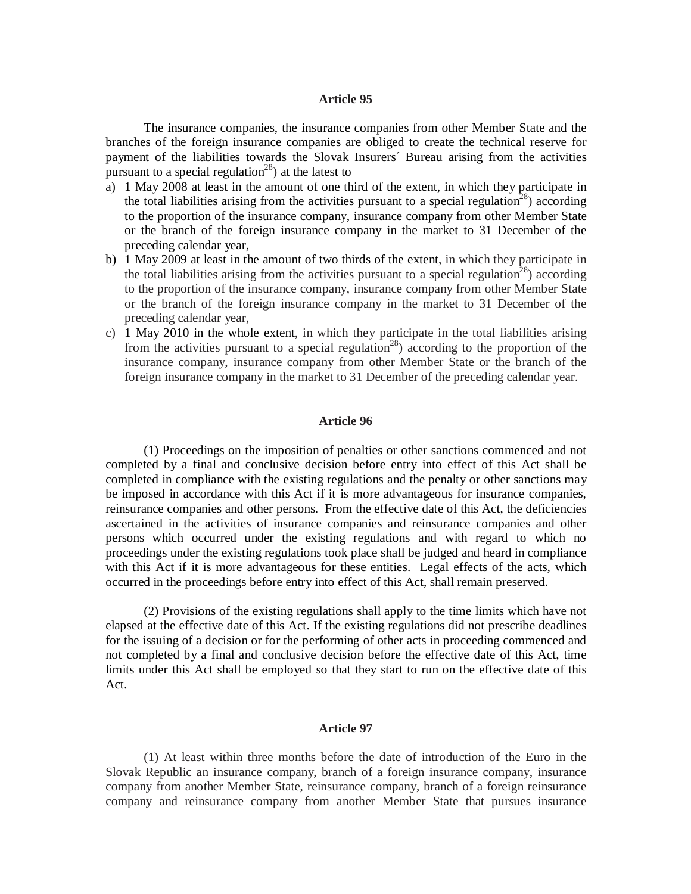#### **Article 95**

The insurance companies, the insurance companies from other Member State and the branches of the foreign insurance companies are obliged to create the technical reserve for payment of the liabilities towards the Slovak Insurers´ Bureau arising from the activities pursuant to a special regulation<sup>28</sup>) at the latest to

- a) 1 May 2008 at least in the amount of one third of the extent, in which they participate in the total liabilities arising from the activities pursuant to a special regulation<sup>28</sup>) according to the proportion of the insurance company, insurance company from other Member State or the branch of the foreign insurance company in the market to 31 December of the preceding calendar year,
- b) 1 May 2009 at least in the amount of two thirds of the extent, in which they participate in the total liabilities arising from the activities pursuant to a special regulation<sup>28</sup>) according to the proportion of the insurance company, insurance company from other Member State or the branch of the foreign insurance company in the market to 31 December of the preceding calendar year,
- c) 1 May 2010 in the whole extent, in which they participate in the total liabilities arising from the activities pursuant to a special regulation<sup>28</sup>) according to the proportion of the insurance company, insurance company from other Member State or the branch of the foreign insurance company in the market to 31 December of the preceding calendar year.

#### **Article 96**

(1) Proceedings on the imposition of penalties or other sanctions commenced and not completed by a final and conclusive decision before entry into effect of this Act shall be completed in compliance with the existing regulations and the penalty or other sanctions may be imposed in accordance with this Act if it is more advantageous for insurance companies, reinsurance companies and other persons. From the effective date of this Act, the deficiencies ascertained in the activities of insurance companies and reinsurance companies and other persons which occurred under the existing regulations and with regard to which no proceedings under the existing regulations took place shall be judged and heard in compliance with this Act if it is more advantageous for these entities. Legal effects of the acts, which occurred in the proceedings before entry into effect of this Act, shall remain preserved.

(2) Provisions of the existing regulations shall apply to the time limits which have not elapsed at the effective date of this Act. If the existing regulations did not prescribe deadlines for the issuing of a decision or for the performing of other acts in proceeding commenced and not completed by a final and conclusive decision before the effective date of this Act, time limits under this Act shall be employed so that they start to run on the effective date of this Act.

### **Article 97**

(1) At least within three months before the date of introduction of the Euro in the Slovak Republic an insurance company, branch of a foreign insurance company, insurance company from another Member State, reinsurance company, branch of a foreign reinsurance company and reinsurance company from another Member State that pursues insurance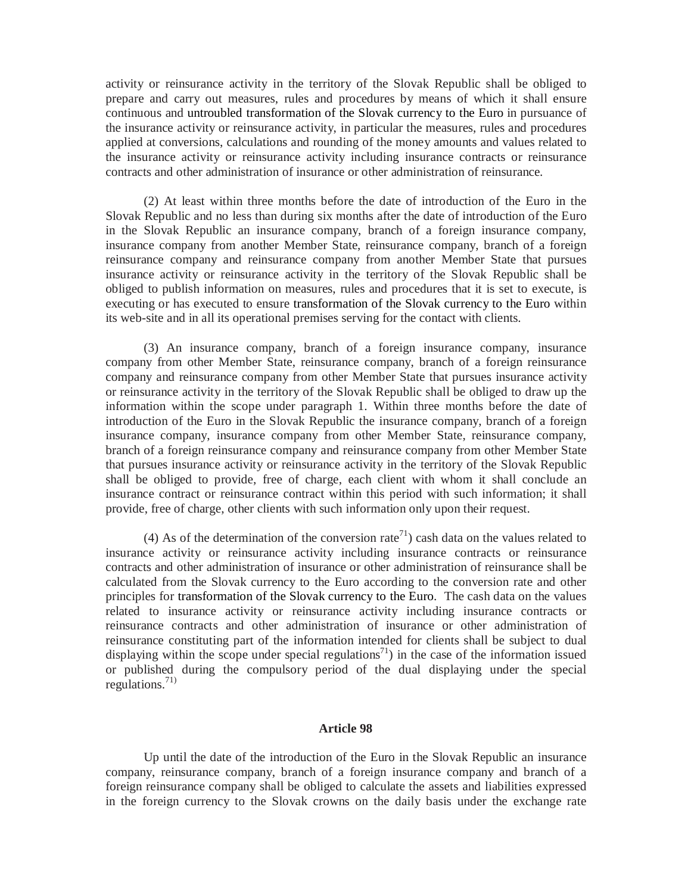activity or reinsurance activity in the territory of the Slovak Republic shall be obliged to prepare and carry out measures, rules and procedures by means of which it shall ensure continuous and untroubled transformation of the Slovak currency to the Euro in pursuance of the insurance activity or reinsurance activity, in particular the measures, rules and procedures applied at conversions, calculations and rounding of the money amounts and values related to the insurance activity or reinsurance activity including insurance contracts or reinsurance contracts and other administration of insurance or other administration of reinsurance.

(2) At least within three months before the date of introduction of the Euro in the Slovak Republic and no less than during six months after the date of introduction of the Euro in the Slovak Republic an insurance company, branch of a foreign insurance company, insurance company from another Member State, reinsurance company, branch of a foreign reinsurance company and reinsurance company from another Member State that pursues insurance activity or reinsurance activity in the territory of the Slovak Republic shall be obliged to publish information on measures, rules and procedures that it is set to execute, is executing or has executed to ensure transformation of the Slovak currency to the Euro within its web-site and in all its operational premises serving for the contact with clients.

(3) An insurance company, branch of a foreign insurance company, insurance company from other Member State, reinsurance company, branch of a foreign reinsurance company and reinsurance company from other Member State that pursues insurance activity or reinsurance activity in the territory of the Slovak Republic shall be obliged to draw up the information within the scope under paragraph 1. Within three months before the date of introduction of the Euro in the Slovak Republic the insurance company, branch of a foreign insurance company, insurance company from other Member State, reinsurance company, branch of a foreign reinsurance company and reinsurance company from other Member State that pursues insurance activity or reinsurance activity in the territory of the Slovak Republic shall be obliged to provide, free of charge, each client with whom it shall conclude an insurance contract or reinsurance contract within this period with such information; it shall provide, free of charge, other clients with such information only upon their request.

(4) As of the determination of the conversion rate<sup>71</sup>) cash data on the values related to insurance activity or reinsurance activity including insurance contracts or reinsurance contracts and other administration of insurance or other administration of reinsurance shall be calculated from the Slovak currency to the Euro according to the conversion rate and other principles for transformation of the Slovak currency to the Euro. The cash data on the values related to insurance activity or reinsurance activity including insurance contracts or reinsurance contracts and other administration of insurance or other administration of reinsurance constituting part of the information intended for clients shall be subject to dual displaying within the scope under special regulations<sup>71</sup>) in the case of the information issued or published during the compulsory period of the dual displaying under the special regulations. 71)

### **Article 98**

Up until the date of the introduction of the Euro in the Slovak Republic an insurance company, reinsurance company, branch of a foreign insurance company and branch of a foreign reinsurance company shall be obliged to calculate the assets and liabilities expressed in the foreign currency to the Slovak crowns on the daily basis under the exchange rate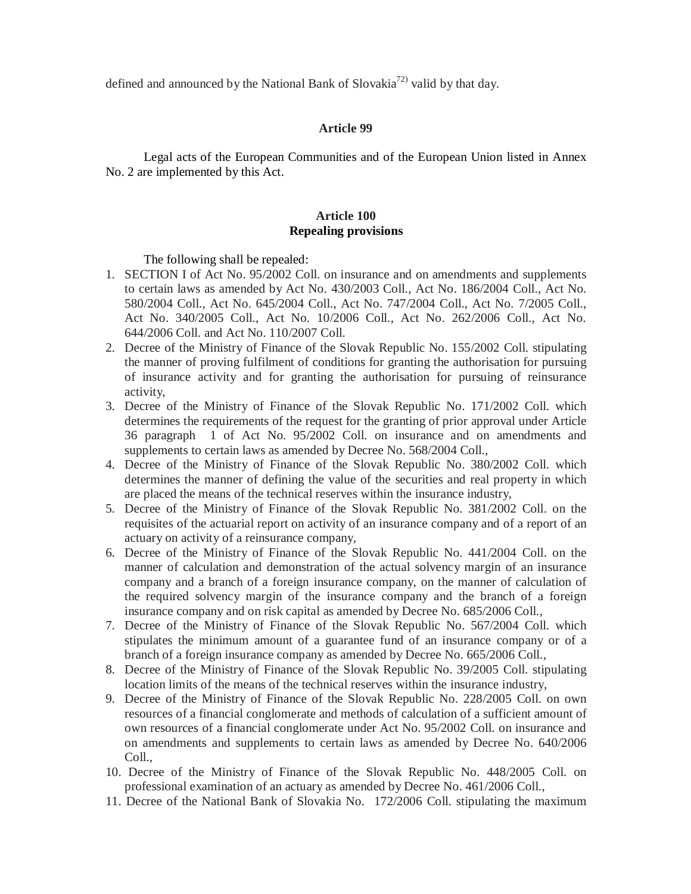defined and announced by the National Bank of Slovakia<sup>72)</sup> valid by that day.

### **Article 99**

Legal acts of the European Communities and of the European Union listed in Annex No. 2 are implemented by this Act.

## **Article 100 Repealing provisions**

The following shall be repealed:

- 1. SECTION I of Act No. 95/2002 Coll. on insurance and on amendments and supplements to certain laws as amended by Act No. 430/2003 Coll., Act No. 186/2004 Coll., Act No. 580/2004 Coll., Act No. 645/2004 Coll., Act No. 747/2004 Coll., Act No. 7/2005 Coll., Act No. 340/2005 Coll., Act No. 10/2006 Coll., Act No. 262/2006 Coll., Act No. 644/2006 Coll. and Act No. 110/2007 Coll.
- 2. Decree of the Ministry of Finance of the Slovak Republic No. 155/2002 Coll. stipulating the manner of proving fulfilment of conditions for granting the authorisation for pursuing of insurance activity and for granting the authorisation for pursuing of reinsurance activity,
- 3. Decree of the Ministry of Finance of the Slovak Republic No. 171/2002 Coll. which determines the requirements of the request for the granting of prior approval under Article 36 paragraph 1 of Act No. 95/2002 Coll. on insurance and on amendments and supplements to certain laws as amended by Decree No. 568/2004 Coll.,
- 4. Decree of the Ministry of Finance of the Slovak Republic No. 380/2002 Coll. which determines the manner of defining the value of the securities and real property in which are placed the means of the technical reserves within the insurance industry,
- 5. Decree of the Ministry of Finance of the Slovak Republic No. 381/2002 Coll. on the requisites of the actuarial report on activity of an insurance company and of a report of an actuary on activity of a reinsurance company,
- 6. Decree of the Ministry of Finance of the Slovak Republic No. 441/2004 Coll. on the manner of calculation and demonstration of the actual solvency margin of an insurance company and a branch of a foreign insurance company, on the manner of calculation of the required solvency margin of the insurance company and the branch of a foreign insurance company and on risk capital as amended by Decree No. 685/2006 Coll.,
- 7. Decree of the Ministry of Finance of the Slovak Republic No. 567/2004 Coll. which stipulates the minimum amount of a guarantee fund of an insurance company or of a branch of a foreign insurance company as amended by Decree No. 665/2006 Coll.,
- 8. Decree of the Ministry of Finance of the Slovak Republic No. 39/2005 Coll. stipulating location limits of the means of the technical reserves within the insurance industry,
- 9. Decree of the Ministry of Finance of the Slovak Republic No. 228/2005 Coll. on own resources of a financial conglomerate and methods of calculation of a sufficient amount of own resources of a financial conglomerate under Act No. 95/2002 Coll. on insurance and on amendments and supplements to certain laws as amended by Decree No. 640/2006 Coll.,
- 10. Decree of the Ministry of Finance of the Slovak Republic No. 448/2005 Coll. on professional examination of an actuary as amended by Decree No. 461/2006 Coll.,
- 11. Decree of the National Bank of Slovakia No. 172/2006 Coll. stipulating the maximum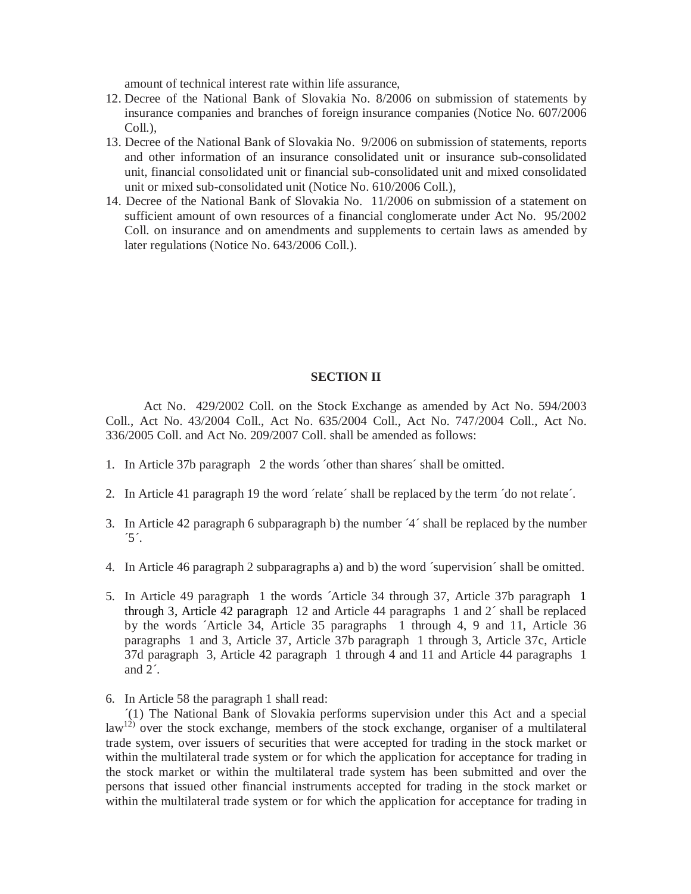amount of technical interest rate within life assurance,

- 12. Decree of the National Bank of Slovakia No. 8/2006 on submission of statements by insurance companies and branches of foreign insurance companies (Notice No. 607/2006 Coll.),
- 13. Decree of the National Bank of Slovakia No. 9/2006 on submission of statements, reports and other information of an insurance consolidated unit or insurance sub-consolidated unit, financial consolidated unit or financial sub-consolidated unit and mixed consolidated unit or mixed sub-consolidated unit (Notice No. 610/2006 Coll.),
- 14. Decree of the National Bank of Slovakia No. 11/2006 on submission of a statement on sufficient amount of own resources of a financial conglomerate under Act No. 95/2002 Coll. on insurance and on amendments and supplements to certain laws as amended by later regulations (Notice No. 643/2006 Coll.).

#### **SECTION II**

Act No. 429/2002 Coll. on the Stock Exchange as amended by Act No. 594/2003 Coll., Act No. 43/2004 Coll., Act No. 635/2004 Coll., Act No. 747/2004 Coll., Act No. 336/2005 Coll. and Act No. 209/2007 Coll. shall be amended as follows:

- 1. In Article 37b paragraph 2 the words ´other than shares´ shall be omitted.
- 2. In Article 41 paragraph 19 the word ´relate´ shall be replaced by the term ´do not relate´.
- 3. In Article 42 paragraph 6 subparagraph b) the number ´4´ shall be replaced by the number  $\mathfrak{S}'$ .
- 4. In Article 46 paragraph 2 subparagraphs a) and b) the word ´supervision´ shall be omitted.
- 5. In Article 49 paragraph 1 the words ´Article 34 through 37, Article 37b paragraph 1 through 3, Article 42 paragraph 12 and Article 44 paragraphs 1 and  $2<sup>3</sup>$  shall be replaced by the words ´Article 34, Article 35 paragraphs 1 through 4, 9 and 11, Article 36 paragraphs 1 and 3, Article 37, Article 37b paragraph 1 through 3, Article 37c, Article 37d paragraph 3, Article 42 paragraph 1 through 4 and 11 and Article 44 paragraphs 1 and 2´.
- 6. In Article 58 the paragraph 1 shall read:

´(1) The National Bank of Slovakia performs supervision under this Act and a special  $\text{law}^{12)}$  over the stock exchange, members of the stock exchange, organiser of a multilateral trade system, over issuers of securities that were accepted for trading in the stock market or within the multilateral trade system or for which the application for acceptance for trading in the stock market or within the multilateral trade system has been submitted and over the persons that issued other financial instruments accepted for trading in the stock market or within the multilateral trade system or for which the application for acceptance for trading in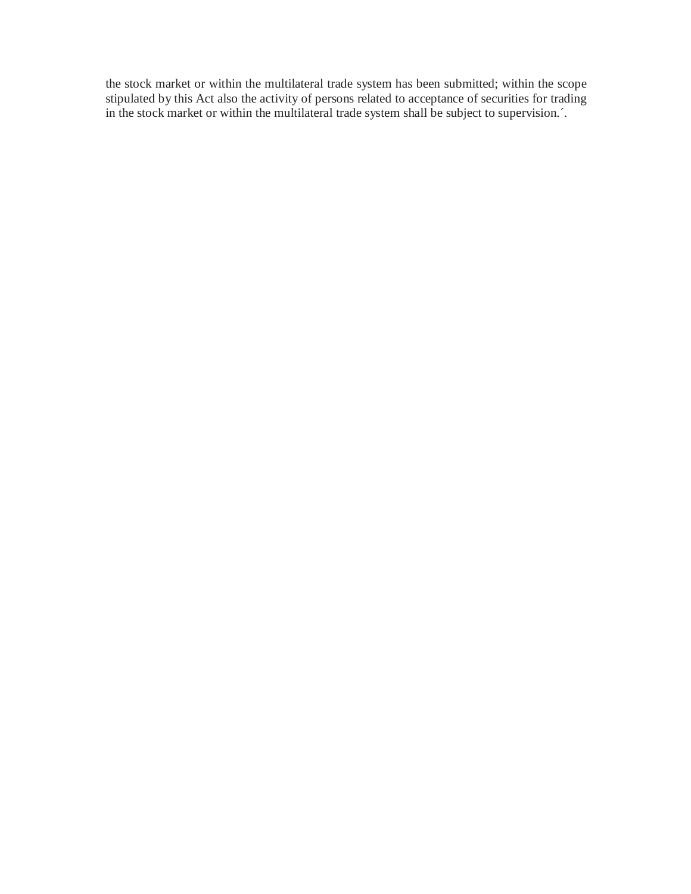the stock market or within the multilateral trade system has been submitted; within the scope stipulated by this Act also the activity of persons related to acceptance of securities for trading in the stock market or within the multilateral trade system shall be subject to supervision.´.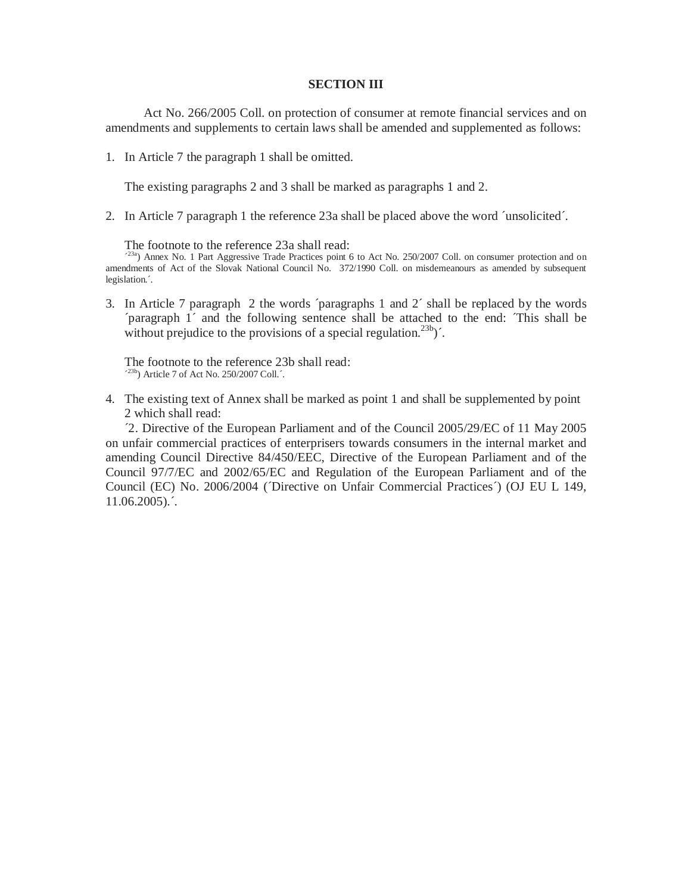#### **SECTION III**

Act No. 266/2005 Coll. on protection of consumer at remote financial services and on amendments and supplements to certain laws shall be amended and supplemented as follows:

1. In Article 7 the paragraph 1 shall be omitted.

The existing paragraphs 2 and 3 shall be marked as paragraphs 1 and 2.

2. In Article 7 paragraph 1 the reference 23a shall be placed above the word ´unsolicited´.

The footnote to the reference 23a shall read:

<sup>23a</sup>) Annex No. 1 Part Aggressive Trade Practices point 6 to Act No. 250/2007 Coll. on consumer protection and on amendments of Act of the Slovak National Council No. 372/1990 Coll. on misdemeanours as amended by subsequent legislation.´.

3. In Article 7 paragraph 2 the words ´paragraphs 1 and 2´ shall be replaced by the words ´paragraph 1´ and the following sentence shall be attached to the end: ´This shall be without prejudice to the provisions of a special regulation.<sup>23b</sup>)<sup> $\hat{ }$ </sup>.

The footnote to the reference 23b shall read:  $\frac{(23b)}{23}$  Article 7 of Act No. 250/2007 Coll. $\therefore$ 

4. The existing text of Annex shall be marked as point 1 and shall be supplemented by point 2 which shall read:

´2. Directive of the European Parliament and of the Council 2005/29/EC of 11 May 2005 on unfair commercial practices of enterprisers towards consumers in the internal market and amending Council Directive 84/450/EEC, Directive of the European Parliament and of the Council 97/7/EC and 2002/65/EC and Regulation of the European Parliament and of the Council (EC) No. 2006/2004 (Directive on Unfair Commercial Practices´) (OJ EU L 149,  $11.06.2005$ .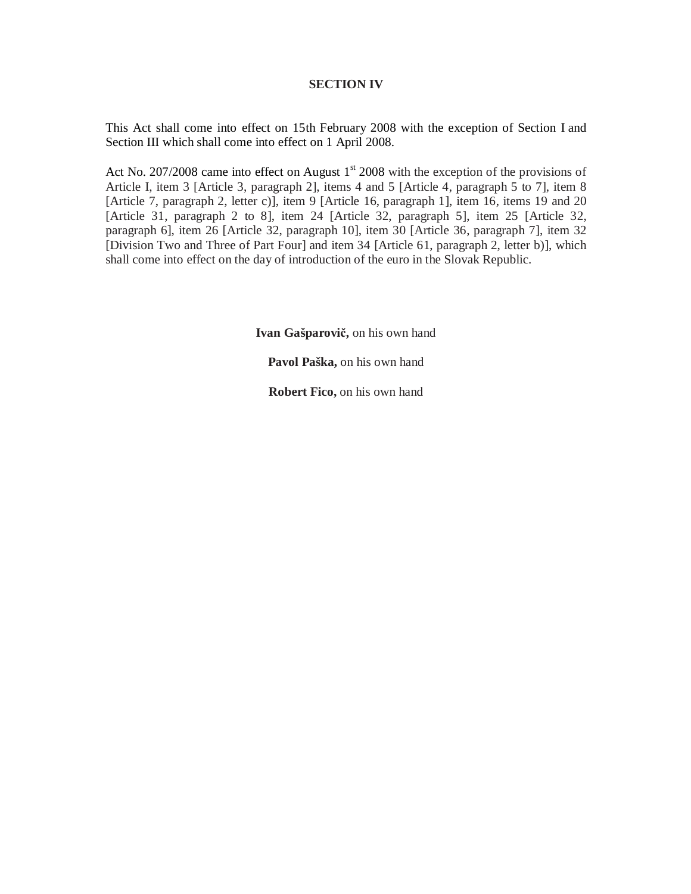## **SECTION IV**

This Act shall come into effect on 15th February 2008 with the exception of Section I and Section III which shall come into effect on 1 April 2008.

Act No. 207/2008 came into effect on August  $1<sup>st</sup>$  2008 with the exception of the provisions of Article I, item 3 [Article 3, paragraph 2], items 4 and 5 [Article 4, paragraph 5 to 7], item 8 [Article 7, paragraph 2, letter c)], item 9 [Article 16, paragraph 1], item 16, items 19 and 20 [Article 31, paragraph 2 to 8], item 24 [Article 32, paragraph 5], item 25 [Article 32, paragraph 6], item 26 [Article 32, paragraph 10], item 30 [Article 36, paragraph 7], item 32 [Division Two and Three of Part Four] and item 34 [Article 61, paragraph 2, letter b)], which shall come into effect on the day of introduction of the euro in the Slovak Republic.

**Ivan Gašparovič,** on his own hand

**Pavol Paška,** on his own hand

**Robert Fico,** on his own hand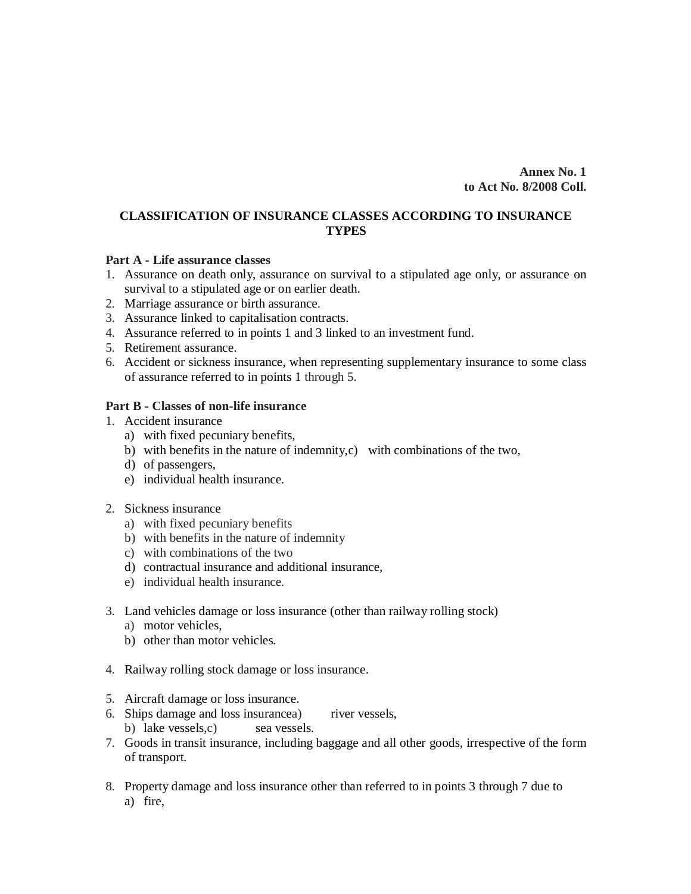**Annex No. 1 to Act No. 8/2008 Coll.** 

# **CLASSIFICATION OF INSURANCE CLASSES ACCORDING TO INSURANCE TYPES**

### **Part A - Life assurance classes**

- 1. Assurance on death only, assurance on survival to a stipulated age only, or assurance on survival to a stipulated age or on earlier death.
- 2. Marriage assurance or birth assurance.
- 3. Assurance linked to capitalisation contracts.
- 4. Assurance referred to in points 1 and 3 linked to an investment fund.
- 5. Retirement assurance.
- 6. Accident or sickness insurance, when representing supplementary insurance to some class of assurance referred to in points 1 through 5.

## **Part B - Classes of non-life insurance**

- 1. Accident insurance
	- a) with fixed pecuniary benefits,
	- b) with benefits in the nature of indemnity,c) with combinations of the two,
	- d) of passengers,
	- e) individual health insurance.
- 2. Sickness insurance
	- a) with fixed pecuniary benefits
	- b) with benefits in the nature of indemnity
	- c) with combinations of the two
	- d) contractual insurance and additional insurance,
	- e) individual health insurance.
- 3. Land vehicles damage or loss insurance (other than railway rolling stock)
	- a) motor vehicles,
	- b) other than motor vehicles.
- 4. Railway rolling stock damage or loss insurance.
- 5. Aircraft damage or loss insurance.
- 6. Ships damage and loss insurancea) river vessels, b) lake vessels, c) sea vessels.
- 7. Goods in transit insurance, including baggage and all other goods, irrespective of the form of transport.
- 8. Property damage and loss insurance other than referred to in points 3 through 7 due to a) fire,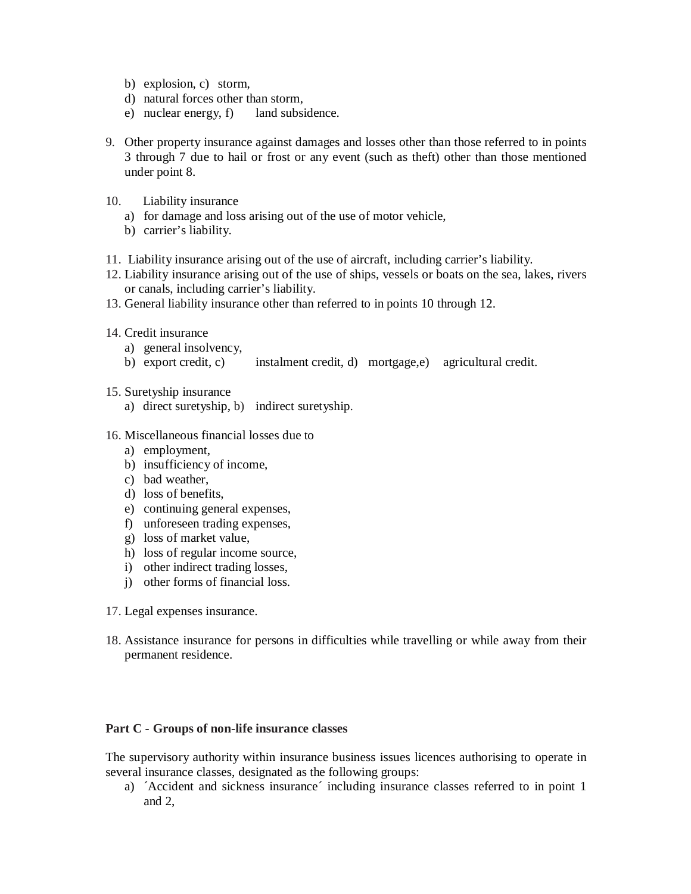- b) explosion, c) storm,
- d) natural forces other than storm,
- e) nuclear energy, f) land subsidence.
- 9. Other property insurance against damages and losses other than those referred to in points 3 through 7 due to hail or frost or any event (such as theft) other than those mentioned under point 8.
- 10. Liability insurance
	- a) for damage and loss arising out of the use of motor vehicle,
	- b) carrier's liability.
- 11. Liability insurance arising out of the use of aircraft, including carrier's liability.
- 12. Liability insurance arising out of the use of ships, vessels or boats on the sea, lakes, rivers or canals, including carrier's liability.
- 13. General liability insurance other than referred to in points 10 through 12.
- 14. Credit insurance
	- a) general insolvency,
	- b) export credit, c) instalment credit, d) mortgage,e) agricultural credit.
- 15. Suretyship insurance
	- a) direct suretyship, b) indirect suretyship.
- 16. Miscellaneous financial losses due to
	- a) employment,
	- b) insufficiency of income,
	- c) bad weather,
	- d) loss of benefits,
	- e) continuing general expenses,
	- f) unforeseen trading expenses,
	- g) loss of market value,
	- h) loss of regular income source,
	- i) other indirect trading losses,
	- j) other forms of financial loss.
- 17. Legal expenses insurance.
- 18. Assistance insurance for persons in difficulties while travelling or while away from their permanent residence.

# **Part C - Groups of non-life insurance classes**

The supervisory authority within insurance business issues licences authorising to operate in several insurance classes, designated as the following groups:

a) ´Accident and sickness insurance´ including insurance classes referred to in point 1 and 2,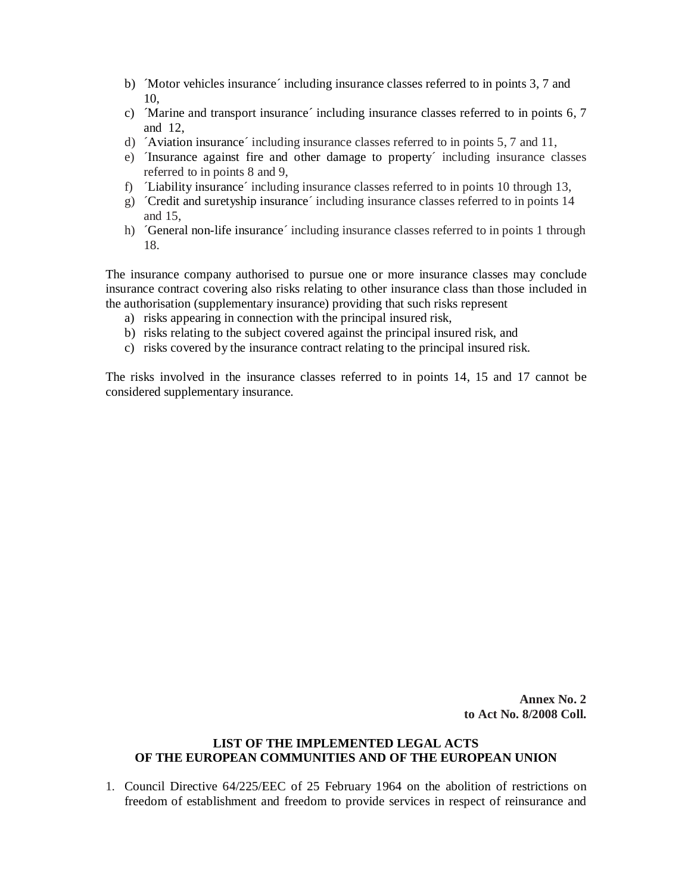- b) ´Motor vehicles insurance´ including insurance classes referred to in points 3, 7 and 10,
- c) ´Marine and transport insurance´ including insurance classes referred to in points 6, 7 and 12,
- d) ´Aviation insurance´ including insurance classes referred to in points 5, 7 and 11,
- e) ´Insurance against fire and other damage to property´ including insurance classes referred to in points 8 and 9,
- f) Liability insurance *including insurance classes referred to in points 10 through 13*,
- g) ´Credit and suretyship insurance´ including insurance classes referred to in points 14 and 15,
- h) ´General non-life insurance´ including insurance classes referred to in points 1 through 18.

The insurance company authorised to pursue one or more insurance classes may conclude insurance contract covering also risks relating to other insurance class than those included in the authorisation (supplementary insurance) providing that such risks represent

- a) risks appearing in connection with the principal insured risk,
- b) risks relating to the subject covered against the principal insured risk, and
- c) risks covered by the insurance contract relating to the principal insured risk.

The risks involved in the insurance classes referred to in points 14, 15 and 17 cannot be considered supplementary insurance.

> **Annex No. 2 to Act No. 8/2008 Coll.**

# **LIST OF THE IMPLEMENTED LEGAL ACTS OF THE EUROPEAN COMMUNITIES AND OF THE EUROPEAN UNION**

1. Council Directive 64/225/EEC of 25 February 1964 on the abolition of restrictions on freedom of establishment and freedom to provide services in respect of reinsurance and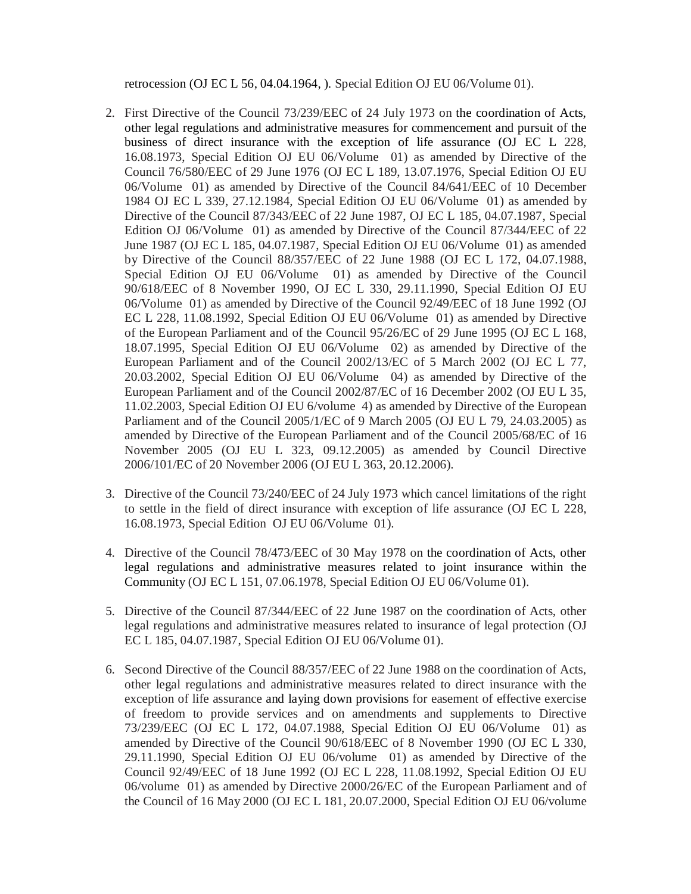retrocession (OJ EC L 56, 04.04.1964, ). Special Edition OJ EU 06/Volume 01).

- 2. First Directive of the Council 73/239/EEC of 24 July 1973 on the coordination of Acts, other legal regulations and administrative measures for commencement and pursuit of the business of direct insurance with the exception of life assurance (OJ EC L 228, 16.08.1973, Special Edition OJ EU 06/Volume 01) as amended by Directive of the Council 76/580/EEC of 29 June 1976 (OJ EC L 189, 13.07.1976, Special Edition OJ EU 06/Volume 01) as amended by Directive of the Council 84/641/EEC of 10 December 1984 OJ EC L 339, 27.12.1984, Special Edition OJ EU 06/Volume 01) as amended by Directive of the Council 87/343/EEC of 22 June 1987, OJ EC L 185, 04.07.1987, Special Edition OJ 06/Volume 01) as amended by Directive of the Council 87/344/EEC of 22 June 1987 (OJ EC L 185, 04.07.1987, Special Edition OJ EU 06/Volume 01) as amended by Directive of the Council 88/357/EEC of 22 June 1988 (OJ EC L 172, 04.07.1988, Special Edition OJ EU 06/Volume 01) as amended by Directive of the Council 90/618/EEC of 8 November 1990, OJ EC L 330, 29.11.1990, Special Edition OJ EU 06/Volume 01) as amended by Directive of the Council 92/49/EEC of 18 June 1992 (OJ EC L 228, 11.08.1992, Special Edition OJ EU 06/Volume 01) as amended by Directive of the European Parliament and of the Council 95/26/EC of 29 June 1995 (OJ EC L 168, 18.07.1995, Special Edition OJ EU 06/Volume 02) as amended by Directive of the European Parliament and of the Council 2002/13/EC of 5 March 2002 (OJ EC L 77, 20.03.2002, Special Edition OJ EU 06/Volume 04) as amended by Directive of the European Parliament and of the Council 2002/87/EC of 16 December 2002 (OJ EU L 35, 11.02.2003, Special Edition OJ EU 6/volume 4) as amended by Directive of the European Parliament and of the Council 2005/1/EC of 9 March 2005 (OJ EU L 79, 24.03.2005) as amended by Directive of the European Parliament and of the Council 2005/68/EC of 16 November 2005 (OJ EU L 323, 09.12.2005) as amended by Council Directive 2006/101/EC of 20 November 2006 (OJ EU L 363, 20.12.2006).
- 3. Directive of the Council 73/240/EEC of 24 July 1973 which cancel limitations of the right to settle in the field of direct insurance with exception of life assurance (OJ EC L 228, 16.08.1973, Special Edition OJ EU 06/Volume 01).
- 4. Directive of the Council 78/473/EEC of 30 May 1978 on the coordination of Acts, other legal regulations and administrative measures related to joint insurance within the Community (OJ EC L 151, 07.06.1978, Special Edition OJ EU 06/Volume 01).
- 5. Directive of the Council 87/344/EEC of 22 June 1987 on the coordination of Acts, other legal regulations and administrative measures related to insurance of legal protection (OJ EC L 185, 04.07.1987, Special Edition OJ EU 06/Volume 01).
- 6. Second Directive of the Council 88/357/EEC of 22 June 1988 on the coordination of Acts, other legal regulations and administrative measures related to direct insurance with the exception of life assurance and laying down provisions for easement of effective exercise of freedom to provide services and on amendments and supplements to Directive 73/239/EEC (OJ EC L 172, 04.07.1988, Special Edition OJ EU 06/Volume 01) as amended by Directive of the Council 90/618/EEC of 8 November 1990 (OJ EC L 330, 29.11.1990, Special Edition OJ EU 06/volume 01) as amended by Directive of the Council 92/49/EEC of 18 June 1992 (OJ EC L 228, 11.08.1992, Special Edition OJ EU 06/volume 01) as amended by Directive 2000/26/EC of the European Parliament and of the Council of 16 May 2000 (OJ EC L 181, 20.07.2000, Special Edition OJ EU 06/volume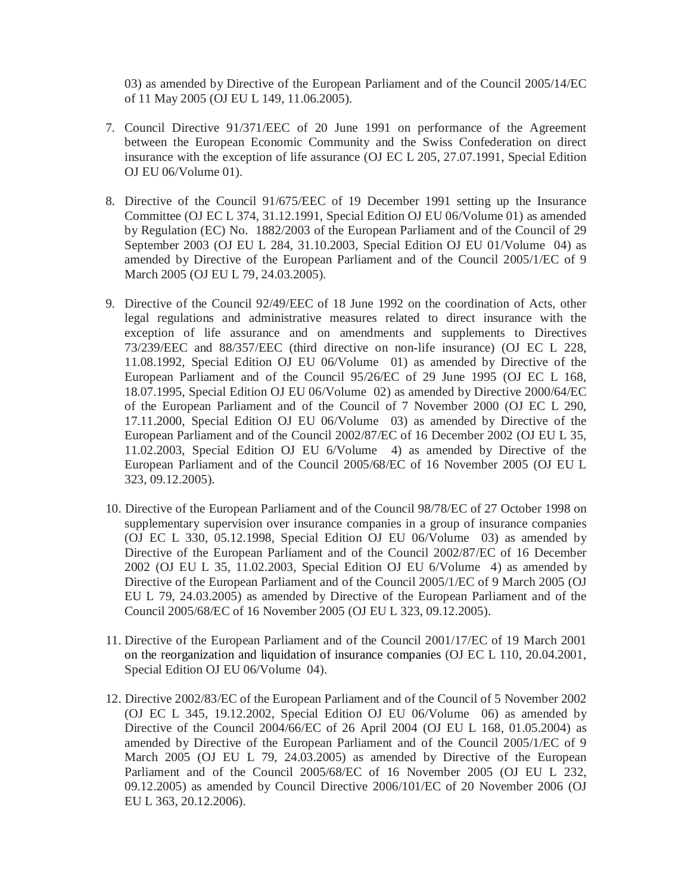03) as amended by Directive of the European Parliament and of the Council 2005/14/EC of 11 May 2005 (OJ EU L 149, 11.06.2005).

- 7. Council Directive 91/371/EEC of 20 June 1991 on performance of the Agreement between the European Economic Community and the Swiss Confederation on direct insurance with the exception of life assurance (OJ EC L 205, 27.07.1991, Special Edition OJ EU 06/Volume 01).
- 8. Directive of the Council 91/675/EEC of 19 December 1991 setting up the Insurance Committee (OJ EC L 374, 31.12.1991, Special Edition OJ EU 06/Volume 01) as amended by Regulation (EC) No. 1882/2003 of the European Parliament and of the Council of 29 September 2003 (OJ EU L 284, 31.10.2003, Special Edition OJ EU 01/Volume 04) as amended by Directive of the European Parliament and of the Council 2005/1/EC of 9 March 2005 (OJ EU L 79, 24.03.2005).
- 9. Directive of the Council 92/49/EEC of 18 June 1992 on the coordination of Acts, other legal regulations and administrative measures related to direct insurance with the exception of life assurance and on amendments and supplements to Directives 73/239/EEC and 88/357/EEC (third directive on non-life insurance) (OJ EC L 228, 11.08.1992, Special Edition OJ EU 06/Volume 01) as amended by Directive of the European Parliament and of the Council 95/26/EC of 29 June 1995 (OJ EC L 168, 18.07.1995, Special Edition OJ EU 06/Volume 02) as amended by Directive 2000/64/EC of the European Parliament and of the Council of 7 November 2000 (OJ EC L 290, 17.11.2000, Special Edition OJ EU 06/Volume 03) as amended by Directive of the European Parliament and of the Council 2002/87/EC of 16 December 2002 (OJ EU L 35, 11.02.2003, Special Edition OJ EU 6/Volume 4) as amended by Directive of the European Parliament and of the Council 2005/68/EC of 16 November 2005 (OJ EU L 323, 09.12.2005).
- 10. Directive of the European Parliament and of the Council 98/78/EC of 27 October 1998 on supplementary supervision over insurance companies in a group of insurance companies (OJ EC L 330, 05.12.1998, Special Edition OJ EU 06/Volume 03) as amended by Directive of the European Parliament and of the Council 2002/87/EC of 16 December 2002 (OJ EU L 35, 11.02.2003, Special Edition OJ EU 6/Volume 4) as amended by Directive of the European Parliament and of the Council 2005/1/EC of 9 March 2005 (OJ EU L 79, 24.03.2005) as amended by Directive of the European Parliament and of the Council 2005/68/EC of 16 November 2005 (OJ EU L 323, 09.12.2005).
- 11. Directive of the European Parliament and of the Council 2001/17/EC of 19 March 2001 on the reorganization and liquidation of insurance companies (OJ EC L 110, 20.04.2001, Special Edition OJ EU 06/Volume 04).
- 12. Directive 2002/83/EC of the European Parliament and of the Council of 5 November 2002 (OJ EC L 345, 19.12.2002, Special Edition OJ EU 06/Volume 06) as amended by Directive of the Council 2004/66/EC of 26 April 2004 (OJ EU L 168, 01.05.2004) as amended by Directive of the European Parliament and of the Council 2005/1/EC of 9 March 2005 (OJ EU L 79, 24.03.2005) as amended by Directive of the European Parliament and of the Council 2005/68/EC of 16 November 2005 (OJ EU L 232, 09.12.2005) as amended by Council Directive 2006/101/EC of 20 November 2006 (OJ EU L 363, 20.12.2006).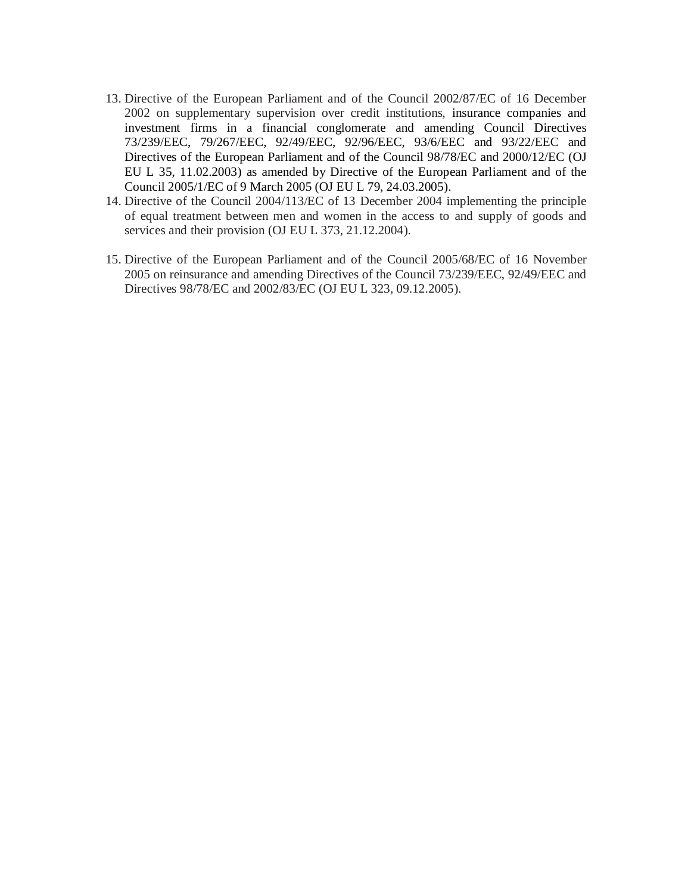- 13. Directive of the European Parliament and of the Council 2002/87/EC of 16 December 2002 on supplementary supervision over credit institutions, insurance companies and investment firms in a financial conglomerate and amending Council Directives 73/239/EEC, 79/267/EEC, 92/49/EEC, 92/96/EEC, 93/6/EEC and 93/22/EEC and Directives of the European Parliament and of the Council 98/78/EC and 2000/12/EC (OJ EU L 35, 11.02.2003) as amended by Directive of the European Parliament and of the Council 2005/1/EC of 9 March 2005 (OJ EU L 79, 24.03.2005).
- 14. Directive of the Council 2004/113/EC of 13 December 2004 implementing the principle of equal treatment between men and women in the access to and supply of goods and services and their provision (OJ EU L 373, 21.12.2004).
- 15. Directive of the European Parliament and of the Council 2005/68/EC of 16 November 2005 on reinsurance and amending Directives of the Council 73/239/EEC, 92/49/EEC and Directives 98/78/EC and 2002/83/EC (OJ EU L 323, 09.12.2005).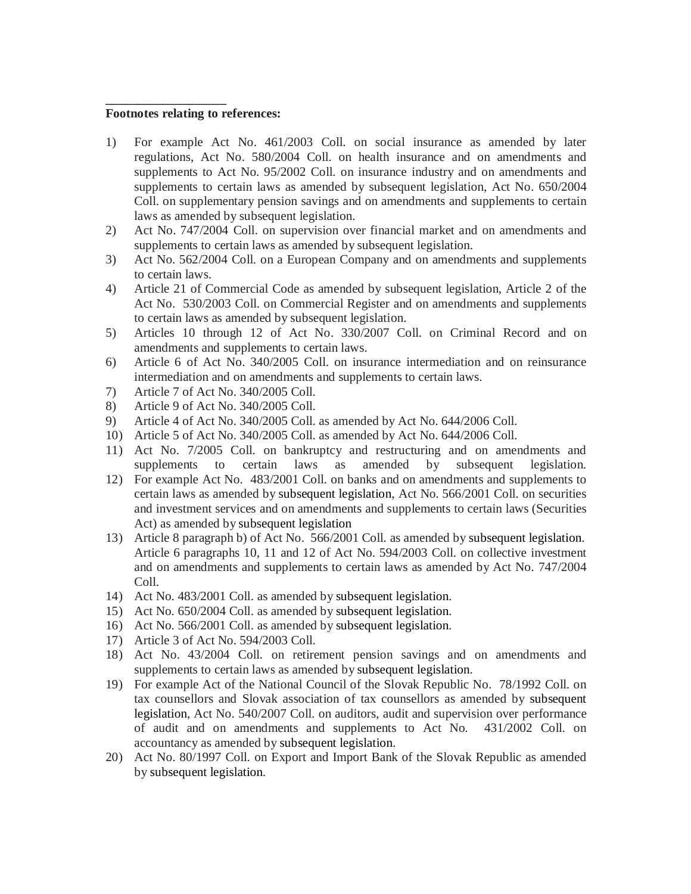#### **Footnotes relating to references:**

**\_\_\_\_\_\_\_\_\_\_\_\_\_\_\_\_\_\_\_** 

- 1) For example Act No. 461/2003 Coll. on social insurance as amended by later regulations, Act No. 580/2004 Coll. on health insurance and on amendments and supplements to Act No. 95/2002 Coll. on insurance industry and on amendments and supplements to certain laws as amended by subsequent legislation, Act No. 650/2004 Coll. on supplementary pension savings and on amendments and supplements to certain laws as amended by subsequent legislation.
- 2) Act No. 747/2004 Coll. on supervision over financial market and on amendments and supplements to certain laws as amended by subsequent legislation.
- 3) Act No. 562/2004 Coll. on a European Company and on amendments and supplements to certain laws.
- 4) Article 21 of Commercial Code as amended by subsequent legislation, Article 2 of the Act No. 530/2003 Coll. on Commercial Register and on amendments and supplements to certain laws as amended by subsequent legislation.
- 5) Articles 10 through 12 of Act No. 330/2007 Coll. on Criminal Record and on amendments and supplements to certain laws.
- 6) Article 6 of Act No. 340/2005 Coll. on insurance intermediation and on reinsurance intermediation and on amendments and supplements to certain laws.
- 7) Article 7 of Act No. 340/2005 Coll.
- 8) Article 9 of Act No. 340/2005 Coll.
- 9) Article 4 of Act No. 340/2005 Coll. as amended by Act No. 644/2006 Coll.
- 10) Article 5 of Act No. 340/2005 Coll. as amended by Act No. 644/2006 Coll.
- 11) Act No. 7/2005 Coll. on bankruptcy and restructuring and on amendments and supplements to certain laws as amended by subsequent legislation.
- 12) For example Act No. 483/2001 Coll. on banks and on amendments and supplements to certain laws as amended by subsequent legislation, Act No. 566/2001 Coll. on securities and investment services and on amendments and supplements to certain laws (Securities Act) as amended by subsequent legislation
- 13) Article 8 paragraph b) of Act No. 566/2001 Coll. as amended by subsequent legislation. Article 6 paragraphs 10, 11 and 12 of Act No. 594/2003 Coll. on collective investment and on amendments and supplements to certain laws as amended by Act No. 747/2004 Coll.
- 14) Act No. 483/2001 Coll. as amended by subsequent legislation.
- 15) Act No. 650/2004 Coll. as amended by subsequent legislation.
- 16) Act No. 566/2001 Coll. as amended by subsequent legislation.
- 17) Article 3 of Act No. 594/2003 Coll.
- 18) Act No. 43/2004 Coll. on retirement pension savings and on amendments and supplements to certain laws as amended by subsequent legislation.
- 19) For example Act of the National Council of the Slovak Republic No. 78/1992 Coll. on tax counsellors and Slovak association of tax counsellors as amended by subsequent legislation, Act No. 540/2007 Coll. on auditors, audit and supervision over performance of audit and on amendments and supplements to Act No. 431/2002 Coll. on accountancy as amended by subsequent legislation.
- 20) Act No. 80/1997 Coll. on Export and Import Bank of the Slovak Republic as amended by subsequent legislation.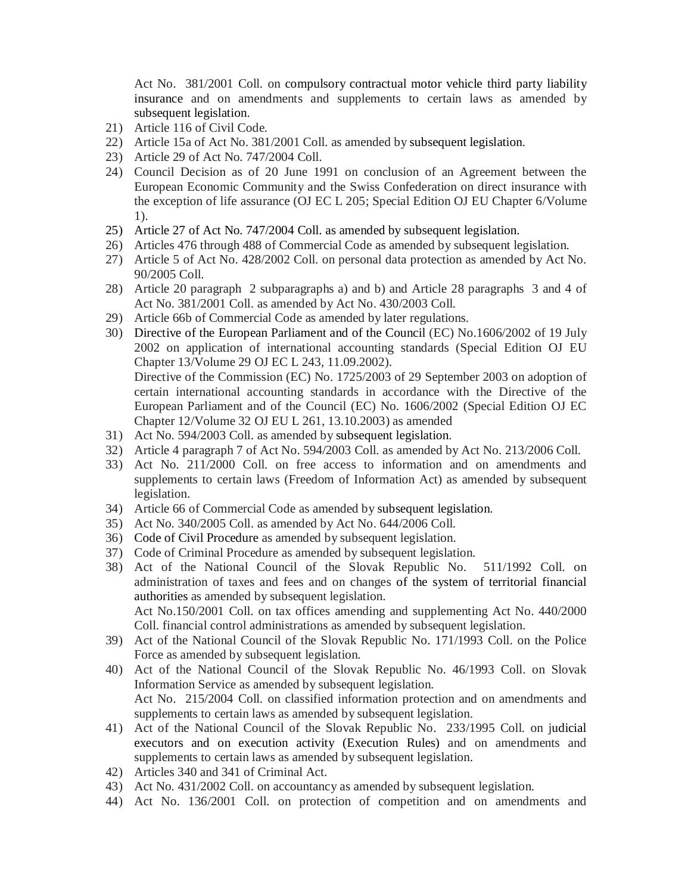Act No. 381/2001 Coll. on compulsory contractual motor vehicle third party liability insurance and on amendments and supplements to certain laws as amended by subsequent legislation.

- 21) Article 116 of Civil Code.
- 22) Article 15a of Act No. 381/2001 Coll. as amended by subsequent legislation.
- 23) Article 29 of Act No. 747/2004 Coll.
- 24) Council Decision as of 20 June 1991 on conclusion of an Agreement between the European Economic Community and the Swiss Confederation on direct insurance with the exception of life assurance (OJ EC L 205; Special Edition OJ EU Chapter 6/Volume 1).
- 25) Article 27 of Act No. 747/2004 Coll. as amended by subsequent legislation.
- 26) Articles 476 through 488 of Commercial Code as amended by subsequent legislation.
- 27) Article 5 of Act No. 428/2002 Coll. on personal data protection as amended by Act No. 90/2005 Coll.
- 28) Article 20 paragraph 2 subparagraphs a) and b) and Article 28 paragraphs 3 and 4 of Act No. 381/2001 Coll. as amended by Act No. 430/2003 Coll.
- 29) Article 66b of Commercial Code as amended by later regulations.
- 30) Directive of the European Parliament and of the Council (EC) No.1606/2002 of 19 July 2002 on application of international accounting standards (Special Edition OJ EU Chapter 13/Volume 29 OJ EC L 243, 11.09.2002). Directive of the Commission (EC) No. 1725/2003 of 29 September 2003 on adoption of certain international accounting standards in accordance with the Directive of the European Parliament and of the Council (EC) No. 1606/2002 (Special Edition OJ EC Chapter 12/Volume 32 OJ EU L 261, 13.10.2003) as amended
- 31) Act No. 594/2003 Coll. as amended by subsequent legislation.
- 32) Article 4 paragraph 7 of Act No. 594/2003 Coll. as amended by Act No. 213/2006 Coll.
- 33) Act No. 211/2000 Coll. on free access to information and on amendments and supplements to certain laws (Freedom of Information Act) as amended by subsequent legislation.
- 34) Article 66 of Commercial Code as amended by subsequent legislation.
- 35) Act No. 340/2005 Coll. as amended by Act No. 644/2006 Coll.
- 36) Code of Civil Procedure as amended by subsequent legislation.
- 37) Code of Criminal Procedure as amended by subsequent legislation.
- 38) Act of the National Council of the Slovak Republic No. 511/1992 Coll. on administration of taxes and fees and on changes of the system of territorial financial authorities as amended by subsequent legislation. Act No.150/2001 Coll. on tax offices amending and supplementing Act No. 440/2000
- Coll. financial control administrations as amended by subsequent legislation. 39) Act of the National Council of the Slovak Republic No. 171/1993 Coll. on the Police Force as amended by subsequent legislation.
- 40) Act of the National Council of the Slovak Republic No. 46/1993 Coll. on Slovak Information Service as amended by subsequent legislation. Act No. 215/2004 Coll. on classified information protection and on amendments and
- supplements to certain laws as amended by subsequent legislation. 41) Act of the National Council of the Slovak Republic No. 233/1995 Coll. on judicial executors and on execution activity (Execution Rules) and on amendments and supplements to certain laws as amended by subsequent legislation.
- 42) Articles 340 and 341 of Criminal Act.
- 43) Act No. 431/2002 Coll. on accountancy as amended by subsequent legislation.
- 44) Act No. 136/2001 Coll. on protection of competition and on amendments and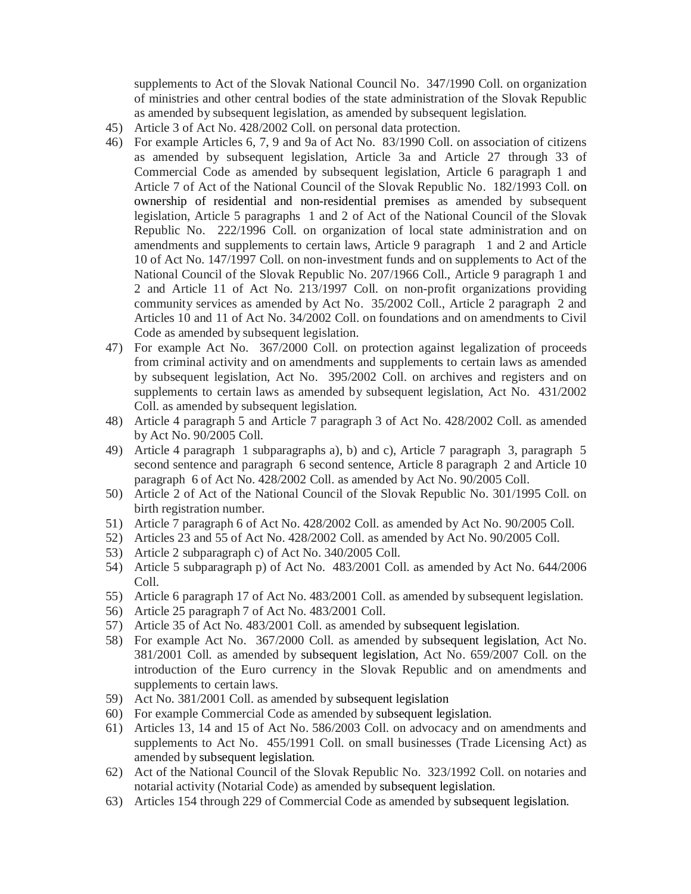supplements to Act of the Slovak National Council No. 347/1990 Coll. on organization of ministries and other central bodies of the state administration of the Slovak Republic as amended by subsequent legislation, as amended by subsequent legislation.

- 45) Article 3 of Act No. 428/2002 Coll. on personal data protection.
- 46) For example Articles 6, 7, 9 and 9a of Act No. 83/1990 Coll. on association of citizens as amended by subsequent legislation, Article 3a and Article 27 through 33 of Commercial Code as amended by subsequent legislation, Article 6 paragraph 1 and Article 7 of Act of the National Council of the Slovak Republic No. 182/1993 Coll. on ownership of residential and non-residential premises as amended by subsequent legislation, Article 5 paragraphs 1 and 2 of Act of the National Council of the Slovak Republic No. 222/1996 Coll. on organization of local state administration and on amendments and supplements to certain laws, Article 9 paragraph 1 and 2 and Article 10 of Act No. 147/1997 Coll. on non-investment funds and on supplements to Act of the National Council of the Slovak Republic No. 207/1966 Coll., Article 9 paragraph 1 and 2 and Article 11 of Act No. 213/1997 Coll. on non-profit organizations providing community services as amended by Act No. 35/2002 Coll., Article 2 paragraph 2 and Articles 10 and 11 of Act No. 34/2002 Coll. on foundations and on amendments to Civil Code as amended by subsequent legislation.
- 47) For example Act No. 367/2000 Coll. on protection against legalization of proceeds from criminal activity and on amendments and supplements to certain laws as amended by subsequent legislation, Act No. 395/2002 Coll. on archives and registers and on supplements to certain laws as amended by subsequent legislation, Act No. 431/2002 Coll. as amended by subsequent legislation.
- 48) Article 4 paragraph 5 and Article 7 paragraph 3 of Act No. 428/2002 Coll. as amended by Act No. 90/2005 Coll.
- 49) Article 4 paragraph 1 subparagraphs a), b) and c), Article 7 paragraph 3, paragraph 5 second sentence and paragraph 6 second sentence, Article 8 paragraph 2 and Article 10 paragraph 6 of Act No. 428/2002 Coll. as amended by Act No. 90/2005 Coll.
- 50) Article 2 of Act of the National Council of the Slovak Republic No. 301/1995 Coll. on birth registration number.
- 51) Article 7 paragraph 6 of Act No. 428/2002 Coll. as amended by Act No. 90/2005 Coll.
- 52) Articles 23 and 55 of Act No. 428/2002 Coll. as amended by Act No. 90/2005 Coll.
- 53) Article 2 subparagraph c) of Act No. 340/2005 Coll.
- 54) Article 5 subparagraph p) of Act No. 483/2001 Coll. as amended by Act No. 644/2006 Coll.
- 55) Article 6 paragraph 17 of Act No. 483/2001 Coll. as amended by subsequent legislation.
- 56) Article 25 paragraph 7 of Act No. 483/2001 Coll.
- 57) Article 35 of Act No. 483/2001 Coll. as amended by subsequent legislation.
- 58) For example Act No. 367/2000 Coll. as amended by subsequent legislation, Act No. 381/2001 Coll. as amended by subsequent legislation, Act No. 659/2007 Coll. on the introduction of the Euro currency in the Slovak Republic and on amendments and supplements to certain laws.
- 59) Act No. 381/2001 Coll. as amended by subsequent legislation
- 60) For example Commercial Code as amended by subsequent legislation.
- 61) Articles 13, 14 and 15 of Act No. 586/2003 Coll. on advocacy and on amendments and supplements to Act No. 455/1991 Coll. on small businesses (Trade Licensing Act) as amended by subsequent legislation.
- 62) Act of the National Council of the Slovak Republic No. 323/1992 Coll. on notaries and notarial activity (Notarial Code) as amended by subsequent legislation.
- 63) Articles 154 through 229 of Commercial Code as amended by subsequent legislation.